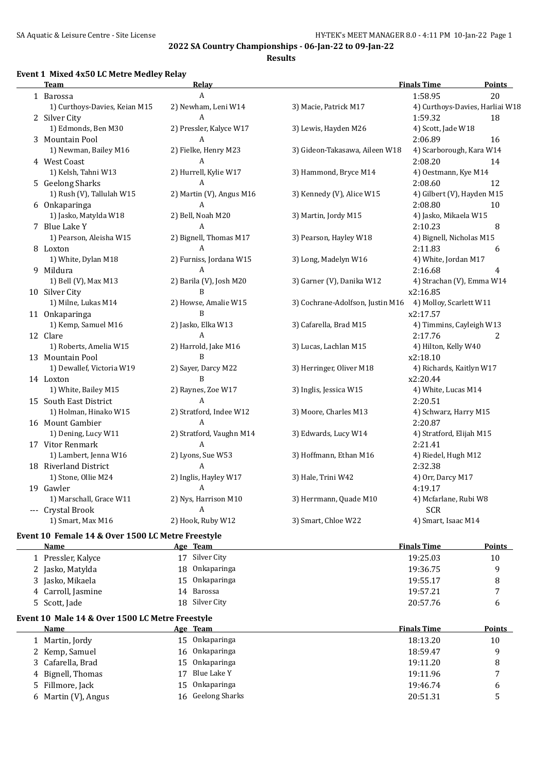#### **Event 1 Mixed 4x50 LC Metre Medley Relay**

| Team                          | <b>Relay</b>             |                                  | <b>Finals Time</b>              | <b>Points</b> |
|-------------------------------|--------------------------|----------------------------------|---------------------------------|---------------|
| 1 Barossa                     | $\mathbf{A}$             |                                  | 1:58.95                         | 20            |
| 1) Curthoys-Davies, Keian M15 | 2) Newham, Leni W14      | 3) Macie, Patrick M17            | 4) Curthoys-Davies, Harliai W18 |               |
| 2 Silver City                 | A                        |                                  | 1:59.32                         | 18            |
| 1) Edmonds, Ben M30           | 2) Pressler, Kalyce W17  | 3) Lewis, Hayden M26             | 4) Scott, Jade W18              |               |
| 3 Mountain Pool               | A                        |                                  | 2:06.89                         | 16            |
| 1) Newman, Bailey M16         | 2) Fielke, Henry M23     | 3) Gideon-Takasawa, Aileen W18   | 4) Scarborough, Kara W14        |               |
| 4 West Coast                  | $\mathbf{A}$             |                                  | 2:08.20                         | 14            |
| 1) Kelsh, Tahni W13           | 2) Hurrell, Kylie W17    | 3) Hammond, Bryce M14            | 4) Oestmann, Kye M14            |               |
| 5 Geelong Sharks              | $\mathbf{A}$             |                                  | 2:08.60                         | 12            |
| 1) Rush (V), Tallulah W15     | 2) Martin (V), Angus M16 | 3) Kennedy (V), Alice W15        | 4) Gilbert (V), Hayden M15      |               |
| 6 Onkaparinga                 | A                        |                                  | 2:08.80                         | 10            |
| 1) Jasko, Matylda W18         | 2) Bell, Noah M20        | 3) Martin, Jordy M15             | 4) Jasko, Mikaela W15           |               |
| 7 Blue Lake Y                 | A                        |                                  | 2:10.23                         | 8             |
| 1) Pearson, Aleisha W15       | 2) Bignell, Thomas M17   | 3) Pearson, Hayley W18           | 4) Bignell, Nicholas M15        |               |
| 8 Loxton                      | $\mathbf{A}$             |                                  | 2:11.83                         | 6             |
| 1) White, Dylan M18           | 2) Furniss, Jordana W15  | 3) Long, Madelyn W16             | 4) White, Jordan M17            |               |
| 9 Mildura                     | A                        |                                  | 2:16.68                         | 4             |
| 1) Bell (V), Max M13          | 2) Barila (V), Josh M20  | 3) Garner (V), Danika W12        | 4) Strachan (V), Emma W14       |               |
| 10 Silver City                | B                        |                                  | x2:16.85                        |               |
| 1) Milne, Lukas M14           | 2) Howse, Amalie W15     | 3) Cochrane-Adolfson, Justin M16 | 4) Molloy, Scarlett W11         |               |
| 11 Onkaparinga                | $\mathbf B$              |                                  | x2:17.57                        |               |
| 1) Kemp, Samuel M16           | 2) Jasko, Elka W13       | 3) Cafarella, Brad M15           | 4) Timmins, Cayleigh W13        |               |
| 12 Clare                      | A                        |                                  | 2:17.76                         | 2             |
| 1) Roberts, Amelia W15        | 2) Harrold, Jake M16     | 3) Lucas, Lachlan M15            | 4) Hilton, Kelly W40            |               |
| 13 Mountain Pool              | B                        |                                  | x2:18.10                        |               |
| 1) Dewallef, Victoria W19     | 2) Sayer, Darcy M22      | 3) Herringer, Oliver M18         | 4) Richards, Kaitlyn W17        |               |
| 14 Loxton                     | $\mathbf{B}$             |                                  | x2:20.44                        |               |
| 1) White, Bailey M15          | 2) Raynes, Zoe W17       | 3) Inglis, Jessica W15           | 4) White, Lucas M14             |               |
| 15 South East District        | $\mathbf{A}$             |                                  | 2:20.51                         |               |
| 1) Holman, Hinako W15         | 2) Stratford, Indee W12  | 3) Moore, Charles M13            | 4) Schwarz, Harry M15           |               |
| 16 Mount Gambier              | A                        |                                  | 2:20.87                         |               |
| 1) Dening, Lucy W11           | 2) Stratford, Vaughn M14 | 3) Edwards, Lucy W14             | 4) Stratford, Elijah M15        |               |
| 17 Vitor Renmark              | A                        |                                  | 2:21.41                         |               |
| 1) Lambert, Jenna W16         | 2) Lyons, Sue W53        | 3) Hoffmann, Ethan M16           | 4) Riedel, Hugh M12             |               |
| 18 Riverland District         | $\boldsymbol{A}$         |                                  | 2:32.38                         |               |
| 1) Stone, Ollie M24           | 2) Inglis, Hayley W17    | 3) Hale, Trini W42               | 4) Orr, Darcy M17               |               |
| 19 Gawler                     | A                        |                                  | 4:19.17                         |               |
| 1) Marschall, Grace W11       | 2) Nys, Harrison M10     | 3) Herrmann, Quade M10           | 4) Mcfarlane, Rubi W8           |               |
| --- Crystal Brook             | A                        |                                  | <b>SCR</b>                      |               |
| 1) Smart, Max M16             | 2) Hook, Ruby W12        | 3) Smart, Chloe W22              | 4) Smart, Isaac M14             |               |
|                               |                          |                                  |                                 |               |

# **Event 10 Female 14 & Over 1500 LC Metre Freestyle**

| Name               | Age Team       | <b>Finals Time</b> | Points         |
|--------------------|----------------|--------------------|----------------|
| Pressler, Kalyce   | 17 Silver City | 19:25.03           | 10             |
| 2 Jasko, Matylda   | 18 Onkaparinga | 19:36.75           | q              |
| 3 Jasko, Mikaela   | 15 Onkaparinga | 19:55.17           | 8              |
| 4 Carroll, Jasmine | 14 Barossa     | 19:57.21           | $\overline{ }$ |
| 5 Scott, Jade      | 18 Silver City | 20:57.76           | b              |

#### **Event 10 Male 14 & Over 1500 LC Metre Freestyle**

| Name                |     | Age Team          | <b>Finals Time</b> | <b>Points</b> |
|---------------------|-----|-------------------|--------------------|---------------|
| 1 Martin, Jordy     | 15. | Onkaparinga       | 18:13.20           | 10            |
| 2 Kemp, Samuel      |     | 16 Onkaparinga    | 18:59.47           | q             |
| 3 Cafarella, Brad   | 15  | Onkaparinga       | 19:11.20           | 8             |
| 4 Bignell, Thomas   |     | Blue Lake Y       | 19:11.96           | $\mathbf{r}$  |
| 5 Fillmore, Jack    | 15. | Onkaparinga       | 19:46.74           | b             |
| 6 Martin (V), Angus |     | 16 Geelong Sharks | 20:51.31           |               |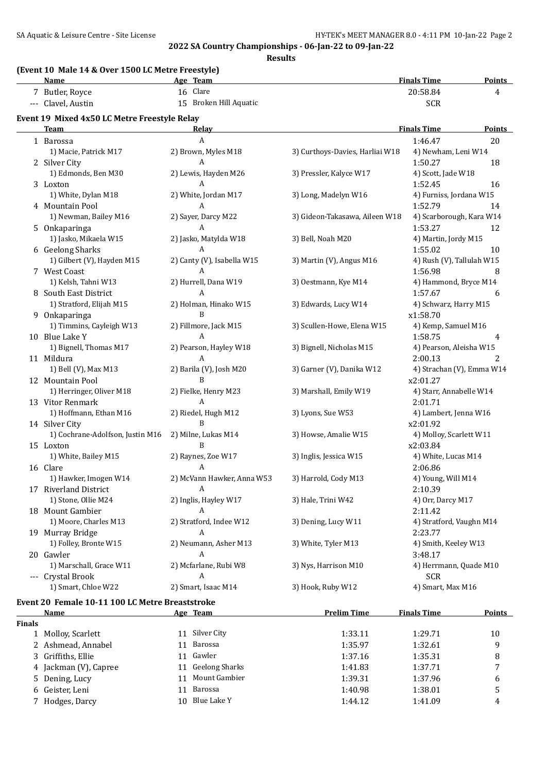|               | (Event 10 Male 14 & Over 1500 LC Metre Freestyle)<br><b>Name</b> | Age Team                    |                                 | <b>Finals Time</b>                   | <b>Points</b>  |
|---------------|------------------------------------------------------------------|-----------------------------|---------------------------------|--------------------------------------|----------------|
|               | 7 Butler, Royce                                                  | 16 Clare                    |                                 | 20:58.84                             | 4              |
|               | --- Clavel, Austin                                               | 15 Broken Hill Aquatic      |                                 | <b>SCR</b>                           |                |
|               | Event 19 Mixed 4x50 LC Metre Freestyle Relay                     |                             |                                 |                                      |                |
|               | Team                                                             | Relav                       |                                 | <b>Finals Time</b>                   | <b>Points</b>  |
|               | 1 Barossa                                                        | A                           |                                 | 1:46.47                              | 20             |
|               | 1) Macie, Patrick M17                                            | 2) Brown, Myles M18         | 3) Curthoys-Davies, Harliai W18 | 4) Newham, Leni W14                  |                |
|               | 2 Silver City                                                    | A                           |                                 | 1:50.27                              | 18             |
|               | 1) Edmonds, Ben M30                                              | 2) Lewis, Hayden M26        | 3) Pressler, Kalyce W17         | 4) Scott, Jade W18                   |                |
|               | 3 Loxton                                                         | A                           |                                 | 1:52.45                              | 16             |
|               | 1) White, Dylan M18                                              | 2) White, Jordan M17        | 3) Long, Madelyn W16            | 4) Furniss, Jordana W15              |                |
|               | 4 Mountain Pool                                                  | A                           |                                 | 1:52.79                              | 14             |
|               | 1) Newman, Bailey M16                                            | 2) Sayer, Darcy M22         | 3) Gideon-Takasawa, Aileen W18  | 4) Scarborough, Kara W14             |                |
|               | 5 Onkaparinga                                                    | A                           |                                 | 1:53.27                              | 12             |
|               | 1) Jasko, Mikaela W15                                            | 2) Jasko, Matylda W18       | 3) Bell, Noah M20               | 4) Martin, Jordy M15                 |                |
|               | 6 Geelong Sharks                                                 | А                           |                                 | 1:55.02                              | 10             |
|               | 1) Gilbert (V), Hayden M15                                       | 2) Canty (V), Isabella W15  | 3) Martin (V), Angus M16        | 4) Rush (V), Tallulah W15            |                |
|               | 7 West Coast                                                     | A                           |                                 | 1:56.98                              | 8              |
|               | 1) Kelsh, Tahni W13                                              | 2) Hurrell, Dana W19        | 3) Oestmann, Kye M14            | 4) Hammond, Bryce M14                |                |
|               | 8 South East District                                            | A                           |                                 | 1:57.67                              | 6              |
|               | 1) Stratford, Elijah M15                                         | 2) Holman, Hinako W15       | 3) Edwards, Lucy W14            | 4) Schwarz, Harry M15                |                |
|               | 9 Onkaparinga                                                    | B                           |                                 | x1:58.70                             |                |
|               | 1) Timmins, Cayleigh W13                                         | 2) Fillmore, Jack M15       | 3) Scullen-Howe, Elena W15      | 4) Kemp, Samuel M16                  |                |
|               | 10 Blue Lake Y                                                   | A                           |                                 | 1:58.75                              | 4              |
|               | 1) Bignell, Thomas M17                                           | 2) Pearson, Hayley W18      | 3) Bignell, Nicholas M15        | 4) Pearson, Aleisha W15              |                |
|               | 11 Mildura                                                       | A                           |                                 |                                      | $\overline{c}$ |
|               | 1) Bell (V), Max M13                                             | 2) Barila (V), Josh M20     | 3) Garner (V), Danika W12       | 2:00.13<br>4) Strachan (V), Emma W14 |                |
|               |                                                                  | B                           |                                 |                                      |                |
|               | 12 Mountain Pool                                                 |                             |                                 | x2:01.27                             |                |
|               | 1) Herringer, Oliver M18                                         | 2) Fielke, Henry M23        | 3) Marshall, Emily W19          | 4) Starr, Annabelle W14              |                |
|               | 13 Vitor Renmark                                                 | A                           |                                 | 2:01.71                              |                |
|               | 1) Hoffmann, Ethan M16                                           | 2) Riedel, Hugh M12<br>B    | 3) Lyons, Sue W53               | 4) Lambert, Jenna W16                |                |
|               | 14 Silver City                                                   |                             |                                 | x2:01.92                             |                |
|               | 1) Cochrane-Adolfson, Justin M16                                 | 2) Milne, Lukas M14         | 3) Howse, Amalie W15            | 4) Molloy, Scarlett W11              |                |
|               | 15 Loxton                                                        | B                           |                                 | x2:03.84                             |                |
|               | 1) White, Bailey M15                                             | 2) Raynes, Zoe W17          | 3) Inglis, Jessica W15          | 4) White, Lucas M14                  |                |
|               | 16 Clare                                                         | A                           |                                 | 2:06.86                              |                |
|               | 1) Hawker, Imogen W14                                            | 2) McVann Hawker, Anna W53  | 3) Harrold, Cody M13            | 4) Young, Will M14                   |                |
|               | 17 Riverland District                                            | A                           |                                 | 2:10.39                              |                |
|               | 1) Stone, Ollie M24                                              | 2) Inglis, Hayley W17       | 3) Hale, Trini W42              | 4) Orr, Darcy M17                    |                |
|               | 18 Mount Gambier                                                 | A                           |                                 | 2:11.42                              |                |
|               | 1) Moore, Charles M13                                            | 2) Stratford, Indee W12     | 3) Dening, Lucy W11             | 4) Stratford, Vaughn M14             |                |
|               | 19 Murray Bridge                                                 | A                           |                                 | 2:23.77                              |                |
|               | 1) Folley, Bronte W15                                            | 2) Neumann, Asher M13       | 3) White, Tyler M13             | 4) Smith, Keeley W13                 |                |
|               | 20 Gawler                                                        | A                           |                                 | 3:48.17                              |                |
|               | 1) Marschall, Grace W11                                          | 2) Mcfarlane, Rubi W8       | 3) Nys, Harrison M10            | 4) Herrmann, Quade M10               |                |
|               | --- Crystal Brook                                                | A                           |                                 | <b>SCR</b>                           |                |
|               | 1) Smart, Chloe W22                                              | 2) Smart, Isaac M14         | 3) Hook, Ruby W12               | 4) Smart, Max M16                    |                |
|               | Event 20 Female 10-11 100 LC Metre Breaststroke                  |                             |                                 |                                      |                |
|               | Name                                                             | Age Team                    | <b>Prelim Time</b>              | <b>Finals Time</b>                   | <b>Points</b>  |
| <b>Finals</b> |                                                                  |                             |                                 |                                      |                |
|               | 1 Molloy, Scarlett                                               | 11 Silver City              | 1:33.11                         | 1:29.71                              | 10             |
|               | 2 Ashmead, Annabel                                               | Barossa<br>11               | 1:35.97                         | 1:32.61                              | 9              |
| 3             | Griffiths, Ellie                                                 | Gawler<br>11                | 1:37.16                         | 1:35.31                              | 8              |
| 4             | Jackman (V), Capree                                              | <b>Geelong Sharks</b><br>11 | 1:41.83                         | 1:37.71                              | 7              |
| 5.            | Dening, Lucy                                                     | Mount Gambier<br>11         | 1:39.31                         | 1:37.96                              | 6              |
| 6             | Geister, Leni                                                    | Barossa<br>11               | 1:40.98                         | 1:38.01                              | 5              |
|               | 7 Hodges, Darcy                                                  | 10 Blue Lake Y              | 1:44.12                         | 1:41.09                              | 4              |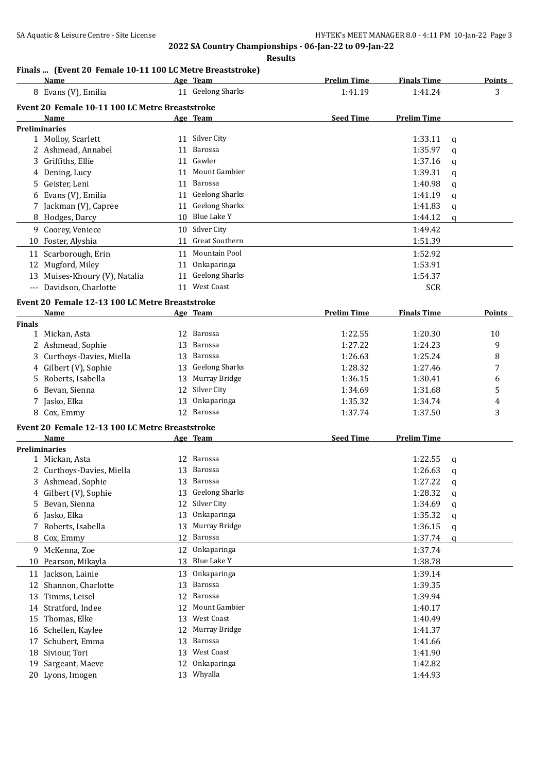#### **Results**

# **Finals ... (Event 20 Female 10-11 100 LC Metre Breaststroke)**

|               | <b>Name</b>                                     |    | Age Team              | <b>Prelim Time</b> | <b>Finals Time</b> |   | <b>Points</b> |
|---------------|-------------------------------------------------|----|-----------------------|--------------------|--------------------|---|---------------|
|               | 8 Evans (V), Emilia                             |    | 11 Geelong Sharks     | 1:41.19            | 1:41.24            |   | 3             |
|               | Event 20 Female 10-11 100 LC Metre Breaststroke |    |                       |                    |                    |   |               |
|               | Name                                            |    | Age Team              | <b>Seed Time</b>   | Prelim Time        |   |               |
|               | <b>Preliminaries</b>                            |    |                       |                    |                    |   |               |
|               | 1 Molloy, Scarlett                              | 11 | Silver City           |                    | 1:33.11            | q |               |
|               | 2 Ashmead, Annabel                              | 11 | Barossa               |                    | 1:35.97            | q |               |
|               | Griffiths, Ellie                                | 11 | Gawler                |                    | 1:37.16            | q |               |
|               | 4 Dening, Lucy                                  | 11 | Mount Gambier         |                    | 1:39.31            | q |               |
| 5             | Geister, Leni                                   | 11 | Barossa               |                    | 1:40.98            | q |               |
|               | Evans (V), Emilia                               | 11 | <b>Geelong Sharks</b> |                    | 1:41.19            | q |               |
|               | 7 Jackman (V), Capree                           | 11 | <b>Geelong Sharks</b> |                    | 1:41.83            | q |               |
|               | 8 Hodges, Darcy                                 |    | 10 Blue Lake Y        |                    | 1:44.12            | q |               |
|               | 9 Coorey, Veniece                               | 10 | Silver City           |                    | 1:49.42            |   |               |
|               | 10 Foster, Alyshia                              | 11 | <b>Great Southern</b> |                    | 1:51.39            |   |               |
|               |                                                 |    | 11 Mountain Pool      |                    |                    |   |               |
|               | 11 Scarborough, Erin                            |    |                       |                    | 1:52.92            |   |               |
|               | 12 Mugford, Miley                               |    | 11 Onkaparinga        |                    | 1:53.91            |   |               |
|               | 13 Muises-Khoury (V), Natalia                   | 11 | <b>Geelong Sharks</b> |                    | 1:54.37            |   |               |
|               | --- Davidson, Charlotte                         | 11 | <b>West Coast</b>     |                    | <b>SCR</b>         |   |               |
|               | Event 20 Female 12-13 100 LC Metre Breaststroke |    |                       |                    |                    |   |               |
|               | Name                                            |    | Age Team              | <b>Prelim Time</b> | <b>Finals Time</b> |   | <b>Points</b> |
| <b>Finals</b> |                                                 |    |                       |                    |                    |   |               |
|               | 1 Mickan, Asta                                  |    | 12 Barossa            | 1:22.55            | 1:20.30            |   | 10            |
|               | 2 Ashmead, Sophie                               | 13 | Barossa               | 1:27.22            | 1:24.23            |   | 9             |
| 3             | Curthoys-Davies, Miella                         | 13 | Barossa               | 1:26.63            | 1:25.24            |   | 8             |
|               | 4 Gilbert (V), Sophie                           | 13 | <b>Geelong Sharks</b> | 1:28.32            | 1:27.46            |   | 7             |
| 5.            | Roberts, Isabella                               | 13 | Murray Bridge         | 1:36.15            | 1:30.41            |   | 6             |
| 6             | Bevan, Sienna                                   | 12 | Silver City           | 1:34.69            | 1:31.68            |   | 5             |
| 7             | Jasko, Elka                                     | 13 | Onkaparinga           | 1:35.32            | 1:34.74            |   | 4             |
|               | 8 Cox, Emmy                                     |    | 12 Barossa            | 1:37.74            | 1:37.50            |   | 3             |
|               | Event 20 Female 12-13 100 LC Metre Breaststroke |    |                       |                    |                    |   |               |
|               | Name                                            |    | Age Team              | <b>Seed Time</b>   | <b>Prelim Time</b> |   |               |
|               | <b>Preliminaries</b>                            |    |                       |                    |                    |   |               |
|               | 1 Mickan, Asta                                  |    | 12 Barossa            |                    | 1:22.55            | q |               |
|               | 2 Curthoys-Davies, Miella                       | 13 | Barossa               |                    | 1:26.63            | q |               |
|               | 3 Ashmead, Sophie                               |    | 13 Barossa            |                    | 1:27.22            | q |               |
| 4             | Gilbert (V), Sophie                             |    | Geelong Sharks        |                    | 1:28.32            | q |               |
| 5             | Bevan, Sienna                                   | 12 | Silver City           |                    | 1:34.69            | q |               |
| 6             | Jasko, Elka                                     | 13 | Onkaparinga           |                    | 1:35.32            | q |               |
|               | 7 Roberts, Isabella                             | 13 | Murray Bridge         |                    | 1:36.15            | q |               |
| 8             | Cox, Emmy                                       | 12 | Barossa               |                    | 1:37.74            | q |               |
| 9             | McKenna, Zoe                                    | 12 | Onkaparinga           |                    | 1:37.74            |   |               |
| 10            | Pearson, Mikayla                                | 13 | Blue Lake Y           |                    | 1:38.78            |   |               |
|               | 11 Jackson, Lainie                              | 13 | Onkaparinga           |                    | 1:39.14            |   |               |
| 12            | Shannon, Charlotte                              | 13 | Barossa               |                    | 1:39.35            |   |               |
| 13            | Timms, Leisel                                   | 12 | <b>Barossa</b>        |                    | 1:39.94            |   |               |
|               |                                                 | 12 | Mount Gambier         |                    |                    |   |               |
| 14            | Stratford, Indee                                | 13 | West Coast            |                    | 1:40.17            |   |               |
| 15            | Thomas, Elke                                    |    |                       |                    | 1:40.49            |   |               |
| 16            | Schellen, Kaylee                                | 12 | Murray Bridge         |                    | 1:41.37            |   |               |
| 17            | Schubert, Emma                                  | 13 | Barossa               |                    | 1:41.66            |   |               |
| 18            | Siviour, Tori                                   | 13 | West Coast            |                    | 1:41.90            |   |               |
| 19            | Sargeant, Maeve                                 | 12 | Onkaparinga           |                    | 1:42.82            |   |               |
|               | 20 Lyons, Imogen                                |    | 13 Whyalla            |                    | 1:44.93            |   |               |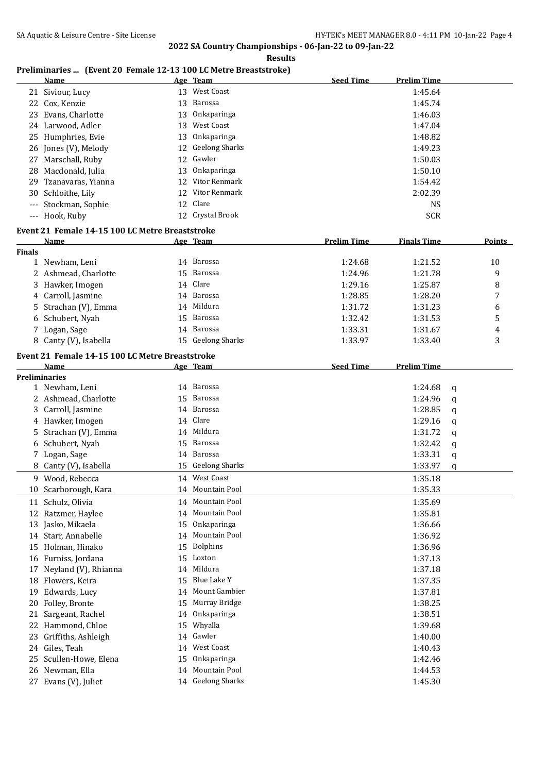#### **Results**

# **Preliminaries ... (Event 20 Female 12-13 100 LC Metre Breaststroke)**

|                      | <b>Name</b>                                     |    | Age Team              | <b>Seed Time</b>   | <b>Prelim Time</b>     |        |
|----------------------|-------------------------------------------------|----|-----------------------|--------------------|------------------------|--------|
|                      | 21 Siviour, Lucy                                |    | 13 West Coast         |                    | 1:45.64                |        |
|                      | 22 Cox, Kenzie                                  | 13 | Barossa               |                    | 1:45.74                |        |
| 23                   | Evans, Charlotte                                | 13 | Onkaparinga           |                    | 1:46.03                |        |
|                      | 24 Larwood, Adler                               | 13 | West Coast            |                    | 1:47.04                |        |
|                      | 25 Humphries, Evie                              | 13 | Onkaparinga           |                    | 1:48.82                |        |
| 26                   | Jones (V), Melody                               | 12 | <b>Geelong Sharks</b> |                    | 1:49.23                |        |
| 27                   | Marschall, Ruby                                 | 12 | Gawler                |                    | 1:50.03                |        |
|                      | 28 Macdonald, Julia                             | 13 | Onkaparinga           |                    | 1:50.10                |        |
| 29.                  | Tzanavaras, Yianna                              |    | 12 Vitor Renmark      |                    | 1:54.42                |        |
| 30                   | Schloithe, Lily                                 |    | 12 Vitor Renmark      |                    | 2:02.39                |        |
| $\qquad \qquad - -$  | Stockman, Sophie                                |    | 12 Clare              |                    | <b>NS</b>              |        |
|                      | --- Hook, Ruby                                  |    | 12 Crystal Brook      |                    | <b>SCR</b>             |        |
|                      |                                                 |    |                       |                    |                        |        |
|                      | Event 21 Female 14-15 100 LC Metre Breaststroke |    |                       |                    |                        |        |
|                      | Name                                            |    | Age Team              | <b>Prelim Time</b> | <b>Finals Time</b>     | Points |
| <b>Finals</b>        | 1 Newham, Leni                                  |    | 14 Barossa            | 1:24.68            | 1:21.52                | 10     |
|                      | 2 Ashmead, Charlotte                            |    | Barossa               |                    |                        |        |
|                      |                                                 | 15 |                       | 1:24.96            | 1:21.78                | 9      |
|                      | 3 Hawker, Imogen                                | 14 | Clare                 | 1:29.16            | 1:25.87                | 8      |
|                      | 4 Carroll, Jasmine                              |    | 14 Barossa            | 1:28.85            | 1:28.20                | 7      |
|                      | Strachan (V), Emma                              |    | 14 Mildura            | 1:31.72            | 1:31.23                | 6      |
| 6                    | Schubert, Nyah                                  | 15 | Barossa               | 1:32.42            | 1:31.53                | 5      |
| 7.                   | Logan, Sage                                     | 14 | Barossa               | 1:33.31            | 1:31.67                | 4      |
|                      | 8 Canty (V), Isabella                           |    | 15 Geelong Sharks     | 1:33.97            | 1:33.40                | 3      |
|                      | Event 21 Female 14-15 100 LC Metre Breaststroke |    |                       |                    |                        |        |
|                      | Name                                            |    | Age Team              | <b>Seed Time</b>   | <b>Prelim Time</b>     |        |
| <b>Preliminaries</b> |                                                 |    |                       |                    |                        |        |
|                      | 1 Newham, Leni                                  |    | 14 Barossa            |                    | 1:24.68<br>$\mathbf q$ |        |
|                      | 2 Ashmead, Charlotte                            | 15 | Barossa               |                    | 1:24.96<br>q           |        |
|                      | 3 Carroll, Jasmine                              | 14 | Barossa               |                    | 1:28.85<br>q           |        |
|                      | 4 Hawker, Imogen                                | 14 | Clare                 |                    | 1:29.16<br>q           |        |
| 5.                   | Strachan (V), Emma                              |    | 14 Mildura            |                    | 1:31.72<br>q           |        |
|                      | 6 Schubert, Nyah                                | 15 | Barossa               |                    | 1:32.42<br>q           |        |
|                      | 7 Logan, Sage                                   |    | 14 Barossa            |                    | 1:33.31<br>q           |        |
|                      | 8 Canty (V), Isabella                           |    | 15 Geelong Sharks     |                    | 1:33.97<br>q           |        |
|                      | 9 Wood, Rebecca                                 |    | 14 West Coast         |                    | 1:35.18                |        |
| 10                   | Scarborough, Kara                               | 14 | Mountain Pool         |                    | 1:35.33                |        |
|                      | 11 Schulz, Olivia                               |    | 14 Mountain Pool      |                    | 1:35.69                |        |
| 12                   | Ratzmer, Haylee                                 | 14 | Mountain Pool         |                    | 1:35.81                |        |
| 13                   | Jasko, Mikaela                                  | 15 | Onkaparinga           |                    | 1:36.66                |        |
| 14                   | Starr, Annabelle                                | 14 | Mountain Pool         |                    | 1:36.92                |        |
| 15                   | Holman, Hinako                                  | 15 | Dolphins              |                    | 1:36.96                |        |
|                      | 16 Furniss, Jordana                             | 15 | Loxton                |                    | 1:37.13                |        |
| 17                   | Neyland (V), Rhianna                            | 14 | Mildura               |                    | 1:37.18                |        |
| 18                   | Flowers, Keira                                  | 15 | Blue Lake Y           |                    | 1:37.35                |        |
| 19                   | Edwards, Lucy                                   | 14 | Mount Gambier         |                    | 1:37.81                |        |
|                      |                                                 |    | Murray Bridge         |                    |                        |        |
| 20                   | Folley, Bronte                                  | 15 | Onkaparinga           |                    | 1:38.25<br>1:38.51     |        |
| 21                   | Sargeant, Rachel                                | 14 |                       |                    |                        |        |
| 22                   | Hammond, Chloe                                  | 15 | Whyalla               |                    | 1:39.68                |        |
| 23                   | Griffiths, Ashleigh                             | 14 | Gawler                |                    | 1:40.00                |        |
| 24                   | Giles, Teah                                     | 14 | West Coast            |                    | 1:40.43                |        |
| 25                   | Scullen-Howe, Elena                             | 15 | Onkaparinga           |                    | 1:42.46                |        |
| 26                   | Newman, Ella                                    | 14 | Mountain Pool         |                    | 1:44.53                |        |
| 27                   | Evans (V), Juliet                               |    | 14 Geelong Sharks     |                    | 1:45.30                |        |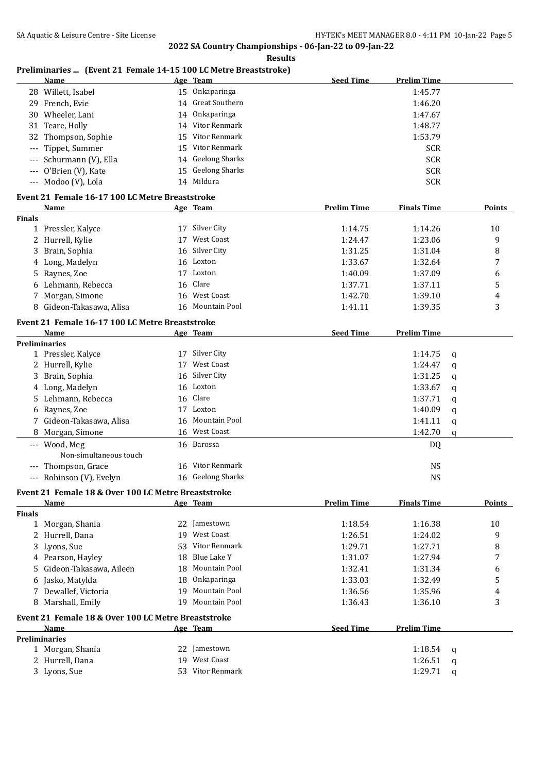#### **Results**

# **Preliminaries ... (Event 21 Female 14-15 100 LC Metre Breaststroke)**

|               | <b>Name</b>                                         |    | Age Team              | <b>Seed Time</b>   | <b>Prelim Time</b> |   |               |
|---------------|-----------------------------------------------------|----|-----------------------|--------------------|--------------------|---|---------------|
|               | 28 Willett, Isabel                                  |    | 15 Onkaparinga        |                    | 1:45.77            |   |               |
|               | 29 French, Evie                                     | 14 | Great Southern        |                    | 1:46.20            |   |               |
|               | 30 Wheeler, Lani                                    | 14 | Onkaparinga           |                    | 1:47.67            |   |               |
| 31            | Teare, Holly                                        | 14 | Vitor Renmark         |                    | 1:48.77            |   |               |
| 32            | Thompson, Sophie                                    | 15 | Vitor Renmark         |                    | 1:53.79            |   |               |
|               | Tippet, Summer                                      | 15 | Vitor Renmark         |                    | <b>SCR</b>         |   |               |
|               | Schurmann (V), Ella                                 | 14 | <b>Geelong Sharks</b> |                    | <b>SCR</b>         |   |               |
| ---           | O'Brien (V), Kate                                   | 15 | <b>Geelong Sharks</b> |                    | <b>SCR</b>         |   |               |
|               | --- Modoo (V), Lola                                 |    | 14 Mildura            |                    | <b>SCR</b>         |   |               |
|               |                                                     |    |                       |                    |                    |   |               |
|               | Event 21 Female 16-17 100 LC Metre Breaststroke     |    |                       |                    |                    |   |               |
|               | Name                                                |    | Age Team              | <b>Prelim Time</b> | <b>Finals Time</b> |   | Points        |
| <b>Finals</b> |                                                     |    | 17 Silver City        |                    |                    |   |               |
|               | 1 Pressler, Kalyce                                  |    | <b>West Coast</b>     | 1:14.75            | 1:14.26            |   | 10            |
|               | 2 Hurrell, Kylie                                    | 17 |                       | 1:24.47            | 1:23.06            |   | 9             |
| 3             | Brain, Sophia                                       | 16 | Silver City           | 1:31.25            | 1:31.04            |   | 8             |
| 4             | Long, Madelyn                                       |    | 16 Loxton             | 1:33.67            | 1:32.64            |   | 7             |
| 5             | Raynes, Zoe                                         |    | 17 Loxton             | 1:40.09            | 1:37.09            |   | 6             |
| 6             | Lehmann, Rebecca                                    | 16 | Clare                 | 1:37.71            | 1:37.11            |   | $\mathsf S$   |
| 7             | Morgan, Simone                                      | 16 | <b>West Coast</b>     | 1:42.70            | 1:39.10            |   | 4             |
|               | Gideon-Takasawa, Alisa                              | 16 | Mountain Pool         | 1:41.11            | 1:39.35            |   | 3             |
|               | Event 21 Female 16-17 100 LC Metre Breaststroke     |    |                       |                    |                    |   |               |
|               | <b>Name</b>                                         |    | Age Team              | <b>Seed Time</b>   | <b>Prelim Time</b> |   |               |
|               | <b>Preliminaries</b>                                |    |                       |                    |                    |   |               |
|               | 1 Pressler, Kalyce                                  |    | 17 Silver City        |                    | 1:14.75            | q |               |
|               | 2 Hurrell, Kylie                                    | 17 | <b>West Coast</b>     |                    | 1:24.47            | q |               |
|               | 3 Brain, Sophia                                     | 16 | Silver City           |                    | 1:31.25            | q |               |
|               | 4 Long, Madelyn                                     | 16 | Loxton                |                    | 1:33.67            | q |               |
|               | 5 Lehmann, Rebecca                                  | 16 | Clare                 |                    | 1:37.71            | q |               |
|               | 6 Raynes, Zoe                                       | 17 | Loxton                |                    | 1:40.09            | q |               |
|               | 7 Gideon-Takasawa, Alisa                            | 16 | Mountain Pool         |                    | 1:41.11            |   |               |
|               | Morgan, Simone                                      | 16 | West Coast            |                    | 1:42.70            | q |               |
| 8             |                                                     |    |                       |                    |                    | q |               |
|               | --- Wood, Meg<br>Non-simultaneous touch             |    | 16 Barossa            |                    | DQ                 |   |               |
|               | Thompson, Grace                                     |    | 16 Vitor Renmark      |                    | <b>NS</b>          |   |               |
| $---$         | Robinson (V), Evelyn                                |    | 16 Geelong Sharks     |                    | <b>NS</b>          |   |               |
|               | Event 21 Female 18 & Over 100 LC Metre Breaststroke |    |                       |                    |                    |   |               |
|               | Name                                                |    | Age Team              | <b>Prelim Time</b> | <b>Finals Time</b> |   | <b>Points</b> |
| <b>Finals</b> |                                                     |    |                       |                    |                    |   |               |
|               | 1 Morgan, Shania                                    |    | 22 Jamestown          | 1:18.54            | 1:16.38            |   | 10            |
|               | 2 Hurrell, Dana                                     | 19 | <b>West Coast</b>     | 1:26.51            | 1:24.02            |   | 9             |
| 3             | Lyons, Sue                                          | 53 | <b>Vitor Renmark</b>  | 1:29.71            | 1:27.71            |   | 8             |
|               | 4 Pearson, Hayley                                   | 18 | <b>Blue Lake Y</b>    | 1:31.07            | 1:27.94            |   | 7             |
| 5             | Gideon-Takasawa, Aileen                             | 18 | Mountain Pool         | 1:32.41            | 1:31.34            |   | 6             |
| 6             | Jasko, Matylda                                      | 18 | Onkaparinga           | 1:33.03            | 1:32.49            |   | 5             |
|               | 7 Dewallef, Victoria                                | 19 | <b>Mountain Pool</b>  | 1:36.56            | 1:35.96            |   | 4             |
|               | 8 Marshall, Emily                                   | 19 | <b>Mountain Pool</b>  | 1:36.43            | 1:36.10            |   | 3             |
|               |                                                     |    |                       |                    |                    |   |               |
|               | Event 21 Female 18 & Over 100 LC Metre Breaststroke |    |                       |                    |                    |   |               |
|               | <b>Name</b>                                         |    | Age Team              | <b>Seed Time</b>   | <b>Prelim Time</b> |   |               |
|               | <b>Preliminaries</b>                                |    |                       |                    |                    |   |               |
|               | 1 Morgan, Shania                                    |    | 22 Jamestown          |                    | 1:18.54            | q |               |
|               | 2 Hurrell, Dana                                     | 19 | West Coast            |                    | 1:26.51            | q |               |
|               | 3 Lyons, Sue                                        |    | 53 Vitor Renmark      |                    | 1:29.71            | q |               |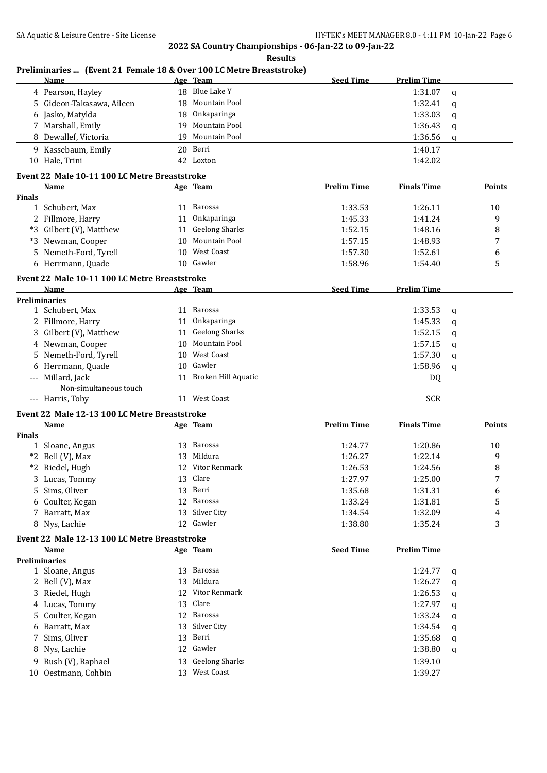**Preliminaries ... (Event 21 Female 18 & Over 100 LC Metre Breaststroke)**

**2022 SA Country Championships - 06-Jan-22 to 09-Jan-22 Results**

|                | <u>Name</u>                                   |    | Prendinaries  [Event 21 Female 18 & Over 100 LC Metre Breaststroke]<br>Age Team | <b>Seed Time</b>   | <b>Prelim Time</b> |             |               |
|----------------|-----------------------------------------------|----|---------------------------------------------------------------------------------|--------------------|--------------------|-------------|---------------|
|                | 4 Pearson, Hayley                             |    | 18 Blue Lake Y                                                                  |                    | 1:31.07            | $\mathbf q$ |               |
| 5              | Gideon-Takasawa, Aileen                       |    | 18 Mountain Pool                                                                |                    | 1:32.41            | q           |               |
| 6              | Jasko, Matylda                                | 18 | Onkaparinga                                                                     |                    | 1:33.03            | q           |               |
|                | 7 Marshall, Emily                             | 19 | Mountain Pool                                                                   |                    | 1:36.43            | q           |               |
|                | 8 Dewallef, Victoria                          | 19 | Mountain Pool                                                                   |                    | 1:36.56            | q           |               |
|                | 9 Kassebaum, Emily                            |    | 20 Berri                                                                        |                    | 1:40.17            |             |               |
|                | 10 Hale, Trini                                |    | 42 Loxton                                                                       |                    | 1:42.02            |             |               |
|                | Event 22 Male 10-11 100 LC Metre Breaststroke |    |                                                                                 |                    |                    |             |               |
|                | Name                                          |    | Age Team                                                                        | <b>Prelim Time</b> | <b>Finals Time</b> |             | Points        |
| <b>Finals</b>  |                                               |    |                                                                                 |                    |                    |             |               |
|                | 1 Schubert, Max                               |    | 11 Barossa                                                                      | 1:33.53            | 1:26.11            |             | 10            |
|                | 2 Fillmore, Harry                             |    | 11 Onkaparinga                                                                  | 1:45.33            | 1:41.24            |             | 9             |
|                | *3 Gilbert (V), Matthew                       |    | 11 Geelong Sharks                                                               | 1:52.15            | 1:48.16            |             | 8             |
|                | *3 Newman, Cooper                             | 10 | Mountain Pool                                                                   | 1:57.15            | 1:48.93            |             | 7             |
| 5              | Nemeth-Ford, Tyrell                           | 10 | <b>West Coast</b>                                                               | 1:57.30            | 1:52.61            |             | 6             |
|                | 6 Herrmann, Quade                             |    | 10 Gawler                                                                       | 1:58.96            | 1:54.40            |             | 5             |
|                | Event 22 Male 10-11 100 LC Metre Breaststroke |    |                                                                                 |                    |                    |             |               |
|                | Name                                          |    | Age Team                                                                        | <b>Seed Time</b>   | <b>Prelim Time</b> |             |               |
|                | <b>Preliminaries</b>                          |    |                                                                                 |                    |                    |             |               |
|                | 1 Schubert, Max                               |    | 11 Barossa                                                                      |                    | 1:33.53            | $\mathbf q$ |               |
|                | 2 Fillmore, Harry                             |    | 11 Onkaparinga                                                                  |                    | 1:45.33            | $\mathbf q$ |               |
|                | 3 Gilbert (V), Matthew                        | 11 | <b>Geelong Sharks</b>                                                           |                    | 1:52.15            | q           |               |
|                | 4 Newman, Cooper                              | 10 | <b>Mountain Pool</b>                                                            |                    | 1:57.15            | q           |               |
| 5              | Nemeth-Ford, Tyrell                           | 10 | <b>West Coast</b>                                                               |                    | 1:57.30            | $\mathbf q$ |               |
|                | Herrmann, Quade                               | 10 | Gawler                                                                          |                    | 1:58.96            |             |               |
| 6              |                                               |    |                                                                                 |                    |                    | $\mathbf q$ |               |
|                | --- Millard, Jack<br>Non-simultaneous touch   |    | 11 Broken Hill Aquatic                                                          |                    | DQ                 |             |               |
|                | --- Harris, Toby                              |    | 11 West Coast                                                                   |                    | <b>SCR</b>         |             |               |
|                | Event 22 Male 12-13 100 LC Metre Breaststroke |    |                                                                                 |                    |                    |             |               |
|                | Name                                          |    | Age Team                                                                        | <b>Prelim Time</b> | <b>Finals Time</b> |             | <b>Points</b> |
| <b>Finals</b>  |                                               |    |                                                                                 |                    |                    |             |               |
|                | 1 Sloane, Angus                               |    | 13 Barossa                                                                      | 1:24.77            | 1:20.86            |             | 10            |
|                | *2 Bell (V), Max                              | 13 | Mildura                                                                         | 1:26.27            | 1:22.14            |             | 9             |
|                | *2 Riedel, Hugh                               | 12 | Vitor Renmark                                                                   | 1:26.53            | 1:24.56            |             | 8             |
| 3              | Lucas, Tommy                                  |    | 13 Clare                                                                        | 1:27.97            | 1:25.00            |             | 7             |
| 5              | Sims, Oliver                                  |    | 13 Berri                                                                        | 1:35.68            | 1:31.31            |             | 6             |
|                | Coulter, Kegan                                | 12 | Barossa                                                                         | 1:33.24            | 1:31.81            |             | 5             |
| $\overline{7}$ | Barratt, Max                                  | 13 | Silver City                                                                     | 1:34.54            | 1:32.09            |             | 4             |
| 8              | Nys, Lachie                                   |    | 12 Gawler                                                                       | 1:38.80            | 1:35.24            |             | 3             |
|                | Event 22 Male 12-13 100 LC Metre Breaststroke |    |                                                                                 |                    |                    |             |               |
|                | Name                                          |    | Age Team                                                                        | <b>Seed Time</b>   | <b>Prelim Time</b> |             |               |
|                | <b>Preliminaries</b>                          |    |                                                                                 |                    |                    |             |               |
|                | 1 Sloane, Angus                               |    | 13 Barossa                                                                      |                    | 1:24.77            | q           |               |
| 2              | Bell (V), Max                                 | 13 | Mildura                                                                         |                    | 1:26.27            | q           |               |
| 3              | Riedel, Hugh                                  | 12 | Vitor Renmark                                                                   |                    | 1:26.53            | q           |               |
| 4              | Lucas, Tommy                                  | 13 | Clare                                                                           |                    | 1:27.97            | q           |               |
| 5              | Coulter, Kegan                                | 12 | Barossa                                                                         |                    | 1:33.24            | q           |               |
| 6              | Barratt, Max                                  | 13 | Silver City                                                                     |                    | 1:34.54            | q           |               |
|                | Sims, Oliver                                  | 13 | Berri                                                                           |                    | 1:35.68            |             |               |
| 8              | Nys, Lachie                                   |    | 12 Gawler                                                                       |                    | 1:38.80            | q           |               |
|                |                                               |    |                                                                                 |                    |                    | q           |               |
| 9<br>10        | Rush (V), Raphael<br>Oestmann, Cohbin         | 13 | <b>Geelong Sharks</b><br>13 West Coast                                          |                    | 1:39.10<br>1:39.27 |             |               |
|                |                                               |    |                                                                                 |                    |                    |             |               |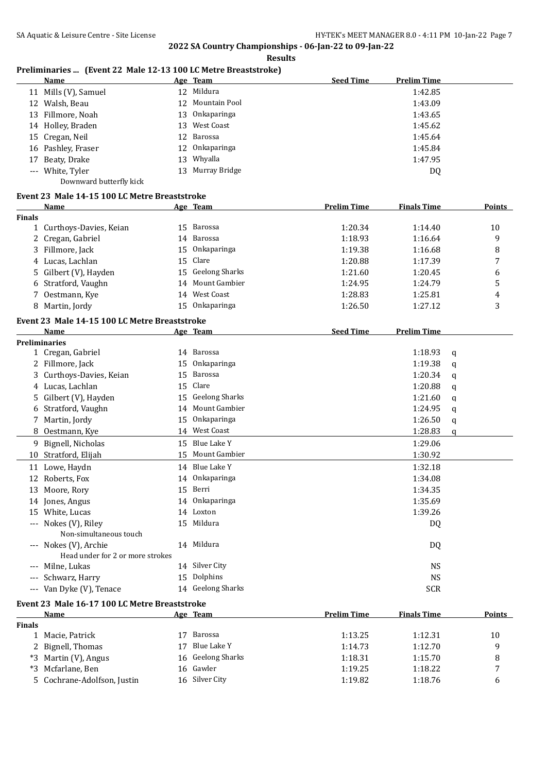#### **Results**

# **Preliminaries ... (Event 22 Male 12-13 100 LC Metre Breaststroke)**

|               | I Temminal les  (EVEIR 22 Maie 12-13 100 LC Metre Dreaststroke)<br>Name |    | Age Team              | <b>Seed Time</b>   | <b>Prelim Time</b> |               |
|---------------|-------------------------------------------------------------------------|----|-----------------------|--------------------|--------------------|---------------|
|               | 11 Mills (V), Samuel                                                    |    | 12 Mildura            |                    | 1:42.85            |               |
|               |                                                                         | 12 | <b>Mountain Pool</b>  |                    |                    |               |
|               | 12 Walsh, Beau                                                          |    |                       |                    | 1:43.09            |               |
|               | 13 Fillmore, Noah                                                       | 13 | Onkaparinga           |                    | 1:43.65            |               |
|               | 14 Holley, Braden                                                       | 13 | West Coast            |                    | 1:45.62            |               |
|               | 15 Cregan, Neil                                                         | 12 | Barossa               |                    | 1:45.64            |               |
|               | 16 Pashley, Fraser                                                      | 12 | Onkaparinga           |                    | 1:45.84            |               |
| 17            | Beaty, Drake                                                            | 13 | Whyalla               |                    | 1:47.95            |               |
|               | --- White, Tyler                                                        |    | 13 Murray Bridge      |                    | DQ                 |               |
|               | Downward butterfly kick                                                 |    |                       |                    |                    |               |
|               | Event 23 Male 14-15 100 LC Metre Breaststroke                           |    |                       |                    |                    |               |
|               | Name                                                                    |    | Age Team              | <b>Prelim Time</b> | <b>Finals Time</b> | Points        |
| <b>Finals</b> |                                                                         |    |                       |                    |                    |               |
|               | 1 Curthoys-Davies, Keian                                                |    | 15 Barossa            | 1:20.34            | 1:14.40            | 10            |
|               | 2 Cregan, Gabriel                                                       |    | 14 Barossa            | 1:18.93            | 1:16.64            | 9             |
|               | 3 Fillmore, Jack                                                        | 15 | Onkaparinga           | 1:19.38            | 1:16.68            | 8             |
|               | 4 Lucas, Lachlan                                                        |    | 15 Clare              | 1:20.88            | 1:17.39            | 7             |
|               | 5 Gilbert (V), Hayden                                                   | 15 | <b>Geelong Sharks</b> | 1:21.60            | 1:20.45            | 6             |
|               | 6 Stratford, Vaughn                                                     | 14 | Mount Gambier         | 1:24.95            | 1:24.79            | 5             |
|               | 7 Oestmann, Kye                                                         |    | 14 West Coast         | 1:28.83            | 1:25.81            | 4             |
|               | 8 Martin, Jordy                                                         |    | 15 Onkaparinga        | 1:26.50            | 1:27.12            | 3             |
|               | Event 23 Male 14-15 100 LC Metre Breaststroke                           |    |                       |                    |                    |               |
|               | Name                                                                    |    | Age Team              | <b>Seed Time</b>   | <b>Prelim Time</b> |               |
|               | <b>Preliminaries</b>                                                    |    |                       |                    |                    |               |
|               | 1 Cregan, Gabriel                                                       |    | 14 Barossa            |                    | 1:18.93            | q             |
|               | 2 Fillmore, Jack                                                        | 15 | Onkaparinga           |                    | 1:19.38            | q             |
| 3             | Curthoys-Davies, Keian                                                  | 15 | <b>Barossa</b>        |                    | 1:20.34            | q             |
|               | 4 Lucas, Lachlan                                                        | 15 | Clare                 |                    | 1:20.88            |               |
|               | Gilbert (V), Hayden                                                     | 15 | <b>Geelong Sharks</b> |                    | 1:21.60            | q             |
| 5.            | Stratford, Vaughn                                                       | 14 | Mount Gambier         |                    | 1:24.95            | q             |
| 6             |                                                                         |    | Onkaparinga           |                    |                    | q             |
| 7             | Martin, Jordy                                                           | 15 | West Coast            |                    | 1:26.50            | q             |
| 8             | Oestmann, Kye                                                           | 14 |                       |                    | 1:28.83            | q             |
| 9             | Bignell, Nicholas                                                       |    | 15 Blue Lake Y        |                    | 1:29.06            |               |
| 10            | Stratford, Elijah                                                       | 15 | Mount Gambier         |                    | 1:30.92            |               |
|               | 11 Lowe, Haydn                                                          | 14 | Blue Lake Y           |                    | 1:32.18            |               |
|               | 12 Roberts, Fox                                                         |    | 14 Onkaparinga        |                    | 1:34.08            |               |
|               | 13 Moore, Rory                                                          |    | 15 Berri              |                    | 1:34.35            |               |
|               | 14 Jones, Angus                                                         |    | 14 Onkaparinga        |                    | 1:35.69            |               |
|               | 15 White, Lucas                                                         |    | 14 Loxton             |                    | 1:39.26            |               |
|               | --- Nokes (V), Riley                                                    |    | 15 Mildura            |                    | DQ                 |               |
|               | Non-simultaneous touch                                                  |    |                       |                    |                    |               |
|               | --- Nokes (V), Archie                                                   |    | 14 Mildura            |                    | DQ                 |               |
|               | Head under for 2 or more strokes                                        |    |                       |                    |                    |               |
|               | Milne, Lukas                                                            |    | 14 Silver City        |                    | <b>NS</b>          |               |
|               | Schwarz, Harry                                                          |    | 15 Dolphins           |                    | <b>NS</b>          |               |
|               | --- Van Dyke (V), Tenace                                                |    | 14 Geelong Sharks     |                    | <b>SCR</b>         |               |
|               | Event 23 Male 16-17 100 LC Metre Breaststroke                           |    |                       |                    |                    |               |
|               | Name                                                                    |    | <u>Age Team</u>       | <b>Prelim Time</b> | <b>Finals Time</b> | <b>Points</b> |
| <b>Finals</b> |                                                                         |    |                       |                    |                    |               |
|               | 1 Macie, Patrick                                                        |    | 17 Barossa            | 1:13.25            | 1:12.31            | 10            |
|               | 2 Bignell, Thomas                                                       |    | 17 Blue Lake Y        | 1:14.73            | 1:12.70            | 9             |
|               |                                                                         |    |                       |                    |                    |               |

\*3 Martin (V), Angus 16 Geelong Sharks 1:18.31 1:15.70 8 \*3 Mcfarlane, Ben 16 Gawler 1:19.25 1:18.22 7 5 Cochrane-Adolfson, Justin 16 Silver City 1:19.82 1:18.76 6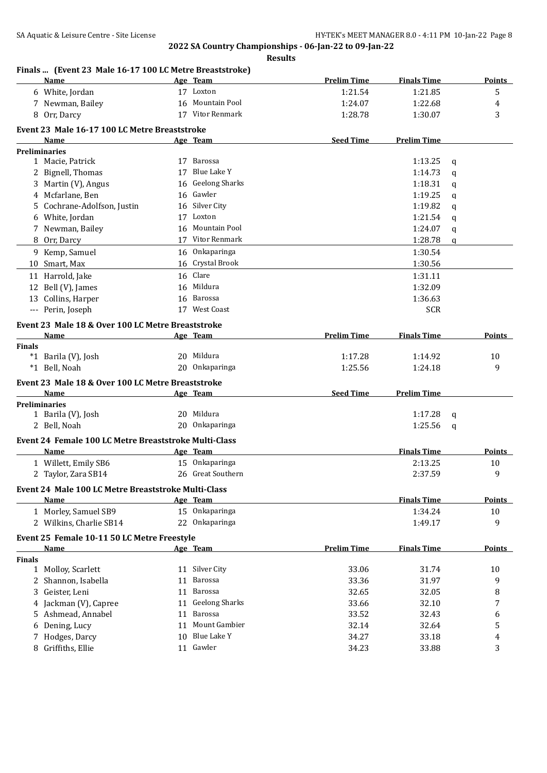| Finals  (Event 23 Male 16-17 100 LC Metre Breaststroke)<br>Name |    | Age Team          | <b>Prelim Time</b> | <b>Finals Time</b> | <b>Points</b> |
|-----------------------------------------------------------------|----|-------------------|--------------------|--------------------|---------------|
|                                                                 |    |                   |                    |                    |               |
| 6 White, Jordan                                                 |    | 17 Loxton         | 1:21.54            | 1:21.85            | 5             |
| 7 Newman, Bailey                                                |    | 16 Mountain Pool  | 1:24.07            | 1:22.68            | 4             |
| 8 Orr, Darcy                                                    |    | 17 Vitor Renmark  | 1:28.78            | 1:30.07            | 3             |
| Event 23 Male 16-17 100 LC Metre Breaststroke                   |    |                   |                    |                    |               |
| Name                                                            |    | Age Team          | <b>Seed Time</b>   | <b>Prelim Time</b> |               |
| <b>Preliminaries</b>                                            |    |                   |                    |                    |               |
| 1 Macie, Patrick                                                |    | 17 Barossa        |                    | 1:13.25            | q             |
| 2 Bignell, Thomas                                               |    | 17 Blue Lake Y    |                    | 1:14.73            | q             |
| 3 Martin (V), Angus                                             |    | 16 Geelong Sharks |                    | 1:18.31            | q             |
| 4 Mcfarlane, Ben                                                |    | 16 Gawler         |                    | 1:19.25            | q             |
| Cochrane-Adolfson, Justin<br>5.                                 |    | 16 Silver City    |                    | 1:19.82            | q             |
| White, Jordan<br>6                                              |    | 17 Loxton         |                    | 1:21.54            | q             |
| 7 Newman, Bailey                                                | 16 | Mountain Pool     |                    | 1:24.07            | q             |
| 8 Orr, Darcy                                                    |    | 17 Vitor Renmark  |                    | 1:28.78            | q             |
| 9 Kemp, Samuel                                                  |    | 16 Onkaparinga    |                    | 1:30.54            |               |
| 10 Smart, Max                                                   |    | 16 Crystal Brook  |                    | 1:30.56            |               |
| 11 Harrold, Jake                                                |    | 16 Clare          |                    | 1:31.11            |               |
| 12 Bell (V), James                                              | 16 | Mildura           |                    | 1:32.09            |               |
| 13 Collins, Harper                                              | 16 | Barossa           |                    | 1:36.63            |               |
| --- Perin, Joseph                                               |    | 17 West Coast     |                    | <b>SCR</b>         |               |
| Event 23 Male 18 & Over 100 LC Metre Breaststroke               |    |                   |                    |                    |               |
| Name                                                            |    | Age Team          | <b>Prelim Time</b> | <b>Finals Time</b> | <b>Points</b> |
| <b>Finals</b>                                                   |    |                   |                    |                    |               |
| *1 Barila (V), Josh                                             |    | 20 Mildura        | 1:17.28            | 1:14.92            | 10            |
| *1 Bell, Noah                                                   |    | 20 Onkaparinga    | 1:25.56            | 1:24.18            | 9             |
|                                                                 |    |                   |                    |                    |               |
| Event 23 Male 18 & Over 100 LC Metre Breaststroke               |    |                   |                    |                    |               |
| Name                                                            |    | Age Team          | <b>Seed Time</b>   | <b>Prelim Time</b> |               |
| <b>Preliminaries</b><br>1 Barila (V), Josh                      |    | 20 Mildura        |                    | 1:17.28            |               |
| 2 Bell, Noah                                                    |    | 20 Onkaparinga    |                    | 1:25.56            | q             |
|                                                                 |    |                   |                    |                    | q             |
| Event 24 Female 100 LC Metre Breaststroke Multi-Class           |    |                   |                    |                    |               |
| Name                                                            |    | Age Team          |                    | <b>Finals Time</b> | Points        |
| 1 Willett, Emily SB6                                            |    | 15 Onkaparinga    |                    | 2:13.25            | 10            |
| 2 Taylor, Zara SB14                                             |    | 26 Great Southern |                    | 2:37.59            | 9             |
| Event 24 Male 100 LC Metre Breaststroke Multi-Class             |    |                   |                    |                    |               |
| Name                                                            |    | Age Team          |                    | <b>Finals Time</b> | <b>Points</b> |
| 1 Morley, Samuel SB9                                            |    | 15 Onkaparinga    |                    | 1:34.24            | 10            |
| 2 Wilkins, Charlie SB14                                         |    | 22 Onkaparinga    |                    | 1:49.17            | 9             |
|                                                                 |    |                   |                    |                    |               |
| Event 25 Female 10-11 50 LC Metre Freestyle<br><b>Name</b>      |    |                   | <b>Prelim Time</b> | <b>Finals Time</b> | <b>Points</b> |
| Finals                                                          |    | Age Team          |                    |                    |               |
| 1 Molloy, Scarlett                                              |    | 11 Silver City    | 33.06              | 31.74              | 10            |
| 2 Shannon, Isabella                                             | 11 | Barossa           | 33.36              | 31.97              | 9             |
| 3 Geister, Leni                                                 | 11 | Barossa           | 32.65              | 32.05              | 8             |
|                                                                 |    | 11 Geelong Sharks |                    |                    |               |
| 4 Jackman (V), Capree                                           |    | Barossa           | 33.66              | 32.10              | 7             |
| 5 Ashmead, Annabel                                              | 11 |                   | 33.52              | 32.43              | 6             |
| Dening, Lucy<br>6                                               | 11 | Mount Gambier     | 32.14              | 32.64              | 5             |
| 7 Hodges, Darcy                                                 | 10 | Blue Lake Y       | 34.27              | 33.18              | 4             |
| 8 Griffiths, Ellie                                              |    | 11 Gawler         | 34.23              | 33.88              | 3             |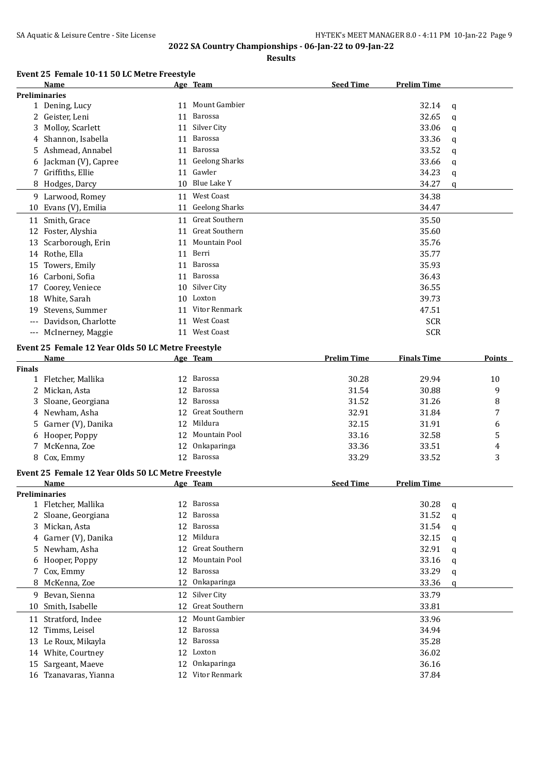**Results**

#### **Event 25 Female 10-11 50 LC Metre Freestyle**

|                     | Name                                               |    | Age Team              | <b>Seed Time</b>   | <b>Prelim Time</b> |        |
|---------------------|----------------------------------------------------|----|-----------------------|--------------------|--------------------|--------|
|                     | <b>Preliminaries</b>                               |    |                       |                    |                    |        |
|                     | 1 Dening, Lucy                                     |    | 11 Mount Gambier      |                    | 32.14              | q      |
|                     | 2 Geister, Leni                                    | 11 | <b>Barossa</b>        |                    | 32.65              | q      |
| 3                   | Molloy, Scarlett                                   | 11 | Silver City           |                    | 33.06              | q      |
| 4                   | Shannon, Isabella                                  | 11 | Barossa               |                    | 33.36              | q      |
|                     | Ashmead, Annabel                                   | 11 | Barossa               |                    | 33.52              | q      |
|                     | Jackman (V), Capree                                |    | 11 Geelong Sharks     |                    | 33.66              | q      |
|                     | 7 Griffiths, Ellie                                 |    | 11 Gawler             |                    | 34.23              | q      |
|                     | 8 Hodges, Darcy                                    |    | 10 Blue Lake Y        |                    | 34.27              | q      |
|                     | 9 Larwood, Romey                                   | 11 | <b>West Coast</b>     |                    | 34.38              |        |
|                     | 10 Evans (V), Emilia                               | 11 | <b>Geelong Sharks</b> |                    | 34.47              |        |
|                     | 11 Smith, Grace                                    |    | 11 Great Southern     |                    | 35.50              |        |
|                     | 12 Foster, Alyshia                                 | 11 | <b>Great Southern</b> |                    | 35.60              |        |
|                     |                                                    |    | Mountain Pool         |                    |                    |        |
|                     | 13 Scarborough, Erin                               | 11 |                       |                    | 35.76              |        |
|                     | 14 Rothe, Ella                                     | 11 | Berri                 |                    | 35.77              |        |
|                     | 15 Towers, Emily                                   | 11 | Barossa               |                    | 35.93              |        |
|                     | 16 Carboni, Sofia                                  | 11 | Barossa               |                    | 36.43              |        |
| 17                  | Coorey, Veniece                                    | 10 | Silver City           |                    | 36.55              |        |
|                     | 18 White, Sarah                                    | 10 | Loxton                |                    | 39.73              |        |
| 19                  | Stevens, Summer                                    | 11 | Vitor Renmark         |                    | 47.51              |        |
|                     | Davidson, Charlotte                                | 11 | West Coast            |                    | <b>SCR</b>         |        |
| $\qquad \qquad - -$ | McInerney, Maggie                                  |    | 11 West Coast         |                    | <b>SCR</b>         |        |
|                     | Event 25 Female 12 Year Olds 50 LC Metre Freestyle |    |                       |                    |                    |        |
|                     | Name                                               |    | Age Team              | <b>Prelim Time</b> | <b>Finals Time</b> | Points |
| <b>Finals</b>       |                                                    |    |                       |                    |                    |        |
|                     | 1 Fletcher, Mallika                                | 12 | Barossa               | 30.28              | 29.94              | 10     |
| 2                   | Mickan, Asta                                       | 12 | Barossa               | 31.54              | 30.88              | 9      |
| 3                   | Sloane, Georgiana                                  | 12 | Barossa               | 31.52              | 31.26              | 8      |
|                     | 4 Newham, Asha                                     | 12 | <b>Great Southern</b> | 32.91              | 31.84              | 7      |
| 5.                  | Garner (V), Danika                                 | 12 | Mildura               | 32.15              | 31.91              | 6      |
| 6                   | Hooper, Poppy                                      | 12 | Mountain Pool         | 33.16              | 32.58              | 5      |
| 7                   | McKenna, Zoe                                       | 12 | Onkaparinga           | 33.36              | 33.51              | 4      |
|                     | 8 Cox, Emmy                                        |    | 12 Barossa            | 33.29              | 33.52              | 3      |
|                     | Event 25 Female 12 Year Olds 50 LC Metre Freestyle |    |                       |                    |                    |        |
|                     | <b>Name</b>                                        |    | Age Team              | <b>Seed Time</b>   | <b>Prelim Time</b> |        |
|                     | <b>Preliminaries</b>                               |    |                       |                    |                    |        |
|                     | 1 Fletcher, Mallika                                |    | 12 Barossa            |                    | 30.28              | q      |
|                     | 2 Sloane, Georgiana                                | 12 | Barossa               |                    | 31.52              | q      |
| 3                   | Mickan, Asta                                       | 12 | <b>Barossa</b>        |                    | 31.54              | q      |
| 4                   | Garner (V), Danika                                 | 12 | Mildura               |                    | 32.15              | q      |
| 5                   | Newham, Asha                                       | 12 | Great Southern        |                    | 32.91              |        |
|                     | Hooper, Poppy                                      | 12 | Mountain Pool         |                    | 33.16              | q      |
| 6<br>7              | Cox, Emmy                                          | 12 | Barossa               |                    | 33.29              | q      |
|                     | McKenna, Zoe                                       | 12 | Onkaparinga           |                    | 33.36              | q      |
| 8                   |                                                    |    |                       |                    |                    | q      |
|                     | 9 Bevan, Sienna                                    | 12 | Silver City           |                    | 33.79              |        |
|                     | 10 Smith, Isabelle                                 | 12 | Great Southern        |                    | 33.81              |        |
|                     | 11 Stratford, Indee                                | 12 | Mount Gambier         |                    | 33.96              |        |
| 12                  | Timms, Leisel                                      | 12 | Barossa               |                    | 34.94              |        |
|                     | 13 Le Roux, Mikayla                                | 12 | Barossa               |                    | 35.28              |        |
|                     | 14 White, Courtney                                 | 12 | Loxton                |                    | 36.02              |        |
| 15                  | Sargeant, Maeve                                    | 12 | Onkaparinga           |                    | 36.16              |        |
|                     | 16 Tzanavaras, Yianna                              |    | 12 Vitor Renmark      |                    | 37.84              |        |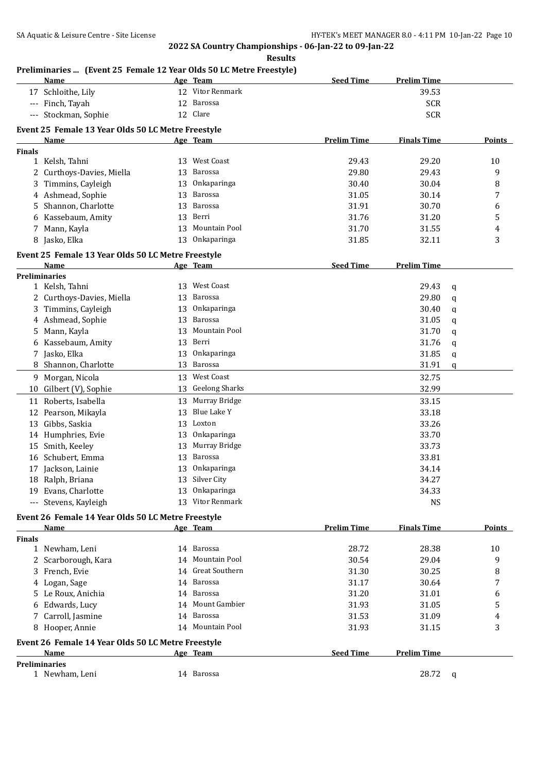|               | Preliminaries  (Event 25 Female 12 Year Olds 50 LC Metre Freestyle)<br>Name |    | Age Team              | <b>Seed Time</b>   | <b>Prelim Time</b> |   |               |
|---------------|-----------------------------------------------------------------------------|----|-----------------------|--------------------|--------------------|---|---------------|
|               | 17 Schloithe, Lily                                                          |    | 12 Vitor Renmark      |                    | 39.53              |   |               |
|               | --- Finch, Tayah                                                            |    | 12 Barossa            |                    | <b>SCR</b>         |   |               |
|               | --- Stockman, Sophie                                                        |    | 12 Clare              |                    | <b>SCR</b>         |   |               |
|               | Event 25 Female 13 Year Olds 50 LC Metre Freestyle                          |    |                       |                    |                    |   |               |
|               | Name                                                                        |    | Age Team              | <b>Prelim Time</b> | <b>Finals Time</b> |   | Points        |
| <b>Finals</b> |                                                                             |    |                       |                    |                    |   |               |
|               | 1 Kelsh, Tahni                                                              |    | 13 West Coast         | 29.43              | 29.20              |   | 10            |
| 2             | Curthoys-Davies, Miella                                                     | 13 | Barossa               | 29.80              | 29.43              |   | 9             |
| 3             | Timmins, Cayleigh                                                           | 13 | Onkaparinga           | 30.40              | 30.04              |   | 8             |
|               | 4 Ashmead, Sophie                                                           | 13 | Barossa               | 31.05              | 30.14              |   | 7             |
| 5             | Shannon, Charlotte                                                          | 13 | Barossa               | 31.91              | 30.70              |   | 6             |
| 6             | Kassebaum, Amity                                                            | 13 | Berri                 | 31.76              | 31.20              |   | 5             |
| 7             | Mann, Kayla                                                                 | 13 | Mountain Pool         | 31.70              | 31.55              |   | 4             |
|               | 8 Jasko, Elka                                                               | 13 | Onkaparinga           | 31.85              | 32.11              |   | 3             |
|               |                                                                             |    |                       |                    |                    |   |               |
|               | Event 25 Female 13 Year Olds 50 LC Metre Freestyle                          |    |                       |                    |                    |   |               |
|               | Name                                                                        |    | Age Team              | <b>Seed Time</b>   | <b>Prelim Time</b> |   |               |
|               | <b>Preliminaries</b>                                                        | 13 | West Coast            |                    |                    |   |               |
|               | 1 Kelsh, Tahni                                                              |    | Barossa               |                    | 29.43              | q |               |
| 2             | Curthoys-Davies, Miella                                                     | 13 |                       |                    | 29.80              | q |               |
| 3             | Timmins, Cayleigh                                                           | 13 | Onkaparinga           |                    | 30.40              | q |               |
| 4             | Ashmead, Sophie                                                             | 13 | Barossa               |                    | 31.05              | q |               |
| 5             | Mann, Kayla                                                                 | 13 | Mountain Pool         |                    | 31.70              | q |               |
| 6             | Kassebaum, Amity                                                            | 13 | Berri                 |                    | 31.76              | q |               |
|               | 7 Jasko, Elka                                                               | 13 | Onkaparinga           |                    | 31.85              | q |               |
|               | 8 Shannon, Charlotte                                                        | 13 | Barossa               |                    | 31.91              | q |               |
|               | 9 Morgan, Nicola                                                            | 13 | <b>West Coast</b>     |                    | 32.75              |   |               |
|               | 10 Gilbert (V), Sophie                                                      | 13 | <b>Geelong Sharks</b> |                    | 32.99              |   |               |
| 11            | Roberts, Isabella                                                           | 13 | Murray Bridge         |                    | 33.15              |   |               |
| 12            | Pearson, Mikayla                                                            | 13 | <b>Blue Lake Y</b>    |                    | 33.18              |   |               |
| 13            | Gibbs, Saskia                                                               | 13 | Loxton                |                    | 33.26              |   |               |
| 14            | Humphries, Evie                                                             | 13 | Onkaparinga           |                    | 33.70              |   |               |
| 15            | Smith, Keeley                                                               | 13 | Murray Bridge         |                    | 33.73              |   |               |
| 16            | Schubert, Emma                                                              | 13 | Barossa               |                    | 33.81              |   |               |
|               | 17 Jackson, Lainie                                                          |    | 13 Onkaparinga        |                    | 34.14              |   |               |
|               | 18 Ralph, Briana                                                            |    | 13 Silver City        |                    | 34.27              |   |               |
|               | 19 Evans, Charlotte                                                         |    | 13 Onkaparinga        |                    | 34.33              |   |               |
|               | --- Stevens, Kayleigh                                                       |    | 13 Vitor Renmark      |                    | <b>NS</b>          |   |               |
|               | Event 26 Female 14 Year Olds 50 LC Metre Freestyle                          |    |                       |                    |                    |   |               |
|               | Name                                                                        |    | Age Team              | <b>Prelim Time</b> | <b>Finals Time</b> |   | <b>Points</b> |
| <b>Finals</b> |                                                                             |    |                       |                    |                    |   |               |
|               | 1 Newham, Leni                                                              |    | 14 Barossa            | 28.72              | 28.38              |   | 10            |
| 2             | Scarborough, Kara                                                           | 14 | Mountain Pool         | 30.54              | 29.04              |   | 9             |
| 3             | French, Evie                                                                | 14 | <b>Great Southern</b> | 31.30              | 30.25              |   | 8             |
|               | 4 Logan, Sage                                                               | 14 | Barossa               | 31.17              | 30.64              |   | 7             |
| 5             | Le Roux, Anichia                                                            |    | 14 Barossa            | 31.20              | 31.01              |   | 6             |
| 6             | Edwards, Lucy                                                               | 14 | Mount Gambier         | 31.93              | 31.05              |   | 5             |
| 7             | Carroll, Jasmine                                                            | 14 | Barossa               | 31.53              | 31.09              |   | 4             |
|               | 8 Hooper, Annie                                                             |    | 14 Mountain Pool      | 31.93              | 31.15              |   | 3             |
|               |                                                                             |    |                       |                    |                    |   |               |
|               | Event 26 Female 14 Year Olds 50 LC Metre Freestyle                          |    |                       |                    |                    |   |               |
|               | Name                                                                        |    | Age Team              | <b>Seed Time</b>   | <b>Prelim Time</b> |   |               |
|               | <b>Preliminaries</b><br>1 Newham, Leni                                      |    | 14 Barossa            |                    | 28.72              |   |               |
|               |                                                                             |    |                       |                    |                    | q |               |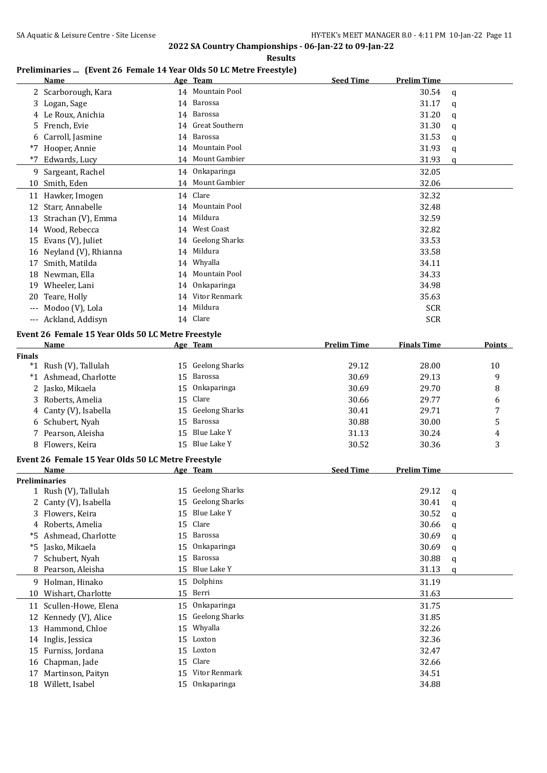**Results**

# **Preliminaries ... (Event 26 Female 14 Year Olds 50 LC Metre Freestyle)**

|                     | Name                                               |    | Age Team              | <b>Seed Time</b>   | <b>Prelim Time</b> |               |
|---------------------|----------------------------------------------------|----|-----------------------|--------------------|--------------------|---------------|
|                     | 2 Scarborough, Kara                                |    | 14 Mountain Pool      |                    | 30.54              | a             |
| 3                   | Logan, Sage                                        | 14 | Barossa               |                    | 31.17              | a             |
| 4                   | Le Roux, Anichia                                   | 14 | Barossa               |                    | 31.20              | q             |
| 5.                  | French, Evie                                       | 14 | Great Southern        |                    | 31.30              | q             |
| 6                   | Carroll, Jasmine                                   | 14 | Barossa               |                    | 31.53              | q             |
| $*7$                | Hooper, Annie                                      | 14 | Mountain Pool         |                    | 31.93              | q             |
| $*7$                | Edwards, Lucy                                      | 14 | Mount Gambier         |                    | 31.93              | q             |
| 9                   | Sargeant, Rachel                                   | 14 | Onkaparinga           |                    | 32.05              |               |
| 10                  | Smith, Eden                                        |    | 14 Mount Gambier      |                    | 32.06              |               |
| 11                  | Hawker, Imogen                                     | 14 | Clare                 |                    | 32.32              |               |
| 12                  | Starr, Annabelle                                   | 14 | Mountain Pool         |                    | 32.48              |               |
| 13                  | Strachan (V), Emma                                 | 14 | Mildura               |                    | 32.59              |               |
| 14                  | Wood, Rebecca                                      | 14 | <b>West Coast</b>     |                    | 32.82              |               |
| 15                  | Evans (V), Juliet                                  | 14 | <b>Geelong Sharks</b> |                    | 33.53              |               |
| 16                  | Neyland (V), Rhianna                               | 14 | Mildura               |                    | 33.58              |               |
| 17                  | Smith, Matilda                                     |    | 14 Whyalla            |                    | 34.11              |               |
| 18                  | Newman, Ella                                       | 14 | Mountain Pool         |                    | 34.33              |               |
| 19                  | Wheeler, Lani                                      | 14 | Onkaparinga           |                    | 34.98              |               |
| 20                  | Teare, Holly                                       | 14 | Vitor Renmark         |                    | 35.63              |               |
|                     | Modoo (V), Lola                                    | 14 | Mildura               |                    | <b>SCR</b>         |               |
| $\qquad \qquad - -$ | Ackland, Addisyn                                   | 14 | Clare                 |                    | <b>SCR</b>         |               |
|                     | Event 26 Female 15 Year Olds 50 LC Metre Freestyle |    |                       |                    |                    |               |
|                     | Name                                               |    | Age Team              | <b>Prelim Time</b> | <b>Finals Time</b> | <b>Points</b> |

| <b>Finals</b> |                       |                    |       |       |              |
|---------------|-----------------------|--------------------|-------|-------|--------------|
|               | *1 Rush (V), Tallulah | 15 Geelong Sharks  | 29.12 | 28.00 | 10           |
|               | *1 Ashmead, Charlotte | 15 Barossa         | 30.69 | 29.13 | 9            |
|               | 2 Jasko, Mikaela      | Onkaparinga<br>15  | 30.69 | 29.70 | 8            |
|               | 3 Roberts, Amelia     | 15 Clare           | 30.66 | 29.77 | 6            |
|               | 4 Canty (V), Isabella | 15 Geelong Sharks  | 30.41 | 29.71 | $\mathbf{r}$ |
|               | 6 Schubert, Nyah      | 15 Barossa         | 30.88 | 30.00 | 5            |
|               | 7 Pearson, Aleisha    | Blue Lake Y<br>15  | 31.13 | 30.24 | 4            |
|               | 8 Flowers, Keira      | Blue Lake Y<br>15. | 30.52 | 30.36 | 3            |

#### **Event 26 Female 15 Year Olds 50 LC Metre Freestyle**

|    | Name                  |    | Age Team              | <b>Seed Time</b> | <b>Prelim Time</b> |   |
|----|-----------------------|----|-----------------------|------------------|--------------------|---|
|    | <b>Preliminaries</b>  |    |                       |                  |                    |   |
|    | 1 Rush (V), Tallulah  |    | 15 Geelong Sharks     |                  | 29.12              | q |
|    | 2 Canty (V), Isabella | 15 | <b>Geelong Sharks</b> |                  | 30.41              | a |
| 3  | Flowers, Keira        | 15 | Blue Lake Y           |                  | 30.52              | q |
|    | 4 Roberts, Amelia     | 15 | Clare                 |                  | 30.66              | a |
| *5 | Ashmead, Charlotte    | 15 | Barossa               |                  | 30.69              | q |
| *5 | Jasko, Mikaela        | 15 | Onkaparinga           |                  | 30.69              | q |
|    | 7 Schubert, Nyah      | 15 | Barossa               |                  | 30.88              | q |
|    | 8 Pearson, Aleisha    | 15 | Blue Lake Y           |                  | 31.13              | q |
| 9  | Holman, Hinako        |    | 15 Dolphins           |                  | 31.19              |   |
| 10 | Wishart, Charlotte    |    | 15 Berri              |                  | 31.63              |   |
| 11 | Scullen-Howe, Elena   | 15 | Onkaparinga           |                  | 31.75              |   |
|    | 12 Kennedy (V), Alice | 15 | <b>Geelong Sharks</b> |                  | 31.85              |   |
| 13 | Hammond, Chloe        | 15 | Whyalla               |                  | 32.26              |   |
|    | 14 Inglis, Jessica    | 15 | Loxton                |                  | 32.36              |   |
| 15 | Furniss, Jordana      | 15 | Loxton                |                  | 32.47              |   |
|    | 16 Chapman, Jade      | 15 | Clare                 |                  | 32.66              |   |
| 17 | Martinson, Paityn     | 15 | Vitor Renmark         |                  | 34.51              |   |
| 18 | Willett, Isabel       | 15 | Onkaparinga           |                  | 34.88              |   |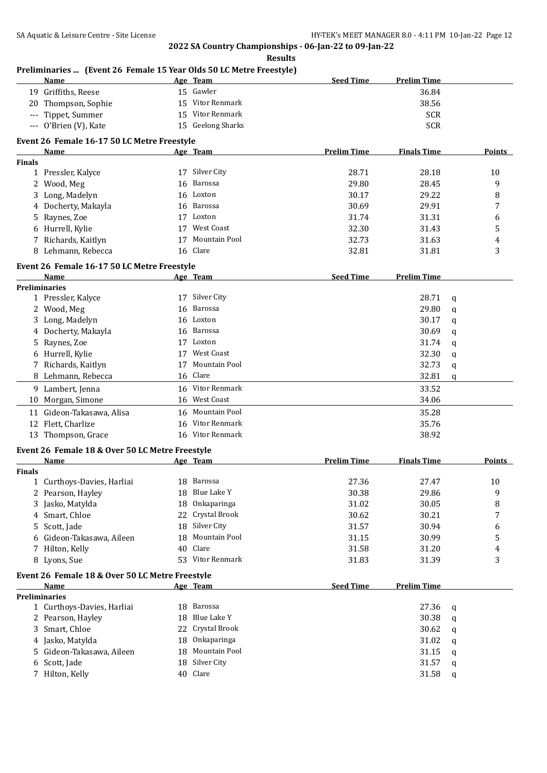|               | Preliminaries  (Event 26 Female 15 Year Olds 50 LC Metre Freestyle)<br>Name |    | Age Team                   | <b>Seed Time</b>   | <b>Prelim Time</b> |             |               |
|---------------|-----------------------------------------------------------------------------|----|----------------------------|--------------------|--------------------|-------------|---------------|
|               | 19 Griffiths, Reese                                                         |    | 15 Gawler                  |                    | 36.84              |             |               |
|               | 20 Thompson, Sophie                                                         | 15 | Vitor Renmark              |                    | 38.56              |             |               |
|               | --- Tippet, Summer                                                          | 15 | Vitor Renmark              |                    | <b>SCR</b>         |             |               |
|               | --- O'Brien (V), Kate                                                       |    | 15 Geelong Sharks          |                    | <b>SCR</b>         |             |               |
|               | Event 26 Female 16-17 50 LC Metre Freestyle                                 |    |                            |                    |                    |             |               |
|               | Name                                                                        |    | Age Team                   | <b>Prelim Time</b> | <b>Finals Time</b> |             | <b>Points</b> |
| <b>Finals</b> |                                                                             |    |                            |                    |                    |             |               |
|               | 1 Pressler, Kalyce                                                          |    | 17 Silver City             | 28.71              | 28.18              |             | 10            |
| 2             | Wood, Meg                                                                   | 16 | Barossa                    | 29.80              | 28.45              |             | 9             |
| 3             | Long, Madelyn                                                               | 16 | Loxton                     | 30.17              | 29.22              |             | 8             |
| 4             | Docherty, Makayla                                                           | 16 | Barossa                    | 30.69              | 29.91              |             | 7             |
| 5             | Raynes, Zoe                                                                 |    | 17 Loxton                  | 31.74              | 31.31              |             | 6             |
| 6             | Hurrell, Kylie                                                              |    | 17 West Coast              | 32.30              | 31.43              |             | 5             |
|               | 7 Richards, Kaitlyn                                                         |    | 17 Mountain Pool           | 32.73              | 31.63              |             | 4             |
|               | 8 Lehmann, Rebecca                                                          |    | 16 Clare                   | 32.81              | 31.81              |             | 3             |
|               | Event 26 Female 16-17 50 LC Metre Freestyle                                 |    |                            |                    |                    |             |               |
|               | Name                                                                        |    | Age Team                   | <b>Seed Time</b>   | <b>Prelim Time</b> |             |               |
|               | <b>Preliminaries</b>                                                        |    | 17 Silver City             |                    | 28.71              |             |               |
|               | 1 Pressler, Kalyce                                                          |    | Barossa                    |                    | 29.80              | q           |               |
|               | 2 Wood, Meg                                                                 | 16 | Loxton                     |                    |                    | q           |               |
|               | 3 Long, Madelyn                                                             | 16 |                            |                    | 30.17              | q           |               |
|               | 4 Docherty, Makayla                                                         | 16 | Barossa                    |                    | 30.69              | $\mathbf q$ |               |
| 5             | Raynes, Zoe                                                                 |    | 17 Loxton<br>17 West Coast |                    | 31.74              | q           |               |
| 6             | Hurrell, Kylie                                                              |    |                            |                    | 32.30              | q           |               |
|               | 7 Richards, Kaitlyn                                                         | 17 | Mountain Pool              |                    | 32.73              | q           |               |
|               | 8 Lehmann, Rebecca                                                          |    | 16 Clare                   |                    | 32.81              | q           |               |
|               | 9 Lambert, Jenna                                                            |    | 16 Vitor Renmark           |                    | 33.52              |             |               |
|               | 10 Morgan, Simone                                                           |    | 16 West Coast              |                    | 34.06              |             |               |
|               | 11 Gideon-Takasawa, Alisa                                                   |    | 16 Mountain Pool           |                    | 35.28              |             |               |
|               | 12 Flett, Charlize                                                          | 16 | Vitor Renmark              |                    | 35.76              |             |               |
|               | 13 Thompson, Grace                                                          |    | 16 Vitor Renmark           |                    | 38.92              |             |               |
|               | Event 26 Female 18 & Over 50 LC Metre Freestyle                             |    |                            |                    |                    |             |               |
|               | <b>Name</b>                                                                 |    | Age Team                   | <b>Prelim Time</b> | <b>Finals Time</b> |             | <b>Points</b> |
| <b>Finals</b> | 1 Curthoys-Davies, Harliai                                                  |    | 18 Barossa                 | 27.36              | 27.47              |             | 10            |
| 2             | Pearson, Hayley                                                             | 18 | Blue Lake Y                | 30.38              | 29.86              |             | 9             |
| 3             | Jasko, Matylda                                                              | 18 | Onkaparinga                | 31.02              | 30.05              |             | 8             |
| 4             | Smart, Chloe                                                                | 22 | Crystal Brook              | 30.62              | 30.21              |             | 7             |
| 5             | Scott, Jade                                                                 | 18 | Silver City                | 31.57              | 30.94              |             | 6             |
| 6             | Gideon-Takasawa, Aileen                                                     | 18 | Mountain Pool              | 31.15              | 30.99              |             | 5             |
| 7             | Hilton, Kelly                                                               | 40 | Clare                      | 31.58              | 31.20              |             | 4             |
|               | 8 Lyons, Sue                                                                |    | 53 Vitor Renmark           | 31.83              | 31.39              |             | 3             |
|               |                                                                             |    |                            |                    |                    |             |               |
|               | Event 26 Female 18 & Over 50 LC Metre Freestyle<br>Name                     |    | <u>Age Team</u>            | <b>Seed Time</b>   | <b>Prelim Time</b> |             |               |
|               | <b>Preliminaries</b>                                                        |    |                            |                    |                    |             |               |
|               | 1 Curthoys-Davies, Harliai                                                  |    | 18 Barossa                 |                    | 27.36              | q           |               |
|               | 2 Pearson, Hayley                                                           | 18 | Blue Lake Y                |                    | 30.38              | q           |               |
| 3             | Smart, Chloe                                                                | 22 | Crystal Brook              |                    | 30.62              | q           |               |
|               | 4 Jasko, Matylda                                                            | 18 | Onkaparinga                |                    | 31.02              | q           |               |
| 5             | Gideon-Takasawa, Aileen                                                     | 18 | Mountain Pool              |                    | 31.15              | q           |               |
| 6             | Scott, Jade                                                                 | 18 | Silver City                |                    | 31.57              | q           |               |
|               | 7 Hilton, Kelly                                                             |    | 40 Clare                   |                    | 31.58              | q           |               |
|               |                                                                             |    |                            |                    |                    |             |               |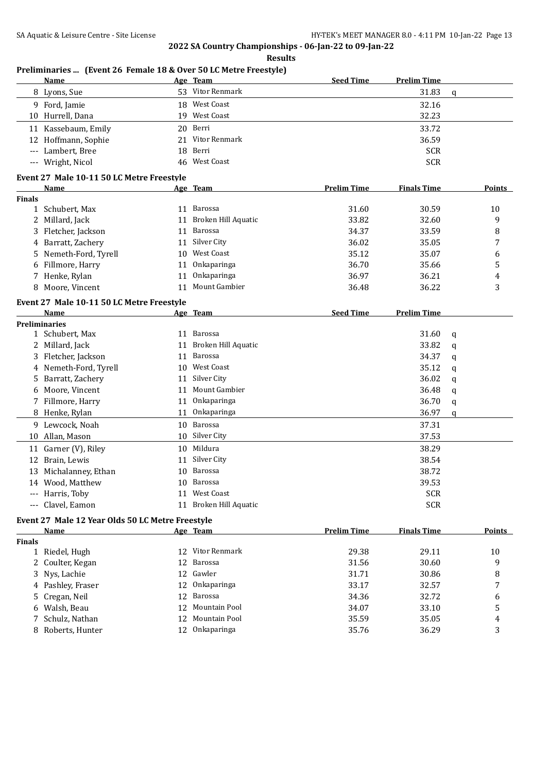**Results**

|               | <b>Name</b>                                      |    | Age Team               | <b>Seed Time</b>   | <b>Prelim Time</b> |             |               |
|---------------|--------------------------------------------------|----|------------------------|--------------------|--------------------|-------------|---------------|
|               | 8 Lyons, Sue                                     |    | 53 Vitor Renmark       |                    | 31.83              | $\mathbf q$ |               |
|               | 9 Ford, Jamie                                    |    | 18 West Coast          |                    | 32.16              |             |               |
|               | 10 Hurrell, Dana                                 |    | 19 West Coast          |                    | 32.23              |             |               |
|               | 11 Kassebaum, Emily                              | 20 | Berri                  |                    | 33.72              |             |               |
|               | 12 Hoffmann, Sophie                              | 21 | Vitor Renmark          |                    | 36.59              |             |               |
| $---$         | Lambert, Bree                                    | 18 | Berri                  |                    | <b>SCR</b>         |             |               |
|               | --- Wright, Nicol                                |    | 46 West Coast          |                    | <b>SCR</b>         |             |               |
|               | Event 27 Male 10-11 50 LC Metre Freestyle        |    |                        |                    |                    |             |               |
|               | Name                                             |    | Age Team               | <b>Prelim Time</b> | <b>Finals Time</b> |             | Points        |
| <b>Finals</b> |                                                  |    |                        |                    |                    |             |               |
|               | 1 Schubert, Max                                  |    | 11 Barossa             | 31.60              | 30.59              |             | 10            |
|               | 2 Millard, Jack                                  | 11 | Broken Hill Aquatic    | 33.82              | 32.60              |             | 9             |
|               | 3 Fletcher, Jackson                              | 11 | Barossa                | 34.37              | 33.59              |             | 8             |
|               | 4 Barratt, Zachery                               | 11 | Silver City            | 36.02              | 35.05              |             | 7             |
|               | 5 Nemeth-Ford, Tyrell                            | 10 | West Coast             | 35.12              | 35.07              |             | 6             |
|               | 6 Fillmore, Harry                                | 11 | Onkaparinga            | 36.70              | 35.66              |             | 5             |
|               | 7 Henke, Rylan                                   | 11 | Onkaparinga            | 36.97              | 36.21              |             | 4             |
| 8             | Moore, Vincent                                   | 11 | Mount Gambier          | 36.48              | 36.22              |             | 3             |
|               | Event 27 Male 10-11 50 LC Metre Freestyle        |    |                        |                    |                    |             |               |
|               | Name                                             |    | Age Team               | <b>Seed Time</b>   | <b>Prelim Time</b> |             |               |
|               | <b>Preliminaries</b>                             |    |                        |                    |                    |             |               |
|               | 1 Schubert, Max                                  |    | 11 Barossa             |                    | 31.60              | q           |               |
|               | 2 Millard, Jack                                  | 11 | Broken Hill Aquatic    |                    | 33.82              | q           |               |
|               | 3 Fletcher, Jackson                              | 11 | <b>Barossa</b>         |                    | 34.37              | q           |               |
|               | 4 Nemeth-Ford, Tyrell                            | 10 | <b>West Coast</b>      |                    | 35.12              | q           |               |
| 5.            | Barratt, Zachery                                 | 11 | Silver City            |                    | 36.02              | q           |               |
|               | 6 Moore, Vincent                                 | 11 | Mount Gambier          |                    | 36.48              | q           |               |
|               | 7 Fillmore, Harry                                | 11 | Onkaparinga            |                    | 36.70              | q           |               |
|               | 8 Henke, Rylan                                   | 11 | Onkaparinga            |                    | 36.97              | q           |               |
|               | 9 Lewcock, Noah                                  | 10 | Barossa                |                    | 37.31              |             |               |
|               | 10 Allan, Mason                                  | 10 | Silver City            |                    | 37.53              |             |               |
|               | 11 Garner (V), Riley                             | 10 | Mildura                |                    | 38.29              |             |               |
|               | 12 Brain, Lewis                                  | 11 | Silver City            |                    | 38.54              |             |               |
|               | 13 Michalanney, Ethan                            | 10 | Barossa                |                    | 38.72              |             |               |
|               | 14 Wood, Matthew                                 |    | 10 Barossa             |                    | 39.53              |             |               |
|               | --- Harris, Toby                                 |    | 11 West Coast          |                    | <b>SCR</b>         |             |               |
|               | --- Clavel, Eamon                                |    | 11 Broken Hill Aquatic |                    | <b>SCR</b>         |             |               |
|               | Event 27 Male 12 Year Olds 50 LC Metre Freestyle |    |                        |                    |                    |             |               |
|               | Name                                             |    | Age Team               | <b>Prelim Time</b> | <b>Finals Time</b> |             | <b>Points</b> |
| <b>Finals</b> |                                                  |    |                        |                    |                    |             |               |
|               | 1 Riedel, Hugh                                   |    | 12 Vitor Renmark       | 29.38              | 29.11              |             | 10            |
|               | 2 Coulter, Kegan                                 | 12 | Barossa                | 31.56              | 30.60              |             | 9             |
|               | 3 Nys, Lachie                                    |    | 12 Gawler              | 31.71              | 30.86              |             | 8             |
|               | 4 Pashley, Fraser                                | 12 | Onkaparinga            | 33.17              | 32.57              |             | 7             |
|               | 5 Cregan, Neil                                   | 12 | Barossa                | 34.36              | 32.72              |             | 6             |
|               | 6 Walsh, Beau                                    |    | 12 Mountain Pool       | 34.07              | 33.10              |             | 5             |

7 Schulz, Nathan 12 Mountain Pool 35.59 35.05 4<br>8 Roberts, Hunter 12 Onkaparinga 35.76 36.29 3

8 Roberts, Hunter 12 Onkaparinga 35.76 36.29

# **Preliminaries ... (Event 26 Female 18 & Over 50 LC Metre Freestyle)**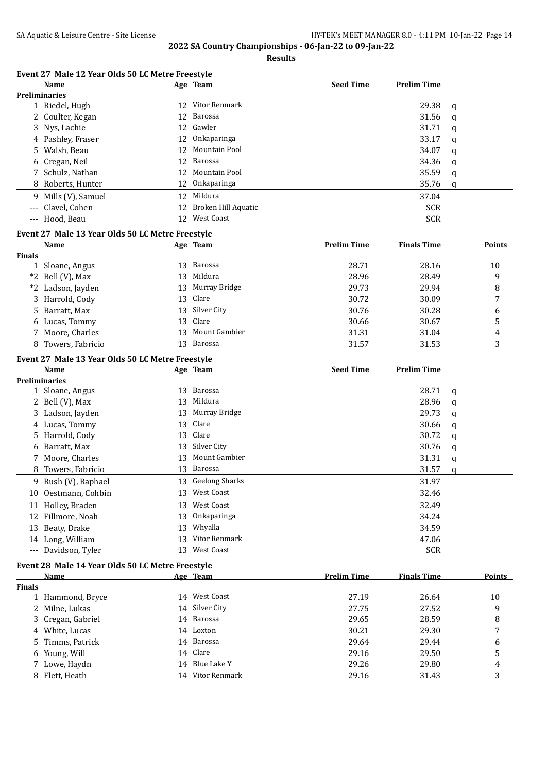**Results**

# **Event 27 Male 12 Year Olds 50 LC Metre Freestyle**

|               | Name                                             |    | Age Team            | <b>Seed Time</b>   | <b>Prelim Time</b> |   |               |
|---------------|--------------------------------------------------|----|---------------------|--------------------|--------------------|---|---------------|
|               | <b>Preliminaries</b>                             |    |                     |                    |                    |   |               |
|               | 1 Riedel, Hugh                                   |    | 12 Vitor Renmark    |                    | 29.38              | q |               |
|               | 2 Coulter, Kegan                                 | 12 | Barossa             |                    | 31.56              | q |               |
|               | 3 Nys, Lachie                                    |    | 12 Gawler           |                    | 31.71              | q |               |
|               | 4 Pashley, Fraser                                |    | 12 Onkaparinga      |                    | 33.17              | q |               |
|               | 5 Walsh, Beau                                    | 12 | Mountain Pool       |                    | 34.07              | q |               |
|               | 6 Cregan, Neil                                   |    | 12 Barossa          |                    | 34.36              | q |               |
|               | 7 Schulz, Nathan                                 |    | 12 Mountain Pool    |                    | 35.59              | q |               |
|               | 8 Roberts, Hunter                                |    | 12 Onkaparinga      |                    | 35.76              | q |               |
|               |                                                  |    | 12 Mildura          |                    | 37.04              |   |               |
|               | 9 Mills (V), Samuel                              |    |                     |                    |                    |   |               |
| $---$         | Clavel, Cohen                                    | 12 | Broken Hill Aquatic |                    | <b>SCR</b>         |   |               |
|               | --- Hood, Beau                                   |    | 12 West Coast       |                    | <b>SCR</b>         |   |               |
|               | Event 27 Male 13 Year Olds 50 LC Metre Freestyle |    |                     |                    |                    |   |               |
|               | Name                                             |    | <u>Age Team</u>     | <b>Prelim Time</b> | <b>Finals Time</b> |   | <b>Points</b> |
| <b>Finals</b> |                                                  |    |                     |                    |                    |   |               |
|               | 1 Sloane, Angus                                  |    | 13 Barossa          | 28.71              | 28.16              |   | 10            |
|               | *2 Bell (V), Max                                 | 13 | Mildura             | 28.96              | 28.49              |   | 9             |
|               | *2 Ladson, Jayden                                | 13 | Murray Bridge       | 29.73              | 29.94              |   | 8             |
|               | 3 Harrold, Cody                                  |    | 13 Clare            | 30.72              | 30.09              |   | 7             |
|               | 5 Barratt, Max                                   |    | 13 Silver City      | 30.76              | 30.28              |   | 6             |
|               | 6 Lucas, Tommy                                   | 13 | Clare               | 30.66              | 30.67              |   | 5             |
|               | 7 Moore, Charles                                 | 13 | Mount Gambier       | 31.31              | 31.04              |   | 4             |
|               | 8 Towers, Fabricio                               |    | 13 Barossa          | 31.57              | 31.53              |   | 3             |
|               |                                                  |    |                     |                    |                    |   |               |
|               | Event 27 Male 13 Year Olds 50 LC Metre Freestyle |    |                     |                    |                    |   |               |
|               | Name                                             |    | Age Team            | <b>Seed Time</b>   | <b>Prelim Time</b> |   |               |
|               | <b>Preliminaries</b>                             |    |                     |                    |                    |   |               |
|               | 1 Sloane, Angus                                  | 13 | Barossa             |                    | 28.71              | q |               |
|               | 2 Bell (V), Max                                  | 13 | Mildura             |                    | 28.96              | q |               |
|               | 3 Ladson, Jayden                                 | 13 | Murray Bridge       |                    | 29.73              | q |               |
|               | 4 Lucas, Tommy                                   | 13 | Clare               |                    | 30.66              | q |               |
|               | 5 Harrold, Cody                                  | 13 | Clare               |                    | 30.72              | q |               |
|               | 6 Barratt, Max                                   | 13 | Silver City         |                    | 30.76              | q |               |
|               | 7 Moore, Charles                                 | 13 | Mount Gambier       |                    | 31.31              | q |               |
|               | 8 Towers, Fabricio                               | 13 | Barossa             |                    | 31.57              | q |               |
|               | 9 Rush (V), Raphael                              |    | 13 Geelong Sharks   |                    | 31.97              |   |               |
|               | 10 Oestmann, Cohbin                              |    | 13 West Coast       |                    | 32.46              |   |               |
|               | 11 Holley, Braden                                |    | 13 West Coast       |                    | 32.49              |   |               |
|               | 12 Fillmore, Noah                                | 13 | Onkaparinga         |                    | 34.24              |   |               |
|               | 13 Beaty, Drake                                  | 13 | Whyalla             |                    | 34.59              |   |               |
|               | 14 Long, William                                 | 13 | Vitor Renmark       |                    | 47.06              |   |               |
|               | --- Davidson, Tyler                              | 13 | <b>West Coast</b>   |                    | <b>SCR</b>         |   |               |
|               |                                                  |    |                     |                    |                    |   |               |
|               | Event 28 Male 14 Year Olds 50 LC Metre Freestyle |    |                     |                    |                    |   |               |
|               | Name                                             |    | Age Team            | <b>Prelim Time</b> | <b>Finals Time</b> |   | <b>Points</b> |
| <b>Finals</b> |                                                  |    |                     |                    |                    |   |               |
|               | 1 Hammond, Bryce                                 |    | 14 West Coast       | 27.19              | 26.64              |   | 10            |
|               | 2 Milne, Lukas                                   |    | 14 Silver City      | 27.75              | 27.52              |   | 9             |
|               | 3 Cregan, Gabriel                                |    | 14 Barossa          | 29.65              | 28.59              |   | 8             |
|               | 4 White, Lucas                                   |    | 14 Loxton           | 30.21              | 29.30              |   | 7             |

5 Timms, Patrick 14 Barossa 29.64 29.44 6 6 Young, Will 14 Clare 14 Clare 29.16 29.50 5<br>
29.26 29.80 4 29.26 29.80 4 7 Lowe, Haydn 14 Blue Lake Y 29.26 29.80 4 8 Flett, Heath 14 Vitor Renmark 29.16 31.43 3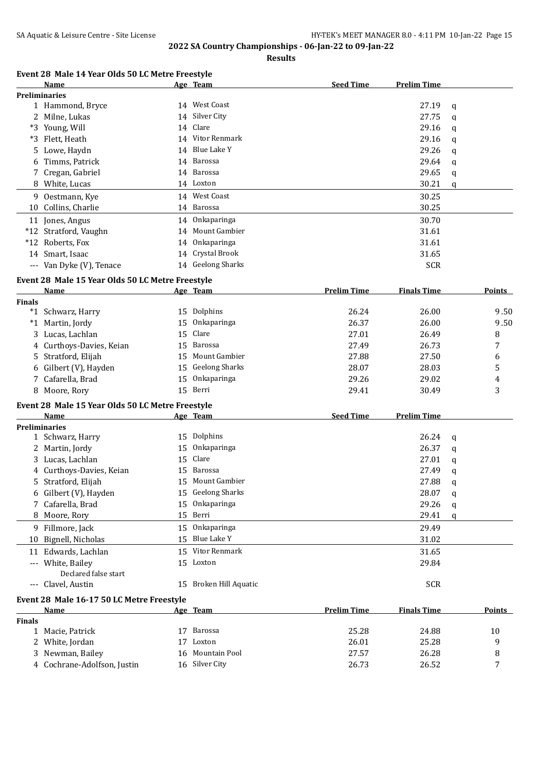**Results**

#### **Event 28 Male 14 Year Olds 50 LC Metre Freestyle**

|    | Name                     |    | Age Team          | <b>Seed Time</b> | <b>Prelim Time</b> |     |
|----|--------------------------|----|-------------------|------------------|--------------------|-----|
|    | <b>Preliminaries</b>     |    |                   |                  |                    |     |
|    | 1 Hammond, Bryce         |    | 14 West Coast     |                  | 27.19              | - q |
|    | 2 Milne, Lukas           |    | 14 Silver City    |                  | 27.75              | a   |
|    | *3 Young, Will           |    | 14 Clare          |                  | 29.16              | q   |
|    | *3 Flett, Heath          |    | 14 Vitor Renmark  |                  | 29.16              | q   |
|    | 5 Lowe, Haydn            |    | 14 Blue Lake Y    |                  | 29.26              | q   |
|    | 6 Timms, Patrick         |    | 14 Barossa        |                  | 29.64              | q   |
|    | 7 Cregan, Gabriel        |    | 14 Barossa        |                  | 29.65              | q   |
|    | 8 White, Lucas           |    | 14 Loxton         |                  | 30.21              | q   |
| 9. | Oestmann, Kye            |    | 14 West Coast     |                  | 30.25              |     |
|    | 10 Collins, Charlie      |    | 14 Barossa        |                  | 30.25              |     |
|    | 11 Jones, Angus          |    | 14 Onkaparinga    |                  | 30.70              |     |
|    | *12 Stratford, Vaughn    |    | 14 Mount Gambier  |                  | 31.61              |     |
|    | *12 Roberts, Fox         | 14 | Onkaparinga       |                  | 31.61              |     |
|    | 14 Smart, Isaac          |    | 14 Crystal Brook  |                  | 31.65              |     |
|    | --- Van Dyke (V), Tenace |    | 14 Geelong Sharks |                  | <b>SCR</b>         |     |

#### **Event 28 Male 15 Year Olds 50 LC Metre Freestyle**

| Name |                                                                                                                                                                             | <b>Prelim Time</b>                                                                                                                         | <b>Finals Time</b> | Points |
|------|-----------------------------------------------------------------------------------------------------------------------------------------------------------------------------|--------------------------------------------------------------------------------------------------------------------------------------------|--------------------|--------|
|      |                                                                                                                                                                             |                                                                                                                                            |                    |        |
|      |                                                                                                                                                                             | 26.24                                                                                                                                      | 26.00              | 9.50   |
|      |                                                                                                                                                                             | 26.37                                                                                                                                      | 26.00              | 9.50   |
|      |                                                                                                                                                                             | 27.01                                                                                                                                      | 26.49              | 8      |
|      |                                                                                                                                                                             | 27.49                                                                                                                                      | 26.73              |        |
|      |                                                                                                                                                                             | 27.88                                                                                                                                      | 27.50              | 6      |
|      |                                                                                                                                                                             | 28.07                                                                                                                                      | 28.03              |        |
|      |                                                                                                                                                                             | 29.26                                                                                                                                      | 29.02              | 4      |
|      |                                                                                                                                                                             | 29.41                                                                                                                                      | 30.49              | 3      |
|      | *1 Schwarz, Harry<br>*1 Martin, Jordy<br>3 Lucas, Lachlan<br>4 Curthoys-Davies, Keian<br>5 Stratford, Elijah<br>6 Gilbert (V), Hayden<br>7 Cafarella, Brad<br>8 Moore, Rory | Age Team<br>15 Dolphins<br>15 Onkaparinga<br>15 Clare<br>15 Barossa<br>15 Mount Gambier<br>15 Geelong Sharks<br>15 Onkaparinga<br>15 Berri |                    |        |

#### **Event 28 Male 15 Year Olds 50 LC Metre Freestyle**

|          | Name                                      |    | Age Team            | <b>Seed Time</b> | <b>Prelim Time</b> |   |
|----------|-------------------------------------------|----|---------------------|------------------|--------------------|---|
|          | <b>Preliminaries</b>                      |    |                     |                  |                    |   |
|          | 1 Schwarz, Harry                          |    | 15 Dolphins         |                  | 26.24              | q |
|          | 2 Martin, Jordy                           |    | 15 Onkaparinga      |                  | 26.37              | a |
|          | 3 Lucas, Lachlan                          | 15 | Clare               |                  | 27.01              | q |
|          | 4 Curthoys-Davies, Keian                  | 15 | Barossa             |                  | 27.49              | q |
|          | 5 Stratford, Elijah                       |    | 15 Mount Gambier    |                  | 27.88              | a |
|          | 6 Gilbert (V), Hayden                     |    | 15 Geelong Sharks   |                  | 28.07              | q |
|          | 7 Cafarella, Brad                         |    | 15 Onkaparinga      |                  | 29.26              | a |
|          | 8 Moore, Rory                             |    | 15 Berri            |                  | 29.41              | q |
|          | 9 Fillmore, Jack                          |    | 15 Onkaparinga      |                  | 29.49              |   |
|          | 10 Bignell, Nicholas                      |    | 15 Blue Lake Y      |                  | 31.02              |   |
|          | 11 Edwards, Lachlan                       |    | 15 Vitor Renmark    |                  | 31.65              |   |
| $\cdots$ | White, Bailey                             |    | 15 Loxton           |                  | 29.84              |   |
|          | Declared false start                      |    |                     |                  |                    |   |
| $---$    | Clavel, Austin                            | 15 | Broken Hill Aquatic |                  | <b>SCR</b>         |   |
|          | Event 28 Male 16-17 50 LC Metre Freestyle |    |                     |                  |                    |   |
|          |                                           |    |                     |                  |                    |   |

|               | <b>Name</b>                 | Age Team         | Prelim Time | <b>Finals Time</b> | <b>Points</b>  |
|---------------|-----------------------------|------------------|-------------|--------------------|----------------|
| <b>Finals</b> |                             |                  |             |                    |                |
|               | 1 Macie. Patrick            | Barossa          | 25.28       | 24.88              | 10             |
|               | 2 White, Jordan             | Loxton           | 26.01       | 25.28              |                |
|               | 3 Newman, Bailey            | 16 Mountain Pool | 27.57       | 26.28              |                |
|               | 4 Cochrane-Adolfson, Justin | 16 Silver City   | 26.73       | 26.52              | $\overline{ }$ |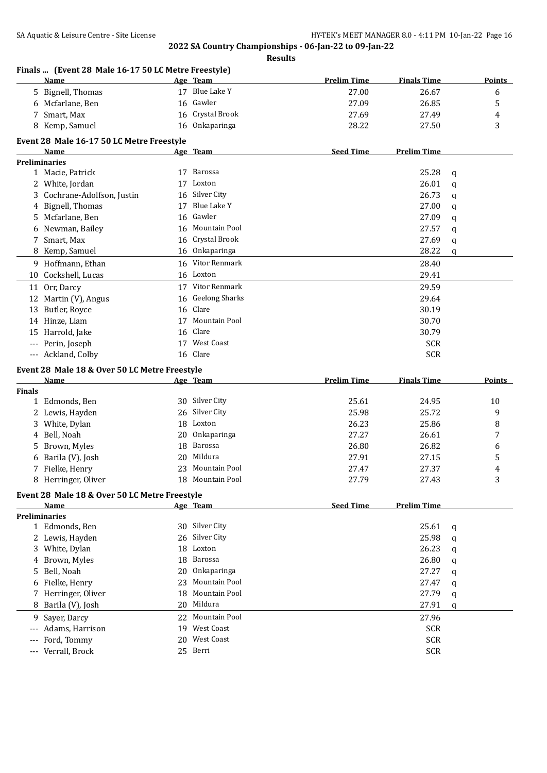|                   | Finals  (Event 28 Male 16-17 50 LC Metre Freestyle) |    |                        |                    |                          |   |               |
|-------------------|-----------------------------------------------------|----|------------------------|--------------------|--------------------------|---|---------------|
|                   | <b>Name</b>                                         |    | Age Team               | <b>Prelim Time</b> | <b>Finals Time</b>       |   | <b>Points</b> |
|                   | 5 Bignell, Thomas                                   |    | 17 Blue Lake Y         | 27.00              | 26.67                    |   | 6             |
|                   | 6 Mcfarlane, Ben                                    | 16 | Gawler                 | 27.09              | 26.85                    |   | 5             |
|                   | 7 Smart, Max                                        | 16 | Crystal Brook          | 27.69              | 27.49                    |   | 4             |
|                   | 8 Kemp, Samuel                                      | 16 | Onkaparinga            | 28.22              | 27.50                    |   | 3             |
|                   | Event 28 Male 16-17 50 LC Metre Freestyle           |    |                        |                    |                          |   |               |
|                   | Name                                                |    | Age Team               | <b>Seed Time</b>   | <b>Prelim Time</b>       |   |               |
|                   | <b>Preliminaries</b>                                |    |                        |                    |                          |   |               |
|                   | 1 Macie, Patrick                                    | 17 | Barossa                |                    | 25.28                    | q |               |
|                   | 2 White, Jordan                                     | 17 | Loxton                 |                    | 26.01                    | q |               |
|                   | 3 Cochrane-Adolfson, Justin                         | 16 | Silver City            |                    | 26.73                    | q |               |
|                   | 4 Bignell, Thomas                                   | 17 | Blue Lake Y            |                    | 27.00                    | q |               |
| 5.                | Mcfarlane, Ben                                      | 16 | Gawler                 |                    | 27.09                    | q |               |
| 6                 | Newman, Bailey                                      | 16 | Mountain Pool          |                    | 27.57                    | q |               |
|                   | 7 Smart, Max                                        | 16 | Crystal Brook          |                    | 27.69                    | q |               |
|                   | 8 Kemp, Samuel                                      |    | 16 Onkaparinga         |                    | 28.22                    | q |               |
|                   | 9 Hoffmann, Ethan                                   | 16 | Vitor Renmark          |                    | 28.40                    |   |               |
| 10                | Cockshell, Lucas                                    |    | 16 Loxton              |                    | 29.41                    |   |               |
|                   |                                                     |    | 17 Vitor Renmark       |                    |                          |   |               |
| 11                | Orr, Darcy                                          |    |                        |                    | 29.59                    |   |               |
| 12                | Martin (V), Angus                                   | 16 | <b>Geelong Sharks</b>  |                    | 29.64                    |   |               |
| 13                | Butler, Royce                                       | 16 | Clare                  |                    | 30.19                    |   |               |
|                   | 14 Hinze, Liam                                      | 17 | Mountain Pool          |                    | 30.70                    |   |               |
|                   | 15 Harrold, Jake                                    | 16 | Clare                  |                    | 30.79                    |   |               |
|                   | --- Perin, Joseph                                   | 17 | <b>West Coast</b>      |                    | <b>SCR</b>               |   |               |
|                   | --- Ackland, Colby                                  |    | 16 Clare               |                    | <b>SCR</b>               |   |               |
|                   | Event 28 Male 18 & Over 50 LC Metre Freestyle       |    |                        |                    |                          |   |               |
|                   | Name                                                |    | Age Team               | <b>Prelim Time</b> | <b>Finals Time</b>       |   | <b>Points</b> |
| <b>Finals</b>     |                                                     |    |                        |                    |                          |   |               |
|                   | 1 Edmonds, Ben                                      |    | 30 Silver City         | 25.61              | 24.95                    |   | 10            |
|                   | 2 Lewis, Hayden                                     | 26 | Silver City            | 25.98              | 25.72                    |   | 9             |
|                   | 3 White, Dylan                                      | 18 | Loxton                 | 26.23              | 25.86                    |   | 8             |
|                   | 4 Bell, Noah                                        |    |                        |                    |                          |   | 7             |
| 5.                |                                                     | 20 | Onkaparinga            | 27.27              | 26.61                    |   |               |
|                   | Brown, Myles                                        | 18 | Barossa                | 26.80              | 26.82                    |   | 6             |
| 6                 | Barila (V), Josh                                    | 20 | Mildura                | 27.91              | 27.15                    |   | 5             |
|                   | 7 Fielke, Henry                                     |    | 23 Mountain Pool       | 27.47              | 27.37                    |   | 4             |
|                   | 8 Herringer, Oliver                                 |    | 18 Mountain Pool       | 27.79              | 27.43                    |   | 3             |
|                   | Event 28 Male 18 & Over 50 LC Metre Freestyle       |    |                        |                    |                          |   |               |
|                   | Name                                                |    | Age Team               | <b>Seed Time</b>   | <b>Prelim Time</b>       |   |               |
|                   | <b>Preliminaries</b>                                |    |                        |                    |                          |   |               |
|                   | 1 Edmonds, Ben                                      |    | 30 Silver City         |                    | 25.61                    | q |               |
|                   | 2 Lewis, Hayden                                     | 26 | Silver City            |                    | 25.98                    | q |               |
|                   | 3 White, Dylan                                      | 18 | Loxton                 |                    | 26.23                    | q |               |
| 4                 | Brown, Myles                                        | 18 | <b>Barossa</b>         |                    | 26.80                    | q |               |
| 5.                | Bell, Noah                                          | 20 | Onkaparinga            |                    | 27.27                    | q |               |
| 6                 |                                                     | 23 | Mountain Pool          |                    |                          |   |               |
|                   | Fielke, Henry                                       | 18 | Mountain Pool          |                    | 27.47                    | q |               |
|                   | 7 Herringer, Oliver                                 | 20 |                        |                    | 27.79                    | q |               |
| 8                 | Barila (V), Josh                                    |    | Mildura                |                    | 27.91                    | q |               |
| 9                 | Sayer, Darcy                                        | 22 | Mountain Pool          |                    | 27.96                    |   |               |
| $---$             | Adams, Harrison                                     | 19 | West Coast             |                    | <b>SCR</b>               |   |               |
| $---$<br>$\cdots$ | Ford, Tommy<br>Verrall, Brock                       | 20 | West Coast<br>25 Berri |                    | <b>SCR</b><br><b>SCR</b> |   |               |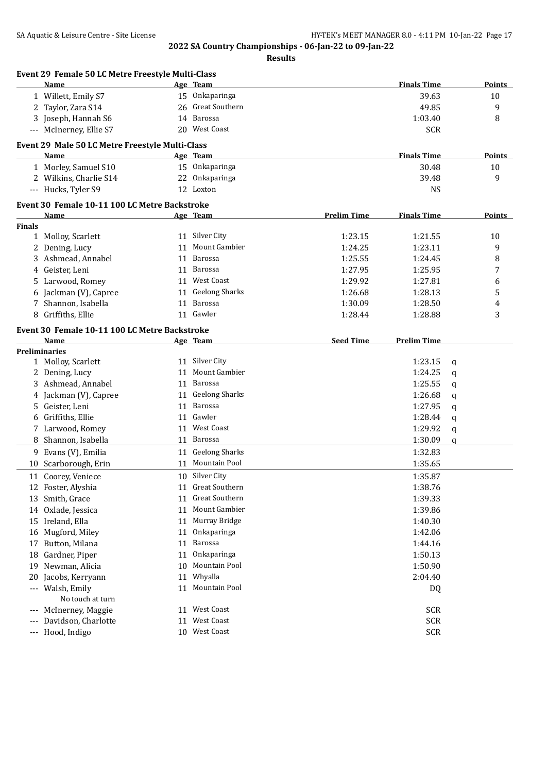|         | Event 29 Female 50 LC Metre Freestyle Multi-Class<br>Name |    | Age Team                            |                    | <b>Finals Time</b> |        | Points        |
|---------|-----------------------------------------------------------|----|-------------------------------------|--------------------|--------------------|--------|---------------|
|         | 1 Willett, Emily S7                                       |    | 15 Onkaparinga                      |                    | 39.63              |        | 10            |
|         | 2 Taylor, Zara S14                                        | 26 | Great Southern                      |                    | 49.85              |        | 9             |
|         | 3 Joseph, Hannah S6                                       | 14 | Barossa                             |                    | 1:03.40            |        | 8             |
|         | --- McInerney, Ellie S7                                   |    | 20 West Coast                       |                    | <b>SCR</b>         |        |               |
|         | Event 29 Male 50 LC Metre Freestyle Multi-Class           |    |                                     |                    |                    |        |               |
|         | Name                                                      |    | Age Team                            |                    | <b>Finals Time</b> |        | Points        |
|         | 1 Morley, Samuel S10                                      |    | 15 Onkaparinga                      |                    | 30.48              |        | 10            |
|         | 2 Wilkins, Charlie S14                                    |    | 22 Onkaparinga                      |                    | 39.48              |        | 9             |
|         | --- Hucks, Tyler S9                                       |    | 12 Loxton                           |                    | <b>NS</b>          |        |               |
|         |                                                           |    |                                     |                    |                    |        |               |
|         | Event 30 Female 10-11 100 LC Metre Backstroke             |    |                                     |                    |                    |        |               |
|         | Name                                                      |    | Age Team                            | <b>Prelim Time</b> | <b>Finals Time</b> |        | <b>Points</b> |
| Finals  | 1 Molloy, Scarlett                                        |    | 11 Silver City                      | 1:23.15            | 1:21.55            |        | 10            |
|         |                                                           | 11 | Mount Gambier                       | 1:24.25            | 1:23.11            |        | 9             |
| 3       | 2 Dening, Lucy<br>Ashmead, Annabel                        | 11 | Barossa                             | 1:25.55            | 1:24.45            |        | 8             |
|         | Geister, Leni                                             | 11 | Barossa                             | 1:27.95            | 1:25.95            |        | 7             |
| 4<br>5. | Larwood, Romey                                            |    | 11 West Coast                       | 1:29.92            | 1:27.81            |        | 6             |
| 6       | Jackman (V), Capree                                       | 11 | <b>Geelong Sharks</b>               | 1:26.68            | 1:28.13            |        | 5             |
| 7       | Shannon, Isabella                                         | 11 | Barossa                             | 1:30.09            | 1:28.50            |        | 4             |
| 8       | Griffiths, Ellie                                          |    | 11 Gawler                           | 1:28.44            | 1:28.88            |        | 3             |
|         |                                                           |    |                                     |                    |                    |        |               |
|         | Event 30 Female 10-11 100 LC Metre Backstroke             |    |                                     |                    |                    |        |               |
|         | Name                                                      |    | Age Team                            | <b>Seed Time</b>   | <b>Prelim Time</b> |        |               |
|         | <b>Preliminaries</b><br>1 Molloy, Scarlett                |    | 11 Silver City                      |                    | 1:23.15            |        |               |
| 2       | Dening, Lucy                                              | 11 | Mount Gambier                       |                    | 1:24.25            | q      |               |
| 3       | Ashmead, Annabel                                          | 11 | Barossa                             |                    | 1:25.55            | q<br>q |               |
| 4       | Jackman (V), Capree                                       | 11 | <b>Geelong Sharks</b>               |                    | 1:26.68            | q      |               |
|         | 5 Geister, Leni                                           | 11 | Barossa                             |                    | 1:27.95            | q      |               |
| 6       | Griffiths, Ellie                                          |    | 11 Gawler                           |                    | 1:28.44            | q      |               |
|         | 7 Larwood, Romey                                          |    | 11 West Coast                       |                    | 1:29.92            | q      |               |
|         | 8 Shannon, Isabella                                       |    | 11 Barossa                          |                    | 1:30.09            | q      |               |
|         | 9 Evans (V), Emilia                                       | 11 | <b>Geelong Sharks</b>               |                    | 1:32.83            |        |               |
| 10      | Scarborough, Erin                                         | 11 | Mountain Pool                       |                    | 1:35.65            |        |               |
|         |                                                           |    |                                     |                    |                    |        |               |
|         | 11 Coorey, Veniece                                        |    | 10 Silver City                      |                    | 1:35.87            |        |               |
|         | 12 Foster, Alyshia                                        |    | 11 Great Southern<br>Great Southern |                    | 1:38.76            |        |               |
|         | 13 Smith, Grace                                           | 11 |                                     |                    | 1:39.33            |        |               |
| 14      | Oxlade, Jessica                                           | 11 | Mount Gambier<br>Murray Bridge      |                    | 1:39.86            |        |               |
|         | 15 Ireland, Ella                                          | 11 |                                     |                    | 1:40.30            |        |               |
| 16      | Mugford, Miley                                            | 11 | Onkaparinga                         |                    | 1:42.06            |        |               |
| 17      | Button, Milana                                            | 11 | Barossa                             |                    | 1:44.16            |        |               |
| 18      | Gardner, Piper<br>Newman, Alicia                          | 11 | Onkaparinga<br>Mountain Pool        |                    | 1:50.13            |        |               |
| 19      |                                                           | 10 |                                     |                    | 1:50.90            |        |               |
| 20      | Jacobs, Kerryann                                          | 11 | Whyalla<br>11 Mountain Pool         |                    | 2:04.40            |        |               |
|         | --- Walsh, Emily<br>No touch at turn                      |    |                                     |                    | DQ                 |        |               |
|         | McInerney, Maggie                                         | 11 | West Coast                          |                    | <b>SCR</b>         |        |               |
|         | Davidson, Charlotte                                       | 11 | West Coast                          |                    | <b>SCR</b>         |        |               |
| ---     | --- Hood, Indigo                                          |    | 10 West Coast                       |                    | <b>SCR</b>         |        |               |
|         |                                                           |    |                                     |                    |                    |        |               |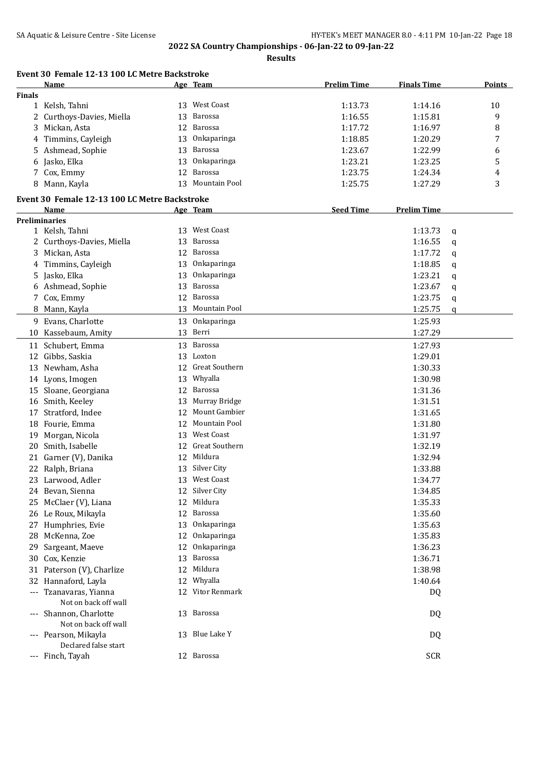|               | Name                                           |    | Age Team              | <b>Prelim Time</b> | <b>Finals Time</b> | <b>Points</b> |
|---------------|------------------------------------------------|----|-----------------------|--------------------|--------------------|---------------|
| <b>Finals</b> |                                                |    |                       |                    |                    |               |
|               | 1 Kelsh, Tahni                                 |    | 13 West Coast         | 1:13.73            | 1:14.16            | 10            |
|               | 2 Curthoys-Davies, Miella                      |    | 13 Barossa            | 1:16.55            | 1:15.81            | 9             |
|               | 3 Mickan, Asta                                 |    | 12 Barossa            | 1:17.72            | 1:16.97            | 8             |
|               | 4 Timmins, Cayleigh                            | 13 | Onkaparinga           | 1:18.85            | 1:20.29            | 7             |
|               | 5 Ashmead, Sophie                              | 13 | Barossa               | 1:23.67            | 1:22.99            | 6             |
|               | 6 Jasko, Elka                                  | 13 | Onkaparinga           | 1:23.21            | 1:23.25            | 5             |
|               | 7 Cox, Emmy                                    | 12 | Barossa               | 1:23.75            | 1:24.34            | 4             |
|               | 8 Mann, Kayla                                  |    | 13 Mountain Pool      | 1:25.75            | 1:27.29            | 3             |
|               | Event 30 Female 12-13 100 LC Metre Backstroke  |    |                       |                    |                    |               |
|               | Name                                           |    | Age Team              | <b>Seed Time</b>   | <b>Prelim Time</b> |               |
|               | <b>Preliminaries</b>                           |    | 13 West Coast         |                    |                    |               |
|               | 1 Kelsh, Tahni                                 |    |                       |                    | 1:13.73            | q             |
|               | 2 Curthoys-Davies, Miella                      |    | 13 Barossa            |                    | 1:16.55            | q             |
|               | 3 Mickan, Asta                                 | 12 | Barossa               |                    | 1:17.72            | q             |
|               | 4 Timmins, Cayleigh                            | 13 | Onkaparinga           |                    | 1:18.85            | q             |
|               | 5 Jasko, Elka                                  | 13 | Onkaparinga           |                    | 1:23.21            | q             |
|               | 6 Ashmead, Sophie                              | 13 | Barossa               |                    | 1:23.67            | q             |
|               | 7 Cox, Emmy                                    | 12 | Barossa               |                    | 1:23.75            | q             |
|               | 8 Mann, Kayla                                  | 13 | Mountain Pool         |                    | 1:25.75            | q             |
|               | 9 Evans, Charlotte                             | 13 | Onkaparinga           |                    | 1:25.93            |               |
|               | 10 Kassebaum, Amity                            |    | 13 Berri              |                    | 1:27.29            |               |
|               | 11 Schubert, Emma                              |    | 13 Barossa            |                    | 1:27.93            |               |
|               | 12 Gibbs, Saskia                               |    | 13 Loxton             |                    | 1:29.01            |               |
|               | 13 Newham, Asha                                |    | 12 Great Southern     |                    | 1:30.33            |               |
|               | 14 Lyons, Imogen                               |    | 13 Whyalla            |                    | 1:30.98            |               |
|               | 15 Sloane, Georgiana                           |    | 12 Barossa            |                    | 1:31.36            |               |
| 16            | Smith, Keeley                                  |    | 13 Murray Bridge      |                    | 1:31.51            |               |
| 17            | Stratford, Indee                               | 12 | Mount Gambier         |                    | 1:31.65            |               |
|               | 18 Fourie, Emma                                | 12 | Mountain Pool         |                    | 1:31.80            |               |
|               |                                                |    | <b>West Coast</b>     |                    |                    |               |
| 19            | Morgan, Nicola                                 | 13 |                       |                    | 1:31.97            |               |
|               | 20 Smith, Isabelle                             | 12 | <b>Great Southern</b> |                    | 1:32.19            |               |
|               | 21 Garner (V), Danika                          | 12 | Mildura               |                    | 1:32.94            |               |
|               | 22 Ralph, Briana                               | 13 | Silver City           |                    | 1:33.88            |               |
|               | 23 Larwood, Adler                              |    | 13 West Coast         |                    | 1:34.77            |               |
|               | 24 Bevan, Sienna                               |    | 12 Silver City        |                    | 1:34.85            |               |
| 25            | McClaer (V), Liana                             | 12 | Mildura               |                    | 1:35.33            |               |
| 26            | Le Roux, Mikayla                               |    | 12 Barossa            |                    | 1:35.60            |               |
| 27            | Humphries, Evie                                | 13 | Onkaparinga           |                    | 1:35.63            |               |
| 28            | McKenna, Zoe                                   | 12 | Onkaparinga           |                    | 1:35.83            |               |
| 29            | Sargeant, Maeve                                | 12 | Onkaparinga           |                    | 1:36.23            |               |
|               | 30 Cox, Kenzie                                 |    | 13 Barossa            |                    | 1:36.71            |               |
|               | 31 Paterson (V), Charlize                      |    | 12 Mildura            |                    | 1:38.98            |               |
| 32            | Hannaford, Layla                               |    | 12 Whyalla            |                    | 1:40.64            |               |
|               | --- Tzanavaras, Yianna<br>Not on back off wall |    | 12 Vitor Renmark      |                    | DQ                 |               |
| $\cdots$      | Shannon, Charlotte<br>Not on back off wall     |    | 13 Barossa            |                    | DQ                 |               |
| $---$         | Pearson, Mikayla<br>Declared false start       |    | 13 Blue Lake Y        |                    | DQ                 |               |
| ---           | Finch, Tayah                                   |    | 12 Barossa            |                    | <b>SCR</b>         |               |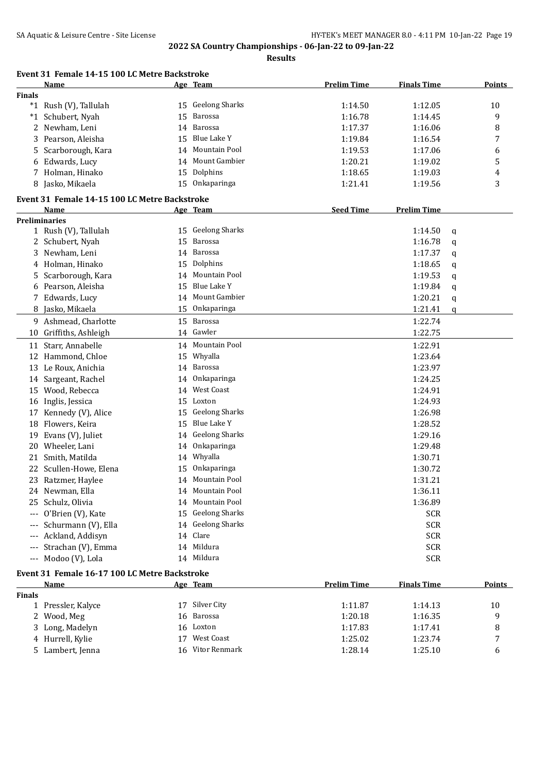|               | Event 31 Female 14-15 100 LC Metre Backstroke |    |                       |                    |                    |   |               |
|---------------|-----------------------------------------------|----|-----------------------|--------------------|--------------------|---|---------------|
|               | Name                                          |    | Age Team              | <b>Prelim Time</b> | <b>Finals Time</b> |   | <b>Points</b> |
| <b>Finals</b> |                                               |    |                       |                    |                    |   |               |
|               | *1 Rush (V), Tallulah                         |    | 15 Geelong Sharks     | 1:14.50            | 1:12.05            |   | 10            |
|               | *1 Schubert, Nyah                             | 15 | Barossa               | 1:16.78            | 1:14.45            |   | 9             |
|               | 2 Newham, Leni                                | 14 | Barossa               | 1:17.37            | 1:16.06            |   | 8             |
| 3             | Pearson, Aleisha                              | 15 | Blue Lake Y           | 1:19.84            | 1:16.54            |   | 7             |
| 5             | Scarborough, Kara                             | 14 | Mountain Pool         | 1:19.53            | 1:17.06            |   | 6             |
|               | 6 Edwards, Lucy                               | 14 | Mount Gambier         | 1:20.21            | 1:19.02            |   | 5             |
|               | 7 Holman, Hinako                              | 15 | Dolphins              | 1:18.65            | 1:19.03            |   | 4             |
|               | 8 Jasko, Mikaela                              |    | 15 Onkaparinga        | 1:21.41            | 1:19.56            |   | 3             |
|               | Event 31 Female 14-15 100 LC Metre Backstroke |    |                       |                    |                    |   |               |
|               | Name                                          |    | Age Team              | <b>Seed Time</b>   | <b>Prelim Time</b> |   |               |
|               | <b>Preliminaries</b>                          |    |                       |                    |                    |   |               |
|               | 1 Rush (V), Tallulah                          |    | 15 Geelong Sharks     |                    | 1:14.50            | q |               |
|               | 2 Schubert, Nyah                              | 15 | Barossa               |                    | 1:16.78            | q |               |
|               | 3 Newham, Leni                                |    | 14 Barossa            |                    | 1:17.37            | q |               |
|               | 4 Holman, Hinako                              | 15 | Dolphins              |                    | 1:18.65            | q |               |
|               | 5 Scarborough, Kara                           | 14 | Mountain Pool         |                    | 1:19.53            | q |               |
|               | 6 Pearson, Aleisha                            | 15 | Blue Lake Y           |                    | 1:19.84            | q |               |
| 7             | Edwards, Lucy                                 | 14 | Mount Gambier         |                    | 1:20.21            | q |               |
| 8             | Jasko, Mikaela                                | 15 | Onkaparinga           |                    | 1:21.41            | q |               |
|               | 9 Ashmead, Charlotte                          | 15 | Barossa               |                    | 1:22.74            |   |               |
|               | 10 Griffiths, Ashleigh                        |    | 14 Gawler             |                    | 1:22.75            |   |               |
|               | 11 Starr, Annabelle                           |    | 14 Mountain Pool      |                    | 1:22.91            |   |               |
|               | 12 Hammond, Chloe                             | 15 | Whyalla               |                    | 1:23.64            |   |               |
|               | 13 Le Roux, Anichia                           | 14 | Barossa               |                    | 1:23.97            |   |               |
|               | 14 Sargeant, Rachel                           | 14 | Onkaparinga           |                    | 1:24.25            |   |               |
|               | 15 Wood, Rebecca                              | 14 | <b>West Coast</b>     |                    | 1:24.91            |   |               |
|               | 16 Inglis, Jessica                            | 15 | Loxton                |                    | 1:24.93            |   |               |
| 17            | Kennedy (V), Alice                            | 15 | <b>Geelong Sharks</b> |                    | 1:26.98            |   |               |
|               | 18 Flowers, Keira                             | 15 | Blue Lake Y           |                    | 1:28.52            |   |               |
|               | 19 Evans (V), Juliet                          |    | 14 Geelong Sharks     |                    | 1:29.16            |   |               |
| 20            | Wheeler, Lani                                 | 14 | Onkaparinga           |                    | 1:29.48            |   |               |
| 21            | Smith, Matilda                                | 14 | Whyalla               |                    | 1:30.71            |   |               |
|               | 22 Scullen-Howe, Elena                        | 15 | Onkaparinga           |                    | 1:30.72            |   |               |
|               | 23 Ratzmer, Haylee                            |    | 14 Mountain Pool      |                    | 1:31.21            |   |               |
|               | 24 Newman, Ella                               |    | 14 Mountain Pool      |                    | 1:36.11            |   |               |
|               | 25 Schulz, Olivia                             |    | 14 Mountain Pool      |                    | 1:36.89            |   |               |
|               |                                               |    | 15 Geelong Sharks     |                    |                    |   |               |
|               | --- O'Brien (V), Kate                         |    | 14 Geelong Sharks     |                    | SCR                |   |               |
|               | --- Schurmann (V), Ella                       |    | 14 Clare              |                    | <b>SCR</b>         |   |               |
|               | --- Ackland, Addisyn                          |    | 14 Mildura            |                    | <b>SCR</b>         |   |               |
|               | --- Strachan (V), Emma                        |    |                       |                    | <b>SCR</b>         |   |               |
|               | --- Modoo (V), Lola                           |    | 14 Mildura            |                    | <b>SCR</b>         |   |               |
|               | Event 31 Female 16-17 100 LC Metre Backstroke |    |                       |                    |                    |   |               |
|               | <b>Name</b>                                   |    | Age Team              | <b>Prelim Time</b> | <b>Finals Time</b> |   | <b>Points</b> |
| Finals        |                                               |    |                       |                    |                    |   |               |
|               | 1 Pressler, Kalyce                            |    | 17 Silver City        | 1:11.87            | 1:14.13            |   | 10            |
|               | 2 Wood, Meg                                   | 16 | Barossa               | 1:20.18            | 1:16.35            |   | 9             |
| 3             | Long, Madelyn                                 |    | 16 Loxton             | 1:17.83            | 1:17.41            |   | 8             |
|               | 4 Hurrell, Kylie                              |    | 17 West Coast         | 1:25.02            | 1:23.74            |   | 7             |
|               | 5 Lambert, Jenna                              |    | 16 Vitor Renmark      | 1:28.14            | 1:25.10            |   | 6             |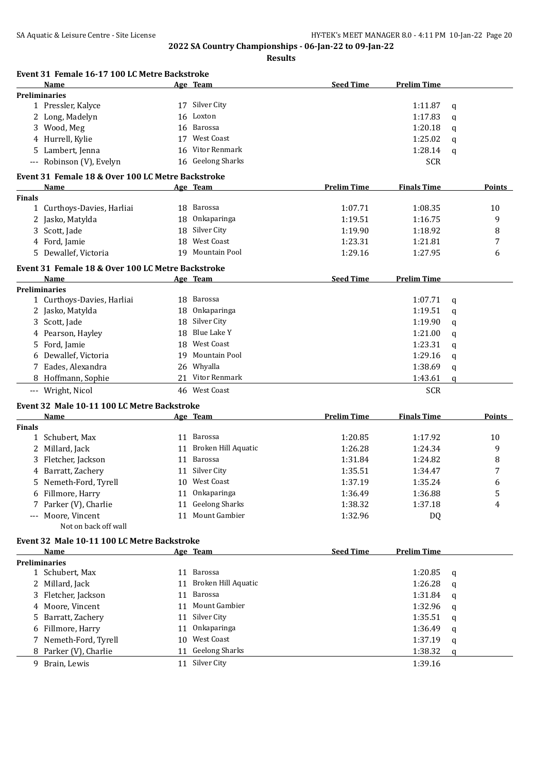|               |                                                   |    | Event 31 Female 16-17 100 LC Metre Backstroke |                    |                    |   |        |
|---------------|---------------------------------------------------|----|-----------------------------------------------|--------------------|--------------------|---|--------|
|               | Name                                              |    | Age Team                                      | <b>Seed Time</b>   | <b>Prelim Time</b> |   |        |
|               | <b>Preliminaries</b>                              |    |                                               |                    |                    |   |        |
|               | 1 Pressler, Kalyce                                |    | 17 Silver City                                |                    | 1:11.87            | q |        |
|               | 2 Long, Madelyn                                   |    | 16 Loxton                                     |                    | 1:17.83            | q |        |
|               | 3 Wood, Meg                                       |    | 16 Barossa                                    |                    | 1:20.18            | q |        |
|               | 4 Hurrell, Kylie                                  |    | 17 West Coast                                 |                    | 1:25.02            | q |        |
|               | 5 Lambert, Jenna                                  | 16 | Vitor Renmark                                 |                    | 1:28.14            | a |        |
|               | --- Robinson (V), Evelyn                          |    | 16 Geelong Sharks                             |                    | <b>SCR</b>         |   |        |
|               | Event 31 Female 18 & Over 100 LC Metre Backstroke |    |                                               |                    |                    |   |        |
|               | Name                                              |    | Age Team                                      | <b>Prelim Time</b> | <b>Finals Time</b> |   | Points |
| <b>Finals</b> |                                                   |    |                                               |                    |                    |   |        |
|               | 1 Curthoys-Davies, Harliai                        |    | 18 Barossa                                    | 1:07.71            | 1:08.35            |   | 10     |
|               | 2 Jasko, Matylda                                  | 18 | Onkaparinga                                   | 1:19.51            | 1:16.75            |   | 9      |
|               | 3 Scott, Jade                                     |    | 18 Silver City                                | 1:19.90            | 1:18.92            |   | 8      |
|               | 4 Ford, Jamie                                     |    | 18 West Coast                                 | 1:23.31            | 1:21.81            |   | 7      |
|               | 5 Dewallef, Victoria                              |    | 19 Mountain Pool                              | 1:29.16            | 1:27.95            |   | 6      |
|               | Event 31 Female 18 & Over 100 LC Metre Backstroke |    |                                               |                    |                    |   |        |
|               | Name                                              |    | Age Team                                      | <b>Seed Time</b>   | <b>Prelim Time</b> |   |        |
|               | Preliminaries                                     |    |                                               |                    |                    |   |        |
|               | 1 Curthoys-Davies, Harliai                        |    | 18 Barossa                                    |                    | 1:07.71            | q |        |
|               | 2 Jasko, Matylda                                  |    | 18 Onkaparinga                                |                    | 1:19.51            | a |        |
|               | 3 Scott, Jade                                     |    | 18 Silver City                                |                    | 1:19.90            | q |        |
|               | 4 Pearson, Hayley                                 |    | 18 Blue Lake Y                                |                    | 1:21.00            | q |        |
|               | 5 Ford, Jamie                                     |    | 18 West Coast                                 |                    | 1:23.31            | q |        |
|               | 6 Dewallef, Victoria                              |    | 19 Mountain Pool                              |                    | 1:29.16            | q |        |
| 7             | Eades, Alexandra                                  |    | 26 Whyalla                                    |                    | 1:38.69            |   |        |
|               |                                                   |    | 21 Vitor Renmark                              |                    |                    | q |        |
|               | 8 Hoffmann, Sophie                                |    | 46 West Coast                                 |                    | 1:43.61            | q |        |
|               | --- Wright, Nicol                                 |    |                                               |                    | <b>SCR</b>         |   |        |
|               | Event 32 Male 10-11 100 LC Metre Backstroke       |    |                                               |                    |                    |   | Points |
|               |                                                   |    |                                               |                    |                    |   |        |
|               | Name                                              |    | Age Team                                      | <b>Prelim Time</b> | <b>Finals Time</b> |   |        |
| <b>Finals</b> |                                                   |    |                                               |                    |                    |   |        |
|               | 1 Schubert, Max                                   |    | 11 Barossa                                    | 1:20.85            | 1:17.92            |   | 10     |
|               | 2 Millard, Jack                                   |    | 11 Broken Hill Aquatic                        | 1:26.28            | 1:24.34            |   | 9      |
|               | 3 Fletcher, Jackson                               |    | 11 Barossa                                    | 1:31.84            | 1:24.82            |   | 8      |
|               | 4 Barratt, Zachery                                |    | 11 Silver City                                | 1:35.51            | 1:34.47            |   | 7      |
|               | 5 Nemeth-Ford, Tyrell                             |    | 10 West Coast                                 | 1:37.19            | 1:35.24            |   | 6      |
|               | 6 Fillmore, Harry                                 |    | 11 Onkaparinga                                | 1:36.49            | 1:36.88            |   | 5      |
|               | Parker (V), Charlie                               | 11 | <b>Geelong Sharks</b>                         | 1:38.32            | 1:37.18            |   | 4      |
| ---           | Moore, Vincent                                    |    | 11 Mount Gambier                              | 1:32.96            | DQ                 |   |        |
|               | Not on back off wall                              |    |                                               |                    |                    |   |        |
|               | Event 32 Male 10-11 100 LC Metre Backstroke       |    |                                               |                    |                    |   |        |
|               | Name                                              |    | Age Team                                      | <b>Seed Time</b>   | <b>Prelim Time</b> |   |        |
|               | <b>Preliminaries</b>                              |    |                                               |                    |                    |   |        |
|               | 1 Schubert, Max                                   |    | 11 Barossa                                    |                    | 1:20.85            | q |        |
|               | 2 Millard, Jack                                   | 11 | Broken Hill Aquatic                           |                    | 1:26.28            | q |        |
| 3             | Fletcher, Jackson                                 | 11 | Barossa                                       |                    | 1:31.84            | q |        |
| 4             | Moore, Vincent                                    | 11 | Mount Gambier                                 |                    | 1:32.96            | q |        |
| 5             | Barratt, Zachery                                  | 11 | Silver City                                   |                    | 1:35.51            | q |        |
| 6             | Fillmore, Harry                                   | 11 | Onkaparinga                                   |                    | 1:36.49            | q |        |
| 7             | Nemeth-Ford, Tyrell                               |    | 10 West Coast                                 |                    | 1:37.19            | q |        |
|               | 8 Parker (V), Charlie                             | 11 | <b>Geelong Sharks</b>                         |                    | 1:38.32            | q |        |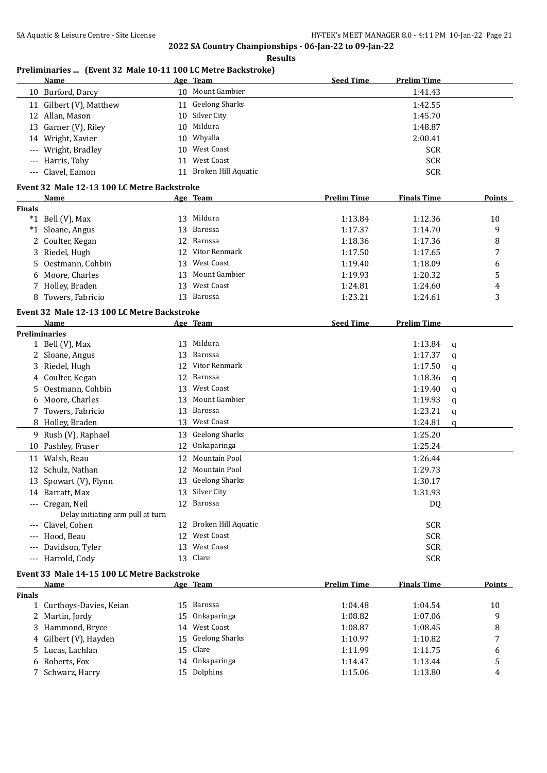**Results**

|               | Name                                        |    | Age Team               | <b>Seed Time</b>   | <b>Prelim Time</b> |   |        |
|---------------|---------------------------------------------|----|------------------------|--------------------|--------------------|---|--------|
|               | 10 Burford, Darcy                           |    | 10 Mount Gambier       |                    | 1:41.43            |   |        |
|               | 11 Gilbert (V), Matthew                     |    | 11 Geelong Sharks      |                    | 1:42.55            |   |        |
|               | 12 Allan, Mason                             |    | 10 Silver City         |                    | 1:45.70            |   |        |
|               | 13 Garner (V), Riley                        |    | 10 Mildura             |                    | 1:48.87            |   |        |
|               | 14 Wright, Xavier                           |    | 10 Whyalla             |                    | 2:00.41            |   |        |
|               | Wright, Bradley                             |    | 10 West Coast          |                    | <b>SCR</b>         |   |        |
|               | --- Harris, Toby                            |    | 11 West Coast          |                    | <b>SCR</b>         |   |        |
|               | Clavel, Eamon                               |    | 11 Broken Hill Aquatic |                    | <b>SCR</b>         |   |        |
|               | Event 32 Male 12-13 100 LC Metre Backstroke |    |                        |                    |                    |   |        |
|               | Name                                        |    | Age Team               | <b>Prelim Time</b> | <b>Finals Time</b> |   | Points |
| <b>Finals</b> |                                             |    |                        |                    |                    |   |        |
|               | $*1$ Bell (V), Max                          |    | 13 Mildura             | 1:13.84            | 1:12.36            |   | 10     |
|               | *1 Sloane, Angus                            |    | 13 Barossa             | 1:17.37            | 1:14.70            |   | 9      |
|               | 2 Coulter, Kegan                            |    | 12 Barossa             | 1:18.36            | 1:17.36            |   | 8      |
|               | 3 Riedel, Hugh                              | 12 | Vitor Renmark          | 1:17.50            | 1:17.65            |   | 7      |
| 5.            | Oestmann, Cohbin                            |    | 13 West Coast          | 1:19.40            | 1:18.09            |   | 6      |
| 6             | Moore, Charles                              | 13 | Mount Gambier          | 1:19.93            | 1:20.32            |   | 5      |
|               | 7 Holley, Braden                            |    | 13 West Coast          | 1:24.81            | 1:24.60            |   | 4      |
|               | 8 Towers, Fabricio                          |    | 13 Barossa             | 1:23.21            | 1:24.61            |   | 3      |
|               |                                             |    |                        |                    |                    |   |        |
|               | Event 32 Male 12-13 100 LC Metre Backstroke |    |                        |                    |                    |   |        |
|               | Name<br><b>Preliminaries</b>                |    | <u>Age Team</u>        | <b>Seed Time</b>   | <b>Prelim Time</b> |   |        |
|               | 1 Bell (V), Max                             |    | 13 Mildura             |                    | 1:13.84            | q |        |
|               | 2 Sloane, Angus                             | 13 | <b>Barossa</b>         |                    | 1:17.37            |   |        |
|               | 3 Riedel, Hugh                              | 12 | Vitor Renmark          |                    | 1:17.50            | q |        |
|               | 4 Coulter, Kegan                            | 12 | <b>Barossa</b>         |                    | 1:18.36            | q |        |
|               | 5 Oestmann, Cohbin                          | 13 | West Coast             |                    | 1:19.40            | q |        |
|               | 6 Moore, Charles                            | 13 | Mount Gambier          |                    | 1:19.93            | q |        |
|               |                                             |    | 13 Barossa             |                    |                    | q |        |
|               | 7 Towers, Fabricio                          |    | 13 West Coast          |                    | 1:23.21            | q |        |
|               | 8 Holley, Braden                            |    |                        |                    | 1:24.81            | q |        |
| 9             | Rush (V), Raphael                           |    | 13 Geelong Sharks      |                    | 1:25.20            |   |        |
|               | 10 Pashley, Fraser                          |    | 12 Onkaparinga         |                    | 1:25.24            |   |        |
|               | 11 Walsh, Beau                              |    | 12 Mountain Pool       |                    | 1:26.44            |   |        |
|               | 12 Schulz, Nathan                           | 12 | Mountain Pool          |                    | 1:29.73            |   |        |
|               | 13 Spowart (V), Flynn                       |    | 13 Geelong Sharks      |                    | 1:30.17            |   |        |
|               | 14 Barratt, Max                             |    | 13 Silver City         |                    | 1:31.93            |   |        |
|               | --- Cregan, Neil                            |    | 12 Barossa             |                    | DQ                 |   |        |
|               | Delay initiating arm pull at turn           |    |                        |                    |                    |   |        |
|               | --- Clavel, Cohen                           |    | 12 Broken Hill Aquatic |                    | <b>SCR</b>         |   |        |
|               | Hood, Beau                                  | 12 | West Coast             |                    | <b>SCR</b>         |   |        |
|               | Davidson, Tyler                             | 13 | West Coast             |                    | <b>SCR</b>         |   |        |
|               | --- Harrold, Cody                           |    | 13 Clare               |                    | <b>SCR</b>         |   |        |
|               | Event 33 Male 14-15 100 LC Metre Backstroke |    |                        |                    |                    |   |        |
|               | <b>Name</b>                                 |    | Age Team               | <b>Prelim Time</b> | <b>Finals Time</b> |   | Points |
| <b>Finals</b> |                                             |    |                        |                    |                    |   |        |
|               | 1 Curthoys-Davies, Keian                    |    | 15 Barossa             | 1:04.48            | 1:04.54            |   | 10     |
|               | 2 Martin, Jordy                             |    | 15 Onkaparinga         | 1:08.82            | 1:07.06            |   | 9      |
|               | 3 Hammond, Bryce                            |    | 14 West Coast          | 1:08.87            | 1:08.45            |   | 8      |
|               | 4 Gilbert (V), Hayden                       |    | 15 Geelong Sharks      | 1:10.97            | 1:10.82            |   | 7      |
|               | 5 Lucas, Lachlan                            |    | 15 Clare               | 1:11.99            | 1:11.75            |   | 6      |
|               | 6 Roberts, Fox                              |    | 14 Onkaparinga         | 1:14.47            | 1:13.44            |   | 5      |
|               | 7 Schwarz, Harry                            |    | 15 Dolphins            | 1:15.06            | 1:13.80            |   | 4      |

### **Preliminaries ... (Event 32 Male 10-11 100 LC Metre Backstroke)**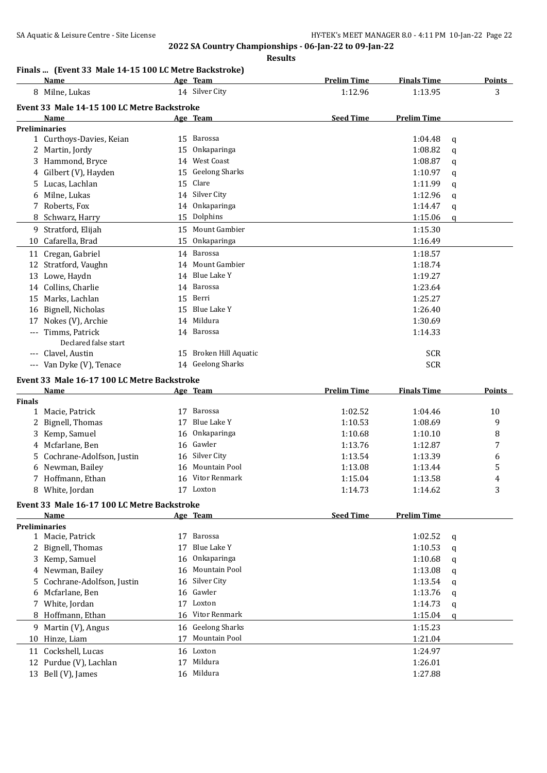#### **Results**

# **Finals ... (Event 33 Male 14-15 100 LC Metre Backstroke)**

|               | Name                                        |     | Age Team                  | <b>Prelim Time</b> | <b>Finals Time</b> |   | <b>Points</b> |
|---------------|---------------------------------------------|-----|---------------------------|--------------------|--------------------|---|---------------|
|               | 8 Milne, Lukas                              |     | 14 Silver City            | 1:12.96            | 1:13.95            |   | 3             |
|               | Event 33 Male 14-15 100 LC Metre Backstroke |     |                           |                    |                    |   |               |
|               | Name                                        |     | <u>Age Team</u>           | <b>Seed Time</b>   | <b>Prelim Time</b> |   |               |
|               | <b>Preliminaries</b>                        |     |                           |                    |                    |   |               |
|               | 1 Curthoys-Davies, Keian                    |     | 15 Barossa                |                    | 1:04.48            | q |               |
|               | 2 Martin, Jordy                             | 15  | Onkaparinga               |                    | 1:08.82            | q |               |
|               | Hammond, Bryce                              | 14  | <b>West Coast</b>         |                    | 1:08.87            | q |               |
|               | 4 Gilbert (V), Hayden                       | 15  | <b>Geelong Sharks</b>     |                    | 1:10.97            | q |               |
| 5.            | Lucas, Lachlan                              | 15  | Clare                     |                    | 1:11.99            | q |               |
|               | Milne, Lukas                                |     | 14 Silver City            |                    | 1:12.96            | q |               |
|               | 7 Roberts, Fox                              |     | 14 Onkaparinga            |                    | 1:14.47            |   |               |
| 8             | Schwarz, Harry                              |     | 15 Dolphins               |                    | 1:15.06            | q |               |
|               |                                             |     |                           |                    |                    | q |               |
| 9             | Stratford, Elijah                           |     | 15 Mount Gambier          |                    | 1:15.30            |   |               |
|               | 10 Cafarella, Brad                          | 15  | Onkaparinga               |                    | 1:16.49            |   |               |
|               | 11 Cregan, Gabriel                          | 14  | Barossa                   |                    | 1:18.57            |   |               |
|               | 12 Stratford, Vaughn                        |     | 14 Mount Gambier          |                    | 1:18.74            |   |               |
|               | 13 Lowe, Haydn                              | 14  | Blue Lake Y               |                    | 1:19.27            |   |               |
|               | 14 Collins, Charlie                         |     | 14 Barossa                |                    | 1:23.64            |   |               |
|               | 15 Marks, Lachlan                           |     | 15 Berri                  |                    | 1:25.27            |   |               |
|               | 16 Bignell, Nicholas                        |     | 15 Blue Lake Y            |                    | 1:26.40            |   |               |
| 17            | Nokes (V), Archie                           | 14  | Mildura                   |                    | 1:30.69            |   |               |
|               | Timms, Patrick<br>Declared false start      |     | 14 Barossa                |                    | 1:14.33            |   |               |
|               | --- Clavel, Austin                          | 15  | Broken Hill Aquatic       |                    | <b>SCR</b>         |   |               |
|               | --- Van Dyke (V), Tenace                    |     | 14 Geelong Sharks         |                    | <b>SCR</b>         |   |               |
|               |                                             |     |                           |                    |                    |   |               |
|               | Event 33 Male 16-17 100 LC Metre Backstroke |     |                           |                    |                    |   |               |
|               | Name                                        |     | Age Team                  | <b>Prelim Time</b> | <b>Finals Time</b> |   | Points        |
| <b>Finals</b> |                                             |     |                           |                    |                    |   |               |
| $\mathbf{1}$  | Macie, Patrick                              |     | 17 Barossa<br>Blue Lake Y | 1:02.52            | 1:04.46            |   | 10            |
| 2             | Bignell, Thomas                             | 17  |                           | 1:10.53            | 1:08.69            |   | 9             |
| 3             | Kemp, Samuel                                | 16  | Onkaparinga               | 1:10.68            | 1:10.10            |   | 8             |
| 4             | Mcfarlane, Ben                              | 16  | Gawler                    | 1:13.76            | 1:12.87            |   | 7             |
| 5             | Cochrane-Adolfson, Justin                   | 16  | Silver City               | 1:13.54            | 1:13.39            |   | 6             |
| 6             | Newman, Bailey                              |     | 16 Mountain Pool          | 1:13.08            | 1:13.44            |   | 5             |
| 7             | Hoffmann, Ethan                             |     | 16 Vitor Renmark          | 1:15.04            | 1:13.58            |   | 4             |
|               | 8 White, Jordan                             |     | 17 Loxton                 | 1:14.73            | 1:14.62            |   | 3             |
|               | Event 33 Male 16-17 100 LC Metre Backstroke |     |                           |                    |                    |   |               |
|               | Name                                        |     | Age Team                  | <b>Seed Time</b>   | <b>Prelim Time</b> |   |               |
|               | <b>Preliminaries</b>                        |     |                           |                    |                    |   |               |
|               | 1 Macie, Patrick                            |     | 17 Barossa                |                    | 1:02.52            | q |               |
| 2.            | Bignell, Thomas                             | 17  | Blue Lake Y               |                    | 1:10.53            | q |               |
|               | 3 Kemp, Samuel                              | 16  | Onkaparinga               |                    | 1:10.68            | q |               |
|               | 4 Newman, Bailey                            | 16. | <b>Mountain Pool</b>      |                    | 1:13.08            | q |               |
| 5.            | Cochrane-Adolfson, Justin                   | 16  | Silver City               |                    | 1:13.54            | q |               |
| 6             | Mcfarlane, Ben                              |     | 16 Gawler                 |                    | 1:13.76            | q |               |
|               | 7 White, Jordan                             | 17  | Loxton                    |                    | 1:14.73            | q |               |
|               | 8 Hoffmann, Ethan                           | 16  | Vitor Renmark             |                    | 1:15.04            | q |               |
|               | 9 Martin (V), Angus                         | 16  | <b>Geelong Sharks</b>     |                    | 1:15.23            |   |               |
| 10            | Hinze, Liam                                 | 17  | Mountain Pool             |                    | 1:21.04            |   |               |
|               | 11 Cockshell, Lucas                         |     | 16 Loxton                 |                    | 1:24.97            |   |               |
|               | 12 Purdue (V), Lachlan                      |     | 17 Mildura                |                    | 1:26.01            |   |               |
|               | 13 Bell (V), James                          |     | 16 Mildura                |                    | 1:27.88            |   |               |
|               |                                             |     |                           |                    |                    |   |               |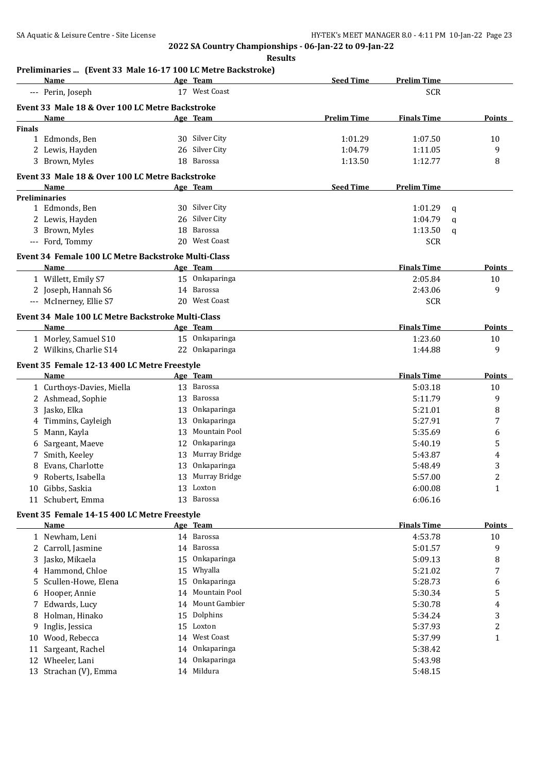**Results**

# **Preliminaries ... (Event 33 Male 16-17 100 LC Metre Backstroke)**

|               | Name                                                        |    | Age Team         | <b>Seed Time</b>   | <b>Prelim Time</b> |               |
|---------------|-------------------------------------------------------------|----|------------------|--------------------|--------------------|---------------|
|               | --- Perin, Joseph                                           |    | 17 West Coast    |                    | <b>SCR</b>         |               |
|               | Event 33 Male 18 & Over 100 LC Metre Backstroke             |    |                  |                    |                    |               |
|               | Name                                                        |    | Age Team         | <b>Prelim Time</b> | <b>Finals Time</b> | Points        |
| <b>Finals</b> |                                                             |    |                  |                    |                    |               |
|               | 1 Edmonds, Ben                                              |    | 30 Silver City   | 1:01.29            | 1:07.50            | 10            |
|               | 2 Lewis, Hayden                                             |    | 26 Silver City   | 1:04.79            | 1:11.05            | 9             |
|               | 3 Brown, Myles                                              |    | 18 Barossa       | 1:13.50            | 1:12.77            | 8             |
|               | Event 33 Male 18 & Over 100 LC Metre Backstroke             |    |                  |                    |                    |               |
|               | Name                                                        |    | Age Team         | <b>Seed Time</b>   | <b>Prelim Time</b> |               |
|               | <b>Preliminaries</b>                                        |    |                  |                    |                    |               |
|               | 1 Edmonds, Ben                                              |    | 30 Silver City   |                    | 1:01.29<br>q       |               |
|               | 2 Lewis, Hayden                                             |    | 26 Silver City   |                    | 1:04.79            |               |
|               |                                                             |    | 18 Barossa       |                    | q<br>1:13.50       |               |
|               | 3 Brown, Myles                                              |    | 20 West Coast    |                    | q                  |               |
|               | --- Ford, Tommy                                             |    |                  |                    | <b>SCR</b>         |               |
|               | Event 34 Female 100 LC Metre Backstroke Multi-Class         |    |                  |                    |                    |               |
|               | <b>Name</b>                                                 |    | Age Team         |                    | <b>Finals Time</b> | Points        |
|               | 1 Willett, Emily S7                                         |    | 15 Onkaparinga   |                    | 2:05.84            | 10            |
|               | 2 Joseph, Hannah S6                                         |    | 14 Barossa       |                    | 2:43.06            | 9             |
|               | --- McInerney, Ellie S7                                     |    | 20 West Coast    |                    | <b>SCR</b>         |               |
|               | Event 34 Male 100 LC Metre Backstroke Multi-Class           |    |                  |                    |                    |               |
|               | Name                                                        |    | Age Team         |                    | <b>Finals Time</b> | <b>Points</b> |
|               | 1 Morley, Samuel S10                                        |    | 15 Onkaparinga   |                    | 1:23.60            | 10            |
|               | 2 Wilkins, Charlie S14                                      |    | 22 Onkaparinga   |                    | 1:44.88            | 9             |
|               |                                                             |    |                  |                    |                    |               |
|               | Event 35 Female 12-13 400 LC Metre Freestyle                |    |                  |                    |                    |               |
|               | Name                                                        |    | Age Team         |                    | <b>Finals Time</b> | Points        |
|               | 1 Curthoys-Davies, Miella                                   |    | 13 Barossa       |                    | 5:03.18            | 10            |
|               | 2 Ashmead, Sophie                                           | 13 | Barossa          |                    | 5:11.79            | 9             |
|               | 3 Jasko, Elka                                               | 13 | Onkaparinga      |                    | 5:21.01            | 8             |
|               | 4 Timmins, Cayleigh                                         | 13 | Onkaparinga      |                    | 5:27.91            | 7             |
| 5.            | Mann, Kayla                                                 | 13 | Mountain Pool    |                    | 5:35.69            | 6             |
| 6             | Sargeant, Maeve                                             | 12 | Onkaparinga      |                    | 5:40.19            | 5             |
|               | 7 Smith, Keeley                                             |    | 13 Murray Bridge |                    | 5:43.87            | 4             |
| 8             | Evans, Charlotte                                            | 13 | Onkaparinga      |                    | 5:48.49            | 3             |
| 9.            | Roberts, Isabella                                           |    | 13 Murray Bridge |                    | 5:57.00            | 2             |
|               | 10 Gibbs, Saskia                                            |    | 13 Loxton        |                    | 6:00.08            | 1             |
|               | 11 Schubert, Emma                                           |    | 13 Barossa       |                    | 6:06.16            |               |
|               |                                                             |    |                  |                    |                    |               |
|               | Event 35 Female 14-15 400 LC Metre Freestyle<br><u>Name</u> |    | Age Team         |                    | <b>Finals Time</b> | <b>Points</b> |
|               |                                                             |    | 14 Barossa       |                    | 4:53.78            |               |
|               | 1 Newham, Leni                                              |    |                  |                    |                    | 10            |
|               | 2 Carroll, Jasmine                                          |    | 14 Barossa       |                    | 5:01.57            | 9             |
|               | 3 Jasko, Mikaela                                            | 15 | Onkaparinga      |                    | 5:09.13            | 8             |
|               | 4 Hammond, Chloe                                            |    | 15 Whyalla       |                    | 5:21.02            | 7             |
| 5.            | Scullen-Howe, Elena                                         | 15 | Onkaparinga      |                    | 5:28.73            | 6             |
|               | 6 Hooper, Annie                                             | 14 | Mountain Pool    |                    | 5:30.34            | 5             |
| 7.            | Edwards, Lucy                                               |    | 14 Mount Gambier |                    | 5:30.78            | 4             |
| 8             | Holman, Hinako                                              |    | 15 Dolphins      |                    | 5:34.24            | 3             |
| 9.            | Inglis, Jessica                                             |    | 15 Loxton        |                    | 5:37.93            | 2             |
| 10            | Wood, Rebecca                                               |    | 14 West Coast    |                    | 5:37.99            | 1             |
| 11            | Sargeant, Rachel                                            |    | 14 Onkaparinga   |                    | 5:38.42            |               |
|               | 12 Wheeler, Lani                                            |    | 14 Onkaparinga   |                    | 5:43.98            |               |
|               | 13 Strachan (V), Emma                                       |    | 14 Mildura       |                    | 5:48.15            |               |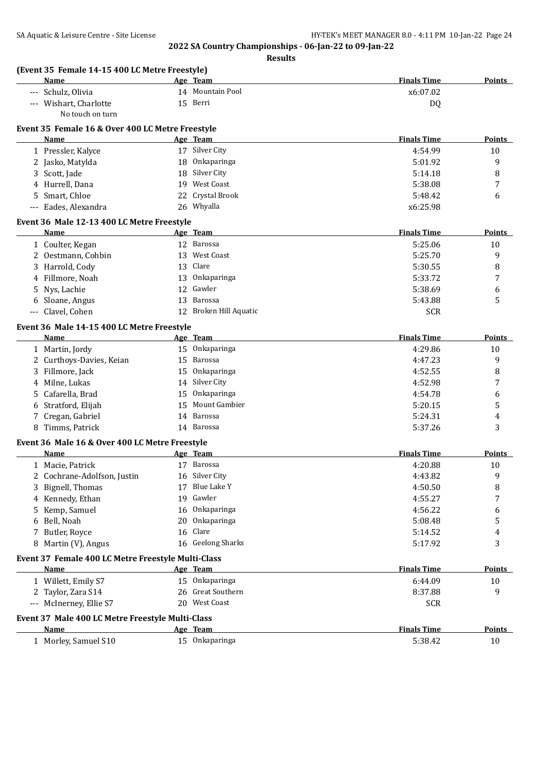| Name                                               |    | Age Team               | <b>Finals Time</b> | <b>Points</b> |
|----------------------------------------------------|----|------------------------|--------------------|---------------|
| --- Schulz, Olivia                                 |    | 14 Mountain Pool       | x6:07.02           |               |
| --- Wishart, Charlotte                             |    | 15 Berri               | DQ                 |               |
| No touch on turn                                   |    |                        |                    |               |
| Event 35 Female 16 & Over 400 LC Metre Freestyle   |    |                        |                    |               |
| Name                                               |    | <u>Age Team</u>        | <b>Finals Time</b> | Points        |
| 1 Pressler, Kalyce                                 |    | 17 Silver City         | 4:54.99            | 10            |
| 2 Jasko, Matylda                                   | 18 | Onkaparinga            | 5:01.92            | 9             |
| 3 Scott, Jade                                      | 18 | Silver City            | 5:14.18            | 8             |
| 4 Hurrell, Dana                                    |    | 19 West Coast          | 5:38.08            | 7             |
| 5 Smart, Chloe                                     | 22 | Crystal Brook          | 5:48.42            | 6             |
| --- Eades, Alexandra                               |    | 26 Whyalla             | x6:25.98           |               |
| Event 36 Male 12-13 400 LC Metre Freestyle         |    |                        |                    |               |
| Name                                               |    | Age Team               | <b>Finals Time</b> | Points        |
| 1 Coulter, Kegan                                   |    | 12 Barossa             | 5:25.06            | 10            |
| 2 Oestmann, Cohbin                                 | 13 | West Coast             | 5:25.70            | 9             |
| 3 Harrold, Cody                                    | 13 | Clare                  | 5:30.55            | 8             |
| 4 Fillmore, Noah                                   | 13 | Onkaparinga            | 5:33.72            | 7             |
| 5 Nys, Lachie                                      | 12 | Gawler                 | 5:38.69            | 6             |
| 6 Sloane, Angus                                    | 13 | Barossa                | 5:43.88            | 5             |
| Clavel, Cohen<br>$---$                             |    | 12 Broken Hill Aquatic | <b>SCR</b>         |               |
| Event 36 Male 14-15 400 LC Metre Freestyle         |    |                        |                    |               |
| Name                                               |    | Age Team               | <b>Finals Time</b> | Points        |
| 1 Martin, Jordy                                    |    | 15 Onkaparinga         | 4:29.86            | 10            |
| 2 Curthoys-Davies, Keian                           | 15 | Barossa                | 4:47.23            | 9             |
| 3 Fillmore, Jack                                   | 15 | Onkaparinga            | 4:52.55            | 8             |
| 4 Milne, Lukas                                     |    | 14 Silver City         | 4:52.98            | 7             |
| 5 Cafarella, Brad                                  | 15 | Onkaparinga            | 4:54.78            | 6             |
| 6 Stratford, Elijah                                | 15 | Mount Gambier          | 5:20.15            | 5             |
| 7 Cregan, Gabriel                                  |    | 14 Barossa             | 5:24.31            | 4             |
| 8 Timms, Patrick                                   |    | 14 Barossa             | 5:37.26            | 3             |
| Event 36 Male 16 & Over 400 LC Metre Freestyle     |    |                        |                    |               |
| <b>Name</b>                                        |    | Age Team               | <b>Finals Time</b> | Points        |
| 1 Macie, Patrick                                   |    | 17 Barossa             | 4:20.88            | 10            |
| 2 Cochrane-Adolfson, Justin                        |    | 16 Silver City         | 4:43.82            | 9             |
| 3 Bignell, Thomas                                  |    | 17 Blue Lake Y         | 4:50.50            | 8             |
| 4 Kennedy, Ethan                                   | 19 | Gawler                 | 4:55.27            | 7             |
| 5 Kemp, Samuel                                     | 16 | Onkaparinga            | 4:56.22            | 6             |
| Bell, Noah<br>6                                    | 20 | Onkaparinga            | 5:08.48            | 5             |
| 7 Butler, Royce                                    | 16 | Clare                  | 5:14.52            | 4             |
| 8 Martin (V), Angus                                |    | 16 Geelong Sharks      | 5:17.92            | 3             |
| Event 37 Female 400 LC Metre Freestyle Multi-Class |    |                        |                    |               |
| Name                                               |    | Age Team               | <b>Finals Time</b> | <b>Points</b> |
| 1 Willett, Emily S7                                |    | 15 Onkaparinga         | 6:44.09            | 10            |
| 2 Taylor, Zara S14                                 |    | 26 Great Southern      | 8:37.88            | 9             |
| --- McInerney, Ellie S7                            |    | 20 West Coast          | <b>SCR</b>         |               |
| Event 37 Male 400 LC Metre Freestyle Multi-Class   |    |                        |                    |               |
| Name                                               |    | Age Team               | <b>Finals Time</b> | <b>Points</b> |
| 1 Morley, Samuel S10                               |    | 15 Onkaparinga         | 5:38.42            | 10            |
|                                                    |    |                        |                    |               |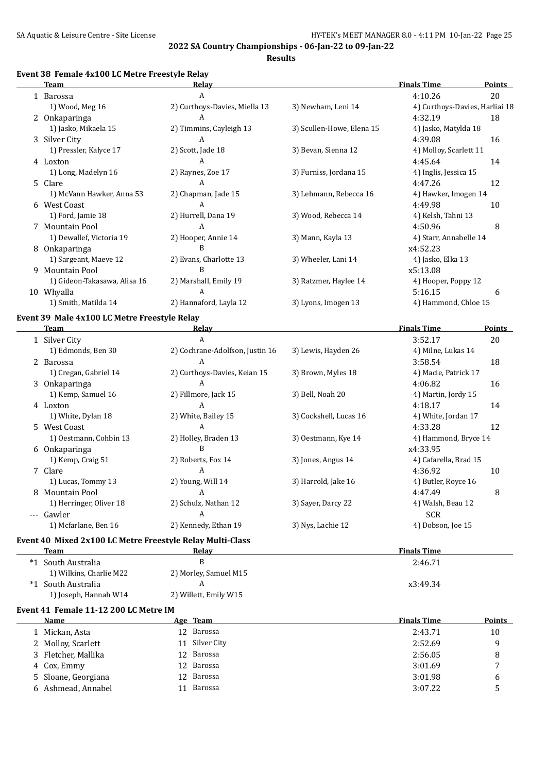**Results**

#### **Event 38 Female 4x100 LC Metre Freestyle Relay**

|    | <b>Team</b>                                  | Relay                         |                           | <b>Finals Time</b>             | Points        |
|----|----------------------------------------------|-------------------------------|---------------------------|--------------------------------|---------------|
|    | 1 Barossa                                    | A                             |                           | 4:10.26                        | 20            |
|    | 1) Wood, Meg 16                              | 2) Curthoys-Davies, Miella 13 | 3) Newham, Leni 14        | 4) Curthoys-Davies, Harliai 18 |               |
|    | 2 Onkaparinga                                | A                             |                           | 4:32.19                        | 18            |
|    | 1) Jasko, Mikaela 15                         | 2) Timmins, Cayleigh 13       | 3) Scullen-Howe, Elena 15 | 4) Jasko, Matylda 18           |               |
| 3  | Silver City                                  | A                             |                           | 4:39.08                        | 16            |
|    | 1) Pressler, Kalyce 17                       | 2) Scott, Jade 18             | 3) Bevan, Sienna 12       | 4) Molloy, Scarlett 11         |               |
|    | 4 Loxton                                     | A                             |                           | 4:45.64                        | 14            |
|    | 1) Long, Madelyn 16                          | 2) Raynes, Zoe 17             | 3) Furniss, Jordana 15    | 4) Inglis, Jessica 15          |               |
| 5. | Clare                                        | A                             |                           | 4:47.26                        | 12            |
|    | 1) McVann Hawker, Anna 53                    | 2) Chapman, Jade 15           | 3) Lehmann, Rebecca 16    | 4) Hawker, Imogen 14           |               |
|    | 6 West Coast                                 | A                             |                           | 4:49.98                        | 10            |
|    | 1) Ford, Jamie 18                            | 2) Hurrell, Dana 19           | 3) Wood, Rebecca 14       | 4) Kelsh, Tahni 13             |               |
|    | Mountain Pool                                | A                             |                           | 4:50.96                        | 8             |
|    | 1) Dewallef, Victoria 19                     | 2) Hooper, Annie 14           | 3) Mann, Kayla 13         | 4) Starr, Annabelle 14         |               |
| 8  | Onkaparinga                                  | B                             |                           | x4:52.23                       |               |
|    | 1) Sargeant, Maeve 12                        | 2) Evans, Charlotte 13        | 3) Wheeler, Lani 14       | 4) Jasko, Elka 13              |               |
| 9  | Mountain Pool                                | B                             |                           | x5:13.08                       |               |
|    | 1) Gideon-Takasawa, Alisa 16                 | 2) Marshall, Emily 19         | 3) Ratzmer, Haylee 14     | 4) Hooper, Poppy 12            |               |
|    | 10 Whyalla                                   | A                             |                           | 5:16.15                        | 6             |
|    | 1) Smith, Matilda 14                         | 2) Hannaford, Layla 12        | 3) Lyons, Imogen 13       | 4) Hammond, Chloe 15           |               |
|    | Event 39 Male 4x100 LC Metre Freestyle Relay |                               |                           |                                |               |
|    | <b>Team</b>                                  | Relay                         |                           | <b>Finals Time</b>             | <b>Points</b> |

|       |                                                           |                                 |                        |                       | .  |
|-------|-----------------------------------------------------------|---------------------------------|------------------------|-----------------------|----|
|       | 1 Silver City                                             | A                               |                        | 3:52.17               | 20 |
|       | 1) Edmonds, Ben 30                                        | 2) Cochrane-Adolfson, Justin 16 | 3) Lewis, Hayden 26    | 4) Milne, Lukas 14    |    |
|       | 2 Barossa                                                 | A                               |                        | 3:58.54               | 18 |
|       | 1) Cregan, Gabriel 14                                     | 2) Curthoys-Davies, Keian 15    | 3) Brown, Myles 18     | 4) Macie, Patrick 17  |    |
|       | 3 Onkaparinga                                             | A                               |                        | 4:06.82               | 16 |
|       | 1) Kemp, Samuel 16                                        | 2) Fillmore, Jack 15            | 3) Bell, Noah 20       | 4) Martin, Jordy 15   |    |
|       | 4 Loxton                                                  | A                               |                        | 4:18.17               | 14 |
|       | 1) White, Dylan 18                                        | 2) White, Bailey 15             | 3) Cockshell, Lucas 16 | 4) White, Jordan 17   |    |
|       | 5 West Coast                                              | A                               |                        | 4:33.28               | 12 |
|       | 1) Oestmann, Cohbin 13                                    | 2) Holley, Braden 13            | 3) Oestmann, Kye 14    | 4) Hammond, Bryce 14  |    |
| 6     | <b>Onkaparinga</b>                                        | B                               |                        | x4:33.95              |    |
|       | 1) Kemp, Craig 51                                         | 2) Roberts, Fox 14              | 3) Jones, Angus 14     | 4) Cafarella, Brad 15 |    |
|       | 7 Clare                                                   | A                               |                        | 4:36.92               | 10 |
|       | 1) Lucas, Tommy 13                                        | 2) Young, Will 14               | 3) Harrold, Jake 16    | 4) Butler, Royce 16   |    |
| 8     | Mountain Pool                                             | A                               |                        | 4:47.49               | 8  |
|       | 1) Herringer, Oliver 18                                   | 2) Schulz, Nathan 12            | 3) Sayer, Darcy 22     | 4) Walsh, Beau 12     |    |
| $---$ | Gawler                                                    | A                               |                        | <b>SCR</b>            |    |
|       | 1) Mcfarlane, Ben 16                                      | 2) Kennedy, Ethan 19            | 3) Nys, Lachie 12      | 4) Dobson, Joe 15     |    |
|       | Event 10 Miyed 2y100 LC Metre Freestyle Polay Multi-Class |                                 |                        |                       |    |

# **Event 40 Mixed 2x100 LC Metre Freestyle Relay Multi-Class**

| <b>Team</b>                           | Relay                 | <b>Finals Time</b> |  |  |  |  |
|---------------------------------------|-----------------------|--------------------|--|--|--|--|
| South Australia<br>*1                 | B                     | 2:46.71            |  |  |  |  |
| 1) Wilkins, Charlie M22               | 2) Morley, Samuel M15 |                    |  |  |  |  |
| $*1$<br>-South Australia              |                       | x3:49.34           |  |  |  |  |
| 1) Joseph, Hannah W14                 | 2) Willett, Emily W15 |                    |  |  |  |  |
| Event 41 Female 11-12 200 LC Metre IM |                       |                    |  |  |  |  |

#### **Name Age Team Finals Time Points** 1 Mickan, Asta 12 Barossa 12 Barossa 2:43.71 10 2 Molloy, Scarlett 11 Silver City 2:52.69 9 3 Fletcher, Mallika 12 Barossa 12 Barossa 2:56.05 8 4 Cox, Emmy 12 Barossa 3:01.69 7 5 Sloane, Georgiana 12 Barossa 3:01.98 6 6 Ashmead, Annabel 11 Barossa 3:07.22 5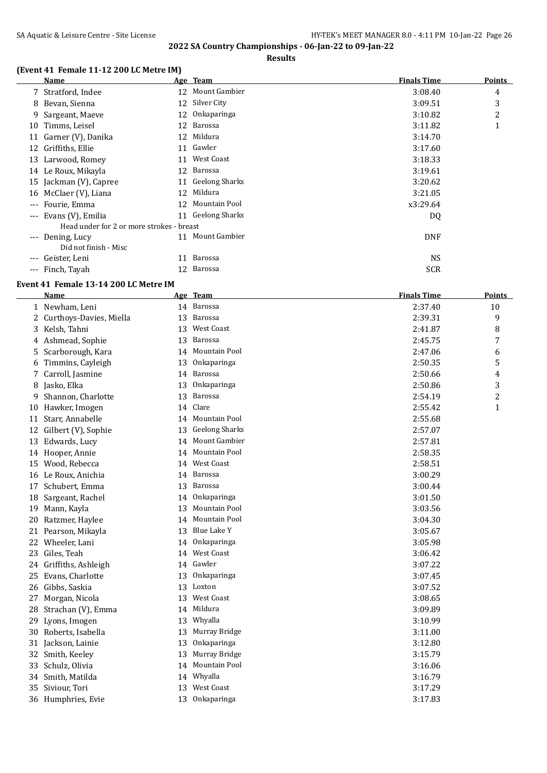**Results**

# **(Event 41 Female 11-12 200 LC Metre IM)**

|                     | Name                                      |    | Age Team          | <b>Finals Time</b> | <b>Points</b> |
|---------------------|-------------------------------------------|----|-------------------|--------------------|---------------|
|                     | 7 Stratford, Indee                        |    | 12 Mount Gambier  | 3:08.40            | 4             |
|                     | 8 Bevan, Sienna                           |    | 12 Silver City    | 3:09.51            | 3             |
| 9                   | Sargeant, Maeve                           |    | 12 Onkaparinga    | 3:10.82            | 2             |
| 10                  | Timms, Leisel                             | 12 | Barossa           | 3:11.82            | 1             |
|                     | 11 Garner (V), Danika                     |    | 12 Mildura        | 3:14.70            |               |
|                     | 12 Griffiths, Ellie                       |    | 11 Gawler         | 3:17.60            |               |
|                     | 13 Larwood, Romey                         | 11 | West Coast        | 3:18.33            |               |
|                     | 14 Le Roux, Mikayla                       |    | 12 Barossa        | 3:19.61            |               |
|                     | 15 Jackman (V), Capree                    |    | 11 Geelong Sharks | 3:20.62            |               |
|                     | 16 McClaer (V), Liana                     | 12 | Mildura           | 3:21.05            |               |
| $---$               | Fourie, Emma                              | 12 | Mountain Pool     | x3:29.64           |               |
| $---$               | Evans (V), Emilia                         |    | 11 Geelong Sharks | DQ                 |               |
|                     | Head under for 2 or more strokes - breast |    |                   |                    |               |
| $\qquad \qquad - -$ | Dening, Lucy                              | 11 | Mount Gambier     | <b>DNF</b>         |               |
|                     | Did not finish - Misc                     |    |                   |                    |               |
| ---                 | Geister, Leni                             | 11 | Barossa           | <b>NS</b>          |               |
| $---$               | Finch, Tayah                              |    | 12 Barossa        | <b>SCR</b>         |               |

# **Event 41 Female 13-14 200 LC Metre IM**

|    | Name                    |    | Age Team              | <b>Finals Time</b> | Points         |
|----|-------------------------|----|-----------------------|--------------------|----------------|
|    | 1 Newham, Leni          |    | 14 Barossa            | 2:37.40            | 10             |
| 2  | Curthoys-Davies, Miella |    | 13 Barossa            | 2:39.31            | 9              |
| 3  | Kelsh, Tahni            |    | 13 West Coast         | 2:41.87            | 8              |
| 4  | Ashmead, Sophie         | 13 | Barossa               | 2:45.75            | 7              |
| 5  | Scarborough, Kara       |    | 14 Mountain Pool      | 2:47.06            | 6              |
| 6  | Timmins, Cayleigh       | 13 | Onkaparinga           | 2:50.35            | 5              |
| 7  | Carroll, Jasmine        | 14 | Barossa               | 2:50.66            | 4              |
| 8  | Jasko, Elka             | 13 | Onkaparinga           | 2:50.86            | 3              |
| 9  | Shannon, Charlotte      | 13 | Barossa               | 2:54.19            | $\overline{c}$ |
| 10 | Hawker, Imogen          | 14 | Clare                 | 2:55.42            | $\mathbf{1}$   |
| 11 | Starr, Annabelle        | 14 | Mountain Pool         | 2:55.68            |                |
| 12 | Gilbert (V), Sophie     | 13 | <b>Geelong Sharks</b> | 2:57.07            |                |
| 13 | Edwards, Lucy           | 14 | <b>Mount Gambier</b>  | 2:57.81            |                |
| 14 | Hooper, Annie           | 14 | Mountain Pool         | 2:58.35            |                |
| 15 | Wood, Rebecca           |    | 14 West Coast         | 2:58.51            |                |
| 16 | Le Roux, Anichia        | 14 | Barossa               | 3:00.29            |                |
| 17 | Schubert, Emma          | 13 | Barossa               | 3:00.44            |                |
| 18 | Sargeant, Rachel        | 14 | Onkaparinga           | 3:01.50            |                |
| 19 | Mann, Kayla             | 13 | Mountain Pool         | 3:03.56            |                |
| 20 | Ratzmer, Haylee         | 14 | <b>Mountain Pool</b>  | 3:04.30            |                |
| 21 | Pearson, Mikayla        | 13 | <b>Blue Lake Y</b>    | 3:05.67            |                |
| 22 | Wheeler, Lani           | 14 | Onkaparinga           | 3:05.98            |                |
| 23 | Giles, Teah             |    | 14 West Coast         | 3:06.42            |                |
| 24 | Griffiths, Ashleigh     |    | 14 Gawler             | 3:07.22            |                |
| 25 | Evans, Charlotte        | 13 | Onkaparinga           | 3:07.45            |                |
| 26 | Gibbs, Saskia           |    | 13 Loxton             | 3:07.52            |                |
| 27 | Morgan, Nicola          |    | 13 West Coast         | 3:08.65            |                |
| 28 | Strachan (V), Emma      |    | 14 Mildura            | 3:09.89            |                |
| 29 | Lyons, Imogen           |    | 13 Whyalla            | 3:10.99            |                |
| 30 | Roberts, Isabella       | 13 | Murray Bridge         | 3:11.00            |                |
| 31 | Jackson, Lainie         | 13 | Onkaparinga           | 3:12.80            |                |
| 32 | Smith, Keeley           | 13 | Murray Bridge         | 3:15.79            |                |
| 33 | Schulz, Olivia          | 14 | Mountain Pool         | 3:16.06            |                |
| 34 | Smith, Matilda          |    | 14 Whyalla            | 3:16.79            |                |
| 35 | Siviour, Tori           |    | 13 West Coast         | 3:17.29            |                |
|    | 36 Humphries, Evie      |    | 13 Onkaparinga        | 3:17.83            |                |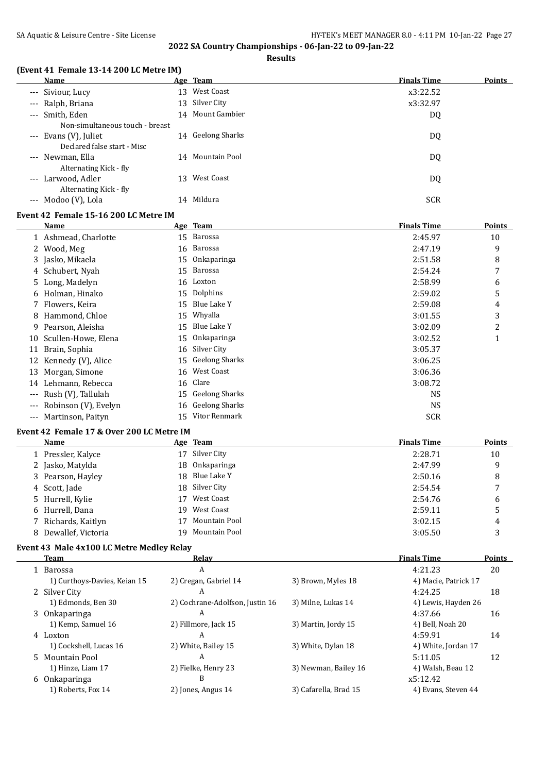**Results**

#### **(Event 41 Female 13-14 200 LC Metre IM)**

| Name                                   |     | Age Team         | <b>Finals Time</b> | <b>Points</b> |
|----------------------------------------|-----|------------------|--------------------|---------------|
| --- Siviour, Lucy                      |     | 13 West Coast    | x3:22.52           |               |
| --- Ralph, Briana                      |     | 13 Silver City   | x3:32.97           |               |
| --- Smith, Eden                        |     | 14 Mount Gambier | DQ                 |               |
| Non-simultaneous touch - breast        |     |                  |                    |               |
| --- Evans (V), Juliet                  | 14  | Geelong Sharks   | DQ                 |               |
| Declared false start - Misc            |     |                  |                    |               |
| --- Newman, Ella                       |     | 14 Mountain Pool | DQ                 |               |
| Alternating Kick - fly                 |     |                  |                    |               |
| --- Larwood, Adler                     | 13. | West Coast       | DQ                 |               |
| Alternating Kick - fly                 |     |                  |                    |               |
| Modoo (V), Lola<br>$\qquad \qquad - -$ |     | 14 Mildura       | <b>SCR</b>         |               |

#### **Event 42 Female 15-16 200 LC Metre IM**

|       | Name                 |    | Age Team              | <b>Finals Time</b> | Points |
|-------|----------------------|----|-----------------------|--------------------|--------|
|       | 1 Ashmead, Charlotte | 15 | Barossa               | 2:45.97            | 10     |
|       | 2 Wood, Meg          | 16 | Barossa               | 2:47.19            | 9      |
|       | 3 Jasko, Mikaela     | 15 | Onkaparinga           | 2:51.58            | 8      |
|       | 4 Schubert, Nyah     | 15 | Barossa               | 2:54.24            | 7      |
|       | 5 Long, Madelyn      |    | 16 Loxton             | 2:58.99            | 6      |
|       | 6 Holman, Hinako     | 15 | Dolphins              | 2:59.02            | 5      |
|       | 7 Flowers, Keira     | 15 | Blue Lake Y           | 2:59.08            | 4      |
| 8     | Hammond, Chloe       | 15 | Whyalla               | 3:01.55            | 3      |
| 9     | Pearson, Aleisha     | 15 | Blue Lake Y           | 3:02.09            | 2      |
| 10    | Scullen-Howe, Elena  | 15 | Onkaparinga           | 3:02.52            | 1      |
| 11    | Brain, Sophia        | 16 | Silver City           | 3:05.37            |        |
| 12    | Kennedy (V), Alice   | 15 | <b>Geelong Sharks</b> | 3:06.25            |        |
| 13    | Morgan, Simone       | 16 | West Coast            | 3:06.36            |        |
| 14    | Lehmann, Rebecca     | 16 | Clare                 | 3:08.72            |        |
| $---$ | Rush (V), Tallulah   | 15 | <b>Geelong Sharks</b> | NS                 |        |
| $---$ | Robinson (V), Evelyn | 16 | Geelong Sharks        | <b>NS</b>          |        |
| $---$ | Martinson, Paityn    | 15 | Vitor Renmark         | <b>SCR</b>         |        |

#### **Event 42 Female 17 & Over 200 LC Metre IM**

| Name                 | Age Team            | <b>Finals Time</b> | <b>Points</b> |
|----------------------|---------------------|--------------------|---------------|
| 1 Pressler, Kalyce   | Silver City<br>17   | 2:28.71            | 10            |
| 2 Jasko, Matylda     | 18 Onkaparinga      | 2:47.99            | 9             |
| 3 Pearson, Hayley    | 18 Blue Lake Y      | 2:50.16            | 8             |
| 4 Scott, Jade        | 18 Silver City      | 2:54.54            | 7             |
| 5 Hurrell, Kylie     | West Coast<br>17    | 2:54.76            | 6             |
| 6 Hurrell, Dana      | 19 West Coast       | 2:59.11            | 5             |
| 7 Richards, Kaitlyn  | Mountain Pool<br>17 | 3:02.15            | 4             |
| 8 Dewallef, Victoria | 19 Mountain Pool    | 3:05.50            |               |

### **Event 43 Male 4x100 LC Metre Medley Relay**

L.

| <b>Team</b>                  | Relay                           |                       | <b>Finals Time</b>   | <b>Points</b> |
|------------------------------|---------------------------------|-----------------------|----------------------|---------------|
| 1 Barossa                    | A                               |                       | 4:21.23              | 20            |
| 1) Curthoys-Davies, Keian 15 | 2) Cregan, Gabriel 14           | 3) Brown, Myles 18    | 4) Macie, Patrick 17 |               |
| 2 Silver City                | A                               |                       | 4:24.25              | 18            |
| 1) Edmonds, Ben 30           | 2) Cochrane-Adolfson, Justin 16 | 3) Milne, Lukas 14    | 4) Lewis, Hayden 26  |               |
| 3 Onkaparinga                | A                               |                       | 4:37.66              | 16            |
| 1) Kemp, Samuel 16           | 2) Fillmore, Jack 15            | 3) Martin, Jordy 15   | 4) Bell, Noah 20     |               |
| 4 Loxton                     | A                               |                       | 4:59.91              | 14            |
| 1) Cockshell, Lucas 16       | 2) White, Bailey 15             | 3) White, Dylan 18    | 4) White, Jordan 17  |               |
| 5 Mountain Pool              | A                               |                       | 5:11.05              | 12            |
| 1) Hinze, Liam 17            | 2) Fielke, Henry 23             | 3) Newman, Bailey 16  | 4) Walsh, Beau 12    |               |
| 6 Onkaparinga                | B                               |                       | x5:12.42             |               |
| 1) Roberts, Fox 14           | 2) Jones, Angus 14              | 3) Cafarella, Brad 15 | 4) Evans, Steven 44  |               |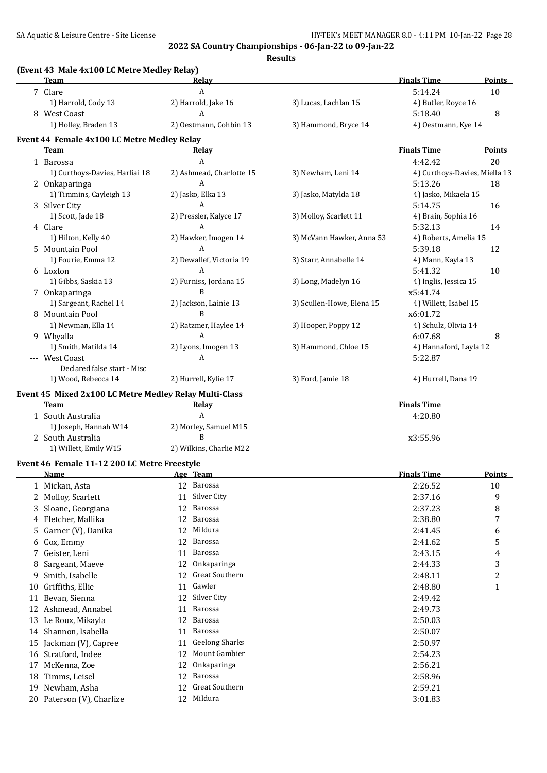|                      | <b>Team</b>                                                    | Relay                              |                           | <b>Finals Time</b>            | <b>Points</b>           |
|----------------------|----------------------------------------------------------------|------------------------------------|---------------------------|-------------------------------|-------------------------|
|                      | 7 Clare                                                        | $\boldsymbol{A}$                   |                           | 5:14.24                       | 10                      |
|                      | 1) Harrold, Cody 13                                            | 2) Harrold, Jake 16                | 3) Lucas, Lachlan 15      | 4) Butler, Royce 16           |                         |
|                      | 8 West Coast                                                   | A                                  |                           | 5:18.40                       | 8                       |
|                      | 1) Holley, Braden 13                                           | 2) Oestmann, Cohbin 13             | 3) Hammond, Bryce 14      | 4) Oestmann, Kye 14           |                         |
|                      | Event 44 Female 4x100 LC Metre Medley Relay                    |                                    |                           |                               |                         |
|                      | Team                                                           | Relay                              |                           | <b>Finals Time</b>            | <b>Points</b>           |
|                      | 1 Barossa                                                      | A                                  |                           | 4:42.42                       | 20                      |
|                      | 1) Curthoys-Davies, Harliai 18                                 | 2) Ashmead, Charlotte 15           | 3) Newham, Leni 14        | 4) Curthoys-Davies, Miella 13 |                         |
|                      | 2 Onkaparinga                                                  | A                                  |                           | 5:13.26                       | 18                      |
|                      | 1) Timmins, Cayleigh 13                                        | 2) Jasko, Elka 13                  | 3) Jasko, Matylda 18      | 4) Jasko, Mikaela 15          |                         |
|                      | 3 Silver City                                                  | $\overline{A}$                     |                           | 5:14.75                       | 16                      |
|                      | 1) Scott, Jade 18                                              | 2) Pressler, Kalyce 17             | 3) Molloy, Scarlett 11    | 4) Brain, Sophia 16           |                         |
|                      | 4 Clare                                                        | $\mathsf{A}$                       |                           | 5:32.13                       | 14                      |
|                      | 1) Hilton, Kelly 40                                            | 2) Hawker, Imogen 14               | 3) McVann Hawker, Anna 53 | 4) Roberts, Amelia 15         |                         |
|                      | 5 Mountain Pool                                                | $\overline{A}$                     |                           | 5:39.18                       | 12                      |
|                      | 1) Fourie, Emma 12                                             | 2) Dewallef, Victoria 19           | 3) Starr, Annabelle 14    | 4) Mann, Kayla 13             |                         |
|                      | 6 Loxton                                                       | A                                  |                           | 5:41.32                       | 10                      |
|                      | 1) Gibbs, Saskia 13                                            | 2) Furniss, Jordana 15             | 3) Long, Madelyn 16       | 4) Inglis, Jessica 15         |                         |
|                      | 7 Onkaparinga                                                  | B                                  |                           | x5:41.74                      |                         |
|                      | 1) Sargeant, Rachel 14                                         | 2) Jackson, Lainie 13              | 3) Scullen-Howe, Elena 15 | 4) Willett, Isabel 15         |                         |
|                      | 8 Mountain Pool                                                | B                                  |                           | x6:01.72                      |                         |
|                      | 1) Newman, Ella 14                                             | 2) Ratzmer, Haylee 14              | 3) Hooper, Poppy 12       | 4) Schulz, Olivia 14          |                         |
|                      | 9 Whyalla                                                      | A                                  |                           | 6:07.68                       | 8                       |
|                      | 1) Smith, Matilda 14                                           | 2) Lyons, Imogen 13                | 3) Hammond, Chloe 15      | 4) Hannaford, Layla 12        |                         |
|                      | --- West Coast                                                 | A                                  |                           | 5:22.87                       |                         |
|                      | Declared false start - Misc                                    |                                    |                           |                               |                         |
|                      | 1) Wood, Rebecca 14                                            | 2) Hurrell, Kylie 17               | 3) Ford, Jamie 18         | 4) Hurrell, Dana 19           |                         |
|                      |                                                                |                                    |                           |                               |                         |
|                      | Event 45 Mixed 2x100 LC Metre Medley Relay Multi-Class<br>Team | Relay                              |                           | <b>Finals Time</b>            |                         |
|                      | 1 South Australia                                              | A                                  |                           | 4:20.80                       |                         |
|                      | 1) Joseph, Hannah W14                                          | 2) Morley, Samuel M15              |                           |                               |                         |
|                      | 2 South Australia                                              | B                                  |                           | x3:55.96                      |                         |
|                      | 1) Willett, Emily W15                                          | 2) Wilkins, Charlie M22            |                           |                               |                         |
|                      |                                                                |                                    |                           |                               |                         |
|                      | Event 46 Female 11-12 200 LC Metre Freestyle<br>Name           | Age Team                           |                           | <b>Finals Time</b>            | <b>Points</b>           |
|                      | 1 Mickan, Asta                                                 | 12 Barossa                         |                           | 2:26.52                       | 10                      |
|                      | 2 Molloy, Scarlett                                             | Silver City<br>11                  |                           | 2:37.16                       | 9                       |
|                      |                                                                |                                    |                           |                               |                         |
| 3                    | Sloane, Georgiana                                              | Barossa<br>12                      |                           | 2:37.23                       | 8                       |
| 4                    | Fletcher, Mallika                                              | Barossa<br>12                      |                           | 2:38.80                       | 7                       |
| 5                    | Garner (V), Danika                                             | Mildura<br>12                      |                           | 2:41.45                       | 6                       |
| 6                    | Cox, Emmy                                                      | Barossa<br>12                      |                           | 2:41.62                       | 5                       |
|                      | 7 Geister, Leni                                                | Barossa<br>11                      |                           | 2:43.15                       | 4                       |
| 8                    | Sargeant, Maeve                                                | Onkaparinga<br>12                  |                           | 2:44.33                       | 3                       |
| 9                    | Smith, Isabelle                                                | Great Southern<br>12               |                           | 2:48.11                       | $\overline{\mathbf{c}}$ |
| 10                   | Griffiths, Ellie                                               | 11 Gawler                          |                           | 2:48.80                       | $\mathbf{1}$            |
| 11                   | Bevan, Sienna                                                  | 12 Silver City                     |                           | 2:49.42                       |                         |
|                      | 12 Ashmead, Annabel                                            | Barossa<br>11                      |                           | 2:49.73                       |                         |
|                      | 13 Le Roux, Mikayla                                            | Barossa<br>12                      |                           | 2:50.03                       |                         |
|                      | Shannon, Isabella                                              | 11 Barossa                         |                           | 2:50.07                       |                         |
|                      |                                                                |                                    |                           | 2:50.97                       |                         |
|                      |                                                                |                                    |                           |                               |                         |
|                      | Jackman (V), Capree                                            | <b>Geelong Sharks</b><br>11        |                           |                               |                         |
|                      | Stratford, Indee                                               | Mount Gambier<br>12                |                           | 2:54.23                       |                         |
| 14<br>15<br>16<br>17 | McKenna, Zoe                                                   | Onkaparinga<br>12                  |                           | 2:56.21                       |                         |
| 18                   | Timms, Leisel                                                  | Barossa<br>12                      |                           | 2:58.96                       |                         |
| 19                   | Newham, Asha<br>20 Paterson (V), Charlize                      | Great Southern<br>12<br>12 Mildura |                           | 2:59.21<br>3:01.83            |                         |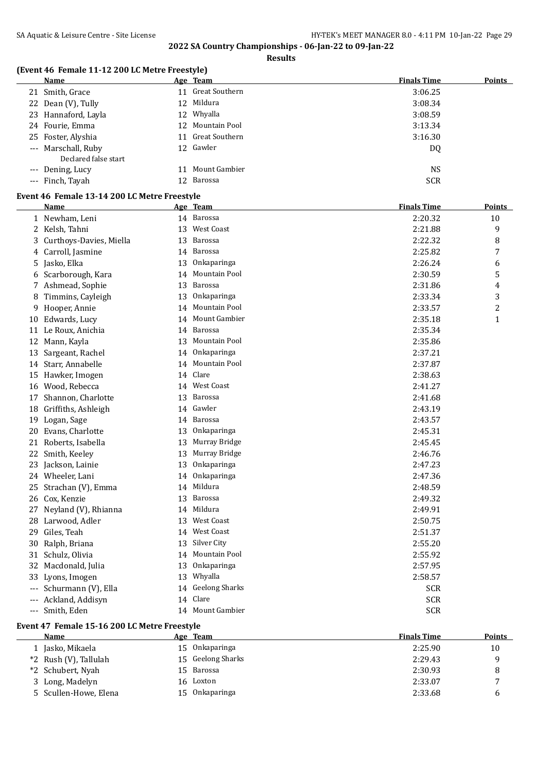**Results**

# **(Event 46 Female 11-12 200 LC Metre Freestyle)**

| <b>Name</b>          | Age Team          | <b>Finals Time</b> | <b>Points</b> |
|----------------------|-------------------|--------------------|---------------|
| 21 Smith, Grace      | 11 Great Southern | 3:06.25            |               |
| 22 Dean (V), Tully   | 12 Mildura        | 3:08.34            |               |
| 23 Hannaford, Layla  | 12 Whyalla        | 3:08.59            |               |
| 24 Fourie, Emma      | 12 Mountain Pool  | 3:13.34            |               |
| 25 Foster, Alyshia   | 11 Great Southern | 3:16.30            |               |
| --- Marschall, Ruby  | 12 Gawler         | DQ                 |               |
| Declared false start |                   |                    |               |
| --- Dening, Lucy     | 11 Mount Gambier  | <b>NS</b>          |               |
| --- Finch, Tayah     | 12 Barossa        | <b>SCR</b>         |               |

## **Event 46 Female 13-14 200 LC Metre Freestyle**

|       | Name                    |    | Age Team              | <b>Finals Time</b> | <b>Points</b>  |
|-------|-------------------------|----|-----------------------|--------------------|----------------|
|       | 1 Newham, Leni          |    | 14 Barossa            | 2:20.32            | 10             |
|       | 2 Kelsh, Tahni          | 13 | <b>West Coast</b>     | 2:21.88            | 9              |
| 3     | Curthoys-Davies, Miella | 13 | Barossa               | 2:22.32            | 8              |
| 4     | Carroll, Jasmine        | 14 | Barossa               | 2:25.82            | 7              |
| 5     | Jasko, Elka             | 13 | Onkaparinga           | 2:26.24            | 6              |
| 6     | Scarborough, Kara       | 14 | Mountain Pool         | 2:30.59            | 5              |
|       | 7 Ashmead, Sophie       | 13 | Barossa               | 2:31.86            | 4              |
| 8     | Timmins, Cayleigh       | 13 | Onkaparinga           | 2:33.34            | 3              |
| 9     | Hooper, Annie           | 14 | Mountain Pool         | 2:33.57            | $\overline{c}$ |
| 10    | Edwards, Lucy           | 14 | Mount Gambier         | 2:35.18            | $\mathbf{1}$   |
| 11    | Le Roux, Anichia        | 14 | Barossa               | 2:35.34            |                |
| 12    | Mann, Kayla             | 13 | Mountain Pool         | 2:35.86            |                |
| 13    | Sargeant, Rachel        | 14 | Onkaparinga           | 2:37.21            |                |
| 14    | Starr, Annabelle        | 14 | Mountain Pool         | 2:37.87            |                |
|       | 15 Hawker, Imogen       | 14 | Clare                 | 2:38.63            |                |
| 16    | Wood, Rebecca           | 14 | <b>West Coast</b>     | 2:41.27            |                |
| 17    | Shannon, Charlotte      | 13 | Barossa               | 2:41.68            |                |
| 18    | Griffiths, Ashleigh     |    | 14 Gawler             | 2:43.19            |                |
| 19    | Logan, Sage             |    | 14 Barossa            | 2:43.57            |                |
| 20    | Evans, Charlotte        |    | 13 Onkaparinga        | 2:45.31            |                |
| 21    | Roberts, Isabella       | 13 | Murray Bridge         | 2:45.45            |                |
|       | 22 Smith, Keeley        | 13 | Murray Bridge         | 2:46.76            |                |
|       | 23 Jackson, Lainie      | 13 | Onkaparinga           | 2:47.23            |                |
|       | 24 Wheeler, Lani        | 14 | Onkaparinga           | 2:47.36            |                |
| 25    | Strachan (V), Emma      | 14 | Mildura               | 2:48.59            |                |
| 26    | Cox, Kenzie             | 13 | Barossa               | 2:49.32            |                |
| 27    | Neyland (V), Rhianna    |    | 14 Mildura            | 2:49.91            |                |
| 28    | Larwood, Adler          |    | 13 West Coast         | 2:50.75            |                |
| 29    | Giles, Teah             |    | 14 West Coast         | 2:51.37            |                |
| 30    | Ralph, Briana           | 13 | Silver City           | 2:55.20            |                |
| 31    | Schulz, Olivia          | 14 | Mountain Pool         | 2:55.92            |                |
| 32    | Macdonald, Julia        | 13 | Onkaparinga           | 2:57.95            |                |
|       | 33 Lyons, Imogen        | 13 | Whyalla               | 2:58.57            |                |
| $---$ | Schurmann (V), Ella     | 14 | <b>Geelong Sharks</b> | <b>SCR</b>         |                |
|       | Ackland, Addisyn        | 14 | Clare                 | <b>SCR</b>         |                |
|       | --- Smith, Eden         |    | 14 Mount Gambier      | <b>SCR</b>         |                |

#### **Event 47 Female 15-16 200 LC Metre Freestyle**

| Name                  |     | Age Team          | <b>Finals Time</b> | <b>Points</b> |
|-----------------------|-----|-------------------|--------------------|---------------|
| 1 Jasko, Mikaela      |     | 15 Onkaparinga    | 2:25.90            | 10            |
| *2 Rush (V), Tallulah |     | 15 Geelong Sharks | 2:29.43            | a             |
| *2 Schubert, Nyah     | 15. | Barossa           | 2:30.93            | 8             |
| 3 Long, Madelyn       |     | 16 Loxton         | 2:33.07            | $\mathbf{r}$  |
| 5 Scullen-Howe, Elena |     | 15 Onkaparinga    | 2:33.68            | h             |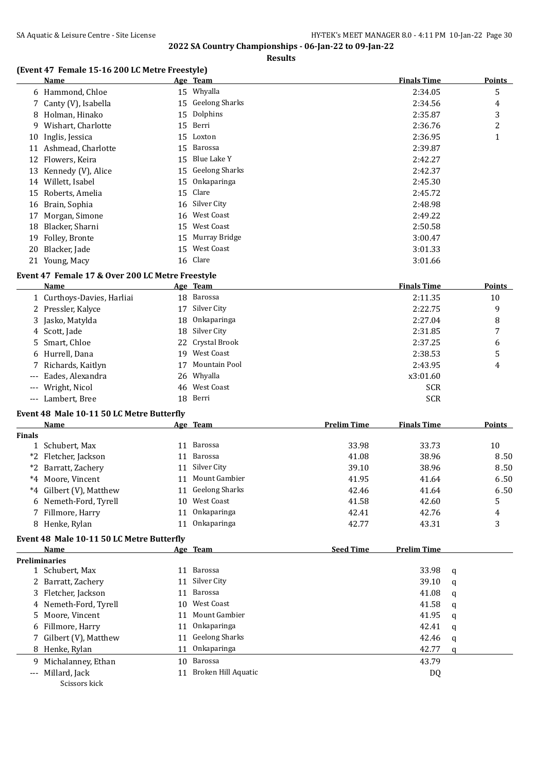**Results**

#### **(Event 47 Female 15-16 200 LC Metre Freestyle)**

|    | Name                  |    | Age Team          | <b>Finals Time</b> | Points         |
|----|-----------------------|----|-------------------|--------------------|----------------|
|    | 6 Hammond, Chloe      |    | 15 Whyalla        | 2:34.05            | 5              |
|    | 7 Canty (V), Isabella |    | 15 Geelong Sharks | 2:34.56            | 4              |
|    | 8 Holman, Hinako      |    | 15 Dolphins       | 2:35.87            | 3              |
| 9. | Wishart, Charlotte    |    | 15 Berri          | 2:36.76            | $\overline{2}$ |
| 10 | Inglis, Jessica       |    | 15 Loxton         | 2:36.95            | 1              |
| 11 | Ashmead, Charlotte    | 15 | Barossa           | 2:39.87            |                |
|    | 12 Flowers, Keira     | 15 | Blue Lake Y       | 2:42.27            |                |
|    | 13 Kennedy (V), Alice |    | 15 Geelong Sharks | 2:42.37            |                |
| 14 | Willett, Isabel       |    | 15 Onkaparinga    | 2:45.30            |                |
| 15 | Roberts, Amelia       |    | 15 Clare          | 2:45.72            |                |
|    | 16 Brain, Sophia      |    | 16 Silver City    | 2:48.98            |                |
| 17 | Morgan, Simone        |    | 16 West Coast     | 2:49.22            |                |
| 18 | Blacker, Sharni       | 15 | West Coast        | 2:50.58            |                |
| 19 | Folley, Bronte        | 15 | Murray Bridge     | 3:00.47            |                |
| 20 | Blacker, Jade         | 15 | West Coast        | 3:01.33            |                |
|    | 21 Young, Macy        |    | 16 Clare          | 3:01.66            |                |

#### **Event 47 Female 17 & Over 200 LC Metre Freestyle**

| Name                       |    | Age Team         | <b>Finals Time</b> | <b>Points</b> |
|----------------------------|----|------------------|--------------------|---------------|
| 1 Curthoys-Davies, Harliai |    | 18 Barossa       | 2:11.35            | 10            |
| 2 Pressler, Kalyce         |    | 17 Silver City   | 2:22.75            | 9             |
| 3 Jasko, Matylda           |    | 18 Onkaparinga   | 2:27.04            | 8             |
| 4 Scott, Jade              |    | 18 Silver City   | 2:31.85            | 7             |
| 5 Smart, Chloe             |    | 22 Crystal Brook | 2:37.25            | 6             |
| 6 Hurrell, Dana            | 19 | West Coast       | 2:38.53            | 5             |
| 7 Richards, Kaitlyn        | 17 | Mountain Pool    | 2:43.95            | 4             |
| --- Eades, Alexandra       |    | 26 Whyalla       | x3:01.60           |               |
| --- Wright, Nicol          |    | 46 West Coast    | <b>SCR</b>         |               |
| --- Lambert, Bree          |    | 18 Berri         | <b>SCR</b>         |               |

#### **Event 48 Male 10-11 50 LC Metre Butterfly**

|               | Name                    |     | Age Team          | <b>Prelim Time</b> | <b>Finals Time</b> | <b>Points</b> |
|---------------|-------------------------|-----|-------------------|--------------------|--------------------|---------------|
| <b>Finals</b> |                         |     |                   |                    |                    |               |
|               | 1 Schubert, Max         | 11  | Barossa           | 33.98              | 33.73              | 10            |
|               | *2 Fletcher, Jackson    | 11  | Barossa           | 41.08              | 38.96              | 8.50          |
|               | *2 Barratt, Zachery     | 11  | Silver City       | 39.10              | 38.96              | 8.50          |
|               | *4 Moore, Vincent       | 11  | Mount Gambier     | 41.95              | 41.64              | 6.50          |
|               | *4 Gilbert (V), Matthew |     | 11 Geelong Sharks | 42.46              | 41.64              | 6.50          |
|               | 6 Nemeth-Ford, Tyrell   | 10. | West Coast        | 41.58              | 42.60              | 5             |
|               | 7 Fillmore, Harry       |     | Onkaparinga       | 42.41              | 42.76              | 4             |
|               | 8 Henke, Rylan          |     | Onkaparinga       | 42.77              | 43.31              | 3             |

#### **Event 48 Male 10-11 50 LC Metre Butterfly**

| <b>Name</b>   |                                                                                                                                                                                                                                                 | <b>Seed Time</b>                                                                                                                                                      | <b>Prelim Time</b> |   |
|---------------|-------------------------------------------------------------------------------------------------------------------------------------------------------------------------------------------------------------------------------------------------|-----------------------------------------------------------------------------------------------------------------------------------------------------------------------|--------------------|---|
|               |                                                                                                                                                                                                                                                 |                                                                                                                                                                       |                    |   |
|               | 11                                                                                                                                                                                                                                              |                                                                                                                                                                       | 33.98              | a |
|               |                                                                                                                                                                                                                                                 |                                                                                                                                                                       | 39.10              | a |
|               | 11                                                                                                                                                                                                                                              |                                                                                                                                                                       | 41.08              | q |
|               | 10.                                                                                                                                                                                                                                             |                                                                                                                                                                       | 41.58              | q |
|               |                                                                                                                                                                                                                                                 |                                                                                                                                                                       | 41.95              | q |
|               |                                                                                                                                                                                                                                                 |                                                                                                                                                                       | 42.41              | a |
|               |                                                                                                                                                                                                                                                 |                                                                                                                                                                       | 42.46              | q |
|               | 11                                                                                                                                                                                                                                              |                                                                                                                                                                       | 42.77              | a |
|               | 10                                                                                                                                                                                                                                              |                                                                                                                                                                       | 43.79              |   |
|               |                                                                                                                                                                                                                                                 |                                                                                                                                                                       | DQ                 |   |
| Scissors kick |                                                                                                                                                                                                                                                 |                                                                                                                                                                       |                    |   |
|               | <b>Preliminaries</b><br>1 Schubert, Max<br>2 Barratt, Zachery<br>3 Fletcher, Jackson<br>4 Nemeth-Ford, Tyrell<br>5 Moore, Vincent<br>6 Fillmore, Harry<br>7 Gilbert (V), Matthew<br>8 Henke, Rylan<br>9 Michalanney, Ethan<br>--- Millard, Jack | Age Team<br>Barossa<br>Silver City<br>Barossa<br>West Coast<br>Mount Gambier<br>Onkaparinga<br><b>Geelong Sharks</b><br>Onkaparinga<br>Barossa<br>Broken Hill Aquatic |                    |   |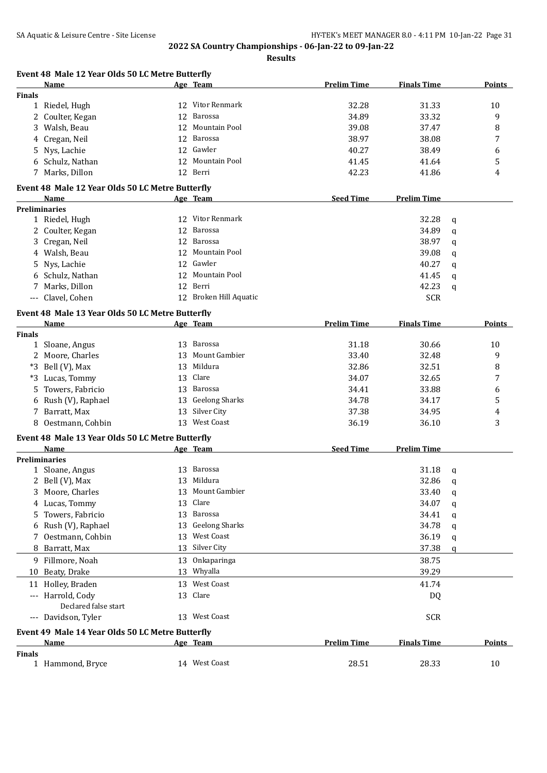|               | Event 48 Male 12 Year Olds 50 LC Metre Butterfly |    |                        |                    |                    |   |               |
|---------------|--------------------------------------------------|----|------------------------|--------------------|--------------------|---|---------------|
|               | Name                                             |    | Age Team               | <b>Prelim Time</b> | <b>Finals Time</b> |   | Points        |
| <b>Finals</b> |                                                  |    |                        |                    |                    |   |               |
|               | 1 Riedel, Hugh                                   |    | 12 Vitor Renmark       | 32.28              | 31.33              |   | 10            |
|               | 2 Coulter, Kegan                                 | 12 | Barossa                | 34.89              | 33.32              |   | 9             |
|               | 3 Walsh, Beau                                    | 12 | Mountain Pool          | 39.08              | 37.47              |   | 8             |
|               | 4 Cregan, Neil                                   | 12 | Barossa                | 38.97              | 38.08              |   | 7             |
|               | 5 Nys, Lachie                                    | 12 | Gawler                 | 40.27              | 38.49              |   | 6             |
|               | 6 Schulz, Nathan                                 |    | 12 Mountain Pool       | 41.45              | 41.64              |   | 5             |
|               | 7 Marks, Dillon                                  |    | 12 Berri               | 42.23              | 41.86              |   | 4             |
|               | Event 48 Male 12 Year Olds 50 LC Metre Butterfly |    |                        |                    |                    |   |               |
|               | Name                                             |    | <u>Age Team</u>        | <b>Seed Time</b>   | <b>Prelim Time</b> |   |               |
|               | <b>Preliminaries</b>                             |    |                        |                    |                    |   |               |
|               | 1 Riedel, Hugh                                   |    | 12 Vitor Renmark       |                    | 32.28              | q |               |
|               | 2 Coulter, Kegan                                 |    | 12 Barossa             |                    | 34.89              |   |               |
|               | 3 Cregan, Neil                                   |    | 12 Barossa             |                    | 38.97              | q |               |
|               |                                                  |    | 12 Mountain Pool       |                    |                    | q |               |
|               | 4 Walsh, Beau                                    |    |                        |                    | 39.08              | q |               |
|               | 5 Nys, Lachie                                    |    | 12 Gawler              |                    | 40.27              | q |               |
| 6             | Schulz, Nathan                                   |    | 12 Mountain Pool       |                    | 41.45              | q |               |
| 7             | Marks, Dillon                                    |    | 12 Berri               |                    | 42.23              | q |               |
|               | --- Clavel, Cohen                                |    | 12 Broken Hill Aquatic |                    | <b>SCR</b>         |   |               |
|               | Event 48 Male 13 Year Olds 50 LC Metre Butterfly |    |                        |                    |                    |   |               |
|               | Name                                             |    | Age Team               | <b>Prelim Time</b> | <b>Finals Time</b> |   | <b>Points</b> |
| <b>Finals</b> |                                                  |    |                        |                    |                    |   |               |
|               | 1 Sloane, Angus                                  |    | 13 Barossa             | 31.18              | 30.66              |   | 10            |
|               | 2 Moore, Charles                                 |    | 13 Mount Gambier       | 33.40              | 32.48              |   | 9             |
|               | *3 Bell (V), Max                                 |    | 13 Mildura             | 32.86              | 32.51              |   | 8             |
|               | *3 Lucas, Tommy                                  | 13 | Clare                  | 34.07              | 32.65              |   | 7             |
| 5.            | Towers, Fabricio                                 |    | 13 Barossa             | 34.41              | 33.88              |   | 6             |
|               | 6 Rush (V), Raphael                              | 13 | <b>Geelong Sharks</b>  | 34.78              | 34.17              |   | 5             |
|               | 7 Barratt, Max                                   |    | 13 Silver City         | 37.38              | 34.95              |   | 4             |
|               | 8 Oestmann, Cohbin                               |    | 13 West Coast          | 36.19              | 36.10              |   | 3             |
|               |                                                  |    |                        |                    |                    |   |               |
|               | Event 48 Male 13 Year Olds 50 LC Metre Butterfly |    |                        |                    |                    |   |               |
|               | Name                                             |    | Age Team               | <b>Seed Time</b>   | <b>Prelim Time</b> |   |               |
|               | Preliminaries                                    |    |                        |                    |                    |   |               |
|               | 1 Sloane, Angus                                  |    | 13 Barossa             |                    | 31.18              | q |               |
|               | 2 Bell (V), Max                                  |    | 13 Mildura             |                    | 32.86 q            |   |               |
|               | 3 Moore, Charles                                 |    | 13 Mount Gambier       |                    | 33.40              | q |               |
|               | 4 Lucas, Tommy                                   | 13 | Clare                  |                    | 34.07              | q |               |
| 5.            | Towers, Fabricio                                 |    | 13 Barossa             |                    | 34.41              | q |               |
|               | 6 Rush (V), Raphael                              |    | 13 Geelong Sharks      |                    | 34.78              | q |               |
|               | 7 Oestmann, Cohbin                               |    | 13 West Coast          |                    | 36.19              | q |               |
|               | 8 Barratt, Max                                   |    | 13 Silver City         |                    | 37.38              | q |               |
|               | 9 Fillmore, Noah                                 |    | 13 Onkaparinga         |                    | 38.75              |   |               |
|               | 10 Beaty, Drake                                  |    | 13 Whyalla             |                    | 39.29              |   |               |
|               | 11 Holley, Braden                                |    | 13 West Coast          |                    | 41.74              |   |               |
|               | --- Harrold, Cody<br>Declared false start        |    | 13 Clare               |                    | DQ                 |   |               |
|               | --- Davidson, Tyler                              |    | 13 West Coast          |                    | <b>SCR</b>         |   |               |
|               | Event 49 Male 14 Year Olds 50 LC Metre Butterfly |    |                        |                    |                    |   |               |
|               | Name                                             |    | <u>Age Team</u>        | <b>Prelim Time</b> | <b>Finals Time</b> |   | <b>Points</b> |
| <b>Finals</b> | 1 Hammond, Bryce                                 |    | 14 West Coast          | 28.51              | 28.33              |   | 10            |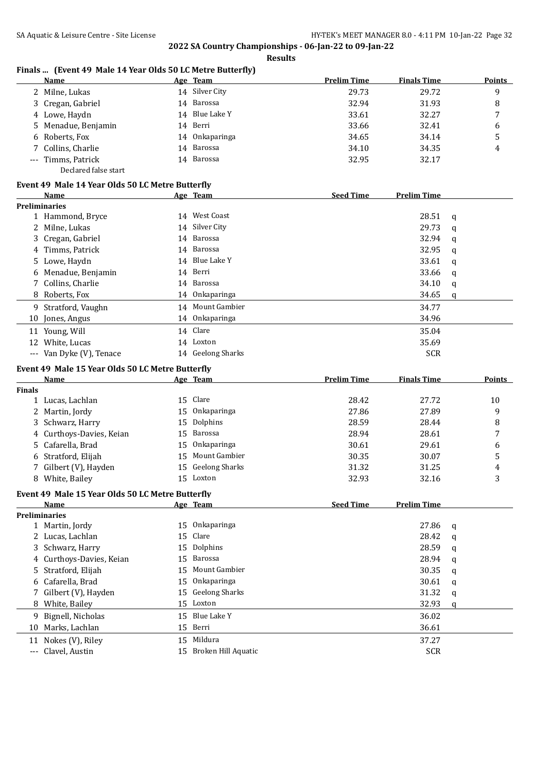## **Finals ... (Event 49 Male 14 Year Olds 50 LC Metre Butterfly)**

| Name                 |    | Age Team       | <b>Prelim Time</b> | <b>Finals Time</b> | <b>Points</b> |
|----------------------|----|----------------|--------------------|--------------------|---------------|
| 2 Milne, Lukas       |    | 14 Silver City | 29.73              | 29.72              | 9             |
| 3 Cregan, Gabriel    |    | 14 Barossa     | 32.94              | 31.93              | 8             |
| 4 Lowe, Haydn        |    | 14 Blue Lake Y | 33.61              | 32.27              | 7             |
| 5 Menadue, Benjamin  |    | 14 Berri       | 33.66              | 32.41              | 6             |
| 6 Roberts, Fox       | 14 | Onkaparinga    | 34.65              | 34.14              | 5             |
| 7 Collins, Charlie   |    | 14 Barossa     | 34.10              | 34.35              | 4             |
| --- Timms, Patrick   |    | 14 Barossa     | 32.95              | 32.17              |               |
| Declared false start |    |                |                    |                    |               |

#### **Event 49 Male 14 Year Olds 50 LC Metre Butterfly**

|    | <b>Name</b>              |  | Age Team          | <b>Seed Time</b> | <b>Prelim Time</b> |   |  |  |
|----|--------------------------|--|-------------------|------------------|--------------------|---|--|--|
|    | <b>Preliminaries</b>     |  |                   |                  |                    |   |  |  |
|    | 1 Hammond, Bryce         |  | 14 West Coast     |                  | 28.51              | q |  |  |
|    | 2 Milne, Lukas           |  | 14 Silver City    |                  | 29.73              | q |  |  |
|    | 3 Cregan, Gabriel        |  | 14 Barossa        |                  | 32.94              | q |  |  |
|    | 4 Timms, Patrick         |  | 14 Barossa        |                  | 32.95              | q |  |  |
|    | 5 Lowe, Haydn            |  | 14 Blue Lake Y    |                  | 33.61              | q |  |  |
|    | 6 Menadue, Benjamin      |  | 14 Berri          |                  | 33.66              | q |  |  |
|    | 7 Collins, Charlie       |  | 14 Barossa        |                  | 34.10              | q |  |  |
|    | 8 Roberts, Fox           |  | 14 Onkaparinga    |                  | 34.65              | q |  |  |
|    | 9 Stratford, Vaughn      |  | 14 Mount Gambier  |                  | 34.77              |   |  |  |
|    | 10 Jones, Angus          |  | 14 Onkaparinga    |                  | 34.96              |   |  |  |
|    | 11 Young, Will           |  | 14 Clare          |                  | 35.04              |   |  |  |
| 12 | White, Lucas             |  | 14 Loxton         |                  | 35.69              |   |  |  |
|    | --- Van Dyke (V), Tenace |  | 14 Geelong Sharks |                  | <b>SCR</b>         |   |  |  |

## **Event 49 Male 15 Year Olds 50 LC Metre Butterfly**

|               | <b>Name</b>                                      |    | Age Team              | <b>Prelim Time</b> | <b>Finals Time</b> |             | <b>Points</b> |
|---------------|--------------------------------------------------|----|-----------------------|--------------------|--------------------|-------------|---------------|
| <b>Finals</b> |                                                  |    |                       |                    |                    |             |               |
| 1             | Lucas, Lachlan                                   | 15 | Clare                 | 28.42              | 27.72              |             | 10            |
| 2             | Martin, Jordy                                    | 15 | Onkaparinga           | 27.86              | 27.89              |             | 9             |
| 3             | Schwarz, Harry                                   | 15 | Dolphins              | 28.59              | 28.44              |             | 8             |
| 4             | Curthoys-Davies, Keian                           | 15 | Barossa               | 28.94              | 28.61              |             | 7             |
| 5.            | Cafarella, Brad                                  | 15 | Onkaparinga           | 30.61              | 29.61              |             | 6             |
| 6             | Stratford, Elijah                                | 15 | Mount Gambier         | 30.35              | 30.07              |             | 5             |
|               | Gilbert (V), Hayden                              | 15 | <b>Geelong Sharks</b> | 31.32              | 31.25              |             | 4             |
|               | 8 White, Bailey                                  | 15 | Loxton                | 32.93              | 32.16              |             | 3             |
|               | Event 49 Male 15 Year Olds 50 LC Metre Butterfly |    |                       |                    |                    |             |               |
|               | Name                                             |    | Age Team              | <b>Seed Time</b>   | <b>Prelim Time</b> |             |               |
|               | <b>Preliminaries</b>                             |    |                       |                    |                    |             |               |
|               | 1 Martin, Jordy                                  | 15 | Onkaparinga           |                    | 27.86              | q           |               |
|               | Lucas, Lachlan                                   | 15 | Clare                 |                    | 28.42              | a           |               |
| 3             | Schwarz, Harry                                   | 15 | Dolphins              |                    | 28.59              | a           |               |
|               | 4 Curthoys-Davies, Keian                         | 15 | Barossa               |                    | 28.94              | a           |               |
| 5.            | Stratford, Elijah                                | 15 | Mount Gambier         |                    | 30.35              | a           |               |
|               | 6 Cafarella, Brad                                | 15 | Onkaparinga           |                    | 30.61              | a           |               |
|               | Gilbert (V), Hayden                              | 15 | <b>Geelong Sharks</b> |                    | 31.32              | $\mathbf q$ |               |
| 8             | White, Bailey                                    | 15 | Loxton                |                    | 32.93              | q           |               |
| 9             | Bignell, Nicholas                                | 15 | Blue Lake Y           |                    | 36.02              |             |               |
| 10            | Marks, Lachlan                                   | 15 | Berri                 |                    | 36.61              |             |               |
| 11            | Nokes (V), Riley                                 | 15 | Mildura               |                    | 37.27              |             |               |
| $---$         | Clavel, Austin                                   | 15 | Broken Hill Aquatic   |                    | <b>SCR</b>         |             |               |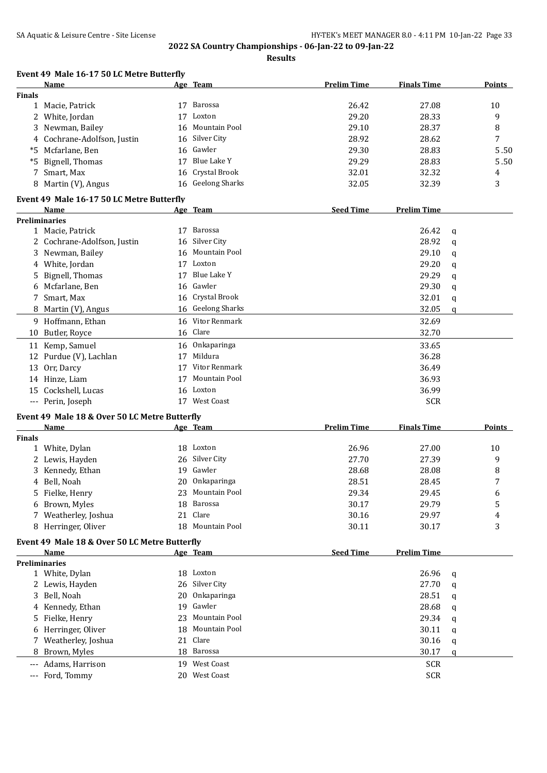**Results**

# **Event 49 Male 16-17 50 LC Metre Butterfly**

|               | Name                                          |    | Age Team              | <b>Prelim Time</b> | <b>Finals Time</b> |   | <b>Points</b> |
|---------------|-----------------------------------------------|----|-----------------------|--------------------|--------------------|---|---------------|
| <b>Finals</b> |                                               |    |                       |                    |                    |   |               |
|               | 1 Macie, Patrick                              |    | 17 Barossa            | 26.42              | 27.08              |   | 10            |
|               | 2 White, Jordan                               | 17 | Loxton                | 29.20              | 28.33              |   | 9             |
|               | 3 Newman, Bailey                              | 16 | Mountain Pool         | 29.10              | 28.37              |   | 8             |
|               | 4 Cochrane-Adolfson, Justin                   |    | 16 Silver City        | 28.92              | 28.62              |   | 7             |
|               | *5 Mcfarlane, Ben                             | 16 | Gawler                | 29.30              | 28.83              |   | 5.50          |
|               | *5 Bignell, Thomas                            | 17 | Blue Lake Y           | 29.29              | 28.83              |   | 5.50          |
|               | 7 Smart, Max                                  | 16 | Crystal Brook         | 32.01              | 32.32              |   | 4             |
|               | 8 Martin (V), Angus                           |    | 16 Geelong Sharks     | 32.05              | 32.39              |   | 3             |
|               | Event 49 Male 16-17 50 LC Metre Butterfly     |    |                       |                    |                    |   |               |
|               | Name                                          |    | Age Team              | <b>Seed Time</b>   | <b>Prelim Time</b> |   |               |
|               | <b>Preliminaries</b>                          |    |                       |                    |                    |   |               |
|               | 1 Macie, Patrick                              | 17 | Barossa               |                    | 26.42              | q |               |
|               | 2 Cochrane-Adolfson, Justin                   | 16 | Silver City           |                    | 28.92              | q |               |
|               | 3 Newman, Bailey                              | 16 | Mountain Pool         |                    | 29.10              | q |               |
|               | 4 White, Jordan                               | 17 | Loxton                |                    | 29.20              | q |               |
|               | 5 Bignell, Thomas                             | 17 | <b>Blue Lake Y</b>    |                    | 29.29              | q |               |
|               | Mcfarlane, Ben                                | 16 | Gawler                |                    | 29.30              | q |               |
|               | 7 Smart, Max                                  | 16 | Crystal Brook         |                    | 32.01              | q |               |
|               | 8 Martin (V), Angus                           | 16 | <b>Geelong Sharks</b> |                    | 32.05              | q |               |
|               | 9 Hoffmann, Ethan                             |    | 16 Vitor Renmark      |                    | 32.69              |   |               |
|               | 10 Butler, Royce                              |    | 16 Clare              |                    | 32.70              |   |               |
|               | 11 Kemp, Samuel                               | 16 | Onkaparinga           |                    | 33.65              |   |               |
|               | 12 Purdue (V), Lachlan                        | 17 | Mildura               |                    | 36.28              |   |               |
|               | 13 Orr, Darcy                                 |    | 17 Vitor Renmark      |                    | 36.49              |   |               |
|               | 14 Hinze, Liam                                | 17 | Mountain Pool         |                    | 36.93              |   |               |
|               | 15 Cockshell, Lucas                           |    | 16 Loxton             |                    | 36.99              |   |               |
|               | --- Perin, Joseph                             |    | 17 West Coast         |                    | <b>SCR</b>         |   |               |
|               |                                               |    |                       |                    |                    |   |               |
|               | Event 49 Male 18 & Over 50 LC Metre Butterfly |    |                       |                    |                    |   |               |
|               | Name                                          |    | Age Team              | <b>Prelim Time</b> | <b>Finals Time</b> |   | <b>Points</b> |
| <b>Finals</b> |                                               |    |                       |                    |                    |   |               |
|               | 1 White, Dylan                                |    | 18 Loxton             | 26.96              | 27.00              |   | 10            |
|               | 2 Lewis, Hayden                               | 26 | Silver City           | 27.70              | 27.39              |   | 9             |
|               | 3 Kennedy, Ethan                              | 19 | Gawler                | 28.68              | 28.08              |   | 8             |
|               | 4 Bell, Noah                                  | 20 | Onkaparinga           | 28.51              | 28.45              |   | 7             |
|               | 5 Fielke, Henry                               |    | 23 Mountain Pool      | 29.34              | 29.45              |   | 6             |
|               | 6 Brown, Myles                                |    | 18 Barossa            | 30.17              | 29.79              |   | 5             |
|               | 7 Weatherley, Joshua                          | 21 | Clare                 | 30.16              | 29.97              |   | 4             |
|               | 8 Herringer, Oliver                           |    | 18 Mountain Pool      | 30.11              | 30.17              |   | 3             |
|               | Event 49 Male 18 & Over 50 LC Metre Butterfly |    |                       |                    |                    |   |               |
|               | Name                                          |    | Age Team              | <b>Seed Time</b>   | <b>Prelim Time</b> |   |               |
|               | <b>Preliminaries</b>                          |    |                       |                    |                    |   |               |
|               | 1 White, Dylan                                |    | 18 Loxton             |                    | 26.96              | q |               |
|               | 2 Lewis, Hayden                               | 26 | Silver City           |                    | 27.70              | a |               |
|               | 3 Bell, Noah                                  | 20 | Onkaparinga           |                    | 28.51              | q |               |
|               | 4 Kennedy, Ethan                              | 19 | Gawler                |                    | 28.68              | q |               |
|               | 5 Fielke, Henry                               | 23 | Mountain Pool         |                    | 29.34              | q |               |
|               | 6 Herringer, Oliver                           | 18 | Mountain Pool         |                    | 30.11              | q |               |
|               | 7 Weatherley, Joshua                          | 21 | Clare                 |                    | 30.16              | q |               |
|               | 8 Brown, Myles                                | 18 | Barossa               |                    | 30.17              | q |               |
|               | --- Adams, Harrison                           |    | 19 West Coast         |                    | <b>SCR</b>         |   |               |
|               | --- Ford, Tommy                               |    | 20 West Coast         |                    | <b>SCR</b>         |   |               |
|               |                                               |    |                       |                    |                    |   |               |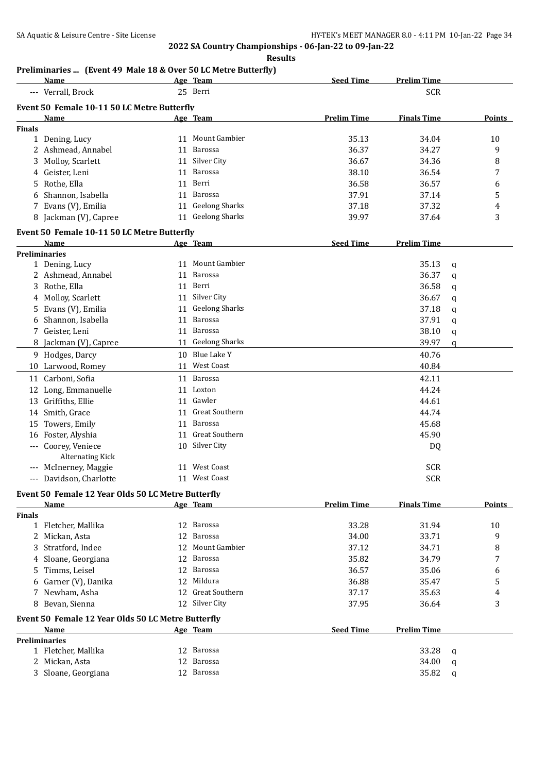**Results**

# **Preliminaries ... (Event 49 Male 18 & Over 50 LC Metre Butterfly)**

|               | Name                                               |    | Age Team          | <b>Seed Time</b>   | <b>Prelim Time</b> |   |               |
|---------------|----------------------------------------------------|----|-------------------|--------------------|--------------------|---|---------------|
|               | --- Verrall, Brock                                 |    | 25 Berri          |                    | <b>SCR</b>         |   |               |
|               | Event 50 Female 10-11 50 LC Metre Butterfly        |    |                   |                    |                    |   |               |
|               | Name                                               |    | Age Team          | <b>Prelim Time</b> | <b>Finals Time</b> |   | Points        |
| <b>Finals</b> |                                                    |    |                   |                    |                    |   |               |
|               | 1 Dening, Lucy                                     |    | 11 Mount Gambier  | 35.13              | 34.04              |   | 10            |
|               | 2 Ashmead, Annabel                                 | 11 | Barossa           | 36.37              | 34.27              |   | 9             |
|               | Molloy, Scarlett                                   | 11 | Silver City       | 36.67              | 34.36              |   | 8             |
|               | 4 Geister, Leni                                    | 11 | Barossa           | 38.10              | 36.54              |   | 7             |
| 5.            | Rothe, Ella                                        | 11 | Berri             | 36.58              | 36.57              |   | 6             |
|               | 6 Shannon, Isabella                                | 11 | Barossa           | 37.91              | 37.14              |   | 5             |
|               | 7 Evans (V), Emilia                                |    | 11 Geelong Sharks | 37.18              | 37.32              |   | 4             |
|               | 8 Jackman (V), Capree                              |    | 11 Geelong Sharks | 39.97              | 37.64              |   | 3             |
|               |                                                    |    |                   |                    |                    |   |               |
|               | Event 50 Female 10-11 50 LC Metre Butterfly        |    |                   |                    |                    |   |               |
|               | Name                                               |    | Age Team          | <b>Seed Time</b>   | <b>Prelim Time</b> |   |               |
|               | <b>Preliminaries</b>                               |    |                   |                    |                    |   |               |
|               | 1 Dening, Lucy                                     |    | 11 Mount Gambier  |                    | 35.13              | q |               |
|               | 2 Ashmead, Annabel                                 | 11 | Barossa           |                    | 36.37              | q |               |
|               | 3 Rothe, Ella                                      |    | 11 Berri          |                    | 36.58              | q |               |
|               | 4 Molloy, Scarlett                                 |    | 11 Silver City    |                    | 36.67              | q |               |
|               | 5 Evans (V), Emilia                                |    | 11 Geelong Sharks |                    | 37.18              | q |               |
|               | 6 Shannon, Isabella                                | 11 | Barossa           |                    | 37.91              | q |               |
|               | 7 Geister, Leni                                    | 11 | Barossa           |                    | 38.10              | q |               |
|               | 8 Jackman (V), Capree                              |    | 11 Geelong Sharks |                    | 39.97              | q |               |
|               | 9 Hodges, Darcy                                    | 10 | Blue Lake Y       |                    | 40.76              |   |               |
|               | 10 Larwood, Romey                                  |    | 11 West Coast     |                    | 40.84              |   |               |
| 11            | Carboni, Sofia                                     | 11 | Barossa           |                    | 42.11              |   |               |
|               | 12 Long, Emmanuelle                                |    | 11 Loxton         |                    | 44.24              |   |               |
|               | 13 Griffiths, Ellie                                |    | 11 Gawler         |                    | 44.61              |   |               |
|               |                                                    |    | Great Southern    |                    |                    |   |               |
|               | 14 Smith, Grace                                    | 11 |                   |                    | 44.74              |   |               |
|               | 15 Towers, Emily                                   | 11 | Barossa           |                    | 45.68              |   |               |
|               | 16 Foster, Alyshia                                 |    | 11 Great Southern |                    | 45.90              |   |               |
|               | --- Coorey, Veniece                                |    | 10 Silver City    |                    | DQ                 |   |               |
|               | <b>Alternating Kick</b>                            |    |                   |                    |                    |   |               |
|               | McInerney, Maggie                                  | 11 | West Coast        |                    | <b>SCR</b>         |   |               |
| $---$         | Davidson, Charlotte                                |    | 11 West Coast     |                    | <b>SCR</b>         |   |               |
|               | Event 50 Female 12 Year Olds 50 LC Metre Butterfly |    |                   |                    |                    |   |               |
|               | Name                                               |    | Age Team          | <b>Prelim Time</b> | <b>Finals Time</b> |   | <b>Points</b> |
| <b>Finals</b> |                                                    |    |                   |                    |                    |   |               |
|               | 1 Fletcher, Mallika                                | 12 | Barossa           | 33.28              | 31.94              |   | 10            |
|               | 2 Mickan, Asta                                     | 12 | Barossa           | 34.00              | 33.71              |   | 9             |
|               | 3 Stratford, Indee                                 | 12 | Mount Gambier     | 37.12              | 34.71              |   | 8             |
|               | 4 Sloane, Georgiana                                | 12 | Barossa           | 35.82              | 34.79              |   | 7             |
| 5.            | Timms, Leisel                                      | 12 | Barossa           | 36.57              | 35.06              |   | 6             |
|               | 6 Garner (V), Danika                               |    | 12 Mildura        | 36.88              | 35.47              |   | 5             |
|               | 7 Newham, Asha                                     |    | 12 Great Southern | 37.17              | 35.63              |   | 4             |
|               | 8 Bevan, Sienna                                    |    | 12 Silver City    | 37.95              | 36.64              |   | 3             |
|               |                                                    |    |                   |                    |                    |   |               |
|               | Event 50 Female 12 Year Olds 50 LC Metre Butterfly |    |                   |                    |                    |   |               |
|               | Name<br><b>Preliminaries</b>                       |    | Age Team          | <b>Seed Time</b>   | <b>Prelim Time</b> |   |               |
|               | 1 Fletcher, Mallika                                |    | 12 Barossa        |                    | 33.28              |   |               |
|               | 2 Mickan, Asta                                     | 12 | Barossa           |                    | 34.00              | q |               |
|               |                                                    |    | 12 Barossa        |                    | 35.82              | q |               |
|               | 3 Sloane, Georgiana                                |    |                   |                    |                    | q |               |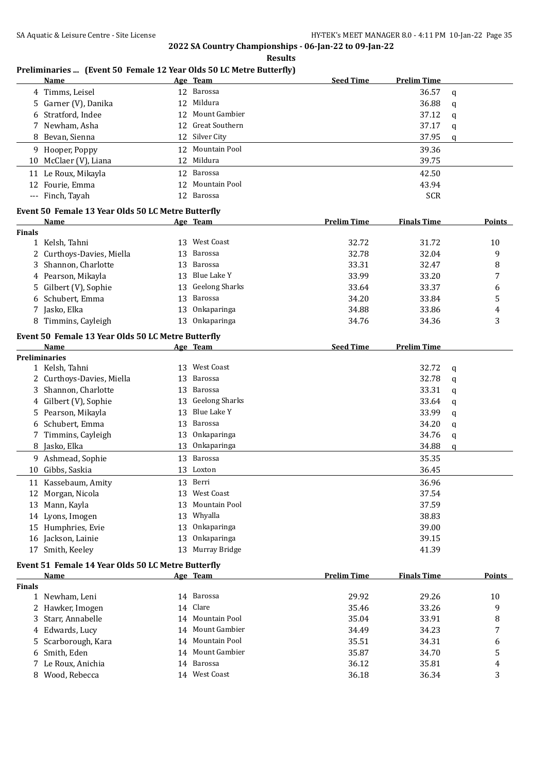**Results**

# **Preliminaries ... (Event 50 Female 12 Year Olds 50 LC Metre Butterfly)**

|                               | <u>Name</u>                                        |    | Age Team              | <b>Seed Time</b>   | <b>Prelim Time</b> |   |               |
|-------------------------------|----------------------------------------------------|----|-----------------------|--------------------|--------------------|---|---------------|
|                               | 4 Timms, Leisel                                    |    | 12 Barossa            |                    | 36.57              | q |               |
|                               | 5 Garner (V), Danika                               |    | 12 Mildura            |                    | 36.88              | q |               |
|                               | 6 Stratford, Indee                                 |    | 12 Mount Gambier      |                    | 37.12              | q |               |
|                               | 7 Newham, Asha                                     |    | 12 Great Southern     |                    | 37.17              | q |               |
|                               | 8 Bevan, Sienna                                    |    | 12 Silver City        |                    | 37.95              | q |               |
|                               | 9 Hooper, Poppy                                    | 12 | Mountain Pool         |                    | 39.36              |   |               |
|                               | 10 McClaer (V), Liana                              |    | 12 Mildura            |                    | 39.75              |   |               |
|                               |                                                    | 12 | Barossa               |                    | 42.50              |   |               |
|                               | 11 Le Roux, Mikayla<br>12 Fourie, Emma             | 12 | <b>Mountain Pool</b>  |                    | 43.94              |   |               |
|                               |                                                    | 12 | Barossa               |                    | <b>SCR</b>         |   |               |
|                               | --- Finch, Tayah                                   |    |                       |                    |                    |   |               |
|                               | Event 50 Female 13 Year Olds 50 LC Metre Butterfly |    |                       |                    |                    |   |               |
|                               | Name                                               |    | Age Team              | <b>Prelim Time</b> | <b>Finals Time</b> |   | Points        |
| <b>Finals</b><br>$\mathbf{1}$ | Kelsh, Tahni                                       |    | 13 West Coast         | 32.72              | 31.72              |   | 10            |
|                               |                                                    | 13 | Barossa               | 32.78              | 32.04              |   | 9             |
| 2<br>3                        | Curthoys-Davies, Miella<br>Shannon, Charlotte      | 13 | Barossa               | 33.31              | 32.47              |   |               |
|                               |                                                    |    | Blue Lake Y           |                    |                    |   | 8             |
|                               | 4 Pearson, Mikayla                                 | 13 |                       | 33.99              | 33.20              |   | 7             |
| 5                             | Gilbert (V), Sophie                                | 13 | <b>Geelong Sharks</b> | 33.64              | 33.37              |   | 6             |
|                               | 6 Schubert, Emma                                   | 13 | Barossa               | 34.20              | 33.84              |   | 5             |
|                               | 7 Jasko, Elka                                      | 13 | Onkaparinga           | 34.88              | 33.86              |   | 4             |
|                               | 8 Timmins, Cayleigh                                | 13 | Onkaparinga           | 34.76              | 34.36              |   | 3             |
|                               | Event 50 Female 13 Year Olds 50 LC Metre Butterfly |    |                       |                    |                    |   |               |
|                               | Name                                               |    | Age Team              | <b>Seed Time</b>   | <b>Prelim Time</b> |   |               |
|                               | <b>Preliminaries</b>                               |    |                       |                    |                    |   |               |
|                               | 1 Kelsh, Tahni                                     |    | 13 West Coast         |                    | 32.72              | q |               |
|                               | 2 Curthoys-Davies, Miella                          | 13 | Barossa               |                    | 32.78              | q |               |
|                               | Shannon, Charlotte                                 | 13 | Barossa               |                    | 33.31              | q |               |
|                               | 4 Gilbert (V), Sophie                              | 13 | <b>Geelong Sharks</b> |                    | 33.64              | q |               |
|                               | 5 Pearson, Mikayla                                 | 13 | Blue Lake Y           |                    | 33.99              | q |               |
|                               | 6 Schubert, Emma                                   | 13 | Barossa               |                    | 34.20              | q |               |
| 7                             | Timmins, Cayleigh                                  | 13 | Onkaparinga           |                    | 34.76              | q |               |
|                               | 8 Jasko, Elka                                      | 13 | Onkaparinga           |                    | 34.88              | q |               |
|                               | 9 Ashmead, Sophie                                  | 13 | Barossa               |                    | 35.35              |   |               |
|                               | 10 Gibbs, Saskia                                   | 13 | Loxton                |                    | 36.45              |   |               |
|                               | 11 Kassebaum, Amity                                |    | 13 Berri              |                    | 36.96              |   |               |
|                               | 12 Morgan, Nicola                                  | 13 | West Coast            |                    | 37.54              |   |               |
|                               | 13 Mann, Kayla                                     | 13 | Mountain Pool         |                    | 37.59              |   |               |
| 14                            | Lyons, Imogen                                      | 13 | Whyalla               |                    | 38.83              |   |               |
|                               | 15 Humphries, Evie                                 | 13 | Onkaparinga           |                    | 39.00              |   |               |
| 16                            | Jackson, Lainie                                    | 13 | Onkaparinga           |                    | 39.15              |   |               |
| 17                            | Smith, Keeley                                      | 13 | Murray Bridge         |                    | 41.39              |   |               |
|                               | Event 51 Female 14 Year Olds 50 LC Metre Butterfly |    |                       |                    |                    |   |               |
|                               | <b>Name</b>                                        |    | Age Team              | <b>Prelim Time</b> | <b>Finals Time</b> |   | <b>Points</b> |
| <b>Finals</b>                 |                                                    |    |                       |                    |                    |   |               |
|                               | 1 Newham, Leni                                     |    | 14 Barossa            | 29.92              | 29.26              |   | 10            |
|                               | 2 Hawker, Imogen                                   | 14 | Clare                 | 35.46              | 33.26              |   | 9             |
| 3                             | Starr, Annabelle                                   | 14 | Mountain Pool         | 35.04              | 33.91              |   | 8             |
|                               | 4 Edwards, Lucy                                    | 14 | <b>Mount Gambier</b>  | 34.49              | 34.23              |   | 7             |
| 5                             | Scarborough, Kara                                  | 14 | Mountain Pool         | 35.51              | 34.31              |   | 6             |
| 6                             | Smith, Eden                                        | 14 | Mount Gambier         | 35.87              | 34.70              |   | 5             |
| 7                             | Le Roux, Anichia                                   |    | 14 Barossa            | 36.12              | 35.81              |   | 4             |
|                               | 8 Wood, Rebecca                                    |    | 14 West Coast         | 36.18              | 36.34              |   | 3             |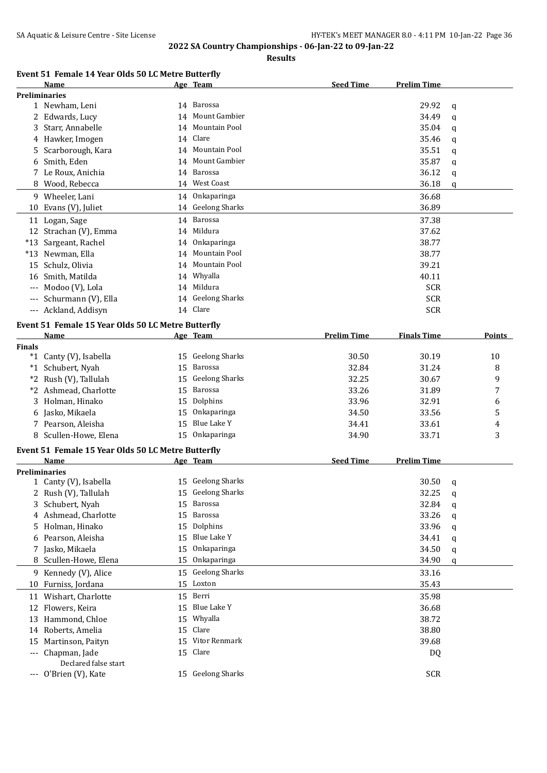**Results**

# **Event 51 Female 14 Year Olds 50 LC Metre Butterfly**

|               | Name                                               |    | Age Team              | <b>Seed Time</b>   | <b>Prelim Time</b> |              |        |
|---------------|----------------------------------------------------|----|-----------------------|--------------------|--------------------|--------------|--------|
|               | <b>Preliminaries</b>                               |    |                       |                    |                    |              |        |
|               | 1 Newham, Leni                                     |    | 14 Barossa            |                    | 29.92              | q            |        |
|               | 2 Edwards, Lucy                                    | 14 | Mount Gambier         |                    | 34.49              | q            |        |
| 3             | Starr, Annabelle                                   | 14 | Mountain Pool         |                    | 35.04              | q            |        |
|               | 4 Hawker, Imogen                                   |    | 14 Clare              |                    | 35.46              | q            |        |
| 5             | Scarborough, Kara                                  | 14 | Mountain Pool         |                    | 35.51              | q            |        |
| 6             | Smith, Eden                                        | 14 | Mount Gambier         |                    | 35.87              | q            |        |
|               | 7 Le Roux, Anichia                                 | 14 | Barossa               |                    | 36.12              | q            |        |
| 8             | Wood, Rebecca                                      |    | 14 West Coast         |                    | 36.18              | q            |        |
|               | 9 Wheeler, Lani                                    | 14 | Onkaparinga           |                    | 36.68              |              |        |
|               | 10 Evans (V), Juliet                               |    | 14 Geelong Sharks     |                    | 36.89              |              |        |
|               | 11 Logan, Sage                                     | 14 | Barossa               |                    | 37.38              |              |        |
|               | 12 Strachan (V), Emma                              | 14 | Mildura               |                    | 37.62              |              |        |
|               |                                                    |    | Onkaparinga           |                    | 38.77              |              |        |
|               | *13 Sargeant, Rachel                               | 14 | Mountain Pool         |                    |                    |              |        |
|               | *13 Newman, Ella                                   | 14 | Mountain Pool         |                    | 38.77              |              |        |
| 15            | Schulz, Olivia                                     | 14 |                       |                    | 39.21              |              |        |
|               | 16 Smith, Matilda                                  | 14 | Whyalla               |                    | 40.11              |              |        |
| $---$         | Modoo (V), Lola                                    | 14 | Mildura               |                    | <b>SCR</b>         |              |        |
| $---$         | Schurmann (V), Ella                                |    | 14 Geelong Sharks     |                    | <b>SCR</b>         |              |        |
| ---           | Ackland, Addisyn                                   |    | 14 Clare              |                    | <b>SCR</b>         |              |        |
|               | Event 51 Female 15 Year Olds 50 LC Metre Butterfly |    |                       |                    |                    |              |        |
|               | Name                                               |    | Age Team              | <b>Prelim Time</b> | <b>Finals Time</b> |              | Points |
| <b>Finals</b> |                                                    |    |                       |                    |                    |              |        |
|               | *1 Canty (V), Isabella                             | 15 | <b>Geelong Sharks</b> | 30.50              | 30.19              |              | 10     |
|               | *1 Schubert, Nyah                                  | 15 | Barossa               | 32.84              | 31.24              |              | 8      |
|               | *2 Rush (V), Tallulah                              | 15 | <b>Geelong Sharks</b> | 32.25              | 30.67              |              | 9      |
|               | *2 Ashmead, Charlotte                              | 15 | Barossa               | 33.26              | 31.89              |              | 7      |
| 3             | Holman, Hinako                                     | 15 | Dolphins              | 33.96              | 32.91              |              | 6      |
| 6             | Jasko, Mikaela                                     | 15 | Onkaparinga           | 34.50              | 33.56              |              | 5      |
|               | 7 Pearson, Aleisha                                 | 15 | Blue Lake Y           | 34.41              | 33.61              |              | 4      |
| 8             | Scullen-Howe, Elena                                | 15 | Onkaparinga           | 34.90              | 33.71              |              | 3      |
|               |                                                    |    |                       |                    |                    |              |        |
|               | Event 51 Female 15 Year Olds 50 LC Metre Butterfly |    |                       |                    | <b>Prelim Time</b> |              |        |
|               | <b>Name</b>                                        |    | Age Team              | <b>Seed Time</b>   |                    |              |        |
|               | <b>Preliminaries</b>                               |    | 15 Geelong Sharks     |                    | 30.50              |              |        |
|               | 1 Canty (V), Isabella                              |    | 15 Geelong Sharks     |                    |                    | q            |        |
|               | 2 Rush (V), Tallulah                               |    |                       |                    | 32.25              | $\mathbf{q}$ |        |
| 3             | Schubert, Nyah                                     | 15 | Barossa<br>Barossa    |                    | 32.84              | q            |        |
| 4             | Ashmead, Charlotte                                 | 15 |                       |                    | 33.26              | q            |        |
| 5.            | Holman, Hinako                                     | 15 | Dolphins              |                    | 33.96              | q            |        |
| 6             | Pearson, Aleisha                                   | 15 | Blue Lake Y           |                    | 34.41              | q            |        |
| 7             | Jasko, Mikaela                                     | 15 | Onkaparinga           |                    | 34.50              | q            |        |
| 8             | Scullen-Howe, Elena                                | 15 | Onkaparinga           |                    | 34.90              | q            |        |
|               | 9 Kennedy (V), Alice                               | 15 | <b>Geelong Sharks</b> |                    | 33.16              |              |        |
| 10            | Furniss, Jordana                                   | 15 | Loxton                |                    | 35.43              |              |        |
|               | 11 Wishart, Charlotte                              | 15 | Berri                 |                    | 35.98              |              |        |
|               | 12 Flowers, Keira                                  | 15 | Blue Lake Y           |                    | 36.68              |              |        |
| 13            | Hammond, Chloe                                     | 15 | Whyalla               |                    | 38.72              |              |        |
| 14            | Roberts, Amelia                                    | 15 | Clare                 |                    | 38.80              |              |        |
| 15            | Martinson, Paityn                                  | 15 | Vitor Renmark         |                    | 39.68              |              |        |
| $---$         | Chapman, Jade                                      | 15 | Clare                 |                    | DQ                 |              |        |
|               | Declared false start                               |    |                       |                    |                    |              |        |
|               | O'Brien (V), Kate                                  |    | 15 Geelong Sharks     |                    | <b>SCR</b>         |              |        |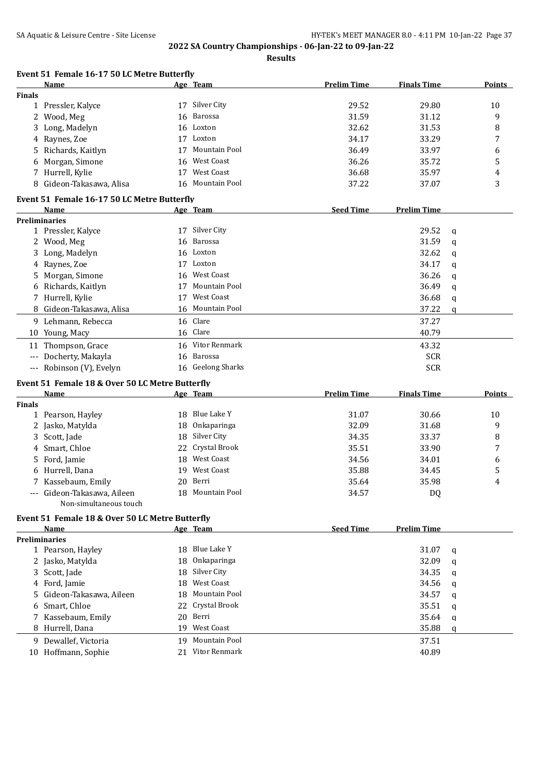**Results**

#### **Event 51 Female 16-17 50 LC Metre Butterfly Name Age Team Prelim Time Finals Time Points**

| <b>Finals</b> |                                                 |          |                                |                    |                    |   |        |
|---------------|-------------------------------------------------|----------|--------------------------------|--------------------|--------------------|---|--------|
| 1             | Pressler, Kalyce                                |          | 17 Silver City                 | 29.52              | 29.80              |   | 10     |
| 2             | Wood, Meg                                       | 16       | <b>Barossa</b>                 | 31.59              | 31.12              |   | 9      |
| 3             | Long, Madelyn                                   | 16       | Loxton                         | 32.62              | 31.53              |   | 8      |
| 4             | Raynes, Zoe                                     | 17       | Loxton                         | 34.17              | 33.29              |   | 7      |
| 5             | Richards, Kaitlyn                               | 17       | <b>Mountain Pool</b>           | 36.49              | 33.97              |   | 6      |
| 6             | Morgan, Simone                                  | 16       | <b>West Coast</b>              | 36.26              | 35.72              |   | 5      |
|               | 7 Hurrell, Kylie                                | 17       | <b>West Coast</b>              | 36.68              | 35.97              |   | 4      |
|               | 8 Gideon-Takasawa, Alisa                        | 16       | Mountain Pool                  | 37.22              | 37.07              |   | 3      |
|               | Event 51 Female 16-17 50 LC Metre Butterfly     |          |                                |                    |                    |   |        |
|               | Name                                            |          | Age Team                       | <b>Seed Time</b>   | <b>Prelim Time</b> |   |        |
|               | <b>Preliminaries</b>                            |          |                                |                    |                    |   |        |
|               | 1 Pressler, Kalyce                              |          | 17 Silver City                 |                    | 29.52              | q |        |
|               | 2 Wood, Meg                                     | 16       | Barossa                        |                    | 31.59              | q |        |
|               | 3 Long, Madelyn                                 | 16       | Loxton                         |                    | 32.62              | q |        |
|               | 4 Raynes, Zoe                                   | 17       | Loxton                         |                    | 34.17              | q |        |
|               | 5 Morgan, Simone                                | 16       | <b>West Coast</b>              |                    | 36.26              | q |        |
|               | 6 Richards, Kaitlyn                             | 17       | Mountain Pool                  |                    | 36.49              | q |        |
|               | 7 Hurrell, Kylie                                | 17       | <b>West Coast</b>              |                    | 36.68              | q |        |
|               | 8 Gideon-Takasawa, Alisa                        |          | 16 Mountain Pool               |                    | 37.22              | q |        |
|               | 9 Lehmann, Rebecca                              |          | 16 Clare                       |                    | 37.27              |   |        |
|               | 10 Young, Macy                                  |          | 16 Clare                       |                    | 40.79              |   |        |
|               | 11 Thompson, Grace                              |          | 16 Vitor Renmark               |                    | 43.32              |   |        |
|               | Docherty, Makayla                               | 16       | Barossa                        |                    | <b>SCR</b>         |   |        |
| $---$         |                                                 |          | 16 Geelong Sharks              |                    | <b>SCR</b>         |   |        |
|               | --- Robinson (V), Evelyn                        |          |                                |                    |                    |   |        |
|               |                                                 |          |                                |                    |                    |   |        |
|               | Event 51 Female 18 & Over 50 LC Metre Butterfly |          |                                |                    |                    |   |        |
|               | <b>Name</b>                                     |          | Age Team                       | <b>Prelim Time</b> | <b>Finals Time</b> |   | Points |
| <b>Finals</b> |                                                 |          |                                |                    |                    |   |        |
| $\mathbf{1}$  | Pearson, Hayley                                 | 18       | Blue Lake Y                    | 31.07              | 30.66              |   | 10     |
|               | 2 Jasko, Matylda                                | 18       | Onkaparinga                    | 32.09              | 31.68              |   | 9      |
| 3             | Scott, Jade                                     | 18       | Silver City                    | 34.35              | 33.37              |   | 8      |
| 4             | Smart, Chloe                                    | 22       | Crystal Brook                  | 35.51              | 33.90              |   | 7      |
| 5             | Ford, Jamie                                     | 18       | West Coast                     | 34.56              | 34.01              |   | 6      |
|               | 6 Hurrell, Dana                                 | 19       | <b>West Coast</b>              | 35.88              | 34.45              |   | 5      |
| 7             | Kassebaum, Emily                                | 20       | Berri                          | 35.64              | 35.98              |   | 4      |
|               | Gideon-Takasawa, Aileen                         |          | 18 Mountain Pool               | 34.57              | DQ                 |   |        |
|               | Non-simultaneous touch                          |          |                                |                    |                    |   |        |
|               | Event 51 Female 18 & Over 50 LC Metre Butterfly |          |                                |                    |                    |   |        |
|               | Name                                            |          | Age Team                       | <b>Seed Time</b>   | <b>Prelim Time</b> |   |        |
|               | <b>Preliminaries</b>                            |          |                                |                    |                    |   |        |
|               | 1 Pearson, Hayley                               | 18       | Blue Lake Y                    |                    | 31.07              | q |        |
|               | 2 Jasko, Matylda                                | 18       | Onkaparinga                    |                    | 32.09              | q |        |
|               | 3 Scott, Jade                                   | 18       | Silver City                    |                    | 34.35              | q |        |
|               | 4 Ford, Jamie                                   | 18       | <b>West Coast</b>              |                    | 34.56              | q |        |
| 5.            | Gideon-Takasawa, Aileen                         | 18       | Mountain Pool                  |                    | 34.57              | q |        |
|               | 6 Smart, Chloe                                  | 22       | Crystal Brook                  |                    | 35.51              | q |        |
|               |                                                 | 20       | Berri                          |                    | 35.64              |   |        |
|               | 7 Kassebaum, Emily                              | 19       | West Coast                     |                    |                    | q |        |
|               | 8 Hurrell, Dana                                 |          |                                |                    | 35.88              | q |        |
|               | 9 Dewallef, Victoria<br>10 Hoffmann, Sophie     | 19<br>21 | Mountain Pool<br>Vitor Renmark |                    | 37.51<br>40.89     |   |        |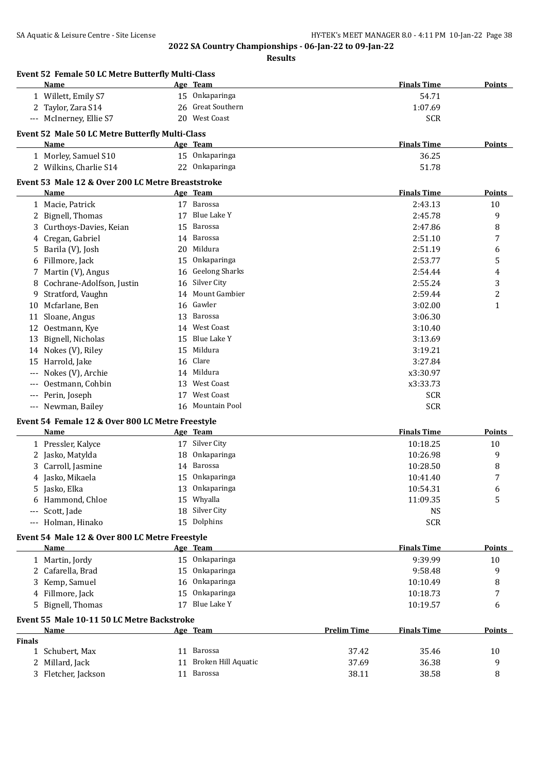|               | Event 52 Female 50 LC Metre Butterfly Multi-Class<br><b>Name</b> |    | Age Team               |                    | <b>Finals Time</b> | Points         |
|---------------|------------------------------------------------------------------|----|------------------------|--------------------|--------------------|----------------|
|               | 1 Willett, Emily S7                                              |    | 15 Onkaparinga         |                    | 54.71              |                |
|               | 2 Taylor, Zara S14                                               |    | 26 Great Southern      |                    | 1:07.69            |                |
|               | --- McInerney, Ellie S7                                          |    | 20 West Coast          |                    | <b>SCR</b>         |                |
|               | Event 52 Male 50 LC Metre Butterfly Multi-Class                  |    |                        |                    |                    |                |
|               | Name                                                             |    | Age Team               |                    | <b>Finals Time</b> | <b>Points</b>  |
|               | 1 Morley, Samuel S10                                             |    | 15 Onkaparinga         |                    | 36.25              |                |
|               | 2 Wilkins, Charlie S14                                           |    | 22 Onkaparinga         |                    | 51.78              |                |
|               |                                                                  |    |                        |                    |                    |                |
|               | Event 53 Male 12 & Over 200 LC Metre Breaststroke                |    |                        |                    |                    |                |
|               | Name                                                             |    | Age Team<br>17 Barossa |                    | <b>Finals Time</b> | <b>Points</b>  |
|               | 1 Macie, Patrick                                                 |    | Blue Lake Y            |                    | 2:43.13            | 10             |
|               | 2 Bignell, Thomas                                                | 17 |                        |                    | 2:45.78            | 9              |
| 3             | Curthoys-Davies, Keian                                           | 15 | Barossa                |                    | 2:47.86            | 8              |
| 4             | Cregan, Gabriel                                                  | 14 | Barossa                |                    | 2:51.10            | 7              |
| 5             | Barila (V), Josh                                                 | 20 | Mildura                |                    | 2:51.19            | 6              |
| 6             | Fillmore, Jack                                                   | 15 | Onkaparinga            |                    | 2:53.77            | 5              |
|               | Martin (V), Angus                                                | 16 | <b>Geelong Sharks</b>  |                    | 2:54.44            | 4              |
| 8             | Cochrane-Adolfson, Justin                                        | 16 | Silver City            |                    | 2:55.24            | 3              |
| 9             | Stratford, Vaughn                                                | 14 | Mount Gambier          |                    | 2:59.44            | $\overline{c}$ |
| 10            | Mcfarlane, Ben                                                   | 16 | Gawler                 |                    | 3:02.00            | $\mathbf{1}$   |
| 11            | Sloane, Angus                                                    | 13 | Barossa                |                    | 3:06.30            |                |
| 12            | Oestmann, Kye                                                    | 14 | <b>West Coast</b>      |                    | 3:10.40            |                |
| 13            | Bignell, Nicholas                                                | 15 | Blue Lake Y            |                    | 3:13.69            |                |
|               | 14 Nokes (V), Riley                                              | 15 | Mildura                |                    | 3:19.21            |                |
| 15            | Harrold, Jake                                                    | 16 | Clare                  |                    | 3:27.84            |                |
|               | Nokes (V), Archie                                                | 14 | Mildura                |                    | x3:30.97           |                |
|               | Oestmann, Cohbin                                                 | 13 | <b>West Coast</b>      |                    | x3:33.73           |                |
| ---           | Perin, Joseph                                                    | 17 | <b>West Coast</b>      |                    | <b>SCR</b>         |                |
|               | --- Newman, Bailey                                               |    | 16 Mountain Pool       |                    | <b>SCR</b>         |                |
|               | Event 54 Female 12 & Over 800 LC Metre Freestyle                 |    |                        |                    |                    |                |
|               | Name                                                             |    | Age Team               |                    | <b>Finals Time</b> | Points         |
|               | 1 Pressler, Kalyce                                               |    | 17 Silver City         |                    | 10:18.25           | 10             |
|               | 2 Jasko, Matylda                                                 | 18 | Onkaparinga            |                    | 10:26.98           | 9              |
|               | Carroll, Jasmine                                                 | 14 | Barossa                |                    | 10:28.50           | 8              |
| 4             | Jasko, Mikaela                                                   |    | 15 Onkaparinga         |                    | 10:41.40           | 7              |
|               | Jasko, Elka                                                      |    | 13 Onkaparinga         |                    | 10:54.31           | 6              |
| 6             | Hammond, Chloe                                                   | 15 | Whyalla                |                    | 11:09.35           | 5              |
| ---           | Scott, Jade                                                      | 18 | Silver City            |                    | <b>NS</b>          |                |
| ---           | Holman, Hinako                                                   |    | 15 Dolphins            |                    | <b>SCR</b>         |                |
|               |                                                                  |    |                        |                    |                    |                |
|               | Event 54 Male 12 & Over 800 LC Metre Freestyle                   |    |                        |                    |                    |                |
|               | Name                                                             |    | Age Team               |                    | <b>Finals Time</b> | <b>Points</b>  |
|               | 1 Martin, Jordy                                                  |    | 15 Onkaparinga         |                    | 9:39.99            | 10             |
| 2             | Cafarella, Brad                                                  | 15 | Onkaparinga            |                    | 9:58.48            | 9              |
|               | Kemp, Samuel                                                     | 16 | Onkaparinga            |                    | 10:10.49           | 8              |
|               | 4 Fillmore, Jack                                                 | 15 | Onkaparinga            |                    | 10:18.73           | 7              |
| 5             | Bignell, Thomas                                                  | 17 | Blue Lake Y            |                    | 10:19.57           | 6              |
|               | Event 55 Male 10-11 50 LC Metre Backstroke                       |    |                        |                    |                    |                |
|               | Name                                                             |    | Age Team               | <b>Prelim Time</b> | <b>Finals Time</b> | <b>Points</b>  |
| <b>Finals</b> |                                                                  |    |                        |                    |                    |                |
|               | 1 Schubert, Max                                                  |    | 11 Barossa             | 37.42              | 35.46              | 10             |
| 2             | Millard, Jack                                                    |    | 11 Broken Hill Aquatic | 37.69              | 36.38              | 9              |
|               | 3 Fletcher, Jackson                                              |    | 11 Barossa             | 38.11              | 38.58              | 8              |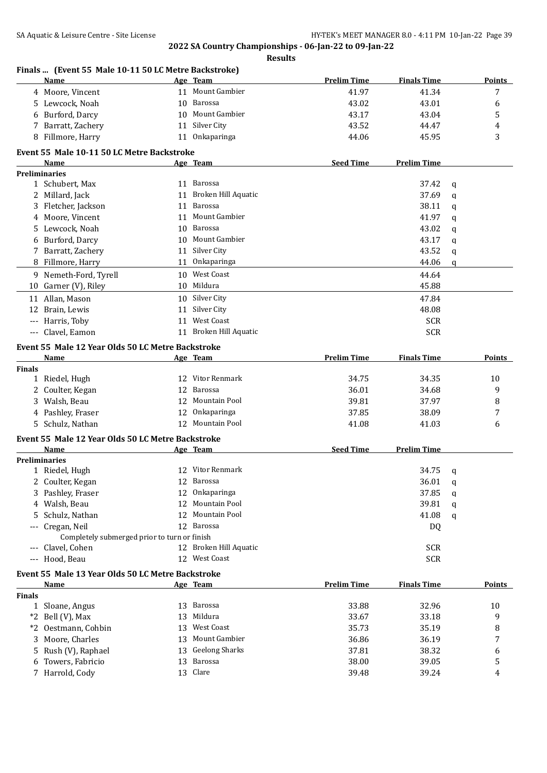|               | Finals  (Event 55 Male 10-11 50 LC Metre Backstroke)<br>Name |    | Age Team                   | <b>Prelim Time</b> | <b>Finals Time</b> |              | <b>Points</b> |
|---------------|--------------------------------------------------------------|----|----------------------------|--------------------|--------------------|--------------|---------------|
|               | 4 Moore, Vincent                                             |    | 11 Mount Gambier           | 41.97              | 41.34              |              | 7             |
|               | 5 Lewcock, Noah                                              |    | 10 Barossa                 | 43.02              | 43.01              |              | 6             |
|               | 6 Burford, Darcy                                             |    | 10 Mount Gambier           | 43.17              | 43.04              |              | 5             |
|               | 7 Barratt, Zachery                                           | 11 | Silver City                | 43.52              | 44.47              |              | 4             |
|               | 8 Fillmore, Harry                                            |    | 11 Onkaparinga             | 44.06              | 45.95              |              | 3             |
|               | Event 55 Male 10-11 50 LC Metre Backstroke                   |    |                            |                    |                    |              |               |
|               | Name                                                         |    | Age Team                   | <b>Seed Time</b>   | <b>Prelim Time</b> |              |               |
|               | <b>Preliminaries</b>                                         |    |                            |                    |                    |              |               |
|               | 1 Schubert, Max                                              |    | 11 Barossa                 |                    | 37.42              | q            |               |
|               | 2 Millard, Jack                                              | 11 | <b>Broken Hill Aquatic</b> |                    | 37.69              | $\mathbf q$  |               |
| 3             | Fletcher, Jackson                                            | 11 | Barossa                    |                    | 38.11              | q            |               |
|               | 4 Moore, Vincent                                             | 11 | <b>Mount Gambier</b>       |                    | 41.97              | q            |               |
|               | 5 Lewcock, Noah                                              | 10 | Barossa                    |                    | 43.02              | $\mathsf{q}$ |               |
|               | 6 Burford, Darcy                                             |    | 10 Mount Gambier           |                    | 43.17              | q            |               |
|               | 7 Barratt, Zachery                                           |    | 11 Silver City             |                    | 43.52              | q            |               |
|               | 8 Fillmore, Harry                                            |    | 11 Onkaparinga             |                    | 44.06              | $\mathbf q$  |               |
|               | 9 Nemeth-Ford, Tyrell                                        |    | 10 West Coast              |                    | 44.64              |              |               |
|               | 10 Garner (V), Riley                                         |    | 10 Mildura                 |                    | 45.88              |              |               |
|               | 11 Allan, Mason                                              |    | 10 Silver City             |                    | 47.84              |              |               |
|               | 12 Brain, Lewis                                              | 11 | Silver City                |                    | 48.08              |              |               |
|               | --- Harris, Toby                                             |    | 11 West Coast              |                    | <b>SCR</b>         |              |               |
|               | --- Clavel, Eamon                                            |    | 11 Broken Hill Aquatic     |                    | <b>SCR</b>         |              |               |
|               | Event 55 Male 12 Year Olds 50 LC Metre Backstroke            |    |                            |                    |                    |              |               |
|               | <b>Name</b>                                                  |    | Age Team                   | <b>Prelim Time</b> | <b>Finals Time</b> |              | <b>Points</b> |
| <b>Finals</b> |                                                              |    |                            |                    |                    |              |               |
|               | 1 Riedel, Hugh                                               |    | 12 Vitor Renmark           | 34.75              | 34.35              |              | 10            |
|               | 2 Coulter, Kegan                                             | 12 | Barossa                    | 36.01              | 34.68              |              | 9             |
|               | 3 Walsh, Beau                                                | 12 | Mountain Pool              | 39.81              | 37.97              |              | 8             |
|               | 4 Pashley, Fraser                                            | 12 | Onkaparinga                | 37.85              | 38.09              |              | 7             |
|               | 5 Schulz, Nathan                                             |    | 12 Mountain Pool           | 41.08              | 41.03              |              | 6             |
|               | Event 55 Male 12 Year Olds 50 LC Metre Backstroke            |    |                            |                    |                    |              |               |
|               | Name                                                         |    | Age Team                   | <b>Seed Time</b>   | <b>Prelim Time</b> |              |               |
|               | <b>Preliminaries</b>                                         |    |                            |                    |                    |              |               |
|               | 1 Riedel, Hugh                                               |    | 12 Vitor Renmark           |                    | 34.75              | q            |               |
|               | 2 Coulter, Kegan                                             |    | 12 Barossa                 |                    | 36.01              | q            |               |
| 3             | Pashley, Fraser                                              | 12 | Onkaparinga                |                    | 37.85              | q            |               |
| 4             | Walsh, Beau                                                  | 12 | Mountain Pool              |                    | 39.81              | q            |               |
| 5             | Schulz, Nathan                                               | 12 | Mountain Pool              |                    | 41.08              | q            |               |
| $---$         | Cregan, Neil                                                 | 12 | Barossa                    |                    | DQ                 |              |               |
|               | Completely submerged prior to turn or finish                 |    |                            |                    |                    |              |               |
| $---$         | Clavel, Cohen                                                |    | 12 Broken Hill Aquatic     |                    | <b>SCR</b>         |              |               |
|               | --- Hood, Beau                                               |    | 12 West Coast              |                    | <b>SCR</b>         |              |               |
|               | Event 55 Male 13 Year Olds 50 LC Metre Backstroke            |    |                            |                    |                    |              |               |
|               | Name                                                         |    | Age Team                   | <b>Prelim Time</b> | <b>Finals Time</b> |              | <b>Points</b> |
| Finals        |                                                              |    |                            |                    |                    |              |               |
|               | 1 Sloane, Angus                                              | 13 | Barossa                    | 33.88              | 32.96              |              | 10            |
| *2            | Bell (V), Max                                                | 13 | Mildura                    | 33.67              | 33.18              |              | 9             |
| $*2$          | Oestmann, Cohbin                                             | 13 | West Coast                 | 35.73              | 35.19              |              | 8             |
| 3             | Moore, Charles                                               | 13 | Mount Gambier              | 36.86              | 36.19              |              | 7             |
| 5             | Rush (V), Raphael                                            | 13 | <b>Geelong Sharks</b>      | 37.81              | 38.32              |              | 6             |
|               | Towers, Fabricio                                             | 13 | Barossa                    | 38.00              | 39.05              |              | 5             |
|               | 7 Harrold, Cody                                              |    | 13 Clare                   | 39.48              | 39.24              |              | 4             |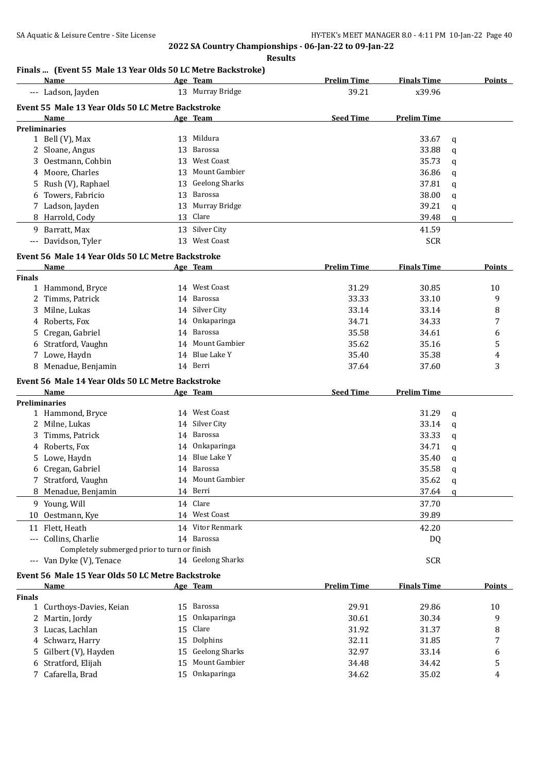## **Finals ... (Event 55 Male 13 Year Olds 50 LC Metre Backstroke)**

|               | Name                                              |          | Age Team                     | <b>Prelim Time</b> | <b>Finals Time</b> |        | <b>Points</b> |
|---------------|---------------------------------------------------|----------|------------------------------|--------------------|--------------------|--------|---------------|
|               | --- Ladson, Jayden                                |          | 13 Murray Bridge             | 39.21              | x39.96             |        |               |
|               | Event 55 Male 13 Year Olds 50 LC Metre Backstroke |          |                              |                    |                    |        |               |
|               | Name                                              |          | Age Team                     | <b>Seed Time</b>   | <b>Prelim Time</b> |        |               |
|               | <b>Preliminaries</b>                              |          |                              |                    |                    |        |               |
|               | 1 Bell (V), Max                                   |          | 13 Mildura                   |                    | 33.67              | q      |               |
|               | 2 Sloane, Angus                                   | 13       | Barossa                      |                    | 33.88              | q      |               |
|               | 3 Oestmann, Cohbin                                | 13       | West Coast                   |                    | 35.73              | q      |               |
|               | 4 Moore, Charles                                  | 13       | Mount Gambier                |                    | 36.86              | q      |               |
|               | 5 Rush (V), Raphael                               | 13       | <b>Geelong Sharks</b>        |                    | 37.81              | q      |               |
|               | Towers, Fabricio                                  |          | 13 Barossa                   |                    | 38.00              | q      |               |
|               | 7 Ladson, Jayden                                  |          | 13 Murray Bridge             |                    | 39.21              | q      |               |
|               | 8 Harrold, Cody                                   |          | 13 Clare                     |                    | 39.48              | q      |               |
|               | Barratt, Max                                      |          | 13 Silver City               |                    | 41.59              |        |               |
| 9.            |                                                   |          | 13 West Coast                |                    |                    |        |               |
|               | --- Davidson, Tyler                               |          |                              |                    | <b>SCR</b>         |        |               |
|               | Event 56 Male 14 Year Olds 50 LC Metre Backstroke |          |                              |                    |                    |        |               |
|               | Name                                              |          | Age Team                     | <b>Prelim Time</b> | <b>Finals Time</b> |        | Points        |
| <b>Finals</b> |                                                   |          |                              |                    |                    |        |               |
|               | 1 Hammond, Bryce                                  |          | 14 West Coast                | 31.29              | 30.85              |        | 10            |
| 2             | Timms, Patrick                                    |          | 14 Barossa                   | 33.33              | 33.10              |        | 9             |
|               | 3 Milne, Lukas                                    |          | 14 Silver City               | 33.14              | 33.14              |        | 8             |
|               | 4 Roberts, Fox                                    |          | 14 Onkaparinga               | 34.71              | 34.33              |        | 7             |
| 5.            | Cregan, Gabriel                                   |          | 14 Barossa                   | 35.58              | 34.61              |        | 6             |
|               | 6 Stratford, Vaughn                               |          | 14 Mount Gambier             | 35.62              | 35.16              |        | 5             |
|               | 7 Lowe, Haydn                                     |          | 14 Blue Lake Y               | 35.40              | 35.38              |        | 4             |
|               | 8 Menadue, Benjamin                               |          | 14 Berri                     | 37.64              | 37.60              |        | 3             |
|               | Event 56 Male 14 Year Olds 50 LC Metre Backstroke |          |                              |                    |                    |        |               |
|               | Name                                              |          | Age Team                     | <b>Seed Time</b>   | <b>Prelim Time</b> |        |               |
|               | <b>Preliminaries</b>                              |          |                              |                    |                    |        |               |
|               | 1 Hammond, Bryce                                  |          | 14 West Coast                |                    | 31.29              | q      |               |
|               | 2 Milne, Lukas                                    |          | 14 Silver City               |                    | 33.14              | q      |               |
|               |                                                   |          |                              |                    |                    |        |               |
|               |                                                   |          | 14 Barossa                   |                    | 33.33              | q      |               |
|               | 3 Timms, Patrick                                  |          | 14 Onkaparinga               |                    | 34.71              |        |               |
|               | 4 Roberts, Fox                                    |          | 14 Blue Lake Y               |                    | 35.40              | q<br>q |               |
|               | 5 Lowe, Haydn                                     |          | 14 Barossa                   |                    |                    |        |               |
|               | 6 Cregan, Gabriel                                 |          | 14 Mount Gambier             |                    | 35.58              | q      |               |
| 8             | 7 Stratford, Vaughn                               |          |                              |                    | 35.62              | q      |               |
|               | Menadue, Benjamin                                 |          | 14 Berri                     |                    | 37.64              | q      |               |
|               | 9 Young, Will                                     |          | 14 Clare                     |                    | 37.70              |        |               |
|               | 10 Oestmann, Kye                                  |          | 14 West Coast                |                    | 39.89              |        |               |
|               | 11 Flett, Heath                                   |          | 14 Vitor Renmark             |                    | 42.20              |        |               |
|               | --- Collins, Charlie                              |          | 14 Barossa                   |                    | DQ                 |        |               |
|               | Completely submerged prior to turn or finish      |          |                              |                    |                    |        |               |
|               | --- Van Dyke (V), Tenace                          |          | 14 Geelong Sharks            |                    | <b>SCR</b>         |        |               |
|               | Event 56 Male 15 Year Olds 50 LC Metre Backstroke |          |                              |                    |                    |        |               |
|               | Name                                              |          | Age Team                     | <b>Prelim Time</b> | <b>Finals Time</b> |        | <b>Points</b> |
| <b>Finals</b> |                                                   |          |                              |                    |                    |        |               |
| $\mathbf{1}$  | Curthoys-Davies, Keian                            | 15       | Barossa                      | 29.91              | 29.86              |        | 10            |
| 2             | Martin, Jordy                                     | 15       | Onkaparinga                  | 30.61              | 30.34              |        | 9             |
|               | 3 Lucas, Lachlan                                  | 15       | Clare                        | 31.92              | 31.37              |        | 8             |
|               | Schwarz, Harry                                    | 15       | Dolphins                     | 32.11              | 31.85              |        | 7             |
|               | Gilbert (V), Hayden                               | 15       | <b>Geelong Sharks</b>        | 32.97              | 33.14              |        | 6             |
|               | Stratford, Elijah<br>7 Cafarella, Brad            | 15<br>15 | Mount Gambier<br>Onkaparinga | 34.48<br>34.62     | 34.42<br>35.02     |        | 5<br>4        |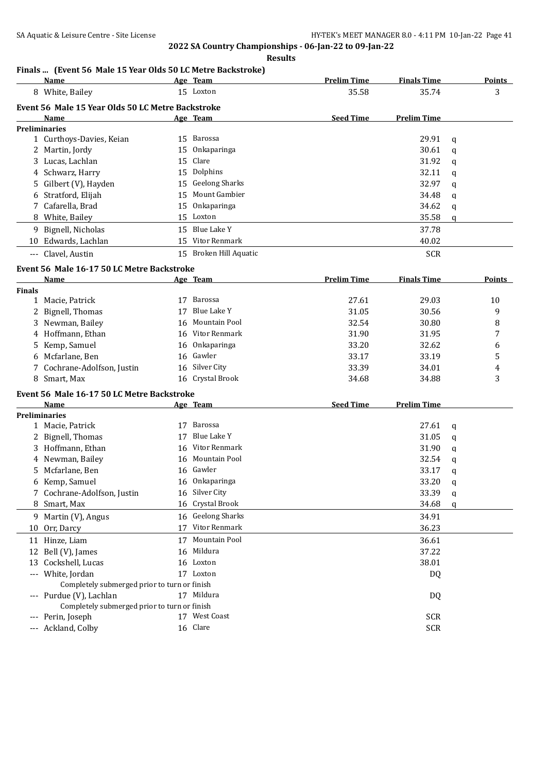#### **Results**

## **Finals ... (Event 56 Male 15 Year Olds 50 LC Metre Backstroke)**

|                   | Name                                              |    | Age Team               | <b>Prelim Time</b> | <b>Finals Time</b> | <b>Points</b> |
|-------------------|---------------------------------------------------|----|------------------------|--------------------|--------------------|---------------|
| 8                 | White, Bailey                                     |    | 15 Loxton              | 35.58              | 35.74              | 3             |
|                   | Event 56 Male 15 Year Olds 50 LC Metre Backstroke |    |                        |                    |                    |               |
|                   | <b>Name</b>                                       |    | Age Team               | <b>Seed Time</b>   | <b>Prelim Time</b> |               |
|                   | <b>Preliminaries</b>                              |    |                        |                    |                    |               |
|                   | 1 Curthoys-Davies, Keian                          | 15 | Barossa                |                    | 29.91              | q             |
|                   | 2 Martin, Jordy                                   |    | 15 Onkaparinga         |                    | 30.61              | q             |
|                   | 3 Lucas, Lachlan                                  |    | 15 Clare               |                    | 31.92              | a             |
|                   | 4 Schwarz, Harry                                  |    | 15 Dolphins            |                    | 32.11              | q             |
|                   | 5 Gilbert (V), Hayden                             |    | 15 Geelong Sharks      |                    | 32.97              | q             |
|                   | 6 Stratford, Elijah                               | 15 | Mount Gambier          |                    | 34.48              | q             |
|                   | 7 Cafarella, Brad                                 |    | 15 Onkaparinga         |                    | 34.62              | q             |
|                   | 8 White, Bailey                                   |    | 15 Loxton              |                    | 35.58              | q             |
| 9                 | Bignell, Nicholas                                 | 15 | Blue Lake Y            |                    | 37.78              |               |
|                   | 10 Edwards, Lachlan                               | 15 | Vitor Renmark          |                    | 40.02              |               |
| $\qquad \qquad -$ | Clavel, Austin                                    |    | 15 Broken Hill Aquatic |                    | <b>SCR</b>         |               |

### **Event 56 Male 16-17 50 LC Metre Backstroke**

|                     | <b>Name</b>                                  |    | Age Team              | <b>Prelim Time</b> | <b>Finals Time</b> |              | <b>Points</b> |
|---------------------|----------------------------------------------|----|-----------------------|--------------------|--------------------|--------------|---------------|
| <b>Finals</b>       |                                              |    |                       |                    |                    |              |               |
| $\mathbf{1}$        | Macie, Patrick                               | 17 | Barossa               | 27.61              | 29.03              |              | 10            |
|                     | Bignell, Thomas                              | 17 | <b>Blue Lake Y</b>    | 31.05              | 30.56              |              | 9             |
| 3                   | Newman, Bailey                               | 16 | Mountain Pool         | 32.54              | 30.80              |              | 8             |
| 4                   | Hoffmann, Ethan                              | 16 | Vitor Renmark         | 31.90              | 31.95              |              | 7             |
| 5.                  | Kemp, Samuel                                 | 16 | Onkaparinga           | 33.20              | 32.62              |              | 6             |
| 6                   | Mcfarlane, Ben                               | 16 | Gawler                | 33.17              | 33.19              |              | $\mathsf S$   |
|                     | Cochrane-Adolfson, Justin                    | 16 | Silver City           | 33.39              | 34.01              |              | 4             |
|                     | 8 Smart, Max                                 | 16 | Crystal Brook         | 34.68              | 34.88              |              | 3             |
|                     | Event 56 Male 16-17 50 LC Metre Backstroke   |    |                       |                    |                    |              |               |
|                     | <b>Name</b>                                  |    | Age Team              | <b>Seed Time</b>   | <b>Prelim Time</b> |              |               |
|                     | <b>Preliminaries</b>                         |    |                       |                    |                    |              |               |
|                     | 1 Macie, Patrick                             | 17 | Barossa               |                    | 27.61              | q            |               |
| 2                   | Bignell, Thomas                              | 17 | Blue Lake Y           |                    | 31.05              | $\mathbf{q}$ |               |
| 3                   | Hoffmann, Ethan                              | 16 | Vitor Renmark         |                    | 31.90              | q            |               |
|                     | 4 Newman, Bailey                             | 16 | Mountain Pool         |                    | 32.54              | a            |               |
| 5.                  | Mcfarlane, Ben                               | 16 | Gawler                |                    | 33.17              | a            |               |
| 6                   | Kemp, Samuel                                 | 16 | Onkaparinga           |                    | 33.20              | a            |               |
|                     | Cochrane-Adolfson, Justin                    | 16 | Silver City           |                    | 33.39              | q            |               |
| 8                   | Smart, Max                                   | 16 | Crystal Brook         |                    | 34.68              | a            |               |
| 9                   | Martin (V), Angus                            | 16 | <b>Geelong Sharks</b> |                    | 34.91              |              |               |
| 10                  | Orr, Darcy                                   | 17 | <b>Vitor Renmark</b>  |                    | 36.23              |              |               |
|                     | 11 Hinze, Liam                               | 17 | <b>Mountain Pool</b>  |                    | 36.61              |              |               |
| 12                  | Bell (V), James                              | 16 | Mildura               |                    | 37.22              |              |               |
| 13                  | Cockshell, Lucas                             | 16 | Loxton                |                    | 38.01              |              |               |
|                     | White, Jordan                                |    | 17 Loxton             |                    | DQ                 |              |               |
|                     | Completely submerged prior to turn or finish |    |                       |                    |                    |              |               |
|                     | --- Purdue (V), Lachlan                      |    | 17 Mildura            |                    | DQ                 |              |               |
|                     | Completely submerged prior to turn or finish |    |                       |                    |                    |              |               |
|                     | Perin, Joseph                                |    | 17 West Coast         |                    | <b>SCR</b>         |              |               |
| $\qquad \qquad - -$ | Ackland, Colby                               |    | 16 Clare              |                    | <b>SCR</b>         |              |               |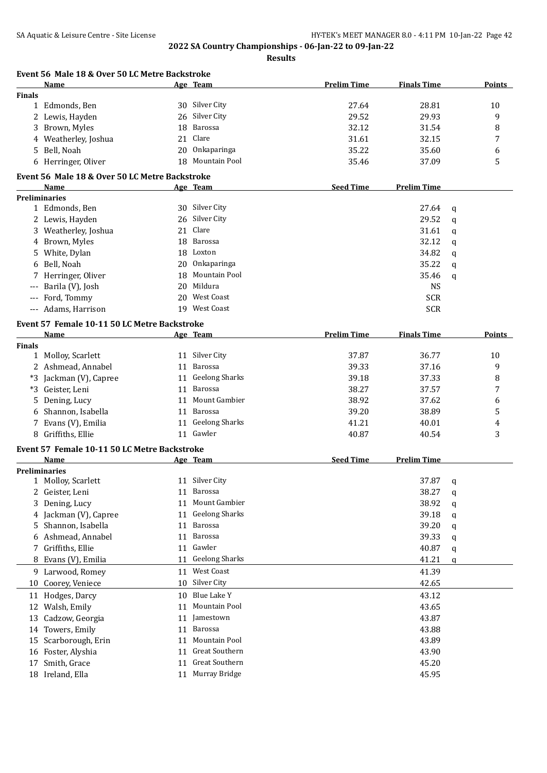|               | Event 56 Male 18 & Over 50 LC Metre Backstroke |    |                                 |                    |                    |             |        |
|---------------|------------------------------------------------|----|---------------------------------|--------------------|--------------------|-------------|--------|
|               | Name                                           |    | Age Team                        | <b>Prelim Time</b> | <b>Finals Time</b> |             | Points |
| <b>Finals</b> |                                                |    |                                 |                    |                    |             |        |
|               | 1 Edmonds, Ben                                 |    | 30 Silver City                  | 27.64              | 28.81              |             | 10     |
|               | 2 Lewis, Hayden                                | 26 | Silver City                     | 29.52              | 29.93              |             | 9      |
|               | 3 Brown, Myles                                 | 18 | <b>Barossa</b>                  | 32.12              | 31.54              |             | 8      |
|               | 4 Weatherley, Joshua                           | 21 | Clare                           | 31.61              | 32.15              |             | 7      |
|               | 5 Bell, Noah                                   | 20 | Onkaparinga                     | 35.22              | 35.60              |             | 6      |
|               | 6 Herringer, Oliver                            |    | 18 Mountain Pool                | 35.46              | 37.09              |             | 5      |
|               | Event 56 Male 18 & Over 50 LC Metre Backstroke |    |                                 |                    |                    |             |        |
|               | Name                                           |    | Age Team                        | <b>Seed Time</b>   | <b>Prelim Time</b> |             |        |
|               | <b>Preliminaries</b>                           |    |                                 |                    |                    |             |        |
|               | 1 Edmonds, Ben                                 |    | 30 Silver City                  |                    | 27.64              | q           |        |
|               | 2 Lewis, Hayden                                | 26 | Silver City                     |                    | 29.52              | $\mathbf q$ |        |
|               | 3 Weatherley, Joshua                           | 21 | Clare                           |                    | 31.61              | a           |        |
|               | 4 Brown, Myles                                 | 18 | Barossa                         |                    | 32.12              | q           |        |
|               | 5 White, Dylan                                 | 18 | Loxton                          |                    | 34.82              | a           |        |
|               | 6 Bell, Noah                                   | 20 | Onkaparinga                     |                    | 35.22              | a           |        |
|               | 7 Herringer, Oliver                            | 18 | Mountain Pool                   |                    | 35.46              | q           |        |
| $---$         | Barila (V), Josh                               | 20 | Mildura                         |                    | <b>NS</b>          |             |        |
|               | --- Ford, Tommy                                | 20 | <b>West Coast</b>               |                    | <b>SCR</b>         |             |        |
|               | --- Adams, Harrison                            |    | 19 West Coast                   |                    | <b>SCR</b>         |             |        |
|               | Event 57 Female 10-11 50 LC Metre Backstroke   |    |                                 |                    |                    |             |        |
|               | Name                                           |    | Age Team                        | <b>Prelim Time</b> | <b>Finals Time</b> |             | Points |
| <b>Finals</b> |                                                |    |                                 |                    |                    |             |        |
|               | 1 Molloy, Scarlett                             |    | 11 Silver City                  | 37.87              | 36.77              |             | 10     |
|               | 2 Ashmead, Annabel                             | 11 | Barossa                         | 39.33              | 37.16              |             | 9      |
|               | *3 Jackman (V), Capree                         | 11 | <b>Geelong Sharks</b>           | 39.18              | 37.33              |             | 8      |
|               | *3 Geister, Leni                               | 11 | Barossa                         | 38.27              | 37.57              |             | 7      |
|               |                                                | 11 | Mount Gambier                   | 38.92              | 37.62              |             |        |
| 5.            | Dening, Lucy<br>Shannon, Isabella              |    | Barossa                         | 39.20              | 38.89              |             | 6      |
| 6             |                                                | 11 | <b>Geelong Sharks</b>           | 41.21              | 40.01              |             | 5      |
|               | 7 Evans (V), Emilia                            | 11 | 11 Gawler                       |                    |                    |             | 4<br>3 |
|               | 8 Griffiths, Ellie                             |    |                                 | 40.87              | 40.54              |             |        |
|               | Event 57 Female 10-11 50 LC Metre Backstroke   |    |                                 | <b>Seed Time</b>   |                    |             |        |
|               | Name<br><b>Preliminaries</b>                   |    | Age Team                        |                    | <b>Prelim Time</b> |             |        |
|               |                                                |    | 11 Silver City                  |                    |                    |             |        |
| 1             | Molloy, Scarlett                               |    |                                 |                    | 37.87              | q           |        |
| $2^{\circ}$   | Geister, Leni                                  | 11 | <b>Barossa</b><br>Mount Gambier |                    | 38.27              | q           |        |
| 3             | Dening, Lucy                                   | 11 |                                 |                    | 38.92              | q           |        |
| 4             | Jackman (V), Capree                            | 11 | <b>Geelong Sharks</b>           |                    | 39.18              | q           |        |
| 5             | Shannon, Isabella                              | 11 | <b>Barossa</b>                  |                    | 39.20              | q           |        |
|               | 6 Ashmead, Annabel                             | 11 | Barossa                         |                    | 39.33              | q           |        |
|               | 7 Griffiths, Ellie                             | 11 | Gawler                          |                    | 40.87              | q           |        |
|               | 8 Evans (V), Emilia                            | 11 | <b>Geelong Sharks</b>           |                    | 41.21              | q           |        |
|               | 9 Larwood, Romey                               | 11 | <b>West Coast</b>               |                    | 41.39              |             |        |
|               | 10 Coorey, Veniece                             | 10 | Silver City                     |                    | 42.65              |             |        |
|               | 11 Hodges, Darcy                               | 10 | Blue Lake Y                     |                    | 43.12              |             |        |
| 12            | Walsh, Emily                                   | 11 | Mountain Pool                   |                    | 43.65              |             |        |
| 13            | Cadzow, Georgia                                | 11 | Jamestown                       |                    | 43.87              |             |        |
| 14            | Towers, Emily                                  | 11 | Barossa                         |                    | 43.88              |             |        |
|               |                                                |    | Mountain Pool                   |                    | 43.89              |             |        |
| 15            | Scarborough, Erin                              | 11 |                                 |                    |                    |             |        |
| 16            | Foster, Alyshia                                | 11 | Great Southern                  |                    | 43.90              |             |        |
| 17            | Smith, Grace                                   | 11 | Great Southern                  |                    | 45.20              |             |        |
|               | 18 Ireland, Ella                               | 11 | Murray Bridge                   |                    | 45.95              |             |        |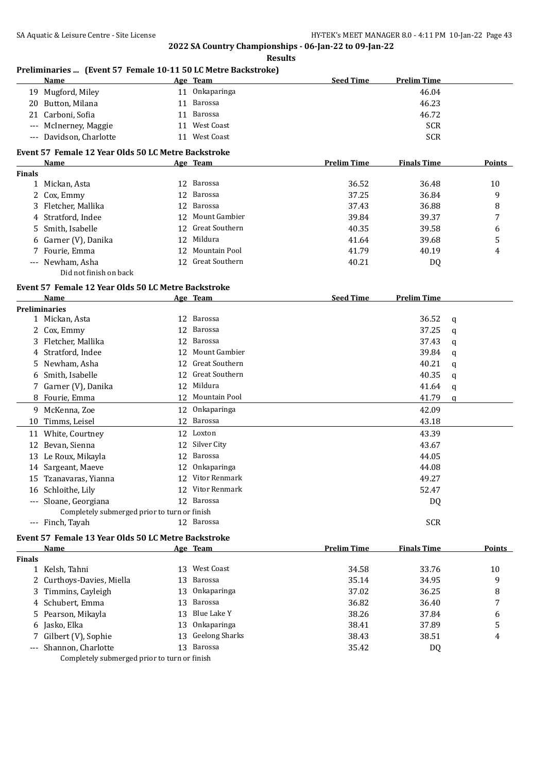|                                          | 19 Mugford, Miley                                   |    | 11 Onkaparinga        |                    | 46.04              |   |               |
|------------------------------------------|-----------------------------------------------------|----|-----------------------|--------------------|--------------------|---|---------------|
|                                          | 20 Button, Milana                                   | 11 | Barossa               |                    | 46.23              |   |               |
|                                          | 21 Carboni, Sofia                                   | 11 | Barossa               |                    | 46.72              |   |               |
|                                          | --- McInerney, Maggie                               | 11 | <b>West Coast</b>     |                    | <b>SCR</b>         |   |               |
| $\hspace{0.05cm} \ldots \hspace{0.05cm}$ | Davidson, Charlotte                                 |    | 11 West Coast         |                    | <b>SCR</b>         |   |               |
|                                          | Event 57 Female 12 Year Olds 50 LC Metre Backstroke |    |                       |                    |                    |   |               |
|                                          | Name                                                |    | Age Team              | <b>Prelim Time</b> | <b>Finals Time</b> |   | Points        |
| <b>Finals</b>                            |                                                     |    |                       |                    |                    |   |               |
|                                          | 1 Mickan, Asta                                      |    | 12 Barossa            | 36.52              | 36.48              |   | 10            |
|                                          | 2 Cox, Emmy                                         | 12 | Barossa               | 37.25              | 36.84              |   | 9             |
|                                          | 3 Fletcher, Mallika                                 | 12 | Barossa               | 37.43              | 36.88              |   | 8             |
|                                          | 4 Stratford, Indee                                  |    | 12 Mount Gambier      | 39.84              | 39.37              |   | 7             |
|                                          | 5 Smith, Isabelle                                   |    | 12 Great Southern     | 40.35              | 39.58              |   | 6             |
|                                          | 6 Garner (V), Danika                                |    | 12 Mildura            | 41.64              | 39.68              |   | 5             |
|                                          | 7 Fourie, Emma                                      |    | 12 Mountain Pool      | 41.79              | 40.19              |   | 4             |
|                                          | --- Newham, Asha                                    |    | 12 Great Southern     | 40.21              | DQ                 |   |               |
|                                          | Did not finish on back                              |    |                       |                    |                    |   |               |
|                                          | Event 57 Female 12 Year Olds 50 LC Metre Backstroke |    |                       |                    |                    |   |               |
|                                          | Name                                                |    | Age Team              | <b>Seed Time</b>   | <b>Prelim Time</b> |   |               |
|                                          | <b>Preliminaries</b>                                |    |                       |                    |                    |   |               |
|                                          | 1 Mickan, Asta                                      |    | 12 Barossa            |                    | 36.52              | q |               |
|                                          | 2 Cox, Emmy                                         |    | 12 Barossa            |                    | 37.25              | q |               |
|                                          | 3 Fletcher, Mallika                                 |    | 12 Barossa            |                    | 37.43              | q |               |
|                                          | 4 Stratford, Indee                                  |    | 12 Mount Gambier      |                    | 39.84              | q |               |
|                                          | 5 Newham, Asha                                      |    | 12 Great Southern     |                    | 40.21              | q |               |
| 6                                        | Smith, Isabelle                                     |    | 12 Great Southern     |                    | 40.35              | q |               |
|                                          | 7 Garner (V), Danika                                |    | 12 Mildura            |                    | 41.64              | q |               |
|                                          | 8 Fourie, Emma                                      | 12 | Mountain Pool         |                    | 41.79              | q |               |
|                                          | 9 McKenna, Zoe                                      |    | 12 Onkaparinga        |                    | 42.09              |   |               |
|                                          | 10 Timms, Leisel                                    | 12 | <b>Barossa</b>        |                    | 43.18              |   |               |
|                                          | 11 White, Courtney                                  | 12 | Loxton                |                    | 43.39              |   |               |
|                                          | 12 Bevan, Sienna                                    | 12 | Silver City           |                    | 43.67              |   |               |
|                                          | 13 Le Roux, Mikayla                                 | 12 | Barossa               |                    | 44.05              |   |               |
|                                          | 14 Sargeant, Maeve                                  | 12 | Onkaparinga           |                    | 44.08              |   |               |
|                                          | 15 Tzanavaras, Yianna                               | 12 | Vitor Renmark         |                    | 49.27              |   |               |
|                                          | 16 Schloithe, Lily                                  |    | 12 Vitor Renmark      |                    | 52.47              |   |               |
|                                          | --- Sloane, Georgiana                               |    | 12 Barossa            |                    | DQ                 |   |               |
|                                          | Completely submerged prior to turn or finish        |    |                       |                    |                    |   |               |
|                                          | --- Finch, Tayah                                    |    | 12 Barossa            |                    | <b>SCR</b>         |   |               |
|                                          | Event 57 Female 13 Year Olds 50 LC Metre Backstroke |    |                       |                    |                    |   |               |
|                                          | Name                                                |    | Age Team              | <b>Prelim Time</b> | <b>Finals Time</b> |   | <b>Points</b> |
| <b>Finals</b>                            |                                                     |    |                       |                    |                    |   |               |
|                                          | 1 Kelsh, Tahni                                      |    | 13 West Coast         | 34.58              | 33.76              |   | 10            |
|                                          | 2 Curthoys-Davies, Miella                           | 13 | Barossa               | 35.14              | 34.95              |   | 9             |
|                                          | 3 Timmins, Cayleigh                                 | 13 | Onkaparinga           | 37.02              | 36.25              |   | 8             |
|                                          | 4 Schubert, Emma                                    | 13 | Barossa               | 36.82              | 36.40              |   | 7             |
|                                          | 5 Pearson, Mikayla                                  | 13 | <b>Blue Lake Y</b>    | 38.26              | 37.84              |   | 6             |
|                                          | 6 Jasko, Elka                                       | 13 | Onkaparinga           | 38.41              | 37.89              |   | 5             |
|                                          | Gilbert (V), Sophie                                 | 13 | <b>Geelong Sharks</b> | 38.43              | 38.51              |   | 4             |
|                                          | Shannon, Charlotte                                  | 13 | Barossa               | 35.42              | DQ                 |   |               |
|                                          | Completely submerged prior to turn or finish        |    |                       |                    |                    |   |               |

#### **Preliminaries ... (Event 57 Female 10-11 50 LC Metre Backstroke) Age Team Seed Time Prelim Time**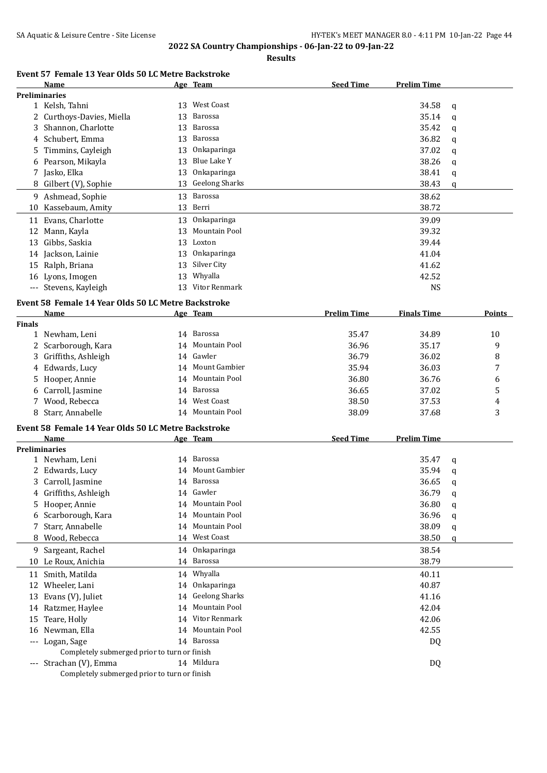**Results**

## **Event 57 Female 13 Year Olds 50 LC Metre Backstroke**

|               | Name                                                |    | Age Team              | <b>Seed Time</b>   | <b>Prelim Time</b> |   |               |
|---------------|-----------------------------------------------------|----|-----------------------|--------------------|--------------------|---|---------------|
|               | <b>Preliminaries</b>                                |    |                       |                    |                    |   |               |
|               | 1 Kelsh, Tahni                                      |    | 13 West Coast         |                    | 34.58              | q |               |
|               | 2 Curthoys-Davies, Miella                           | 13 | <b>Barossa</b>        |                    | 35.14              | q |               |
|               | 3 Shannon, Charlotte                                | 13 | <b>Barossa</b>        |                    | 35.42              | q |               |
|               | 4 Schubert, Emma                                    | 13 | Barossa               |                    | 36.82              | q |               |
| 5             | Timmins, Cayleigh                                   | 13 | Onkaparinga           |                    | 37.02              | q |               |
|               | 6 Pearson, Mikayla                                  | 13 | Blue Lake Y           |                    | 38.26              | q |               |
|               | 7 Jasko, Elka                                       | 13 | Onkaparinga           |                    | 38.41              | q |               |
| 8             | Gilbert (V), Sophie                                 | 13 | <b>Geelong Sharks</b> |                    | 38.43              | q |               |
|               | 9 Ashmead, Sophie                                   | 13 | Barossa               |                    | 38.62              |   |               |
| 10            | Kassebaum, Amity                                    | 13 | Berri                 |                    | 38.72              |   |               |
|               | Evans, Charlotte                                    | 13 | Onkaparinga           |                    | 39.09              |   |               |
| 11            |                                                     |    | Mountain Pool         |                    |                    |   |               |
| 12            | Mann, Kayla                                         | 13 |                       |                    | 39.32              |   |               |
|               | 13 Gibbs, Saskia                                    | 13 | Loxton                |                    | 39.44              |   |               |
|               | 14 Jackson, Lainie                                  | 13 | Onkaparinga           |                    | 41.04              |   |               |
|               | 15 Ralph, Briana                                    | 13 | Silver City           |                    | 41.62              |   |               |
|               | 16 Lyons, Imogen                                    | 13 | Whyalla               |                    | 42.52              |   |               |
|               | --- Stevens, Kayleigh                               | 13 | Vitor Renmark         |                    | <b>NS</b>          |   |               |
|               | Event 58 Female 14 Year Olds 50 LC Metre Backstroke |    |                       |                    |                    |   |               |
|               | Name                                                |    | Age Team              | <b>Prelim Time</b> | <b>Finals Time</b> |   | <b>Points</b> |
| <b>Finals</b> |                                                     |    |                       |                    |                    |   |               |
|               | 1 Newham, Leni                                      |    | 14 Barossa            | 35.47              | 34.89              |   | 10            |
|               | 2 Scarborough, Kara                                 |    | 14 Mountain Pool      | 36.96              | 35.17              |   | 9             |
|               | 3 Griffiths, Ashleigh                               |    | 14 Gawler             | 36.79              | 36.02              |   | 8             |
|               | 4 Edwards, Lucy                                     | 14 | Mount Gambier         | 35.94              | 36.03              |   | 7             |
| 5             | Hooper, Annie                                       | 14 | Mountain Pool         | 36.80              | 36.76              |   | 6             |
|               | 6 Carroll, Jasmine                                  |    | 14 Barossa            | 36.65              | 37.02              |   | 5             |
|               | 7 Wood, Rebecca                                     | 14 | West Coast            | 38.50              | 37.53              |   | 4             |
|               | 8 Starr, Annabelle                                  |    | 14 Mountain Pool      | 38.09              | 37.68              |   | 3             |
|               | Event 58 Female 14 Year Olds 50 LC Metre Backstroke |    |                       |                    |                    |   |               |
|               | Name                                                |    | <u>Age Team</u>       | <b>Seed Time</b>   | <b>Prelim Time</b> |   |               |
|               | <b>Preliminaries</b>                                |    |                       |                    |                    |   |               |
|               | 1 Newham, Leni                                      |    | 14 Barossa            |                    | 35.47              | q |               |
|               | 2 Edwards, Lucy                                     |    | 14 Mount Gambier      |                    | 35.94              | q |               |
|               | 3 Carroll, Jasmine                                  |    | 14 Barossa            |                    | 36.65              | q |               |
|               | 4 Griffiths, Ashleigh                               |    | 14 Gawler             |                    | 36.79              | q |               |
| 5.            | Hooper, Annie                                       | 14 | Mountain Pool         |                    | 36.80              | q |               |
| 6             | Scarborough, Kara                                   | 14 | Mountain Pool         |                    | 36.96              | q |               |
|               | Starr, Annabelle                                    | 14 | Mountain Pool         |                    | 38.09              | q |               |
| 8             | Wood, Rebecca                                       |    | 14 West Coast         |                    | 38.50              | q |               |
|               |                                                     |    |                       |                    |                    |   |               |
| 9.            | Sargeant, Rachel                                    | 14 | Onkaparinga           |                    | 38.54              |   |               |
| 10            | Le Roux, Anichia                                    |    | 14 Barossa            |                    | 38.79              |   |               |
|               | 11 Smith, Matilda                                   | 14 | Whyalla               |                    | 40.11              |   |               |
|               | 12 Wheeler, Lani                                    | 14 | Onkaparinga           |                    | 40.87              |   |               |
|               | 13 Evans (V), Juliet                                | 14 | <b>Geelong Sharks</b> |                    | 41.16              |   |               |
|               | 14 Ratzmer, Haylee                                  | 14 | Mountain Pool         |                    | 42.04              |   |               |
| 15            | Teare, Holly                                        | 14 | Vitor Renmark         |                    | 42.06              |   |               |
| 16            | Newman, Ella                                        | 14 | Mountain Pool         |                    | 42.55              |   |               |
| ---           | Logan, Sage                                         |    | 14 Barossa            |                    | DQ                 |   |               |
|               | Completely submerged prior to turn or finish        |    |                       |                    |                    |   |               |
|               | --- Strachan (V), Emma                              |    | 14 Mildura            |                    | DQ                 |   |               |
|               | Completely submerged prior to turn or finish        |    |                       |                    |                    |   |               |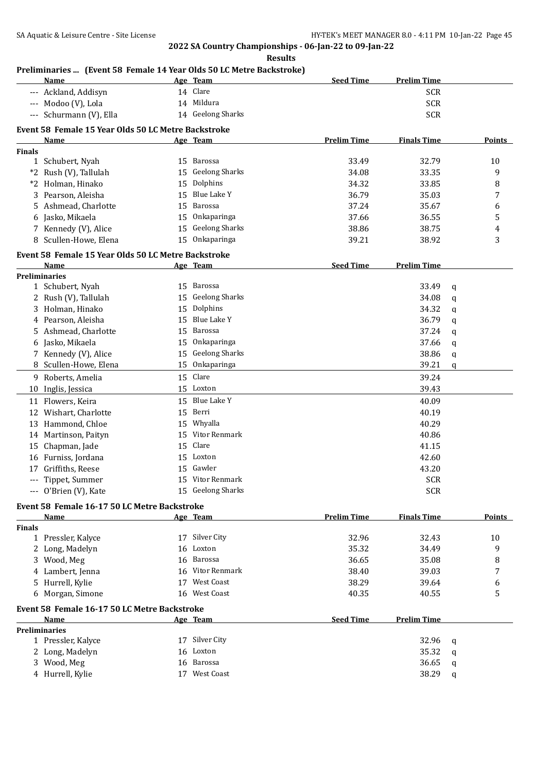|                     | Name                                                        |    | Age Team              | <b>Seed Time</b>   | <b>Prelim Time</b> |   |        |
|---------------------|-------------------------------------------------------------|----|-----------------------|--------------------|--------------------|---|--------|
|                     | --- Ackland, Addisyn                                        |    | 14 Clare              |                    | <b>SCR</b>         |   |        |
|                     | --- Modoo (V), Lola                                         |    | 14 Mildura            |                    | <b>SCR</b>         |   |        |
| $\qquad \qquad - -$ | Schurmann (V), Ella                                         |    | 14 Geelong Sharks     |                    | <b>SCR</b>         |   |        |
|                     | Event 58 Female 15 Year Olds 50 LC Metre Backstroke         |    |                       |                    |                    |   |        |
|                     | Name                                                        |    | Age Team              | <b>Prelim Time</b> | <b>Finals Time</b> |   | Points |
| <b>Finals</b>       |                                                             |    |                       |                    |                    |   |        |
|                     | 1 Schubert, Nyah                                            |    | 15 Barossa            | 33.49              | 32.79              |   | 10     |
| *2                  | Rush (V), Tallulah                                          |    | 15 Geelong Sharks     | 34.08              | 33.35              |   | 9      |
|                     | *2 Holman, Hinako                                           | 15 | Dolphins              | 34.32              | 33.85              |   | 8      |
| 3                   | Pearson, Aleisha                                            | 15 | <b>Blue Lake Y</b>    | 36.79              | 35.03              |   | 7      |
|                     | 5 Ashmead, Charlotte                                        | 15 | Barossa               | 37.24              | 35.67              |   | 6      |
|                     | 6 Jasko, Mikaela                                            | 15 | Onkaparinga           | 37.66              | 36.55              |   | 5      |
|                     | 7 Kennedy (V), Alice                                        | 15 | <b>Geelong Sharks</b> | 38.86              | 38.75              |   | 4      |
|                     | 8 Scullen-Howe, Elena                                       |    | 15 Onkaparinga        | 39.21              | 38.92              |   | 3      |
|                     |                                                             |    |                       |                    |                    |   |        |
|                     | Event 58 Female 15 Year Olds 50 LC Metre Backstroke<br>Name |    | Age Team              | <b>Seed Time</b>   | <b>Prelim Time</b> |   |        |
|                     | <b>Preliminaries</b>                                        |    |                       |                    |                    |   |        |
|                     | 1 Schubert, Nyah                                            | 15 | <b>Barossa</b>        |                    | 33.49              | q |        |
|                     | 2 Rush (V), Tallulah                                        | 15 | <b>Geelong Sharks</b> |                    | 34.08              | q |        |
|                     | 3 Holman, Hinako                                            | 15 | Dolphins              |                    | 34.32              | q |        |
|                     | 4 Pearson, Aleisha                                          | 15 | Blue Lake Y           |                    | 36.79              | q |        |
| 5                   | Ashmead, Charlotte                                          | 15 | <b>Barossa</b>        |                    | 37.24              |   |        |
|                     | Jasko, Mikaela                                              | 15 | Onkaparinga           |                    | 37.66              | q |        |
| 6                   |                                                             |    | <b>Geelong Sharks</b> |                    |                    | q |        |
|                     | 7 Kennedy (V), Alice                                        | 15 |                       |                    | 38.86              | q |        |
|                     | 8 Scullen-Howe, Elena                                       | 15 | Onkaparinga           |                    | 39.21              | q |        |
|                     | 9 Roberts, Amelia                                           |    | 15 Clare              |                    | 39.24              |   |        |
|                     | 10 Inglis, Jessica                                          |    | 15 Loxton             |                    | 39.43              |   |        |
|                     | 11 Flowers, Keira                                           | 15 | Blue Lake Y           |                    | 40.09              |   |        |
| 12                  | Wishart, Charlotte                                          | 15 | Berri                 |                    | 40.19              |   |        |
| 13                  | Hammond, Chloe                                              | 15 | Whyalla               |                    | 40.29              |   |        |
| 14                  | Martinson, Paityn                                           | 15 | Vitor Renmark         |                    | 40.86              |   |        |
| 15                  | Chapman, Jade                                               | 15 | Clare                 |                    | 41.15              |   |        |
| 16                  | Furniss, Jordana                                            | 15 | Loxton                |                    | 42.60              |   |        |
| 17                  | Griffiths, Reese                                            |    | 15 Gawler             |                    | 43.20              |   |        |
|                     | --- Tippet, Summer                                          |    | 15 Vitor Renmark      |                    | <b>SCR</b>         |   |        |
|                     | --- O'Brien (V), Kate                                       |    | 15 Geelong Sharks     |                    | <b>SCR</b>         |   |        |
|                     | Event 58 Female 16-17 50 LC Metre Backstroke                |    |                       |                    |                    |   |        |
|                     | Name                                                        |    | Age Team              | <b>Prelim Time</b> | <b>Finals Time</b> |   | Points |
| <b>Finals</b>       |                                                             |    |                       |                    |                    |   |        |
|                     | 1 Pressler, Kalyce                                          |    | 17 Silver City        | 32.96              | 32.43              |   | 10     |
|                     | 2 Long, Madelyn                                             |    | 16 Loxton             | 35.32              | 34.49              |   | 9      |
|                     | 3 Wood, Meg                                                 | 16 | Barossa               | 36.65              | 35.08              |   | 8      |
|                     | 4 Lambert, Jenna                                            |    | 16 Vitor Renmark      | 38.40              | 39.03              |   | 7      |
|                     | 5 Hurrell, Kylie                                            |    | 17 West Coast         | 38.29              | 39.64              |   | 6      |
|                     | 6 Morgan, Simone                                            |    | 16 West Coast         | 40.35              | 40.55              |   | 5      |
|                     |                                                             |    |                       |                    |                    |   |        |
|                     | Event 58 Female 16-17 50 LC Metre Backstroke                |    |                       |                    |                    |   |        |
|                     | Name                                                        |    | Age Team              | <b>Seed Time</b>   | <b>Prelim Time</b> |   |        |
|                     | <b>Preliminaries</b>                                        |    |                       |                    |                    |   |        |
|                     | 1 Pressler, Kalyce                                          |    | 17 Silver City        |                    | 32.96              | q |        |
|                     | 2 Long, Madelyn                                             | 16 | Loxton                |                    | 35.32              | q |        |
| 3                   | Wood, Meg                                                   | 16 | Barossa               |                    | 36.65              | q |        |
|                     | 4 Hurrell, Kylie                                            |    | 17 West Coast         |                    | 38.29              | q |        |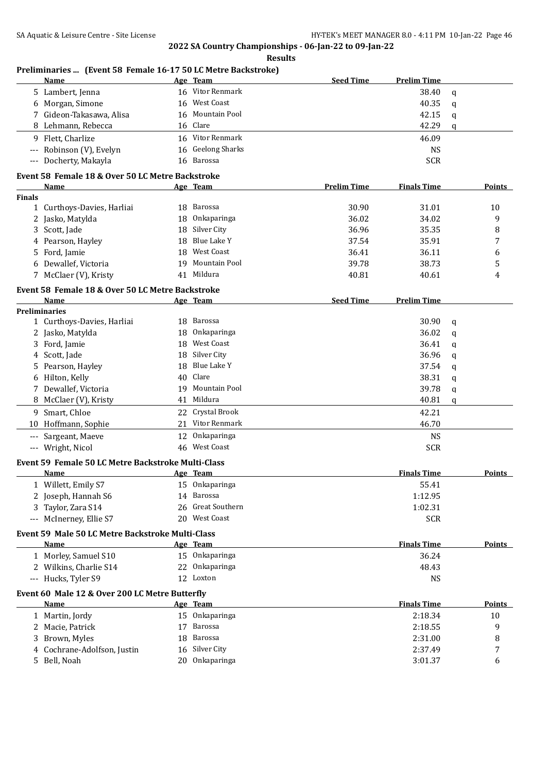|                      | Preliminaries  (Event 58 Female 16-17 50 LC Metre Backstroke)<br><b>Name</b> |    | Age Team              | <b>Seed Time</b>   | <b>Prelim Time</b> |              |               |
|----------------------|------------------------------------------------------------------------------|----|-----------------------|--------------------|--------------------|--------------|---------------|
|                      | 5 Lambert, Jenna                                                             |    | 16 Vitor Renmark      |                    | 38.40              | q            |               |
|                      | 6 Morgan, Simone                                                             | 16 | West Coast            |                    | 40.35              | q            |               |
|                      | 7 Gideon-Takasawa, Alisa                                                     | 16 | Mountain Pool         |                    | 42.15              | q            |               |
|                      | 8 Lehmann, Rebecca                                                           | 16 | Clare                 |                    | 42.29              | q            |               |
|                      | 9 Flett, Charlize                                                            |    | 16 Vitor Renmark      |                    | 46.09              |              |               |
| $\scriptstyle\cdots$ | Robinson (V), Evelyn                                                         | 16 | <b>Geelong Sharks</b> |                    | <b>NS</b>          |              |               |
| $\cdots$             | Docherty, Makayla                                                            |    | 16 Barossa            |                    | <b>SCR</b>         |              |               |
|                      | Event 58 Female 18 & Over 50 LC Metre Backstroke                             |    |                       |                    |                    |              |               |
|                      | Name                                                                         |    | Age Team              | <b>Prelim Time</b> | <b>Finals Time</b> |              | Points        |
| <b>Finals</b>        |                                                                              |    |                       |                    |                    |              |               |
| $\mathbf{1}$         | Curthoys-Davies, Harliai                                                     | 18 | Barossa               | 30.90              | 31.01              |              | 10            |
| 2                    | Jasko, Matylda                                                               | 18 | Onkaparinga           | 36.02              | 34.02              |              | 9             |
| 3                    | Scott, Jade                                                                  | 18 | Silver City           | 36.96              | 35.35              |              | 8             |
| 4                    | Pearson, Hayley                                                              | 18 | <b>Blue Lake Y</b>    | 37.54              | 35.91              |              | 7             |
| 5                    | Ford, Jamie                                                                  | 18 | <b>West Coast</b>     | 36.41              | 36.11              |              | 6             |
| 6                    | Dewallef, Victoria                                                           | 19 | Mountain Pool         | 39.78              | 38.73              |              | 5             |
|                      | 7 McClaer (V), Kristy                                                        | 41 | Mildura               | 40.81              | 40.61              |              | 4             |
|                      | Event 58 Female 18 & Over 50 LC Metre Backstroke                             |    |                       |                    |                    |              |               |
|                      | Name                                                                         |    | Age Team              | <b>Seed Time</b>   | <b>Prelim Time</b> |              |               |
|                      | <b>Preliminaries</b>                                                         |    |                       |                    |                    |              |               |
|                      | 1 Curthoys-Davies, Harliai                                                   | 18 | Barossa               |                    | 30.90              | $\mathbf q$  |               |
|                      | 2 Jasko, Matylda                                                             | 18 | Onkaparinga           |                    | 36.02              | q            |               |
|                      | 3 Ford, Jamie                                                                | 18 | West Coast            |                    | 36.41              | q            |               |
| 4                    | Scott, Jade                                                                  | 18 | Silver City           |                    | 36.96              | q            |               |
| 5                    | Pearson, Hayley                                                              | 18 | <b>Blue Lake Y</b>    |                    | 37.54              | q            |               |
| 6                    | Hilton, Kelly                                                                | 40 | Clare                 |                    | 38.31              | q            |               |
|                      | 7 Dewallef, Victoria                                                         | 19 | Mountain Pool         |                    | 39.78              | q            |               |
| 8                    | McClaer (V), Kristy                                                          | 41 | Mildura               |                    | 40.81              | $\mathsf{q}$ |               |
|                      | 9 Smart, Chloe                                                               | 22 | Crystal Brook         |                    | 42.21              |              |               |
|                      | 10 Hoffmann, Sophie                                                          | 21 | Vitor Renmark         |                    | 46.70              |              |               |
| $\scriptstyle\cdots$ | Sargeant, Maeve                                                              | 12 | Onkaparinga           |                    | <b>NS</b>          |              |               |
|                      | --- Wright, Nicol                                                            |    | 46 West Coast         |                    | <b>SCR</b>         |              |               |
|                      | Event 59 Female 50 LC Metre Backstroke Multi-Class                           |    |                       |                    |                    |              |               |
|                      | <u>Name</u>                                                                  |    | Age Team              |                    | <b>Finals Time</b> |              | <u>Points</u> |
|                      | 1 Willett, Emily S7                                                          |    | 15 Onkaparinga        |                    | 55.41              |              |               |
|                      | 2 Joseph, Hannah S6                                                          |    | 14 Barossa            |                    | 1:12.95            |              |               |
| 3.                   | Taylor, Zara S14                                                             | 26 | Great Southern        |                    | 1:02.31            |              |               |
|                      | --- McInerney, Ellie S7                                                      |    | 20 West Coast         |                    | <b>SCR</b>         |              |               |
|                      |                                                                              |    |                       |                    |                    |              |               |
|                      | Event 59 Male 50 LC Metre Backstroke Multi-Class<br>Name                     |    | Age Team              |                    | <b>Finals Time</b> |              | <b>Points</b> |
|                      | 1 Morley, Samuel S10                                                         |    | 15 Onkaparinga        |                    | 36.24              |              |               |
|                      | 2 Wilkins, Charlie S14                                                       |    | 22 Onkaparinga        |                    | 48.43              |              |               |
|                      | --- Hucks, Tyler S9                                                          |    | 12 Loxton             |                    | <b>NS</b>          |              |               |
|                      |                                                                              |    |                       |                    |                    |              |               |
|                      | Event 60 Male 12 & Over 200 LC Metre Butterfly<br><b>Name</b>                |    | Age Team              |                    | <b>Finals Time</b> |              | <b>Points</b> |
|                      | 1 Martin, Jordy                                                              | 15 | Onkaparinga           |                    | 2:18.34            |              | 10            |
|                      | Macie, Patrick                                                               | 17 | Barossa               |                    | 2:18.55            |              | 9             |
| 2                    |                                                                              |    | Barossa               |                    |                    |              |               |
| 3                    | Brown, Myles                                                                 | 18 | Silver City           |                    | 2:31.00            |              | 8             |
| 4                    | Cochrane-Adolfson, Justin                                                    | 16 | Onkaparinga           |                    | 2:37.49            |              | 7             |
|                      | 5 Bell, Noah                                                                 | 20 |                       |                    | 3:01.37            |              | 6             |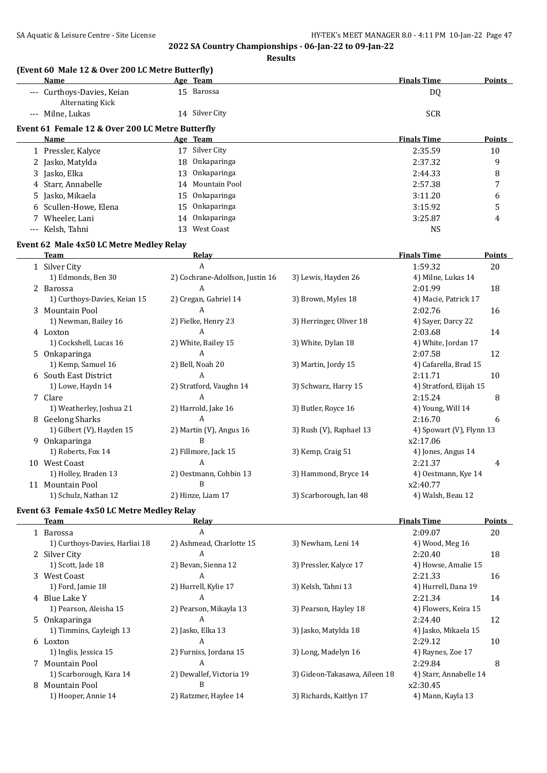| (Event 60 Male 12 & Over 200 LC Metre Butterfly)      |                                 |                               |                          |               |
|-------------------------------------------------------|---------------------------------|-------------------------------|--------------------------|---------------|
| Name                                                  | Age Team                        |                               | <b>Finals Time</b>       | <b>Points</b> |
| --- Curthoys-Davies, Keian<br><b>Alternating Kick</b> | 15 Barossa                      |                               | DQ                       |               |
| --- Milne, Lukas                                      | 14 Silver City                  |                               | <b>SCR</b>               |               |
| Event 61 Female 12 & Over 200 LC Metre Butterfly      |                                 |                               |                          |               |
| Name                                                  | Age Team                        |                               | <b>Finals Time</b>       | <b>Points</b> |
| 1 Pressler, Kalyce                                    | 17 Silver City                  |                               | 2:35.59                  | 10            |
| 2 Jasko, Matylda                                      | Onkaparinga<br>18               |                               | 2:37.32                  | 9             |
| 3 Jasko, Elka                                         | Onkaparinga<br>13               |                               | 2:44.33                  | 8             |
| 4 Starr, Annabelle                                    | Mountain Pool<br>14             |                               | 2:57.38                  | 7             |
| 5 Jasko, Mikaela                                      | Onkaparinga<br>15               |                               | 3:11.20                  | 6             |
| 6 Scullen-Howe, Elena                                 | Onkaparinga<br>15               |                               | 3:15.92                  | 5             |
| 7 Wheeler, Lani                                       | Onkaparinga<br>14               |                               | 3:25.87                  | 4             |
| --- Kelsh, Tahni                                      | West Coast<br>13                |                               | <b>NS</b>                |               |
| Event 62 Male 4x50 LC Metre Medley Relay              |                                 |                               |                          |               |
| Team                                                  | <b>Relay</b>                    |                               | <b>Finals Time</b>       | Points        |
| 1 Silver City                                         | $\overline{A}$                  |                               | 1:59.32                  | 20            |
| 1) Edmonds, Ben 30                                    | 2) Cochrane-Adolfson, Justin 16 | 3) Lewis, Hayden 26           | 4) Milne, Lukas 14       |               |
| 2 Barossa                                             | A                               |                               | 2:01.99                  | 18            |
| 1) Curthoys-Davies, Keian 15                          | 2) Cregan, Gabriel 14           | 3) Brown, Myles 18            | 4) Macie, Patrick 17     |               |
| 3 Mountain Pool                                       | A                               |                               | 2:02.76                  | 16            |
| 1) Newman, Bailey 16                                  | 2) Fielke, Henry 23             | 3) Herringer, Oliver 18       | 4) Sayer, Darcy 22       |               |
| 4 Loxton                                              | A                               |                               | 2:03.68                  | 14            |
| 1) Cockshell, Lucas 16                                | 2) White, Bailey 15             | 3) White, Dylan 18            | 4) White, Jordan 17      |               |
| 5 Onkaparinga                                         | A                               |                               | 2:07.58                  | 12            |
| 1) Kemp, Samuel 16                                    | 2) Bell, Noah 20                | 3) Martin, Jordy 15           | 4) Cafarella, Brad 15    |               |
| 6 South East District                                 | A                               |                               | 2:11.71                  | 10            |
| 1) Lowe, Haydn 14                                     | 2) Stratford, Vaughn 14         | 3) Schwarz, Harry 15          | 4) Stratford, Elijah 15  |               |
| 7 Clare                                               | A                               |                               | 2:15.24                  | 8             |
| 1) Weatherley, Joshua 21                              | 2) Harrold, Jake 16             | 3) Butler, Royce 16           | 4) Young, Will 14        |               |
| 8 Geelong Sharks                                      | A                               |                               | 2:16.70                  | 6             |
| 1) Gilbert (V), Hayden 15                             | 2) Martin (V), Angus 16         | 3) Rush (V), Raphael 13       | 4) Spowart (V), Flynn 13 |               |
| 9 Onkaparinga                                         | B                               |                               | x2:17.06                 |               |
| 1) Roberts, Fox 14                                    | 2) Fillmore, Jack 15            | 3) Kemp, Craig 51             | 4) Jones, Angus 14       |               |
| 10 West Coast                                         | A                               |                               | 2:21.37                  | 4             |
| 1) Holley, Braden 13                                  | 2) Oestmann, Cohbin 13          | 3) Hammond, Bryce 14          | 4) Oestmann, Kye 14      |               |
| 11 Mountain Pool                                      | B                               |                               | x2:40.77                 |               |
| 1) Schulz, Nathan 12                                  | 2) Hinze, Liam 17               | 3) Scarborough, Ian 48        | 4) Walsh, Beau 12        |               |
| Event 63 Female 4x50 LC Metre Medley Relay            |                                 |                               |                          |               |
| <b>Team</b>                                           | Relay                           |                               | <b>Finals Time</b>       | <b>Points</b> |
| 1 Barossa                                             | A                               |                               | 2:09.07                  | 20            |
| 1) Curthoys-Davies, Harliai 18                        | 2) Ashmead, Charlotte 15        | 3) Newham, Leni 14            | 4) Wood, Meg 16          |               |
| 2 Silver City                                         | A                               |                               | 2:20.40                  | 18            |
| 1) Scott, Jade 18                                     | 2) Bevan, Sienna 12             | 3) Pressler, Kalyce 17        | 4) Howse, Amalie 15      |               |
| 3 West Coast                                          | A                               |                               | 2:21.33                  | 16            |
| 1) Ford, Jamie 18                                     | 2) Hurrell, Kylie 17            | 3) Kelsh, Tahni 13            | 4) Hurrell, Dana 19      |               |
| 4 Blue Lake Y                                         | A                               |                               | 2:21.34                  | 14            |
| 1) Pearson, Aleisha 15                                | 2) Pearson, Mikayla 13          | 3) Pearson, Hayley 18         | 4) Flowers, Keira 15     |               |
| 5 Onkaparinga                                         | A                               |                               | 2:24.40                  | 12            |
| 1) Timmins, Cayleigh 13                               | 2) Jasko, Elka 13               | 3) Jasko, Matylda 18          | 4) Jasko, Mikaela 15     |               |
| 6 Loxton                                              | A                               |                               | 2:29.12                  | 10            |
| 1) Inglis, Jessica 15                                 | 2) Furniss, Jordana 15          | 3) Long, Madelyn 16           | 4) Raynes, Zoe 17        |               |
| 7 Mountain Pool                                       | A                               |                               | 2:29.84                  | 8             |
| 1) Scarborough, Kara 14                               | 2) Dewallef, Victoria 19        | 3) Gideon-Takasawa, Aileen 18 | 4) Starr, Annabelle 14   |               |
| 8 Mountain Pool                                       | B                               |                               | x2:30.45                 |               |
| 1) Hooper, Annie 14                                   | 2) Ratzmer, Haylee 14           | 3) Richards, Kaitlyn 17       | 4) Mann, Kayla 13        |               |
|                                                       |                                 |                               |                          |               |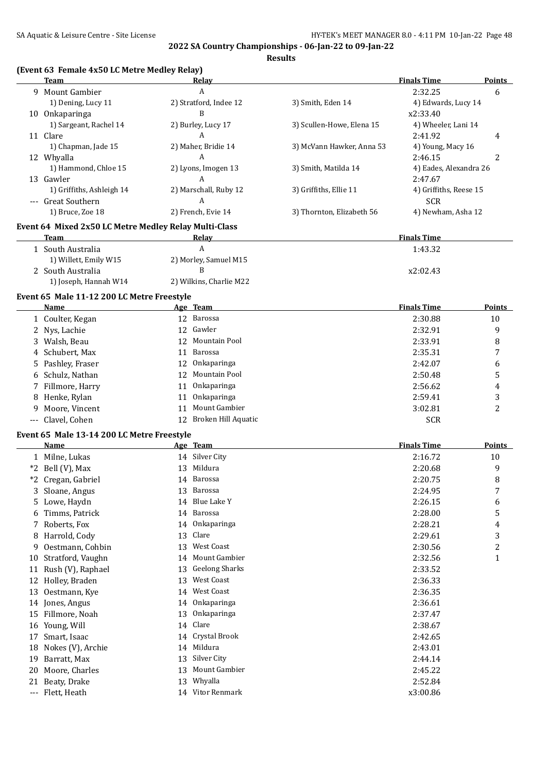**Results**

|   |                                                       |                         | Results                   |                        |                |
|---|-------------------------------------------------------|-------------------------|---------------------------|------------------------|----------------|
|   | (Event 63 Female 4x50 LC Metre Medley Relay)<br>Team  | Relay                   |                           | <b>Finals Time</b>     | <b>Points</b>  |
|   | 9 Mount Gambier                                       | A                       |                           | 2:32.25                | 6              |
|   | 1) Dening, Lucy 11                                    | 2) Stratford, Indee 12  | 3) Smith, Eden 14         | 4) Edwards, Lucy 14    |                |
|   | 10 Onkaparinga                                        | B                       |                           | x2:33.40               |                |
|   | 1) Sargeant, Rachel 14                                | 2) Burley, Lucy 17      | 3) Scullen-Howe, Elena 15 | 4) Wheeler, Lani 14    |                |
|   | 11 Clare                                              | A                       |                           | 2:41.92                | 4              |
|   | 1) Chapman, Jade 15                                   | 2) Maher, Bridie 14     | 3) McVann Hawker, Anna 53 | 4) Young, Macy 16      |                |
|   | 12 Whyalla                                            | A                       |                           | 2:46.15                | 2              |
|   | 1) Hammond, Chloe 15                                  | 2) Lyons, Imogen 13     | 3) Smith, Matilda 14      | 4) Eades, Alexandra 26 |                |
|   | 13 Gawler                                             | A                       |                           | 2:47.67                |                |
|   | 1) Griffiths, Ashleigh 14                             | 2) Marschall, Ruby 12   | 3) Griffiths, Ellie 11    | 4) Griffiths, Reese 15 |                |
|   | --- Great Southern                                    | A                       |                           | <b>SCR</b>             |                |
|   | 1) Bruce, Zoe 18                                      | 2) French, Evie 14      | 3) Thornton, Elizabeth 56 | 4) Newham, Asha 12     |                |
|   | Event 64 Mixed 2x50 LC Metre Medley Relay Multi-Class |                         |                           |                        |                |
|   | <b>Team</b>                                           | <b>Relay</b>            |                           | <b>Finals Time</b>     |                |
|   | 1 South Australia                                     | A                       |                           | 1:43.32                |                |
|   | 1) Willett, Emily W15                                 | 2) Morley, Samuel M15   |                           |                        |                |
|   | 2 South Australia                                     | B                       |                           | x2:02.43               |                |
|   | 1) Joseph, Hannah W14                                 | 2) Wilkins, Charlie M22 |                           |                        |                |
|   | Event 65 Male 11-12 200 LC Metre Freestyle            |                         |                           |                        |                |
|   | Name                                                  | Age Team                |                           | <b>Finals Time</b>     | Points         |
|   | 1 Coulter, Kegan                                      | 12 Barossa              |                           | 2:30.88                | 10             |
|   | 2 Nys, Lachie                                         | Gawler<br>12            |                           | 2:32.91                | 9              |
|   | 3 Walsh, Beau                                         | Mountain Pool<br>12     |                           | 2:33.91                | 8              |
|   | 4 Schubert, Max                                       | 11 Barossa              |                           | 2:35.31                | 7              |
|   | 5 Pashley, Fraser                                     | Onkaparinga<br>12       |                           | 2:42.07                | 6              |
|   | 6 Schulz, Nathan                                      | 12 Mountain Pool        |                           | 2:50.48                | 5              |
|   | 7 Fillmore, Harry                                     | Onkaparinga<br>11       |                           | 2:56.62                | 4              |
|   | 8 Henke, Rylan                                        | Onkaparinga<br>11       |                           | 2:59.41                | 3              |
| 9 | Moore, Vincent                                        | Mount Gambier<br>11     |                           | 3:02.81                | $\overline{2}$ |
|   | --- Clavel, Cohen                                     | 12 Broken Hill Aquatic  |                           | <b>SCR</b>             |                |
|   | Event 65 Male 13-14 200 LC Metre Freestyle            |                         |                           |                        |                |
|   | <b>Name</b>                                           | Age Team                |                           | <b>Finals Time</b>     | <b>Points</b>  |
|   | 1 Milne, Lukas                                        | 14 Silver City          |                           | 2:16.72                | 10             |
|   | *2 Bell (V), Max                                      | 13 Mildura              |                           | 2:20.68                | $\mathbf{q}$   |
|   | *2 Cregan, Gabriel                                    | 14 Barossa              |                           | 2:20.75                | 8              |
|   | 3 Sloane, Angus                                       | 13 Barossa              |                           | 2:24.95                | 7              |
|   | 5 Lowe, Haydn                                         | 14 Blue Lake Y          |                           | 2:26.15                | 6              |
| 6 | Timms, Patrick                                        | 14 Barossa              |                           | 2:28.00                | 5              |
|   | 7 Roberts, Fox                                        | 14 Onkaparinga          |                           | 2:28.21                | 4              |
|   | 8 Harrold, Cody                                       | Clare<br>13             |                           | 2:29.61                | 3              |
|   | 9 Oestmann, Cohbin                                    | 13 West Coast           |                           | 2:30.56                | 2              |
|   |                                                       |                         |                           |                        |                |

10 Stratford, Vaughn 14 Mount Gambier 15 and 2:32.56 1

11 Rush (V), Raphael 13 Geelong Sharks 2:33.52 12 Holley, Braden 2:36.33 13 Oestmann, Kye 14 West Coast 2:36.35 14 Jones, Angus 14 Onkaparinga 2:36.61 15 Fillmore, Noah 13 Onkaparinga 2:37.47 16 Young, Will 2:38.67 17 Smart, Isaac 14 Crystal Brook 14 Crystal Brook 2:42.65<br>18 Nokes (V), Archie 14 Mildura 2:43.01 18 Nokes (V), Archie 14 Mildura 2:43.01 19 Barratt, Max 2:44.14 20 Moore, Charles 13 Mount Gambier 2:45.22

21 Beaty, Drake 2:52.84

--- Flett, Heath 14 Vitor Renmark x3:00.86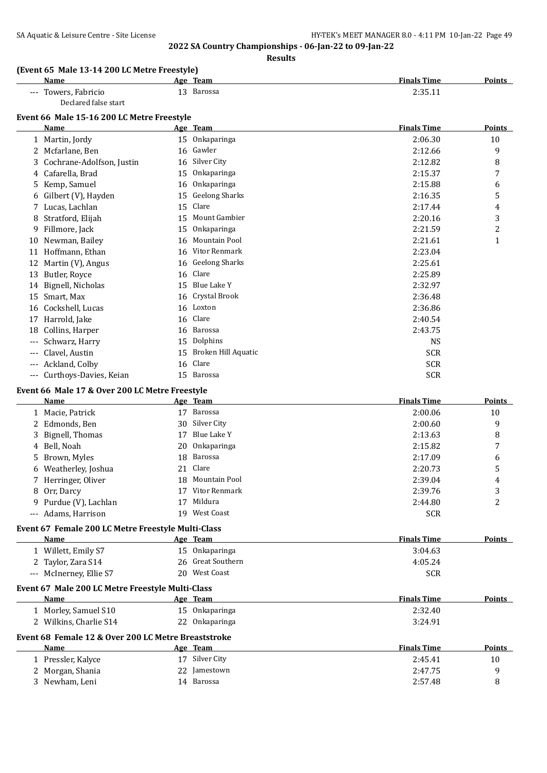**Results**

#### **(Event 65 Male 13-14 200 LC Metre Freestyle)**

| Name                      | Team<br>Age    | <b>Finals Time</b><br><b>Points</b> |
|---------------------------|----------------|-------------------------------------|
| Towers, Fabricio<br>$---$ | Barossa<br>LJ. | 2:35.11                             |
| Declared false start      |                |                                     |

#### **Event 66 Male 15-16 200 LC Metre Freestyle**

|          | <b>Name</b>               |    | Age Team              | <b>Finals Time</b> | <u>Points</u> |
|----------|---------------------------|----|-----------------------|--------------------|---------------|
|          | 1 Martin, Jordy           | 15 | Onkaparinga           | 2:06.30            | 10            |
|          | Mcfarlane, Ben            | 16 | Gawler                | 2:12.66            | 9             |
| 3        | Cochrane-Adolfson, Justin | 16 | Silver City           | 2:12.82            | 8             |
| 4        | Cafarella, Brad           | 15 | Onkaparinga           | 2:15.37            | 7             |
| 5        | Kemp, Samuel              | 16 | Onkaparinga           | 2:15.88            | 6             |
| 6        | Gilbert (V), Hayden       | 15 | <b>Geelong Sharks</b> | 2:16.35            | 5             |
|          | Lucas, Lachlan            | 15 | Clare                 | 2:17.44            | 4             |
| 8        | Stratford, Elijah         | 15 | Mount Gambier         | 2:20.16            | 3             |
| 9        | Fillmore, Jack            | 15 | Onkaparinga           | 2:21.59            | 2             |
| 10       | Newman, Bailey            | 16 | Mountain Pool         | 2:21.61            | $\mathbf{1}$  |
| 11       | Hoffmann, Ethan           | 16 | Vitor Renmark         | 2:23.04            |               |
| 12       | Martin (V), Angus         | 16 | <b>Geelong Sharks</b> | 2:25.61            |               |
| 13       | Butler, Royce             | 16 | Clare                 | 2:25.89            |               |
| 14       | Bignell, Nicholas         | 15 | Blue Lake Y           | 2:32.97            |               |
| 15       | Smart, Max                | 16 | Crystal Brook         | 2:36.48            |               |
| 16       | Cockshell, Lucas          | 16 | Loxton                | 2:36.86            |               |
| 17       | Harrold, Jake             | 16 | Clare                 | 2:40.54            |               |
| 18       | Collins, Harper           | 16 | Barossa               | 2:43.75            |               |
| $---$    | Schwarz, Harry            | 15 | Dolphins              | <b>NS</b>          |               |
| $---$    | Clavel, Austin            | 15 | Broken Hill Aquatic   | <b>SCR</b>         |               |
| $---$    | Ackland, Colby            | 16 | Clare                 | <b>SCR</b>         |               |
| $\cdots$ | Curthoys-Davies, Keian    | 15 | Barossa               | <b>SCR</b>         |               |
|          |                           |    |                       |                    |               |

#### **Event 66 Male 17 & Over 200 LC Metre Freestyle**

|                     | <b>Name</b>                                         |    | Age Team             | <b>Finals Time</b> | Points        |
|---------------------|-----------------------------------------------------|----|----------------------|--------------------|---------------|
|                     | Macie, Patrick                                      | 17 | Barossa              | 2:00.06            | 10            |
|                     | Edmonds, Ben                                        | 30 | Silver City          | 2:00.60            | 9             |
| 3                   | Bignell, Thomas                                     | 17 | Blue Lake Y          | 2:13.63            | 8             |
| 4                   | Bell, Noah                                          | 20 | Onkaparinga          | 2:15.82            | 7             |
| 5                   | Brown, Myles                                        | 18 | Barossa              | 2:17.09            | 6             |
| 6                   | Weatherley, Joshua                                  | 21 | Clare                | 2:20.73            | 5             |
|                     | Herringer, Oliver                                   | 18 | <b>Mountain Pool</b> | 2:39.04            | 4             |
| 8                   | Orr, Darcy                                          | 17 | Vitor Renmark        | 2:39.76            | 3             |
| 9                   | Purdue (V), Lachlan                                 | 17 | Mildura              | 2:44.80            | 2             |
| $\qquad \qquad - -$ | Adams, Harrison                                     | 19 | <b>West Coast</b>    | <b>SCR</b>         |               |
|                     | Event 67 Female 200 LC Metre Freestyle Multi-Class  |    |                      |                    |               |
|                     | Name                                                |    | Age Team             | <b>Finals Time</b> | <b>Points</b> |
|                     | 1 Willett, Emily S7                                 |    | 15 Onkaparinga       | 3:04.63            |               |
| 2                   | Taylor, Zara S14                                    | 26 | Great Southern       | 4:05.24            |               |
| $---$               | McInerney, Ellie S7                                 | 20 | West Coast           | <b>SCR</b>         |               |
|                     | Event 67 Male 200 LC Metre Freestyle Multi-Class    |    |                      |                    |               |
|                     | Name                                                |    | Age Team             | <b>Finals Time</b> | Points        |
|                     | 1 Morley, Samuel S10                                |    | 15 Onkaparinga       | 2:32.40            |               |
|                     | 2 Wilkins, Charlie S14                              | 22 | Onkaparinga          | 3:24.91            |               |
|                     | Event 68 Female 12 & Over 200 LC Metre Breaststroke |    |                      |                    |               |
|                     | Name                                                |    | Age Team             | <b>Finals Time</b> | Points        |
|                     | Pressler, Kalyce                                    | 17 | Silver City          | 2:45.41            | 10            |
|                     | Morgan, Shania                                      | 22 | Jamestown            | 2:47.75            | 9             |
| 3                   | Newham, Leni                                        | 14 | Barossa              | 2:57.48            | 8             |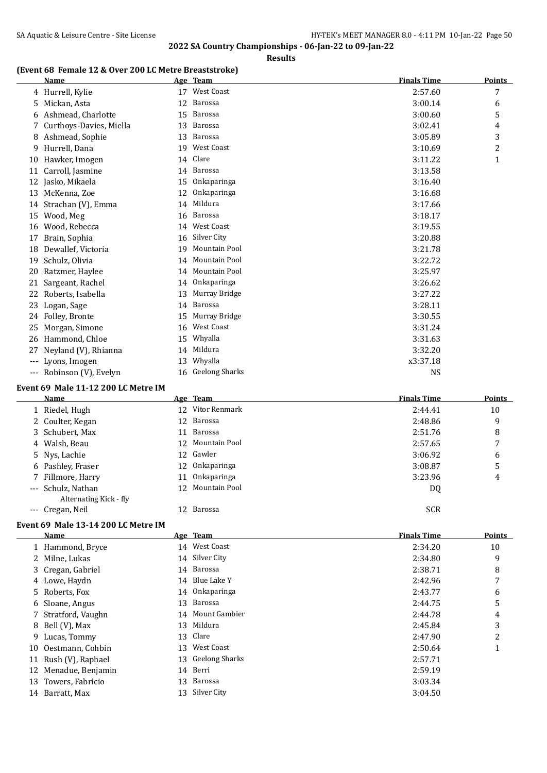## **(Event 68 Female 12 & Over 200 LC Metre Breaststroke)**

|       | <u>Name</u>                         |    | Age Team          | <b>Finals Time</b> | <b>Points</b> |
|-------|-------------------------------------|----|-------------------|--------------------|---------------|
|       | 4 Hurrell, Kylie                    |    | 17 West Coast     | 2:57.60            | 7             |
|       | 5 Mickan, Asta                      | 12 | Barossa           | 3:00.14            | 6             |
|       | 6 Ashmead, Charlotte                | 15 | Barossa           | 3:00.60            | 5             |
| 7     | Curthoys-Davies, Miella             | 13 | Barossa           | 3:02.41            | 4             |
|       | 8 Ashmead, Sophie                   | 13 | Barossa           | 3:05.89            | 3             |
| 9     | Hurrell, Dana                       |    | 19 West Coast     | 3:10.69            | 2             |
|       | 10 Hawker, Imogen                   | 14 | Clare             | 3:11.22            | 1             |
|       | 11 Carroll, Jasmine                 |    | 14 Barossa        | 3:13.58            |               |
|       | 12 Jasko, Mikaela                   | 15 | Onkaparinga       | 3:16.40            |               |
|       | 13 McKenna, Zoe                     | 12 | Onkaparinga       | 3:16.68            |               |
|       | 14 Strachan (V), Emma               | 14 | Mildura           | 3:17.66            |               |
|       | 15 Wood, Meg                        |    | 16 Barossa        | 3:18.17            |               |
|       | 16 Wood, Rebecca                    |    | 14 West Coast     | 3:19.55            |               |
|       |                                     |    | 16 Silver City    | 3:20.88            |               |
| 17    | Brain, Sophia                       |    | 19 Mountain Pool  |                    |               |
|       | 18 Dewallef, Victoria               |    | 14 Mountain Pool  | 3:21.78            |               |
| 19    | Schulz, Olivia                      |    | 14 Mountain Pool  | 3:22.72            |               |
| 20    | Ratzmer, Haylee                     |    |                   | 3:25.97            |               |
| 21    | Sargeant, Rachel                    |    | 14 Onkaparinga    | 3:26.62            |               |
| 22    | Roberts, Isabella                   | 13 | Murray Bridge     | 3:27.22            |               |
| 23    | Logan, Sage                         |    | 14 Barossa        | 3:28.11            |               |
|       | 24 Folley, Bronte                   |    | 15 Murray Bridge  | 3:30.55            |               |
| 25    | Morgan, Simone                      | 16 | West Coast        | 3:31.24            |               |
| 26    | Hammond, Chloe                      | 15 | Whyalla           | 3:31.63            |               |
| 27    | Neyland (V), Rhianna                |    | 14 Mildura        | 3:32.20            |               |
| $---$ | Lyons, Imogen                       | 13 | Whyalla           | x3:37.18           |               |
|       | --- Robinson (V), Evelyn            |    | 16 Geelong Sharks | <b>NS</b>          |               |
|       | Event 69 Male 11-12 200 LC Metre IM |    |                   |                    |               |
|       | Name                                |    | Age Team          | <b>Finals Time</b> | <b>Points</b> |
|       | 1 Riedel, Hugh                      |    | 12 Vitor Renmark  | 2:44.41            | 10            |
|       | 2 Coulter, Kegan                    | 12 | Barossa           | 2:48.86            | 9             |
| 3     | Schubert, Max                       | 11 | Barossa           | 2:51.76            | 8             |
| 4     | Walsh, Beau                         | 12 | Mountain Pool     | 2:57.65            | 7             |
| 5     | Nys, Lachie                         |    | 12 Gawler         | 3:06.92            | 6             |
|       | 6 Pashley, Fraser                   | 12 | Onkaparinga       | 3:08.87            | 5             |
| 7     | Fillmore, Harry                     |    | 11 Onkaparinga    | 3:23.96            | 4             |
|       | --- Schulz, Nathan                  |    | 12 Mountain Pool  | <b>DQ</b>          |               |
|       | Alternating Kick - fly              |    |                   |                    |               |
|       | --- Cregan, Neil                    |    | 12 Barossa        | <b>SCR</b>         |               |
|       | Event 69 Male 13-14 200 LC Metre IM |    |                   |                    |               |
|       | Name                                |    | Age Team          | <b>Finals Time</b> | <b>Points</b> |
|       | 1 Hammond, Bryce                    |    | 14 West Coast     | 2:34.20            | 10            |
|       | 2 Milne, Lukas                      |    | 14 Silver City    | 2:34.80            | 9             |
| 3.    | Cregan, Gabriel                     |    | 14 Barossa        | 2:38.71            | 8             |
|       |                                     |    | 14 Blue Lake Y    | 2:42.96            | 7             |
|       | 4 Lowe, Haydn                       |    | 14 Onkaparinga    |                    |               |
|       | 5 Roberts, Fox                      |    | 13 Barossa        | 2:43.77            | 6             |
|       | 6 Sloane, Angus                     |    | 14 Mount Gambier  | 2:44.75            | 5             |
|       | 7 Stratford, Vaughn                 |    |                   | 2:44.78            | 4             |

 Stratford, Vaughn 14 Mount Gambier 2:44.78 4 8 Bell (V), Max 13 Mildura 2:45.84 3 9 Lucas, Tommy 13 Clare 2:47.90 2 10 Oestmann, Cohbin 13 West Coast 2:50.64 1

11 Rush (V), Raphael 13 Geelong Sharks 2:57.71 Menadue, Benjamin 14 Berri 2:59.19 13 Towers, Fabricio 13 Barossa 13 Barossa 13 anossa 13 3:03.34 14 Barratt, Max 13 Silver City 3:04.50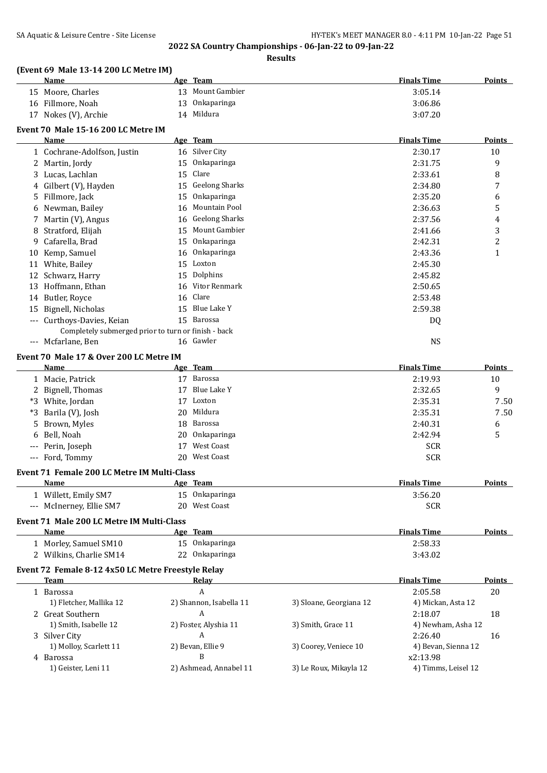|              | (Event 69 Male 13-14 200 LC Metre IM)<br>Name       |        | Age Team                     |                         | <b>Finals Time</b>  | <b>Points</b> |
|--------------|-----------------------------------------------------|--------|------------------------------|-------------------------|---------------------|---------------|
|              |                                                     |        | 13 Mount Gambier             |                         |                     |               |
|              | 15 Moore, Charles                                   |        |                              |                         | 3:05.14             |               |
|              | 16 Fillmore, Noah                                   | 13     | Onkaparinga<br>14 Mildura    |                         | 3:06.86             |               |
|              | 17 Nokes (V), Archie                                |        |                              |                         | 3:07.20             |               |
|              | Event 70 Male 15-16 200 LC Metre IM<br>Name         |        | Age Team                     |                         | <b>Finals Time</b>  | Points        |
|              | 1 Cochrane-Adolfson, Justin                         |        | 16 Silver City               |                         | 2:30.17             | 10            |
| $\mathbf{2}$ | Martin, Jordy                                       | 15     | Onkaparinga                  |                         | 2:31.75             | 9             |
|              |                                                     | 15     | Clare                        |                         | 2:33.61             |               |
| 3            | Lucas, Lachlan                                      | 15     | <b>Geelong Sharks</b>        |                         | 2:34.80             | 8<br>7        |
|              | 4 Gilbert (V), Hayden                               |        |                              |                         |                     |               |
| 5.           | Fillmore, Jack                                      | 15     | Onkaparinga<br>Mountain Pool |                         | 2:35.20             | 6             |
|              | 6 Newman, Bailey                                    | 16     |                              |                         | 2:36.63             | 5             |
| 7            | Martin (V), Angus                                   | 16     | <b>Geelong Sharks</b>        |                         | 2:37.56             | 4             |
| 8            | Stratford, Elijah                                   | 15     | Mount Gambier                |                         | 2:41.66             | 3             |
| 9            | Cafarella, Brad                                     | 15     | Onkaparinga                  |                         | 2:42.31             | 2             |
| 10           | Kemp, Samuel                                        | 16     | Onkaparinga                  |                         | 2:43.36             | $\mathbf{1}$  |
|              | 11 White, Bailey                                    |        | 15 Loxton                    |                         | 2:45.30             |               |
|              | 12 Schwarz, Harry                                   | 15     | Dolphins                     |                         | 2:45.82             |               |
|              | 13 Hoffmann, Ethan                                  | 16     | Vitor Renmark                |                         | 2:50.65             |               |
|              | 14 Butler, Royce                                    | 16     | Clare                        |                         | 2:53.48             |               |
| 15           | Bignell, Nicholas                                   | 15     | Blue Lake Y                  |                         | 2:59.38             |               |
|              | Curthoys-Davies, Keian                              |        | 15 Barossa                   |                         | DQ                  |               |
|              | Completely submerged prior to turn or finish - back |        |                              |                         |                     |               |
|              | --- Mcfarlane, Ben                                  |        | 16 Gawler                    |                         | <b>NS</b>           |               |
|              | Event 70 Male 17 & Over 200 LC Metre IM             |        |                              |                         |                     |               |
|              | Name                                                |        | Age Team                     |                         | <b>Finals Time</b>  | <b>Points</b> |
|              | 1 Macie, Patrick                                    |        | 17 Barossa                   |                         | 2:19.93             | 10            |
|              | 2 Bignell, Thomas                                   | 17     | Blue Lake Y                  |                         | 2:32.65             | 9             |
|              | *3 White, Jordan                                    | 17     | Loxton                       |                         | 2:35.31             | 7.50          |
| *3           | Barila (V), Josh                                    | 20     | Mildura                      |                         | 2:35.31             | 7.50          |
| 5            | Brown, Myles                                        | 18     | Barossa                      |                         | 2:40.31             | 6             |
|              | Bell, Noah                                          | 20     | Onkaparinga                  |                         | 2:42.94             | 5             |
|              | --- Perin, Joseph                                   | 17     | <b>West Coast</b>            |                         | <b>SCR</b>          |               |
|              | --- Ford, Tommy                                     | 20     | West Coast                   |                         | <b>SCR</b>          |               |
|              | Event 71 Female 200 LC Metre IM Multi-Class         |        |                              |                         |                     |               |
|              | Name                                                |        | Age Team                     |                         | <b>Finals Time</b>  | Points        |
|              | 1 Willett, Emily SM7                                | $15 -$ | Onkaparinga                  |                         | 3:56.20             |               |
|              | --- McInerney, Ellie SM7                            | 20     | <b>West Coast</b>            |                         | <b>SCR</b>          |               |
|              |                                                     |        |                              |                         |                     |               |
|              | Event 71 Male 200 LC Metre IM Multi-Class           |        |                              |                         |                     |               |
|              | <b>Name</b>                                         |        | Age Team                     |                         | <b>Finals Time</b>  | <b>Points</b> |
|              | 1 Morley, Samuel SM10                               |        | 15 Onkaparinga               |                         | 2:58.33             |               |
|              | 2 Wilkins, Charlie SM14                             | 22     | Onkaparinga                  |                         | 3:43.02             |               |
|              | Event 72 Female 8-12 4x50 LC Metre Freestyle Relay  |        |                              |                         |                     |               |
|              | Team                                                |        | <b>Relay</b>                 |                         | <b>Finals Time</b>  | <b>Points</b> |
|              | 1 Barossa                                           |        | А                            |                         | 2:05.58             | 20            |
|              | 1) Fletcher, Mallika 12                             |        | 2) Shannon, Isabella 11      | 3) Sloane, Georgiana 12 | 4) Mickan, Asta 12  |               |
|              | 2 Great Southern                                    |        | A                            |                         | 2:18.07             | 18            |
|              | 1) Smith, Isabelle 12                               |        | 2) Foster, Alyshia 11        | 3) Smith, Grace 11      | 4) Newham, Asha 12  |               |
|              | 3 Silver City                                       |        | A                            |                         | 2:26.40             | 16            |
|              | 1) Molloy, Scarlett 11                              |        | 2) Bevan, Ellie 9            | 3) Coorey, Veniece 10   | 4) Bevan, Sienna 12 |               |
|              | 4 Barossa                                           |        | B                            |                         | x2:13.98            |               |
|              | 1) Geister, Leni 11                                 |        | 2) Ashmead, Annabel 11       | 3) Le Roux, Mikayla 12  | 4) Timms, Leisel 12 |               |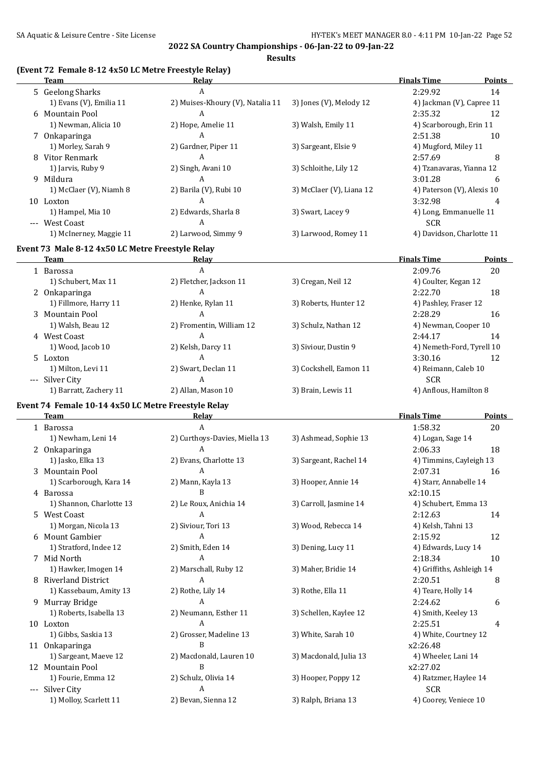**Results**

#### **(Event 72 Female 8-12 4x50 LC Metre Freestyle Relay)**

| <b>Team</b>                                         | <b>Relay</b>                     |                          | <b>Finals Time</b>         | <b>Points</b> |
|-----------------------------------------------------|----------------------------------|--------------------------|----------------------------|---------------|
| 5 Geelong Sharks                                    | A                                |                          | 2:29.92                    | 14            |
| 1) Evans (V), Emilia 11                             | 2) Muises-Khoury (V), Natalia 11 | 3) Jones (V), Melody 12  | 4) Jackman (V), Capree 11  |               |
| 6 Mountain Pool                                     | A                                |                          | 2:35.32                    | 12            |
| 1) Newman, Alicia 10                                | 2) Hope, Amelie 11               | 3) Walsh, Emily 11       | 4) Scarborough, Erin 11    |               |
| 7 Onkaparinga                                       | A                                |                          | 2:51.38                    | 10            |
| 1) Morley, Sarah 9                                  | 2) Gardner, Piper 11             | 3) Sargeant, Elsie 9     | 4) Mugford, Miley 11       |               |
| 8 Vitor Renmark                                     | A                                |                          | 2:57.69                    | 8             |
| 1) Jarvis, Ruby 9                                   | 2) Singh, Avani 10               | 3) Schloithe, Lily 12    | 4) Tzanavaras, Yianna 12   |               |
| 9 Mildura                                           | A                                |                          | 3:01.28                    | 6             |
| 1) McClaer (V), Niamh 8                             | 2) Barila (V), Rubi 10           | 3) McClaer (V), Liana 12 | 4) Paterson (V), Alexis 10 |               |
| 10 Loxton                                           | A                                |                          | 3:32.98                    |               |
| 1) Hampel, Mia 10                                   | 2) Edwards, Sharla 8             | 3) Swart, Lacey 9        | 4) Long, Emmanuelle 11     |               |
| --- West Coast                                      | $\overline{A}$                   |                          | <b>SCR</b>                 |               |
| 1) McInerney, Maggie 11                             | 2) Larwood, Simmy 9              | 3) Larwood, Romey 11     | 4) Davidson, Charlotte 11  |               |
|                                                     |                                  |                          |                            |               |
| Event 73 Male 8-12 4x50 LC Metre Freestyle Relay    |                                  |                          |                            |               |
| Team                                                | <b>Relay</b>                     |                          | <b>Finals Time</b>         | Points        |
| 1 Barossa                                           | $\mathbf{A}$                     |                          | 2:09.76                    | 20            |
| 1) Schubert, Max 11                                 | 2) Fletcher, Jackson 11          | 3) Cregan, Neil 12       | 4) Coulter, Kegan 12       |               |
| 2 Onkaparinga                                       | A                                |                          | 2:22.70                    | 18            |
| 1) Fillmore, Harry 11                               | 2) Henke, Rylan 11               | 3) Roberts, Hunter 12    | 4) Pashley, Fraser 12      |               |
| 3 Mountain Pool                                     | $\mathbf{A}$                     |                          | 2:28.29                    | 16            |
| 1) Walsh, Beau 12                                   | 2) Fromentin, William 12         | 3) Schulz, Nathan 12     | 4) Newman, Cooper 10       |               |
| 4 West Coast                                        | $\boldsymbol{A}$                 |                          | 2:44.17                    | 14            |
| 1) Wood, Jacob 10                                   | 2) Kelsh, Darcy 11               | 3) Siviour, Dustin 9     | 4) Nemeth-Ford, Tyrell 10  |               |
| 5 Loxton                                            | $\overline{A}$                   |                          | 3:30.16                    | 12            |
| 1) Milton, Levi 11                                  | 2) Swart, Declan 11              | 3) Cockshell, Eamon 11   | 4) Reimann, Caleb 10       |               |
| --- Silver City                                     | A                                |                          | <b>SCR</b>                 |               |
| 1) Barratt, Zachery 11                              | 2) Allan, Mason 10               | 3) Brain, Lewis 11       | 4) Anflous, Hamilton 8     |               |
| Event 74 Female 10-14 4x50 LC Metre Freestyle Relay |                                  |                          |                            |               |
| Team                                                | Relay                            |                          | <b>Finals Time</b>         | <b>Points</b> |
| 1 Barossa                                           | A                                |                          | 1:58.32                    | 20            |
| 1) Newham, Leni 14                                  | 2) Curthoys-Davies, Miella 13    | 3) Ashmead, Sophie 13    | 4) Logan, Sage 14          |               |
| 2 Onkaparinga                                       | A                                |                          | 2:06.33                    | 18            |
| 1) Jasko, Elka 13                                   | 2) Evans, Charlotte 13           | 3) Sargeant, Rachel 14   | 4) Timmins, Cayleigh 13    |               |
| 3 Mountain Pool                                     | A                                |                          | 2:07.31                    | 16            |
| 1) Scarborough, Kara 14                             | 2) Mann, Kayla 13                | 3) Hooper, Annie 14      | 4) Starr, Annabelle 14     |               |
| 4 Barossa                                           | B                                |                          | x2:10.15                   |               |
| 1) Shannon, Charlotte 13                            | 2) Le Roux, Anichia 14           | 3) Carroll, Jasmine 14   | 4) Schubert, Emma 13       |               |
| 5 West Coast                                        | A                                |                          | 2:12.63                    | 14            |
| 1) Morgan, Nicola 13                                | 2) Siviour, Tori 13              | 3) Wood, Rebecca 14      | 4) Kelsh, Tahni 13         |               |
| 6 Mount Gambier                                     | A                                |                          | 2:15.92                    | 12            |
| 1) Stratford, Indee 12                              | 2) Smith, Eden 14                | 3) Dening, Lucy 11       | 4) Edwards, Lucy 14        |               |
| 7 Mid North                                         | A                                |                          | 2:18.34                    | 10            |
| 1) Hawker, Imogen 14                                | 2) Marschall, Ruby 12            | 3) Maher, Bridie 14      | 4) Griffiths, Ashleigh 14  |               |
| 8 Riverland District                                | A                                |                          | 2:20.51                    | 8             |
| 1) Kassebaum, Amity 13                              | 2) Rothe, Lily 14                | 3) Rothe, Ella 11        | 4) Teare, Holly 14         |               |
| 9 Murray Bridge                                     | A                                |                          | 2:24.62                    | 6             |
| 1) Roberts, Isabella 13                             | 2) Neumann, Esther 11            | 3) Schellen, Kaylee 12   | 4) Smith, Keeley 13        |               |
| 10 Loxton                                           | A                                |                          | 2:25.51                    | 4             |
| 1) Gibbs, Saskia 13                                 | 2) Grosser, Madeline 13          | 3) White, Sarah 10       | 4) White, Courtney 12      |               |
| 11 Onkaparinga                                      | B                                |                          | x2:26.48                   |               |
| 1) Sargeant, Maeve 12                               | 2) Macdonald, Lauren 10          | 3) Macdonald, Julia 13   | 4) Wheeler, Lani 14        |               |
| 12 Mountain Pool                                    | B                                |                          | x2:27.02                   |               |
| 1) Fourie, Emma 12                                  | 2) Schulz, Olivia 14             | 3) Hooper, Poppy 12      | 4) Ratzmer, Haylee 14      |               |
| --- Silver City                                     | $\overline{A}$                   |                          | <b>SCR</b>                 |               |
| 1) Molloy, Scarlett 11                              | 2) Bevan, Sienna 12              | 3) Ralph, Briana 13      | 4) Coorey, Veniece 10      |               |
|                                                     |                                  |                          |                            |               |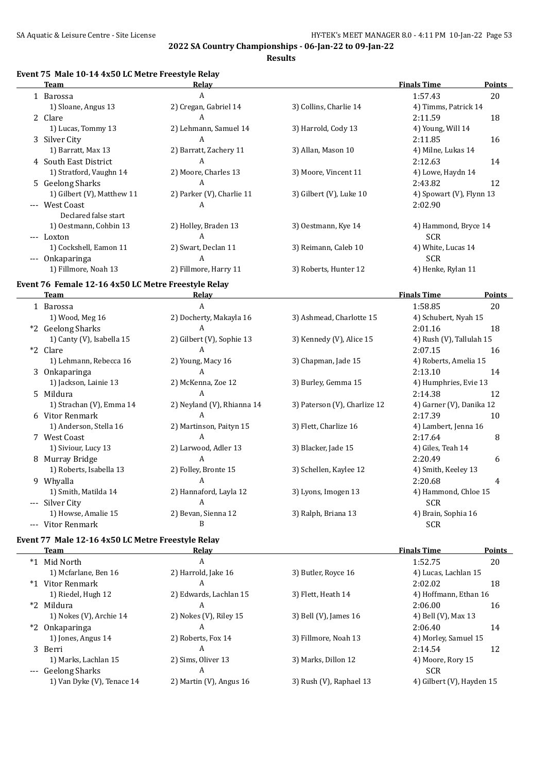**Results**

### **Event 75 Male 10-14 4x50 LC Metre Freestyle Relay**

|       | Team                       | Relay                     |                            | <b>Finals Time</b>       | Points |
|-------|----------------------------|---------------------------|----------------------------|--------------------------|--------|
|       | 1 Barossa                  | A                         |                            | 1:57.43                  | 20     |
|       | 1) Sloane, Angus 13        | 2) Cregan, Gabriel 14     | 3) Collins, Charlie 14     | 4) Timms, Patrick 14     |        |
|       | 2 Clare                    | A                         |                            | 2:11.59                  | 18     |
|       | 1) Lucas, Tommy 13         | 2) Lehmann, Samuel 14     | 3) Harrold, Cody 13        | 4) Young, Will 14        |        |
|       | 3 Silver City              | A                         |                            | 2:11.85                  | 16     |
|       | 1) Barratt, Max 13         | 2) Barratt, Zachery 11    | 3) Allan, Mason 10         | 4) Milne, Lukas 14       |        |
|       | 4 South East District      | A                         |                            | 2:12.63                  | 14     |
|       | 1) Stratford, Vaughn 14    | 2) Moore, Charles 13      | 3) Moore, Vincent 11       | 4) Lowe, Haydn 14        |        |
|       | 5 Geelong Sharks           | A                         |                            | 2:43.82                  | 12     |
|       | 1) Gilbert (V), Matthew 11 | 2) Parker (V), Charlie 11 | 3) Gilbert $(V)$ , Luke 10 | 4) Spowart (V), Flynn 13 |        |
|       | --- West Coast             | A                         |                            | 2:02.90                  |        |
|       | Declared false start       |                           |                            |                          |        |
|       | 1) Oestmann, Cohbin 13     | 2) Holley, Braden 13      | 3) Oestmann, Kye 14        | 4) Hammond, Bryce 14     |        |
| $---$ | Loxton                     | A                         |                            | <b>SCR</b>               |        |
|       | 1) Cockshell, Eamon 11     | 2) Swart, Declan 11       | 3) Reimann, Caleb 10       | 4) White, Lucas 14       |        |
| $---$ | Onkaparinga                | A                         |                            | <b>SCR</b>               |        |
|       | 1) Fillmore, Noah 13       | 2) Fillmore, Harry 11     | 3) Roberts, Hunter 12      | 4) Henke, Rylan 11       |        |
|       |                            |                           |                            |                          |        |

## **Event 76 Female 12-16 4x50 LC Metre Freestyle Relay**

|          | Team                      | Relay                      |                              | <b>Finals Time</b>       | Points |
|----------|---------------------------|----------------------------|------------------------------|--------------------------|--------|
|          | 1 Barossa                 | A                          |                              | 1:58.85                  | 20     |
|          | 1) Wood, Meg 16           | 2) Docherty, Makayla 16    | 3) Ashmead, Charlotte 15     | 4) Schubert, Nyah 15     |        |
|          | *2 Geelong Sharks         | A                          |                              | 2:01.16                  | 18     |
|          | 1) Canty (V), Isabella 15 | 2) Gilbert (V), Sophie 13  | 3) Kennedy (V), Alice 15     | 4) Rush (V), Tallulah 15 |        |
| $*2$     | Clare                     | A                          |                              | 2:07.15                  | 16     |
|          | 1) Lehmann, Rebecca 16    | 2) Young, Macy 16          | 3) Chapman, Jade 15          | 4) Roberts, Amelia 15    |        |
|          | 3 Onkaparinga             | A                          |                              | 2:13.10                  | 14     |
|          | 1) Jackson, Lainie 13     | 2) McKenna, Zoe 12         | 3) Burley, Gemma 15          | 4) Humphries, Evie 13    |        |
|          | 5 Mildura                 | A                          |                              | 2:14.38                  | 12     |
|          | 1) Strachan (V), Emma 14  | 2) Neyland (V), Rhianna 14 | 3) Paterson (V), Charlize 12 | 4) Garner (V), Danika 12 |        |
|          | 6 Vitor Renmark           | A                          |                              | 2:17.39                  | 10     |
|          | 1) Anderson, Stella 16    | 2) Martinson, Paityn 15    | 3) Flett, Charlize 16        | 4) Lambert, Jenna 16     |        |
|          | 7 West Coast              | A                          |                              | 2:17.64                  | 8      |
|          | 1) Siviour, Lucy 13       | 2) Larwood, Adler 13       | 3) Blacker, Jade 15          | 4) Giles, Teah 14        |        |
|          | 8 Murray Bridge           | A                          |                              | 2:20.49                  | 6      |
|          | 1) Roberts, Isabella 13   | 2) Folley, Bronte 15       | 3) Schellen, Kaylee 12       | 4) Smith, Keeley 13      |        |
|          | 9 Whyalla                 | A                          |                              | 2:20.68                  | 4      |
|          | 1) Smith, Matilda 14      | 2) Hannaford, Layla 12     | 3) Lyons, Imogen 13          | 4) Hammond, Chloe 15     |        |
| $\cdots$ | Silver City               | A                          |                              | <b>SCR</b>               |        |
|          | 1) Howse, Amalie 15       | 2) Bevan, Sienna 12        | 3) Ralph, Briana 13          | 4) Brain, Sophia 16      |        |
| ---      | Vitor Renmark             | B                          |                              | <b>SCR</b>               |        |

## **Event 77 Male 12-16 4x50 LC Metre Freestyle Relay**

| Team                       | Relay                      |                         | <b>Finals Time</b>        | <b>Points</b> |
|----------------------------|----------------------------|-------------------------|---------------------------|---------------|
| *1 Mid North               | A                          |                         | 1:52.75                   | 20            |
| 1) Mcfarlane, Ben 16       | 2) Harrold, Jake 16        | 3) Butler, Royce 16     | 4) Lucas, Lachlan 15      |               |
| *1 Vitor Renmark           | A                          |                         | 2:02.02                   | 18            |
| 1) Riedel, Hugh 12         | 2) Edwards, Lachlan 15     | 3) Flett, Heath 14      | 4) Hoffmann, Ethan 16     |               |
| *2 Mildura                 | A                          |                         | 2:06.00                   | 16            |
| 1) Nokes (V), Archie 14    | 2) Nokes (V), Riley 15     | 3) Bell (V), James 16   | 4) Bell (V), Max 13       |               |
| *2 Onkaparinga             | A                          |                         | 2:06.40                   | 14            |
| 1) Jones, Angus 14         | 2) Roberts, Fox 14         | 3) Fillmore, Noah 13    | 4) Morley, Samuel 15      |               |
| 3 Berri                    | A                          |                         | 2:14.54                   | 12            |
| 1) Marks, Lachlan 15       | 2) Sims, Oliver 13         | 3) Marks, Dillon 12     | 4) Moore, Rory 15         |               |
| --- Geelong Sharks         | A                          |                         | <b>SCR</b>                |               |
| 1) Van Dyke (V), Tenace 14 | 2) Martin $(V)$ , Angus 16 | 3) Rush (V), Raphael 13 | 4) Gilbert (V), Hayden 15 |               |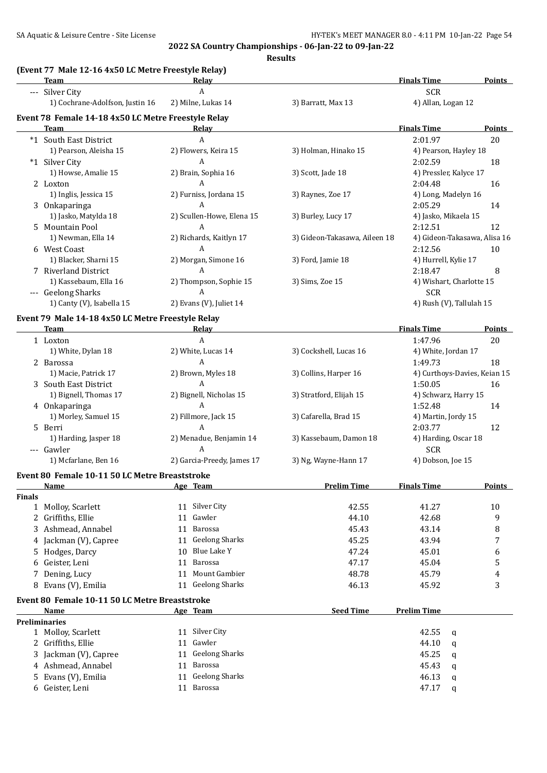|               | Tale 12-10 TAJO LG Metre Freestyle Relay<br><b>Team</b> | <u>Relav</u>                |                               | <b>Finals Time</b>           | <b>Points</b> |
|---------------|---------------------------------------------------------|-----------------------------|-------------------------------|------------------------------|---------------|
|               | --- Silver City                                         | A                           |                               | <b>SCR</b>                   |               |
|               | 1) Cochrane-Adolfson, Justin 16                         | 2) Milne, Lukas 14          | 3) Barratt, Max 13            | 4) Allan, Logan 12           |               |
|               | Event 78 Female 14-18 4x50 LC Metre Freestyle Relay     |                             |                               |                              |               |
|               | Team                                                    | <b>Relay</b>                |                               | <b>Finals Time</b>           | <b>Points</b> |
|               | *1 South East District                                  | A                           |                               | 2:01.97                      | 20            |
|               | 1) Pearson, Aleisha 15                                  | 2) Flowers, Keira 15        | 3) Holman, Hinako 15          | 4) Pearson, Hayley 18        |               |
|               | *1 Silver City                                          | A                           |                               | 2:02.59                      | 18            |
|               | 1) Howse, Amalie 15                                     | 2) Brain, Sophia 16         | 3) Scott, Jade 18             | 4) Pressler, Kalyce 17       |               |
|               | 2 Loxton                                                | A                           |                               | 2:04.48                      | 16            |
|               | 1) Inglis, Jessica 15                                   | 2) Furniss, Jordana 15      | 3) Raynes, Zoe 17             | 4) Long, Madelyn 16          |               |
|               | 3 Onkaparinga                                           | A                           |                               | 2:05.29                      | 14            |
|               | 1) Jasko, Matylda 18                                    | 2) Scullen-Howe, Elena 15   | 3) Burley, Lucy 17            | 4) Jasko, Mikaela 15         |               |
|               | 5 Mountain Pool                                         | A                           |                               | 2:12.51                      | 12            |
|               | 1) Newman, Ella 14                                      | 2) Richards, Kaitlyn 17     | 3) Gideon-Takasawa, Aileen 18 | 4) Gideon-Takasawa, Alisa 16 |               |
|               | 6 West Coast                                            | A                           |                               | 2:12.56                      | 10            |
|               | 1) Blacker, Sharni 15                                   | 2) Morgan, Simone 16        | 3) Ford, Jamie 18             | 4) Hurrell, Kylie 17         |               |
|               | 7 Riverland District                                    | A                           |                               | 2:18.47                      | 8             |
|               | 1) Kassebaum, Ella 16                                   | 2) Thompson, Sophie 15      | 3) Sims, Zoe 15               | 4) Wishart, Charlotte 15     |               |
|               | --- Geelong Sharks                                      | A                           |                               | <b>SCR</b>                   |               |
|               | 1) Canty (V), Isabella 15                               | 2) Evans (V), Juliet 14     |                               | 4) Rush (V), Tallulah 15     |               |
|               | Event 79 Male 14-18 4x50 LC Metre Freestyle Relay       |                             |                               |                              |               |
|               | <b>Team</b>                                             | Relay                       |                               | <b>Finals Time</b>           | <b>Points</b> |
|               | 1 Loxton                                                | A                           |                               | 1:47.96                      | 20            |
|               | 1) White, Dylan 18                                      | 2) White, Lucas 14          | 3) Cockshell, Lucas 16        | 4) White, Jordan 17          |               |
|               | 2 Barossa                                               | A                           |                               | 1:49.73                      | 18            |
|               | 1) Macie, Patrick 17                                    | 2) Brown, Myles 18          | 3) Collins, Harper 16         | 4) Curthoys-Davies, Keian 15 |               |
|               | 3 South East District                                   | A                           |                               | 1:50.05                      | 16            |
|               | 1) Bignell, Thomas 17                                   | 2) Bignell, Nicholas 15     | 3) Stratford, Elijah 15       | 4) Schwarz, Harry 15         |               |
|               | 4 Onkaparinga                                           | A                           |                               | 1:52.48                      | 14            |
|               | 1) Morley, Samuel 15                                    | 2) Fillmore, Jack 15        | 3) Cafarella, Brad 15         | 4) Martin, Jordy 15          |               |
|               | 5 Berri                                                 | A                           |                               | 2:03.77                      | 12            |
|               | 1) Harding, Jasper 18                                   | 2) Menadue, Benjamin 14     | 3) Kassebaum, Damon 18        | 4) Harding, Oscar 18         |               |
|               | --- Gawler                                              | A                           |                               | <b>SCR</b>                   |               |
|               | 1) Mcfarlane, Ben 16                                    | 2) Garcia-Preedy, James 17  | 3) Ng, Wayne-Hann 17          | 4) Dobson, Joe 15            |               |
|               | Event 80 Female 10-11 50 LC Metre Breaststroke          |                             |                               |                              |               |
|               | <u>Name</u>                                             | <u>Age Team</u>             | <b>Prelim Time</b>            | <b>Finals Time</b>           | Points        |
| <b>Finals</b> |                                                         |                             |                               |                              |               |
|               | 1 Molloy, Scarlett                                      | 11 Silver City              | 42.55                         | 41.27                        | 10            |
|               | 2 Griffiths, Ellie                                      | 11 Gawler                   | 44.10                         | 42.68                        | 9             |
|               | 3 Ashmead, Annabel                                      | 11 Barossa                  | 45.43                         | 43.14                        | 8             |
|               | 4 Jackman (V), Capree                                   | <b>Geelong Sharks</b><br>11 | 45.25                         | 43.94                        | 7             |
|               | 5 Hodges, Darcy                                         | Blue Lake Y<br>10           | 47.24                         | 45.01                        | 6             |
|               | 6 Geister, Leni                                         | Barossa<br>11               | 47.17                         | 45.04                        | 5             |
|               | 7 Dening, Lucy                                          | Mount Gambier<br>11         | 48.78                         | 45.79                        | 4             |
|               | 8 Evans (V), Emilia                                     | 11 Geelong Sharks           | 46.13                         | 45.92                        | 3             |
|               |                                                         |                             |                               |                              |               |
|               | Event 80 Female 10-11 50 LC Metre Breaststroke          |                             |                               |                              |               |
|               | <b>Name</b>                                             | Age Team                    | <b>Seed Time</b>              | <b>Prelim Time</b>           |               |
|               | <b>Preliminaries</b>                                    |                             |                               |                              |               |
|               | 1 Molloy, Scarlett                                      | 11 Silver City              |                               | 42.55<br>q                   |               |
|               | 2 Griffiths, Ellie                                      | Gawler<br>11                |                               | 44.10<br>q                   |               |
|               | 3 Jackman (V), Capree                                   | <b>Geelong Sharks</b><br>11 |                               | 45.25<br>q                   |               |
|               | 4 Ashmead, Annabel                                      | Barossa<br>11               |                               | 45.43<br>q                   |               |
|               | 5 Evans (V), Emilia                                     | 11 Geelong Sharks           |                               | 46.13<br>q                   |               |
|               | 6 Geister, Leni                                         | 11 Barossa                  |                               | 47.17<br>q                   |               |

## **(Event 77 Male 12-16 4x50 LC Metre Freestyle Relay)**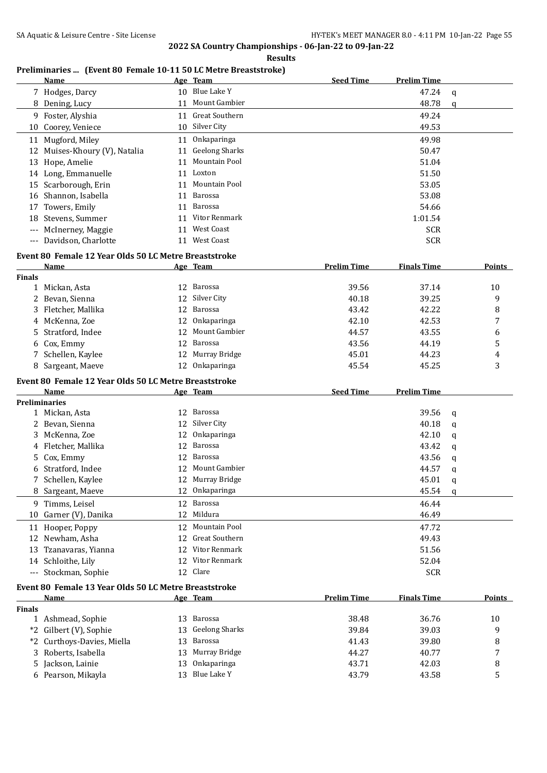|               |                                                                         | <b>Results</b>    |                    |                    |                |
|---------------|-------------------------------------------------------------------------|-------------------|--------------------|--------------------|----------------|
|               | Preliminaries  (Event 80 Female 10-11 50 LC Metre Breaststroke)<br>Name | Age Team          | <b>Seed Time</b>   | <b>Prelim Time</b> |                |
|               | 7 Hodges, Darcy                                                         | 10 Blue Lake Y    |                    | 47.24              | $\mathbf q$    |
|               | 8 Dening, Lucy                                                          | 11 Mount Gambier  |                    | 48.78              | $\mathfrak{a}$ |
|               | 9 Foster, Alyshia                                                       | 11 Great Southern |                    | 49.24              |                |
|               | 10 Coorey, Veniece                                                      | 10 Silver City    |                    | 49.53              |                |
|               | 11 Mugford, Miley                                                       | 11 Onkaparinga    |                    | 49.98              |                |
|               | 12 Muises-Khoury (V), Natalia                                           | 11 Geelong Sharks |                    | 50.47              |                |
|               | 13 Hope, Amelie                                                         | 11 Mountain Pool  |                    | 51.04              |                |
|               | 14 Long, Emmanuelle                                                     | 11 Loxton         |                    | 51.50              |                |
|               | 15 Scarborough, Erin                                                    | 11 Mountain Pool  |                    | 53.05              |                |
|               | 16 Shannon, Isabella                                                    | 11 Barossa        |                    | 53.08              |                |
| 17            | Towers, Emily                                                           | 11 Barossa        |                    | 54.66              |                |
|               | 18 Stevens, Summer                                                      | 11 Vitor Renmark  |                    | 1:01.54            |                |
|               | --- McInerney, Maggie                                                   | 11 West Coast     |                    | <b>SCR</b>         |                |
|               | --- Davidson, Charlotte                                                 | 11 West Coast     |                    | <b>SCR</b>         |                |
|               | Event 80 Female 12 Year Olds 50 LC Metre Breaststroke                   |                   |                    |                    |                |
|               | Name                                                                    | Age Team          | <b>Prelim Time</b> | <b>Finals Time</b> | Points         |
| <b>Finals</b> |                                                                         |                   |                    |                    |                |
|               | 1 Mickan, Asta                                                          | 12 Barossa        | 39.56              | 37.14              | 10             |
| 2             | Bevan, Sienna                                                           | 12 Silver City    | 40.18              | 39.25              | 9              |
| 3             | Fletcher, Mallika                                                       | 12 Barossa        | 43.42              | 42.22              | 8              |
| 4             | McKenna, Zoe                                                            | 12 Onkaparinga    | 42.10              | 42.53              | 7              |
| 5             | Stratford, Indee                                                        | 12 Mount Gambier  | 44.57              | 43.55              | 6              |
| 6             | Cox, Emmy                                                               | 12 Barossa        | 43.56              | 44.19              | 5              |
| 7             | Schellen, Kaylee                                                        | 12 Murray Bridge  | 45.01              | 44.23              | 4              |
|               | 8 Sargeant, Maeve                                                       | 12 Onkaparinga    | 45.54              | 45.25              | 3              |
|               | Event 80 Female 12 Year Olds 50 LC Metre Breaststroke                   |                   |                    |                    |                |
|               | <b>Name</b>                                                             | Age Team          | <b>Seed Time</b>   | <b>Prelim Time</b> |                |
|               | <b>Preliminaries</b>                                                    |                   |                    |                    |                |
|               | 1 Mickan, Asta                                                          | 12 Barossa        |                    | 39.56              | q              |
|               | 2 Bevan, Sienna                                                         | 12 Silver City    |                    | 40.18              | q              |
|               | 3 McKenna, Zoe                                                          | 12 Onkaparinga    |                    | 42.10              | q              |
| 4             | Fletcher, Mallika                                                       | 12 Barossa        |                    | 43.42              | q              |
|               | 5 Cox, Emmy                                                             | 12 Barossa        |                    | 43.56              | q              |
| 6             | Stratford, Indee                                                        | 12 Mount Gambier  |                    | 44.57              | q              |
|               | Schellen, Kaylee                                                        | 12 Murray Bridge  |                    | 45.01              | q              |
|               | 8 Sargeant, Maeve                                                       | 12 Onkaparinga    |                    | 45.54              | q              |
|               | 9 Timms, Leisel                                                         | 12 Barossa        |                    | 46.44              |                |
| 10            | Garner (V), Danika                                                      | 12 Mildura        |                    | 46.49              |                |
|               | 11 Hooper, Poppy                                                        | 12 Mountain Pool  |                    | 47.72              |                |
|               | 12 Newham, Asha                                                         | 12 Great Southern |                    | 49.43              |                |
| 13            | Tzanavaras, Yianna                                                      | 12 Vitor Renmark  |                    | 51.56              |                |
|               | 14 Schloithe, Lily                                                      | 12 Vitor Renmark  |                    | 52.04              |                |
|               | --- Stockman, Sophie                                                    | 12 Clare          |                    | <b>SCR</b>         |                |
|               | Event 80 Female 13 Year Olds 50 LC Metre Breaststroke                   |                   |                    |                    |                |
|               | Name                                                                    | Age Team          | <b>Prelim Time</b> | <b>Finals Time</b> | <b>Points</b>  |
| <b>Finals</b> |                                                                         |                   |                    |                    |                |
|               | 1 Ashmead, Sophie                                                       | 13 Barossa        | 38.48              | 36.76              | 10             |
|               | *2 Gilbert (V), Sophie                                                  | 13 Geelong Sharks | 39.84              | 39.03              | 9              |
|               |                                                                         |                   |                    |                    |                |
|               | *2 Curthoys-Davies, Miella                                              | 13 Barossa        | 41.43              | 39.80              | 8              |
| 3             | Roberts, Isabella                                                       | 13 Murray Bridge  | 44.27              | 40.77              | 7              |
| 5             | Jackson, Lainie                                                         | 13 Onkaparinga    | 43.71              | 42.03              | 8              |
| 6             | Pearson, Mikayla                                                        | 13 Blue Lake Y    | 43.79              | 43.58              | 5              |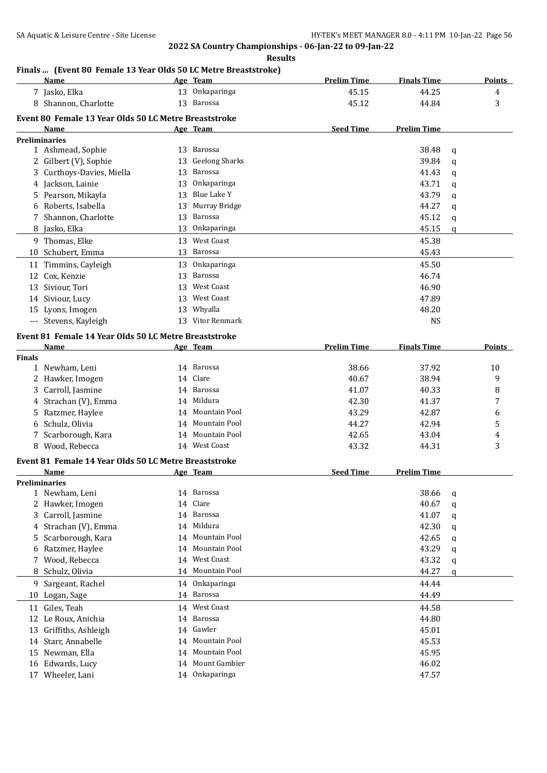**Results**

# **Finals ... (Event 80 Female 13 Year Olds 50 LC Metre Breaststroke)**

|               | Name                                                  |    | ent ou remaie 15 Teal UNS 50 LC Mette Di caststiune)<br>Age Team | <b>Prelim Time</b> | <b>Finals Time</b> |   | <b>Points</b> |
|---------------|-------------------------------------------------------|----|------------------------------------------------------------------|--------------------|--------------------|---|---------------|
|               | 7 Jasko, Elka                                         |    | 13 Onkaparinga                                                   | 45.15              | 44.25              |   | 4             |
|               | 8 Shannon, Charlotte                                  |    | 13 Barossa                                                       | 45.12              | 44.84              |   | 3             |
|               | Event 80 Female 13 Year Olds 50 LC Metre Breaststroke |    |                                                                  |                    |                    |   |               |
|               | Name                                                  |    | Age Team                                                         | <b>Seed Time</b>   | <b>Prelim Time</b> |   |               |
|               | <b>Preliminaries</b>                                  |    |                                                                  |                    |                    |   |               |
|               | 1 Ashmead, Sophie                                     |    | 13 Barossa                                                       |                    | 38.48              | q |               |
|               | 2 Gilbert (V), Sophie                                 | 13 | Geelong Sharks                                                   |                    | 39.84              | q |               |
|               | 3 Curthoys-Davies, Miella                             | 13 | Barossa                                                          |                    | 41.43              | q |               |
| 4             | Jackson, Lainie                                       | 13 | Onkaparinga                                                      |                    | 43.71              | q |               |
|               | 5 Pearson, Mikayla                                    | 13 | Blue Lake Y                                                      |                    | 43.79              | q |               |
| 6             | Roberts, Isabella                                     | 13 | Murray Bridge                                                    |                    | 44.27              | q |               |
|               | 7 Shannon, Charlotte                                  | 13 | Barossa                                                          |                    | 45.12              | q |               |
|               | 8 Jasko, Elka                                         | 13 | Onkaparinga                                                      |                    | 45.15              | q |               |
|               | 9 Thomas, Elke                                        | 13 | West Coast                                                       |                    | 45.38              |   |               |
|               | 10 Schubert, Emma                                     |    | 13 Barossa                                                       |                    | 45.43              |   |               |
|               |                                                       | 13 | Onkaparinga                                                      |                    | 45.50              |   |               |
|               | 11 Timmins, Cayleigh                                  | 13 | Barossa                                                          |                    | 46.74              |   |               |
| 12            | Cox, Kenzie                                           |    | <b>West Coast</b>                                                |                    |                    |   |               |
|               | 13 Siviour, Tori                                      | 13 |                                                                  |                    | 46.90              |   |               |
| 14            | Siviour, Lucy                                         | 13 | <b>West Coast</b>                                                |                    | 47.89              |   |               |
|               | 15 Lyons, Imogen                                      | 13 | Whyalla                                                          |                    | 48.20              |   |               |
|               | --- Stevens, Kayleigh                                 |    | 13 Vitor Renmark                                                 |                    | <b>NS</b>          |   |               |
|               | Event 81 Female 14 Year Olds 50 LC Metre Breaststroke |    |                                                                  |                    |                    |   |               |
|               | Name                                                  |    | Age Team                                                         | <b>Prelim Time</b> | <b>Finals Time</b> |   | Points        |
| <b>Finals</b> |                                                       |    |                                                                  |                    |                    |   |               |
|               | 1 Newham, Leni                                        |    | 14 Barossa                                                       | 38.66              | 37.92              |   | 10            |
|               | 2 Hawker, Imogen                                      |    | 14 Clare                                                         | 40.67              | 38.94              |   | 9             |
|               | 3 Carroll, Jasmine                                    |    | 14 Barossa                                                       | 41.07              | 40.33              |   | 8             |
| 4             | Strachan (V), Emma                                    |    | 14 Mildura                                                       | 42.30              | 41.37              |   | 7             |
| 5             | Ratzmer, Haylee                                       |    | 14 Mountain Pool                                                 | 43.29              | 42.87              |   | 6             |
| 6             | Schulz, Olivia                                        |    | 14 Mountain Pool                                                 | 44.27              | 42.94              |   | 5             |
|               | 7 Scarborough, Kara                                   |    | 14 Mountain Pool                                                 | 42.65              | 43.04              |   | 4             |
| 8             | Wood, Rebecca                                         |    | 14 West Coast                                                    | 43.32              | 44.31              |   | 3             |
|               | Event 81 Female 14 Year Olds 50 LC Metre Breaststroke |    |                                                                  |                    |                    |   |               |
|               | Name                                                  |    | Age Team                                                         | <b>Seed Time</b>   | <b>Prelim Time</b> |   |               |
|               | Preliminaries                                         |    |                                                                  |                    |                    |   |               |
|               | 1 Newham, Leni                                        |    | 14 Barossa                                                       |                    | 38.66              | q |               |
|               | 2 Hawker, Imogen                                      |    | 14 Clare                                                         |                    | 40.67              | q |               |
| 3             | Carroll, Jasmine                                      |    | 14 Barossa                                                       |                    | 41.07              | q |               |
| 4             | Strachan (V), Emma                                    |    | 14 Mildura                                                       |                    | 42.30              | q |               |
| 5             | Scarborough, Kara                                     |    | 14 Mountain Pool                                                 |                    | 42.65              | q |               |
| 6             | Ratzmer, Haylee                                       |    | 14 Mountain Pool                                                 |                    | 43.29              | q |               |
| 7             | Wood, Rebecca                                         |    | 14 West Coast                                                    |                    | 43.32              | q |               |
| 8             | Schulz, Olivia                                        |    | 14 Mountain Pool                                                 |                    | 44.27              | q |               |
| 9.            | Sargeant, Rachel                                      |    | 14 Onkaparinga                                                   |                    | 44.44              |   |               |
| 10            | Logan, Sage                                           |    | 14 Barossa                                                       |                    | 44.49              |   |               |
| 11            | Giles, Teah                                           |    | 14 West Coast                                                    |                    | 44.58              |   |               |
| 12            | Le Roux, Anichia                                      |    | 14 Barossa                                                       |                    | 44.80              |   |               |
| 13            | Griffiths, Ashleigh                                   |    | 14 Gawler                                                        |                    | 45.01              |   |               |
| 14            | Starr, Annabelle                                      |    | 14 Mountain Pool                                                 |                    | 45.53              |   |               |
| 15            | Newman, Ella                                          | 14 | Mountain Pool                                                    |                    | 45.95              |   |               |
| 16            | Edwards, Lucy                                         |    | 14 Mount Gambier                                                 |                    | 46.02              |   |               |
|               | 17 Wheeler, Lani                                      |    | 14 Onkaparinga                                                   |                    | 47.57              |   |               |
|               |                                                       |    |                                                                  |                    |                    |   |               |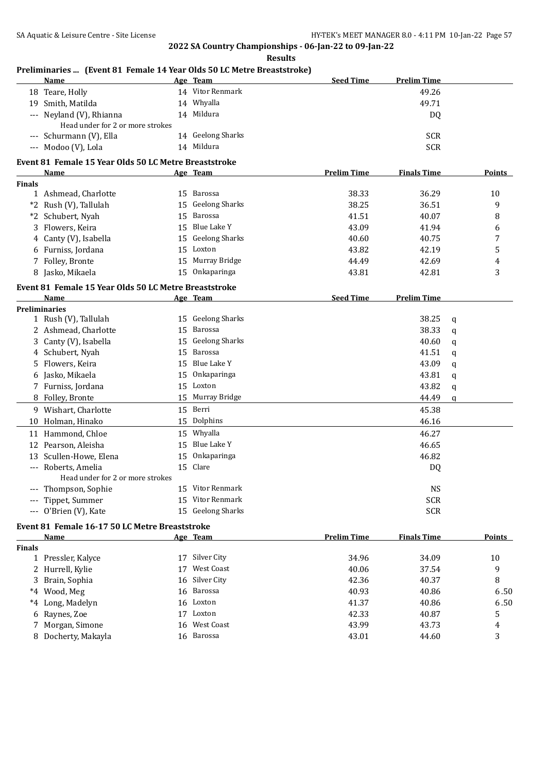**Preliminaries ... (Event 81 Female 14 Year Olds 50 LC Metre Breaststroke)**

## **2022 SA Country Championships - 06-Jan-22 to 09-Jan-22 Results**

|               | Name                                                          |    | Age Team              | <b>Seed Time</b>   | <b>Prelim Time</b> |               |
|---------------|---------------------------------------------------------------|----|-----------------------|--------------------|--------------------|---------------|
|               | 18 Teare, Holly                                               |    | 14 Vitor Renmark      |                    | 49.26              |               |
|               | 19 Smith, Matilda                                             |    | 14 Whyalla            |                    | 49.71              |               |
|               | --- Neyland (V), Rhianna                                      |    | 14 Mildura            |                    | DQ                 |               |
|               | Head under for 2 or more strokes                              |    |                       |                    |                    |               |
|               | --- Schurmann (V), Ella                                       |    | 14 Geelong Sharks     |                    | <b>SCR</b>         |               |
|               | --- Modoo (V), Lola                                           |    | 14 Mildura            |                    | <b>SCR</b>         |               |
|               | Event 81 Female 15 Year Olds 50 LC Metre Breaststroke         |    |                       |                    |                    |               |
|               | Name                                                          |    | Age Team              | <b>Prelim Time</b> | <b>Finals Time</b> | <b>Points</b> |
| <b>Finals</b> |                                                               |    |                       |                    |                    |               |
|               | 1 Ashmead, Charlotte                                          |    | 15 Barossa            | 38.33              | 36.29              | 10            |
|               | *2 Rush (V), Tallulah                                         | 15 | <b>Geelong Sharks</b> | 38.25              | 36.51              | 9             |
|               | *2 Schubert, Nyah                                             | 15 | Barossa               | 41.51              | 40.07              | 8             |
| 3             | Flowers, Keira                                                | 15 | <b>Blue Lake Y</b>    | 43.09              | 41.94              | 6             |
|               | 4 Canty (V), Isabella                                         | 15 | <b>Geelong Sharks</b> | 40.60              | 40.75              | 7             |
|               | 6 Furniss, Jordana                                            |    | 15 Loxton             | 43.82              | 42.19              | 5             |
|               | 7 Folley, Bronte                                              |    | 15 Murray Bridge      | 44.49              | 42.69              | 4             |
|               | 8 Jasko, Mikaela                                              |    | 15 Onkaparinga        | 43.81              | 42.81              | 3             |
|               |                                                               |    |                       |                    |                    |               |
|               | Event 81 Female 15 Year Olds 50 LC Metre Breaststroke<br>Name |    |                       | <b>Seed Time</b>   | <b>Prelim Time</b> |               |
|               | <b>Preliminaries</b>                                          |    | Age Team              |                    |                    |               |
|               | 1 Rush (V), Tallulah                                          |    | 15 Geelong Sharks     |                    | 38.25              | q             |
|               | 2 Ashmead, Charlotte                                          |    | 15 Barossa            |                    | 38.33              | q             |
|               | 3 Canty (V), Isabella                                         |    | 15 Geelong Sharks     |                    | 40.60              | q             |
|               | 4 Schubert, Nyah                                              |    | 15 Barossa            |                    | 41.51              | q             |
|               | 5 Flowers, Keira                                              |    | 15 Blue Lake Y        |                    | 43.09              | q             |
|               | 6 Jasko, Mikaela                                              | 15 | Onkaparinga           |                    | 43.81              | q             |
|               | 7 Furniss, Jordana                                            |    | 15 Loxton             |                    | 43.82              | q             |
|               | 8 Folley, Bronte                                              |    | 15 Murray Bridge      |                    | 44.49              | q             |
|               | 9 Wishart, Charlotte                                          |    | 15 Berri              |                    | 45.38              |               |
|               | 10 Holman, Hinako                                             |    | 15 Dolphins           |                    | 46.16              |               |
|               |                                                               |    |                       |                    |                    |               |
|               | 11 Hammond, Chloe                                             |    | 15 Whyalla            |                    | 46.27              |               |
|               | 12 Pearson, Aleisha                                           |    | 15 Blue Lake Y        |                    | 46.65              |               |
|               | 13 Scullen-Howe, Elena                                        | 15 | Onkaparinga           |                    | 46.82              |               |
|               | --- Roberts, Amelia                                           |    | 15 Clare              |                    | DQ                 |               |
|               | Head under for 2 or more strokes                              |    | 15 Vitor Renmark      |                    | <b>NS</b>          |               |
|               | --- Thompson, Sophie<br>--- Tippet, Summer                    |    | 15 Vitor Renmark      |                    | <b>SCR</b>         |               |
|               | --- O'Brien (V), Kate                                         |    | 15 Geelong Sharks     |                    | <b>SCR</b>         |               |
|               |                                                               |    |                       |                    |                    |               |
|               | Event 81 Female 16-17 50 LC Metre Breaststroke                |    |                       |                    |                    |               |
|               | Name                                                          |    | Age Team              | <b>Prelim Time</b> | <b>Finals Time</b> | <b>Points</b> |
| <b>Finals</b> |                                                               |    |                       |                    |                    |               |
|               | 1 Pressler, Kalyce                                            |    | 17 Silver City        | 34.96              | 34.09              | 10            |
|               | 2 Hurrell, Kylie                                              | 17 | <b>West Coast</b>     | 40.06              | 37.54              | 9             |
|               | Brain, Sophia                                                 |    | 16 Silver City        | 42.36              | 40.37              | 8             |
|               | *4 Wood, Meg                                                  |    | 16 Barossa            | 40.93              | 40.86              | 6.50          |
|               | *4 Long, Madelyn                                              |    | 16 Loxton             | 41.37              | 40.86              | 6.50          |
|               | 6 Raynes, Zoe                                                 |    | 17 Loxton             | 42.33              | 40.87              | 5             |
|               | 7 Morgan, Simone                                              |    | 16 West Coast         | 43.99              | 43.73              | 4             |
|               | 8 Docherty, Makayla                                           |    | 16 Barossa            | 43.01              | 44.60              | 3             |
|               |                                                               |    |                       |                    |                    |               |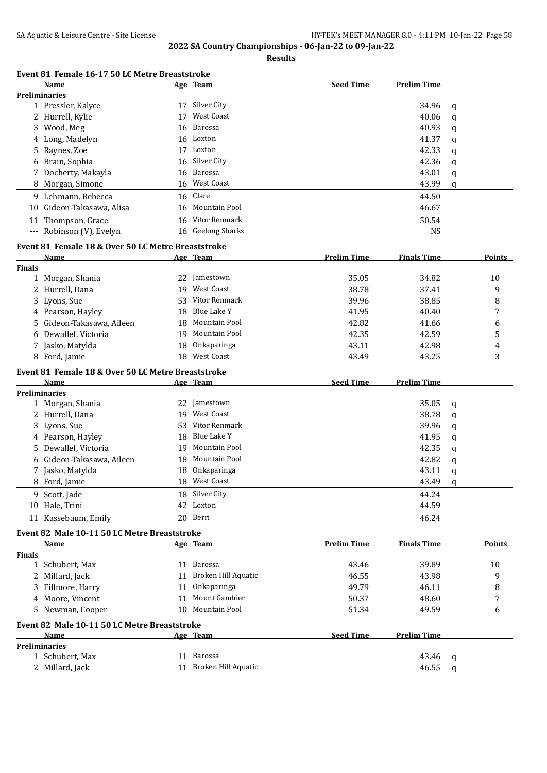**Preliminaries**

**2022 SA Country Championships - 06-Jan-22 to 09-Jan-22**

**Results**

## **Event 81 Female 16-17 50 LC Metre Breaststroke**

|               | Event 81 Female 16-17 50 LC Metre Breaststroke<br>Name |    | Age Team            | <b>Seed Time</b>   | <b>Prelim Time</b> |             |        |
|---------------|--------------------------------------------------------|----|---------------------|--------------------|--------------------|-------------|--------|
|               | <b>Preliminaries</b>                                   |    |                     |                    |                    |             |        |
|               | 1 Pressler, Kalyce                                     |    | 17 Silver City      |                    | 34.96              | q           |        |
|               | 2 Hurrell, Kylie                                       | 17 | <b>West Coast</b>   |                    | 40.06              | q           |        |
|               | 3 Wood, Meg                                            | 16 | Barossa             |                    | 40.93              | q           |        |
|               | 4 Long, Madelyn                                        |    | 16 Loxton           |                    | 41.37              | q           |        |
|               | 5 Raynes, Zoe                                          |    | 17 Loxton           |                    | 42.33              | q           |        |
|               | 6 Brain, Sophia                                        | 16 | Silver City         |                    | 42.36              | q           |        |
|               | 7 Docherty, Makayla                                    | 16 | Barossa             |                    | 43.01              | q           |        |
|               | 8 Morgan, Simone                                       |    | 16 West Coast       |                    | 43.99              | q           |        |
|               | 9 Lehmann, Rebecca                                     | 16 | Clare               |                    | 44.50              |             |        |
|               | 10 Gideon-Takasawa, Alisa                              |    | 16 Mountain Pool    |                    | 46.67              |             |        |
|               | 11 Thompson, Grace                                     |    | 16 Vitor Renmark    |                    | 50.54              |             |        |
|               | --- Robinson (V), Evelyn                               |    | 16 Geelong Sharks   |                    | <b>NS</b>          |             |        |
|               | Event 81 Female 18 & Over 50 LC Metre Breaststroke     |    |                     |                    |                    |             |        |
|               | Name                                                   |    | Age Team            | <b>Prelim Time</b> | <b>Finals Time</b> |             | Points |
| <b>Finals</b> |                                                        |    |                     |                    |                    |             |        |
|               | 1 Morgan, Shania                                       |    | 22 Jamestown        | 35.05              | 34.82              |             | 10     |
|               | 2 Hurrell, Dana                                        | 19 | <b>West Coast</b>   | 38.78              | 37.41              |             | 9      |
|               | 3 Lyons, Sue                                           | 53 | Vitor Renmark       | 39.96              | 38.85              |             | 8      |
|               | 4 Pearson, Hayley                                      | 18 | <b>Blue Lake Y</b>  | 41.95              | 40.40              |             | 7      |
|               | 5 Gideon-Takasawa, Aileen                              | 18 | Mountain Pool       | 42.82              | 41.66              |             | 6      |
|               | 6 Dewallef, Victoria                                   | 19 | Mountain Pool       | 42.35              | 42.59              |             | 5      |
|               | 7 Jasko, Matylda                                       | 18 | Onkaparinga         | 43.11              | 42.98              |             | 4      |
|               | 8 Ford, Jamie                                          |    | 18 West Coast       | 43.49              | 43.25              |             | 3      |
|               | Event 81 Female 18 & Over 50 LC Metre Breaststroke     |    |                     |                    |                    |             |        |
|               | Name                                                   |    | Age Team            | <b>Seed Time</b>   | <b>Prelim Time</b> |             |        |
|               | <b>Preliminaries</b>                                   |    |                     |                    |                    |             |        |
|               | 1 Morgan, Shania                                       | 22 | Jamestown           |                    | 35.05              | $\mathbf q$ |        |
|               | 2 Hurrell, Dana                                        |    | 19 West Coast       |                    | 38.78              | q           |        |
|               | 3 Lyons, Sue                                           |    | 53 Vitor Renmark    |                    | 39.96              | q           |        |
|               | 4 Pearson, Hayley                                      |    | 18 Blue Lake Y      |                    | 41.95              | q           |        |
|               | 5 Dewallef, Victoria                                   | 19 | Mountain Pool       |                    | 42.35              | q           |        |
|               | 6 Gideon-Takasawa, Aileen                              | 18 | Mountain Pool       |                    | 42.82              | q           |        |
|               | 7 Jasko, Matylda                                       | 18 | Onkaparinga         |                    | 43.11              | q           |        |
|               | 8 Ford, Jamie                                          |    | 18 West Coast       |                    | 43.49              | a           |        |
|               | 9 Scott, Jade                                          |    | 18 Silver City      |                    | 44.24              |             |        |
|               | 10 Hale, Trini                                         |    | 42 Loxton           |                    | 44.59              |             |        |
|               | 11 Kassebaum, Emily                                    |    | 20 Berri            |                    | 46.24              |             |        |
|               | Event 82 Male 10-11 50 LC Metre Breaststroke           |    |                     |                    |                    |             |        |
|               | Name                                                   |    | Age Team            | <b>Prelim Time</b> | <b>Finals Time</b> |             | Points |
| <b>Finals</b> |                                                        |    |                     |                    |                    |             |        |
|               | 1 Schubert, Max                                        |    | 11 Barossa          | 43.46              | 39.89              |             | 10     |
| 2             | Millard, Jack                                          | 11 | Broken Hill Aquatic | 46.55              | 43.98              |             | 9      |
| 3             | Fillmore, Harry                                        | 11 | Onkaparinga         | 49.79              | 46.11              |             | 8      |
|               | 4 Moore, Vincent                                       | 11 | Mount Gambier       | 50.37              | 48.60              |             | 7      |
|               | 5 Newman, Cooper                                       | 10 | Mountain Pool       | 51.34              | 49.59              |             | 6      |
|               | Event 82 Male 10-11 50 LC Metre Breaststroke           |    |                     |                    |                    |             |        |

**Name Age Team Seed Time Prelim Time**

 Schubert, Max 11 Barossa 43.46 q 2 Millard, Jack 11 Broken Hill Aquatic 12 Millard, Jack 46.55 q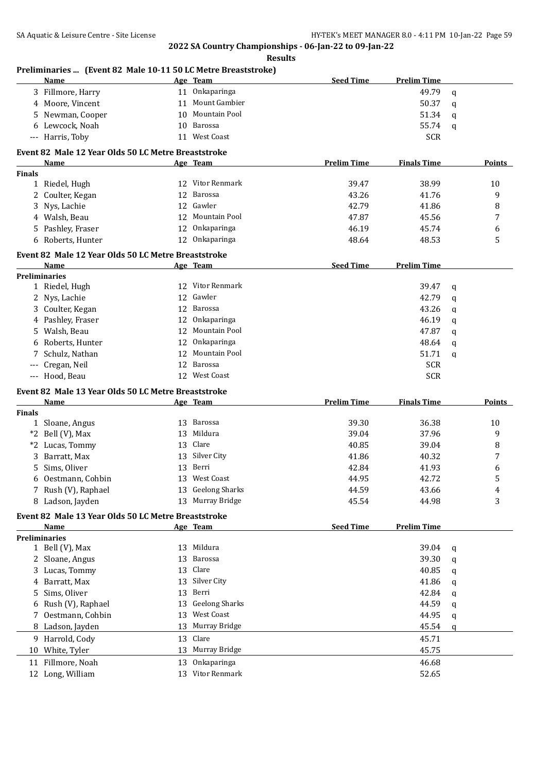|               | Preliminaries  (Event 82 Male 10-11 50 LC Metre Breaststroke)<br><b>Name</b> |    | Age Team                        | <b>Seed Time</b>   | <b>Prelim Time</b> |             |        |
|---------------|------------------------------------------------------------------------------|----|---------------------------------|--------------------|--------------------|-------------|--------|
|               | 3 Fillmore, Harry                                                            |    | 11 Onkaparinga                  |                    | 49.79              | $\mathbf q$ |        |
|               | 4 Moore, Vincent                                                             |    | 11 Mount Gambier                |                    | 50.37              | q           |        |
|               | 5 Newman, Cooper                                                             | 10 | Mountain Pool                   |                    | 51.34              | q           |        |
|               | 6 Lewcock, Noah                                                              | 10 | Barossa                         |                    | 55.74              | q           |        |
|               | --- Harris, Toby                                                             |    | 11 West Coast                   |                    | <b>SCR</b>         |             |        |
|               |                                                                              |    |                                 |                    |                    |             |        |
|               | Event 82 Male 12 Year Olds 50 LC Metre Breaststroke<br>Name                  |    | Age Team                        | <b>Prelim Time</b> | <b>Finals Time</b> |             | Points |
| <b>Finals</b> |                                                                              |    |                                 |                    |                    |             |        |
|               | 1 Riedel, Hugh                                                               |    | 12 Vitor Renmark                | 39.47              | 38.99              |             | 10     |
| 2             | Coulter, Kegan                                                               | 12 | Barossa                         | 43.26              | 41.76              |             | 9      |
| 3             | Nys, Lachie                                                                  |    | 12 Gawler                       | 42.79              | 41.86              |             | 8      |
|               | 4 Walsh, Beau                                                                |    | 12 Mountain Pool                | 47.87              | 45.56              |             | 7      |
|               |                                                                              |    | Onkaparinga                     |                    |                    |             |        |
| 5.            | Pashley, Fraser                                                              | 12 |                                 | 46.19              | 45.74              |             | 6      |
|               | 6 Roberts, Hunter                                                            |    | 12 Onkaparinga                  | 48.64              | 48.53              |             | 5      |
|               | Event 82 Male 12 Year Olds 50 LC Metre Breaststroke                          |    |                                 |                    |                    |             |        |
|               | Name                                                                         |    | Age Team                        | <b>Seed Time</b>   | <b>Prelim Time</b> |             |        |
|               | <b>Preliminaries</b>                                                         |    |                                 |                    |                    |             |        |
|               | 1 Riedel, Hugh                                                               | 12 | Vitor Renmark                   |                    | 39.47              | $\mathbf q$ |        |
| 2             | Nys, Lachie                                                                  | 12 | Gawler                          |                    | 42.79              | q           |        |
|               | 3 Coulter, Kegan                                                             | 12 | Barossa                         |                    | 43.26              | q           |        |
|               | 4 Pashley, Fraser                                                            | 12 | Onkaparinga                     |                    | 46.19              | q           |        |
|               | 5 Walsh, Beau                                                                | 12 | Mountain Pool                   |                    | 47.87              | q           |        |
|               | 6 Roberts, Hunter                                                            | 12 | Onkaparinga                     |                    | 48.64              | q           |        |
|               | 7 Schulz, Nathan                                                             | 12 | Mountain Pool                   |                    | 51.71              | $\mathbf q$ |        |
| $\cdots$      | Cregan, Neil                                                                 |    | 12 Barossa                      |                    | <b>SCR</b>         |             |        |
|               | --- Hood, Beau                                                               |    | 12 West Coast                   |                    | <b>SCR</b>         |             |        |
|               |                                                                              |    |                                 |                    |                    |             |        |
|               | Event 82 Male 13 Year Olds 50 LC Metre Breaststroke                          |    |                                 |                    |                    |             |        |
|               | Name                                                                         |    | <u>Age Team</u>                 | <b>Prelim Time</b> | <b>Finals Time</b> |             | Points |
| Finals        | 1 Sloane, Angus                                                              |    | 13 Barossa                      | 39.30              | 36.38              |             | 10     |
|               |                                                                              | 13 | Mildura                         |                    |                    |             |        |
|               | *2 Bell (V), Max                                                             |    | Clare                           | 39.04              | 37.96              |             | 9      |
|               | *2 Lucas, Tommy                                                              | 13 |                                 | 40.85              | 39.04              |             | 8      |
| 3             | Barratt, Max                                                                 | 13 | Silver City                     | 41.86              | 40.32              |             | 7      |
|               | 5 Sims, Oliver                                                               |    | 13 Berri                        | 42.84              | 41.93              |             | 6      |
| 6             | Oestmann, Cohbin                                                             |    | 13 West Coast                   | 44.95              | 42.72              |             | 5      |
|               | 7 Rush (V), Raphael                                                          | 13 | <b>Geelong Sharks</b>           | 44.59              | 43.66              |             | 4      |
|               | 8 Ladson, Jayden                                                             |    | 13 Murray Bridge                | 45.54              | 44.98              |             | 3      |
|               | Event 82 Male 13 Year Olds 50 LC Metre Breaststroke                          |    |                                 |                    |                    |             |        |
|               | Name                                                                         |    | Age Team                        | <b>Seed Time</b>   | <b>Prelim Time</b> |             |        |
|               | <b>Preliminaries</b>                                                         |    |                                 |                    |                    |             |        |
|               | 1 Bell (V), Max                                                              |    | 13 Mildura                      |                    | 39.04              | q           |        |
| 2             | Sloane, Angus                                                                | 13 | Barossa                         |                    | 39.30              | q           |        |
| 3             | Lucas, Tommy                                                                 | 13 | Clare                           |                    | 40.85              | q           |        |
| 4             | Barratt, Max                                                                 | 13 | Silver City                     |                    | 41.86              | q           |        |
| 5             | Sims, Oliver                                                                 | 13 | Berri                           |                    | 42.84              | q           |        |
| 6             | Rush (V), Raphael                                                            | 13 | <b>Geelong Sharks</b>           |                    | 44.59              | q           |        |
|               | Oestmann, Cohbin                                                             | 13 | West Coast                      |                    | 44.95              | q           |        |
|               |                                                                              |    |                                 |                    | 45.54              | q           |        |
|               |                                                                              |    |                                 |                    |                    |             |        |
|               | 8 Ladson, Jayden                                                             | 13 | Murray Bridge                   |                    |                    |             |        |
|               | 9 Harrold, Cody                                                              | 13 | Clare                           |                    | 45.71              |             |        |
|               | 10 White, Tyler                                                              | 13 | Murray Bridge                   |                    | 45.75              |             |        |
| 11            | Fillmore, Noah<br>12 Long, William                                           | 13 | Onkaparinga<br>13 Vitor Renmark |                    | 46.68<br>52.65     |             |        |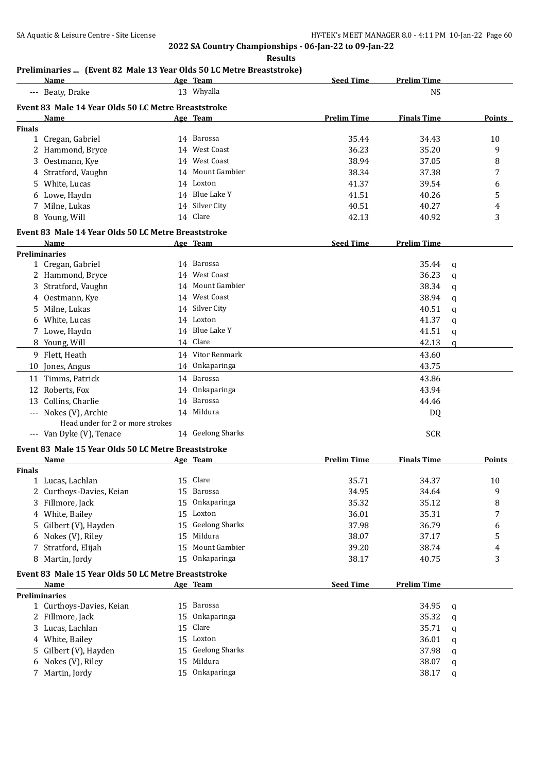#### **Results**

## **Preliminaries ... (Event 82 Male 13 Year Olds 50 LC Metre Breaststroke)**

|               | <b>Name</b>                                         |    | Age Team              | <b>Seed Time</b>   | <b>Prelim Time</b> |   |               |
|---------------|-----------------------------------------------------|----|-----------------------|--------------------|--------------------|---|---------------|
|               | --- Beaty, Drake                                    |    | 13 Whyalla            |                    | <b>NS</b>          |   |               |
|               | Event 83 Male 14 Year Olds 50 LC Metre Breaststroke |    |                       |                    |                    |   |               |
|               | Name                                                |    | Age Team              | <b>Prelim Time</b> | <b>Finals Time</b> |   | Points        |
| <b>Finals</b> |                                                     |    |                       |                    |                    |   |               |
|               | 1 Cregan, Gabriel                                   |    | 14 Barossa            | 35.44              | 34.43              |   | 10            |
|               | 2 Hammond, Bryce                                    |    | 14 West Coast         | 36.23              | 35.20              |   | 9             |
|               | 3 Oestmann, Kye                                     |    | 14 West Coast         | 38.94              | 37.05              |   | 8             |
|               | 4 Stratford, Vaughn                                 |    | 14 Mount Gambier      | 38.34              | 37.38              |   | 7             |
|               | 5 White, Lucas                                      |    | 14 Loxton             | 41.37              | 39.54              |   | 6             |
|               | 6 Lowe, Haydn                                       |    | 14 Blue Lake Y        | 41.51              | 40.26              |   | 5             |
|               | 7 Milne, Lukas                                      |    | 14 Silver City        | 40.51              | 40.27              |   | 4             |
|               | 8 Young, Will                                       |    | 14 Clare              | 42.13              | 40.92              |   | 3             |
|               | Event 83 Male 14 Year Olds 50 LC Metre Breaststroke |    |                       |                    |                    |   |               |
|               | Name                                                |    | Age Team              | <b>Seed Time</b>   | <b>Prelim Time</b> |   |               |
|               | <b>Preliminaries</b>                                |    |                       |                    |                    |   |               |
|               | 1 Cregan, Gabriel                                   |    | 14 Barossa            |                    | 35.44              | q |               |
|               | 2 Hammond, Bryce                                    | 14 | <b>West Coast</b>     |                    | 36.23              | q |               |
|               | 3 Stratford, Vaughn                                 | 14 | <b>Mount Gambier</b>  |                    | 38.34              |   |               |
|               | 4 Oestmann, Kye                                     |    | 14 West Coast         |                    | 38.94              | q |               |
|               |                                                     |    | 14 Silver City        |                    |                    | q |               |
|               | 5 Milne, Lukas                                      |    | 14 Loxton             |                    | 40.51              | q |               |
|               | 6 White, Lucas                                      |    | 14 Blue Lake Y        |                    | 41.37              | q |               |
|               | 7 Lowe, Haydn                                       |    |                       |                    | 41.51              | q |               |
|               | 8 Young, Will                                       |    | 14 Clare              |                    | 42.13              | q |               |
|               | 9 Flett, Heath                                      |    | 14 Vitor Renmark      |                    | 43.60              |   |               |
|               | 10 Jones, Angus                                     |    | 14 Onkaparinga        |                    | 43.75              |   |               |
|               | 11 Timms, Patrick                                   |    | 14 Barossa            |                    | 43.86              |   |               |
|               | 12 Roberts, Fox                                     |    | 14 Onkaparinga        |                    | 43.94              |   |               |
|               | 13 Collins, Charlie                                 |    | 14 Barossa            |                    | 44.46              |   |               |
|               | --- Nokes (V), Archie                               |    | 14 Mildura            |                    | DQ                 |   |               |
|               | Head under for 2 or more strokes                    |    |                       |                    |                    |   |               |
|               | --- Van Dyke (V), Tenace                            |    | 14 Geelong Sharks     |                    | <b>SCR</b>         |   |               |
|               | Event 83 Male 15 Year Olds 50 LC Metre Breaststroke |    |                       |                    |                    |   |               |
|               | Name                                                |    | Age Team              | <b>Prelim Time</b> | <b>Finals Time</b> |   | <b>Points</b> |
| Finals        |                                                     |    |                       |                    |                    |   |               |
|               | 1 Lucas, Lachlan                                    |    | 15 Clare              | 35.71              | 34.37              |   | 10            |
|               | 2 Curthoys-Davies, Keian                            | 15 | Barossa               | 34.95              | 34.64              |   | 9             |
|               | 3 Fillmore, Jack                                    | 15 | Onkaparinga           | 35.32              | 35.12              |   | 8             |
|               | 4 White, Bailey                                     | 15 | Loxton                | 36.01              | 35.31              |   | 7             |
|               | 5 Gilbert (V), Hayden                               | 15 | <b>Geelong Sharks</b> | 37.98              | 36.79              |   | 6             |
|               | 6 Nokes (V), Riley                                  | 15 | Mildura               | 38.07              | 37.17              |   | 5             |
| 7             | Stratford, Elijah                                   | 15 | Mount Gambier         | 39.20              | 38.74              |   | 4             |
|               | 8 Martin, Jordy                                     | 15 | Onkaparinga           | 38.17              | 40.75              |   | 3             |
|               | Event 83 Male 15 Year Olds 50 LC Metre Breaststroke |    |                       |                    |                    |   |               |
|               | Name                                                |    | Age Team              | <b>Seed Time</b>   | <b>Prelim Time</b> |   |               |
|               | <b>Preliminaries</b>                                |    |                       |                    |                    |   |               |
|               | 1 Curthoys-Davies, Keian                            | 15 | Barossa               |                    | 34.95              | q |               |
|               | 2 Fillmore, Jack                                    | 15 | Onkaparinga           |                    | 35.32              | q |               |
|               | 3 Lucas, Lachlan                                    | 15 | Clare                 |                    | 35.71              |   |               |
|               | 4 White, Bailey                                     | 15 | Loxton                |                    | 36.01              | q |               |
|               | 5 Gilbert (V), Hayden                               | 15 | <b>Geelong Sharks</b> |                    | 37.98              | q |               |
|               | 6 Nokes (V), Riley                                  | 15 | Mildura               |                    | 38.07              | q |               |
|               | 7 Martin, Jordy                                     |    | 15 Onkaparinga        |                    | 38.17              | q |               |
|               |                                                     |    |                       |                    |                    | q |               |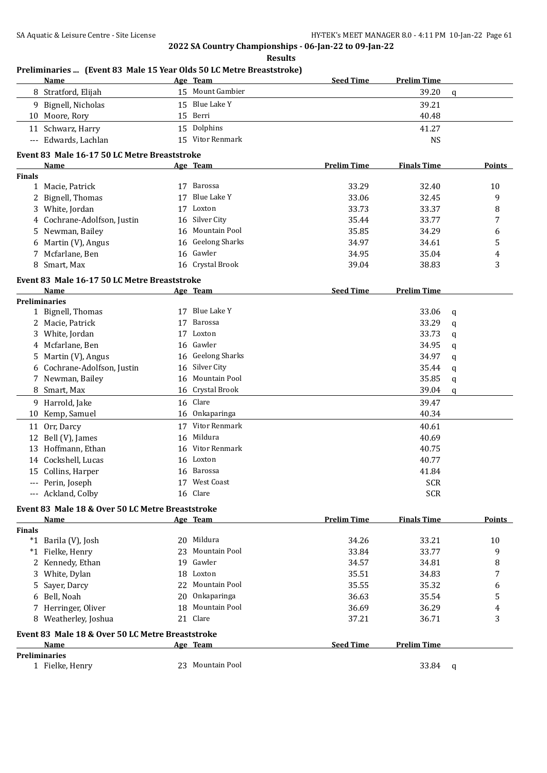|               | Preliminaries  (Event 83 Male 15 Year Olds 50 LC Metre Breaststroke) |    |                       |                    |                    |             |               |
|---------------|----------------------------------------------------------------------|----|-----------------------|--------------------|--------------------|-------------|---------------|
|               | Name                                                                 |    | Age Team              | <b>Seed Time</b>   | <b>Prelim Time</b> |             |               |
|               | 8 Stratford, Elijah                                                  |    | 15 Mount Gambier      |                    | 39.20              | $\mathbf q$ |               |
|               | 9 Bignell, Nicholas                                                  |    | 15 Blue Lake Y        |                    | 39.21              |             |               |
|               | 10 Moore, Rory                                                       |    | 15 Berri              |                    | 40.48              |             |               |
|               | 11 Schwarz, Harry                                                    |    | 15 Dolphins           |                    | 41.27              |             |               |
|               | --- Edwards, Lachlan                                                 |    | 15 Vitor Renmark      |                    | <b>NS</b>          |             |               |
|               | Event 83 Male 16-17 50 LC Metre Breaststroke                         |    |                       |                    |                    |             |               |
|               | Name                                                                 |    | Age Team              | <b>Prelim Time</b> | <b>Finals Time</b> |             | Points        |
| <b>Finals</b> |                                                                      |    |                       |                    |                    |             |               |
|               | 1 Macie, Patrick                                                     |    | 17 Barossa            | 33.29              | 32.40              |             | 10            |
|               | 2 Bignell, Thomas                                                    | 17 | <b>Blue Lake Y</b>    | 33.06              | 32.45              |             | 9             |
|               | 3 White, Jordan                                                      |    | 17 Loxton             | 33.73              | 33.37              |             | 8             |
|               | 4 Cochrane-Adolfson, Justin                                          |    | 16 Silver City        | 35.44              | 33.77              |             | 7             |
|               | 5 Newman, Bailey                                                     |    | 16 Mountain Pool      | 35.85              | 34.29              |             | 6             |
|               | 6 Martin (V), Angus                                                  |    | 16 Geelong Sharks     | 34.97              | 34.61              |             | 5             |
|               | 7 Mcfarlane, Ben                                                     |    | 16 Gawler             | 34.95              | 35.04              |             | 4             |
|               | 8 Smart, Max                                                         |    | 16 Crystal Brook      | 39.04              | 38.83              |             | 3             |
|               |                                                                      |    |                       |                    |                    |             |               |
|               | Event 83 Male 16-17 50 LC Metre Breaststroke                         |    |                       |                    |                    |             |               |
|               | Name<br><b>Preliminaries</b>                                         |    | <u>Age Team</u>       | <b>Seed Time</b>   | <b>Prelim Time</b> |             |               |
|               | 1 Bignell, Thomas                                                    |    | 17 Blue Lake Y        |                    | 33.06              | q           |               |
|               | 2 Macie, Patrick                                                     | 17 | Barossa               |                    | 33.29              |             |               |
|               |                                                                      | 17 | Loxton                |                    | 33.73              | q           |               |
|               | 3 White, Jordan                                                      |    | Gawler                |                    |                    | q           |               |
|               | 4 Mcfarlane, Ben                                                     | 16 | <b>Geelong Sharks</b> |                    | 34.95              | q           |               |
|               | 5 Martin (V), Angus                                                  | 16 |                       |                    | 34.97              | q           |               |
|               | 6 Cochrane-Adolfson, Justin                                          |    | 16 Silver City        |                    | 35.44              | q           |               |
|               | 7 Newman, Bailey                                                     | 16 | Mountain Pool         |                    | 35.85              | q           |               |
|               | 8 Smart, Max                                                         |    | 16 Crystal Brook      |                    | 39.04              | q           |               |
|               | 9 Harrold, Jake                                                      |    | 16 Clare              |                    | 39.47              |             |               |
|               | 10 Kemp, Samuel                                                      |    | 16 Onkaparinga        |                    | 40.34              |             |               |
|               | 11 Orr, Darcy                                                        |    | 17 Vitor Renmark      |                    | 40.61              |             |               |
|               | 12 Bell (V), James                                                   |    | 16 Mildura            |                    | 40.69              |             |               |
|               | 13 Hoffmann, Ethan                                                   |    | 16 Vitor Renmark      |                    | 40.75              |             |               |
|               | 14 Cockshell, Lucas                                                  |    | 16 Loxton             |                    | 40.77              |             |               |
|               | 15 Collins, Harper                                                   |    | 16 Barossa            |                    | 41.84              |             |               |
|               | --- Perin, Joseph                                                    |    | 17 West Coast         |                    | <b>SCR</b>         |             |               |
|               | --- Ackland, Colby                                                   |    | 16 Clare              |                    | <b>SCR</b>         |             |               |
|               | Event 83 Male 18 & Over 50 LC Metre Breaststroke                     |    |                       |                    |                    |             |               |
|               | <b>Name</b>                                                          |    | <u>Age Team</u>       | <b>Prelim Time</b> | <b>Finals Time</b> |             | <b>Points</b> |
| <b>Finals</b> |                                                                      |    |                       |                    |                    |             |               |
|               | *1 Barila (V), Josh                                                  |    | 20 Mildura            | 34.26              | 33.21              |             | 10            |
|               | *1 Fielke, Henry                                                     | 23 | Mountain Pool         | 33.84              | 33.77              |             | 9             |
|               | 2 Kennedy, Ethan                                                     |    | 19 Gawler             | 34.57              | 34.81              |             | 8             |
| 3             | White, Dylan                                                         |    | 18 Loxton             | 35.51              | 34.83              |             | 7             |
| 5.            | Sayer, Darcy                                                         | 22 | Mountain Pool         | 35.55              | 35.32              |             | 6             |
|               | 6 Bell, Noah                                                         | 20 | Onkaparinga           | 36.63              | 35.54              |             | 5             |
|               | 7 Herringer, Oliver                                                  | 18 | Mountain Pool         | 36.69              | 36.29              |             | 4             |
|               | 8 Weatherley, Joshua                                                 |    | 21 Clare              | 37.21              | 36.71              |             | 3             |
|               |                                                                      |    |                       |                    |                    |             |               |
|               | Event 83 Male 18 & Over 50 LC Metre Breaststroke                     |    |                       |                    |                    |             |               |
|               | <b>Name</b>                                                          |    | Age Team              | <b>Seed Time</b>   | <b>Prelim Time</b> |             |               |
|               | <b>Preliminaries</b><br>1 Fielke, Henry                              |    | 23 Mountain Pool      |                    | 33.84              |             |               |
|               |                                                                      |    |                       |                    |                    | q           |               |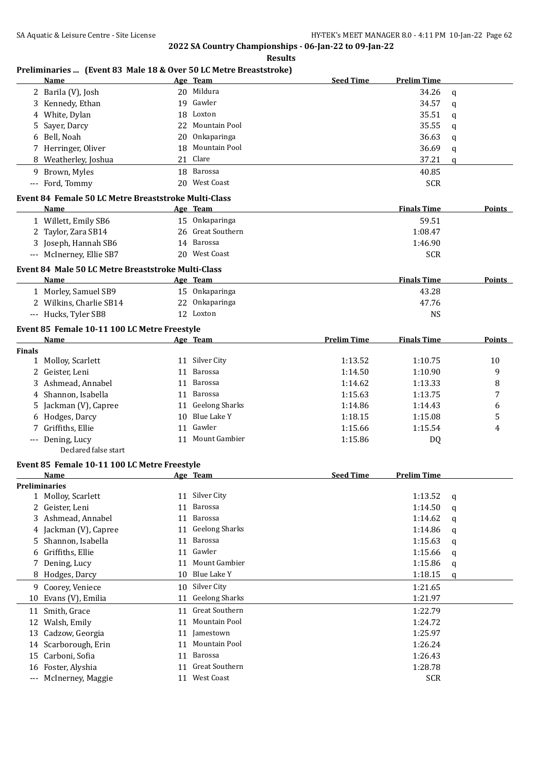| <b>Results</b> |
|----------------|
|                |

## **Preliminaries ... (Event 83 Male 18 & Over 50 LC Metre Breaststroke)**

|               | Name                                                 |    | Age Team          | <b>Seed Time</b>   | <b>Prelim Time</b> |             |        |
|---------------|------------------------------------------------------|----|-------------------|--------------------|--------------------|-------------|--------|
|               | 2 Barila (V), Josh                                   |    | 20 Mildura        |                    | 34.26              | $\mathbf q$ |        |
| 3             | Kennedy, Ethan                                       | 19 | Gawler            |                    | 34.57              | $\mathbf q$ |        |
| 4             | White, Dylan                                         | 18 | Loxton            |                    | 35.51              | q           |        |
| 5             | Sayer, Darcy                                         | 22 | Mountain Pool     |                    | 35.55              | q           |        |
| 6             | Bell, Noah                                           | 20 | Onkaparinga       |                    | 36.63              | q           |        |
|               | 7 Herringer, Oliver                                  | 18 | Mountain Pool     |                    | 36.69              | q           |        |
|               | 8 Weatherley, Joshua                                 |    | 21 Clare          |                    | 37.21              | q           |        |
|               | 9 Brown, Myles                                       | 18 | Barossa           |                    | 40.85              |             |        |
|               | --- Ford, Tommy                                      |    | 20 West Coast     |                    | <b>SCR</b>         |             |        |
|               |                                                      |    |                   |                    |                    |             |        |
|               | Event 84 Female 50 LC Metre Breaststroke Multi-Class |    |                   |                    |                    |             |        |
|               | Name                                                 |    | Age Team          |                    | <b>Finals Time</b> |             | Points |
|               | 1 Willett, Emily SB6                                 |    | 15 Onkaparinga    |                    | 59.51              |             |        |
|               | 2 Taylor, Zara SB14                                  |    | 26 Great Southern |                    | 1:08.47            |             |        |
|               | 3 Joseph, Hannah SB6                                 |    | 14 Barossa        |                    | 1:46.90            |             |        |
|               | --- McInerney, Ellie SB7                             |    | 20 West Coast     |                    | <b>SCR</b>         |             |        |
|               | Event 84 Male 50 LC Metre Breaststroke Multi-Class   |    |                   |                    |                    |             |        |
|               | Name                                                 |    | Age Team          |                    | <b>Finals Time</b> |             | Points |
|               | 1 Morley, Samuel SB9                                 |    | 15 Onkaparinga    |                    | 43.28              |             |        |
|               | 2 Wilkins, Charlie SB14                              |    | 22 Onkaparinga    |                    | 47.76              |             |        |
|               | --- Hucks, Tyler SB8                                 |    | 12 Loxton         |                    | <b>NS</b>          |             |        |
|               |                                                      |    |                   |                    |                    |             |        |
|               | Event 85 Female 10-11 100 LC Metre Freestyle         |    |                   |                    |                    |             |        |
|               | Name                                                 |    | Age Team          | <b>Prelim Time</b> | <b>Finals Time</b> |             | Points |
| <b>Finals</b> |                                                      |    |                   |                    |                    |             |        |
|               | 1 Molloy, Scarlett                                   |    | 11 Silver City    | 1:13.52            | 1:10.75            |             | 10     |
|               | 2 Geister, Leni                                      |    | 11 Barossa        | 1:14.50            | 1:10.90            |             | 9      |
|               | 3 Ashmead, Annabel                                   |    | 11 Barossa        | 1:14.62            | 1:13.33            |             | 8      |
|               | 4 Shannon, Isabella                                  |    | 11 Barossa        | 1:15.63            | 1:13.75            |             | 7      |
| 5             | Jackman (V), Capree                                  |    | 11 Geelong Sharks | 1:14.86            | 1:14.43            |             | 6      |
| 6             | Hodges, Darcy                                        | 10 | Blue Lake Y       | 1:18.15            | 1:15.08            |             | 5      |
|               | 7 Griffiths, Ellie                                   | 11 | Gawler            | 1:15.66            | 1:15.54            |             | 4      |
|               | --- Dening, Lucy                                     |    | 11 Mount Gambier  | 1:15.86            | DQ                 |             |        |
|               | Declared false start                                 |    |                   |                    |                    |             |        |
|               | Event 85 Female 10-11 100 LC Metre Freestyle         |    |                   |                    |                    |             |        |
|               | Name                                                 |    | Age Team          | <b>Seed Time</b>   | <b>Prelim Time</b> |             |        |
|               | <b>Preliminaries</b>                                 |    |                   |                    |                    |             |        |
| 1             | Molloy, Scarlett                                     |    | 11 Silver City    |                    | 1:13.52            | q           |        |
| 2             | Geister, Leni                                        |    | 11 Barossa        |                    | 1:14.50            | q           |        |
| 3             | Ashmead, Annabel                                     |    | 11 Barossa        |                    | 1:14.62            | q           |        |
| 4             | Jackman (V), Capree                                  |    | 11 Geelong Sharks |                    | 1:14.86            | q           |        |
| 5             | Shannon, Isabella                                    | 11 | Barossa           |                    | 1:15.63            | q           |        |
| 6             | Griffiths, Ellie                                     | 11 | Gawler            |                    | 1:15.66            | q           |        |
| 7             | Dening, Lucy                                         | 11 | Mount Gambier     |                    | 1:15.86            | q           |        |
|               | 8 Hodges, Darcy                                      | 10 | Blue Lake Y       |                    | 1:18.15            | q           |        |
|               | 9 Coorey, Veniece                                    |    | 10 Silver City    |                    | 1:21.65            |             |        |
|               |                                                      |    | 11 Geelong Sharks |                    |                    |             |        |
| 10            | Evans (V), Emilia                                    |    |                   |                    | 1:21.97            |             |        |
|               | 11 Smith, Grace                                      |    | 11 Great Southern |                    | 1:22.79            |             |        |
| 12            | Walsh, Emily                                         |    | 11 Mountain Pool  |                    | 1:24.72            |             |        |
|               | 13 Cadzow, Georgia                                   |    | 11 Jamestown      |                    | 1:25.97            |             |        |
| 14            | Scarborough, Erin                                    |    | 11 Mountain Pool  |                    | 1:26.24            |             |        |
| 15            | Carboni, Sofia                                       |    | 11 Barossa        |                    | 1:26.43            |             |        |
| 16            | Foster, Alyshia                                      |    | 11 Great Southern |                    | 1:28.78            |             |        |
|               | --- McInerney, Maggie                                |    | 11 West Coast     |                    | <b>SCR</b>         |             |        |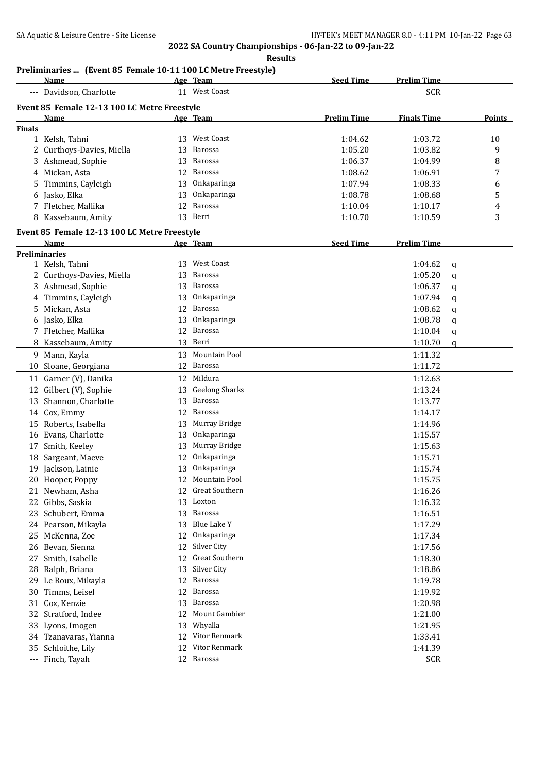#### **Results**

## **Preliminaries ... (Event 85 Female 10-11 100 LC Metre Freestyle)**

|               | Name                                         |    | Age Team              | <b>Seed Time</b>   | <b>Prelim Time</b> |   |        |
|---------------|----------------------------------------------|----|-----------------------|--------------------|--------------------|---|--------|
|               | --- Davidson, Charlotte                      |    | 11 West Coast         |                    | <b>SCR</b>         |   |        |
|               | Event 85 Female 12-13 100 LC Metre Freestyle |    |                       |                    |                    |   |        |
|               | Name                                         |    | <u>Age Team</u>       | <b>Prelim Time</b> | <b>Finals Time</b> |   | Points |
| <b>Finals</b> |                                              |    |                       |                    |                    |   |        |
|               | 1 Kelsh, Tahni                               | 13 | <b>West Coast</b>     | 1:04.62            | 1:03.72            |   | 10     |
| 2             | Curthoys-Davies, Miella                      | 13 | Barossa               | 1:05.20            | 1:03.82            |   | 9      |
|               | Ashmead, Sophie                              | 13 | Barossa               | 1:06.37            | 1:04.99            |   | 8      |
|               | 4 Mickan, Asta                               | 12 | Barossa               | 1:08.62            | 1:06.91            |   | 7      |
| 5             | Timmins, Cayleigh                            | 13 | Onkaparinga           | 1:07.94            | 1:08.33            |   | 6      |
|               | Jasko, Elka                                  | 13 | Onkaparinga           | 1:08.78            | 1:08.68            |   | 5      |
|               | 7 Fletcher, Mallika                          | 12 | Barossa               | 1:10.04            | 1:10.17            |   | 4      |
|               | 8 Kassebaum, Amity                           | 13 | Berri                 | 1:10.70            | 1:10.59            |   | 3      |
|               |                                              |    |                       |                    |                    |   |        |
|               | Event 85 Female 12-13 100 LC Metre Freestyle |    |                       |                    |                    |   |        |
|               | Name                                         |    | Age Team              | <b>Seed Time</b>   | <b>Prelim Time</b> |   |        |
|               | <b>Preliminaries</b>                         |    |                       |                    |                    |   |        |
|               | 1 Kelsh, Tahni                               | 13 | West Coast            |                    | 1:04.62            | q |        |
|               | 2 Curthoys-Davies, Miella                    | 13 | Barossa               |                    | 1:05.20            | q |        |
|               | 3 Ashmead, Sophie                            | 13 | Barossa               |                    | 1:06.37            | q |        |
|               | 4 Timmins, Cayleigh                          | 13 | Onkaparinga           |                    | 1:07.94            | q |        |
| 5.            | Mickan, Asta                                 | 12 | Barossa               |                    | 1:08.62            | q |        |
| 6             | Jasko, Elka                                  | 13 | Onkaparinga           |                    | 1:08.78            | q |        |
|               | 7 Fletcher, Mallika                          | 12 | Barossa               |                    | 1:10.04            | q |        |
|               | Kassebaum, Amity                             |    | 13 Berri              |                    | 1:10.70            | q |        |
|               | 9 Mann, Kayla                                | 13 | Mountain Pool         |                    | 1:11.32            |   |        |
| 10            | Sloane, Georgiana                            | 12 | Barossa               |                    | 1:11.72            |   |        |
|               | 11 Garner (V), Danika                        | 12 | Mildura               |                    | 1:12.63            |   |        |
|               | 12 Gilbert (V), Sophie                       | 13 | <b>Geelong Sharks</b> |                    | 1:13.24            |   |        |
| 13            | Shannon, Charlotte                           | 13 | Barossa               |                    | 1:13.77            |   |        |
|               | 14 Cox, Emmy                                 | 12 | Barossa               |                    | 1:14.17            |   |        |
| 15            | Roberts, Isabella                            | 13 | Murray Bridge         |                    | 1:14.96            |   |        |
|               | 16 Evans, Charlotte                          | 13 | Onkaparinga           |                    | 1:15.57            |   |        |
|               | Smith, Keeley                                | 13 | Murray Bridge         |                    | 1:15.63            |   |        |
| 17            |                                              |    | Onkaparinga           |                    |                    |   |        |
|               | 18 Sargeant, Maeve                           | 12 |                       |                    | 1:15.71            |   |        |
|               | 19 Jackson, Lainie                           | 13 | Onkaparinga           |                    | 1:15.74            |   |        |
|               | 20 Hooper, Poppy                             |    | 12 Mountain Pool      |                    | 1:15.75            |   |        |
|               | 21 Newham, Asha                              |    | 12 Great Southern     |                    | 1:16.26            |   |        |
|               | 22 Gibbs, Saskia                             |    | 13 Loxton             |                    | 1:16.32            |   |        |
| 23            | Schubert, Emma                               | 13 | Barossa               |                    | 1:16.51            |   |        |
|               | 24 Pearson, Mikayla                          | 13 | <b>Blue Lake Y</b>    |                    | 1:17.29            |   |        |
| 25            | McKenna, Zoe                                 | 12 | Onkaparinga           |                    | 1:17.34            |   |        |
| 26            | Bevan, Sienna                                | 12 | Silver City           |                    | 1:17.56            |   |        |
| 27            | Smith, Isabelle                              | 12 | Great Southern        |                    | 1:18.30            |   |        |
| 28            | Ralph, Briana                                | 13 | Silver City           |                    | 1:18.86            |   |        |
| 29            | Le Roux, Mikayla                             | 12 | <b>Barossa</b>        |                    | 1:19.78            |   |        |
| 30            | Timms, Leisel                                | 12 | Barossa               |                    | 1:19.92            |   |        |
| 31            | Cox, Kenzie                                  | 13 | Barossa               |                    | 1:20.98            |   |        |
| 32            | Stratford, Indee                             | 12 | Mount Gambier         |                    | 1:21.00            |   |        |
| 33            | Lyons, Imogen                                | 13 | Whyalla               |                    | 1:21.95            |   |        |
|               | 34 Tzanavaras, Yianna                        | 12 | Vitor Renmark         |                    | 1:33.41            |   |        |
| 35            | Schloithe, Lily                              | 12 | Vitor Renmark         |                    | 1:41.39            |   |        |
| $\cdots$      | Finch, Tayah                                 |    | 12 Barossa            |                    | <b>SCR</b>         |   |        |
|               |                                              |    |                       |                    |                    |   |        |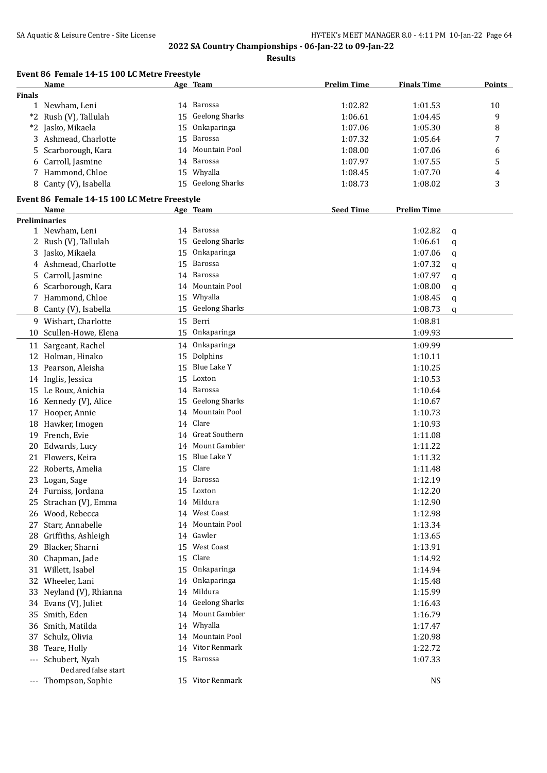| Event 86 Female 14-15 100 LC Metre Freestyle |
|----------------------------------------------|
|----------------------------------------------|

|               | Name                                         |    | Age Team              | <b>Prelim Time</b> | <b>Finals Time</b> | <b>Points</b> |
|---------------|----------------------------------------------|----|-----------------------|--------------------|--------------------|---------------|
| <b>Finals</b> |                                              |    |                       |                    |                    |               |
|               | 1 Newham, Leni                               |    | 14 Barossa            | 1:02.82            | 1:01.53            | 10            |
| $*2$          | Rush (V), Tallulah                           | 15 | <b>Geelong Sharks</b> | 1:06.61            | 1:04.45            | 9             |
|               | *2 Jasko, Mikaela                            | 15 | Onkaparinga           | 1:07.06            | 1:05.30            | 8             |
|               | 3 Ashmead, Charlotte                         | 15 | Barossa               | 1:07.32            | 1:05.64            | 7             |
| 5.            | Scarborough, Kara                            | 14 | Mountain Pool         | 1:08.00            | 1:07.06            | 6             |
|               | 6 Carroll, Jasmine                           |    | 14 Barossa            | 1:07.97            | 1:07.55            | 5             |
|               | 7 Hammond, Chloe                             |    | 15 Whyalla            | 1:08.45            | 1:07.70            | 4             |
|               | 8 Canty (V), Isabella                        |    | 15 Geelong Sharks     | 1:08.73            | 1:08.02            | 3             |
|               | Event 86 Female 14-15 100 LC Metre Freestyle |    |                       |                    |                    |               |
|               | Name                                         |    | Age Team              | <b>Seed Time</b>   | <b>Prelim Time</b> |               |
|               | <b>Preliminaries</b>                         |    |                       |                    |                    |               |
|               | 1 Newham, Leni                               |    | 14 Barossa            |                    | 1:02.82            | q             |
|               | 2 Rush (V), Tallulah                         | 15 | <b>Geelong Sharks</b> |                    | 1:06.61            | q             |
|               | 3 Jasko, Mikaela                             | 15 | Onkaparinga           |                    | 1:07.06            | q             |
|               | 4 Ashmead, Charlotte                         | 15 | Barossa               |                    | 1:07.32            | q             |
|               | 5 Carroll, Jasmine                           | 14 | Barossa               |                    | 1:07.97            |               |
|               | 6 Scarborough, Kara                          | 14 | Mountain Pool         |                    | 1:08.00            | q             |
|               | 7 Hammond, Chloe                             | 15 | Whyalla               |                    | 1:08.45            | q             |
|               |                                              |    | <b>Geelong Sharks</b> |                    |                    | q             |
|               | 8 Canty (V), Isabella                        | 15 |                       |                    | 1:08.73            | q             |
|               | 9 Wishart, Charlotte                         |    | 15 Berri              |                    | 1:08.81            |               |
|               | 10 Scullen-Howe, Elena                       |    | 15 Onkaparinga        |                    | 1:09.93            |               |
|               | 11 Sargeant, Rachel                          | 14 | Onkaparinga           |                    | 1:09.99            |               |
|               | 12 Holman, Hinako                            | 15 | Dolphins              |                    | 1:10.11            |               |
|               | 13 Pearson, Aleisha                          | 15 | Blue Lake Y           |                    | 1:10.25            |               |
|               | 14 Inglis, Jessica                           |    | 15 Loxton             |                    | 1:10.53            |               |
|               | 15 Le Roux, Anichia                          |    | 14 Barossa            |                    | 1:10.64            |               |
|               | 16 Kennedy (V), Alice                        | 15 | Geelong Sharks        |                    | 1:10.67            |               |
|               | 17 Hooper, Annie                             | 14 | Mountain Pool         |                    | 1:10.73            |               |
|               | 18 Hawker, Imogen                            | 14 | Clare                 |                    | 1:10.93            |               |
|               | 19 French, Evie                              | 14 | <b>Great Southern</b> |                    | 1:11.08            |               |
| 20            | Edwards, Lucy                                |    | 14 Mount Gambier      |                    | 1:11.22            |               |
|               | 21 Flowers, Keira                            | 15 | Blue Lake Y           |                    | 1:11.32            |               |
| 22            | Roberts, Amelia                              | 15 | Clare                 |                    | 1:11.48            |               |
|               | 23 Logan, Sage                               |    | 14 Barossa            |                    | 1:12.19            |               |
|               | 24 Furniss, Jordana                          |    | 15 Loxton             |                    | 1:12.20            |               |
|               | 25 Strachan (V), Emma                        |    | 14 Mildura            |                    | 1:12.90            |               |
|               | 26 Wood, Rebecca                             |    | 14 West Coast         |                    | 1:12.98            |               |
| 27            | Starr, Annabelle                             |    | 14 Mountain Pool      |                    | 1:13.34            |               |
|               | 28 Griffiths, Ashleigh                       |    | 14 Gawler             |                    | 1:13.65            |               |
| 29            | Blacker, Sharni                              |    | 15 West Coast         |                    | 1:13.91            |               |
| 30            | Chapman, Jade                                | 15 | Clare                 |                    | 1:14.92            |               |
| 31            | Willett, Isabel                              |    | 15 Onkaparinga        |                    | 1:14.94            |               |
| 32            | Wheeler, Lani                                | 14 | Onkaparinga           |                    | 1:15.48            |               |
| 33            | Neyland (V), Rhianna                         |    | 14 Mildura            |                    | 1:15.99            |               |
| 34            | Evans (V), Juliet                            |    | 14 Geelong Sharks     |                    | 1:16.43            |               |
| 35            | Smith, Eden                                  |    | 14 Mount Gambier      |                    | 1:16.79            |               |
| 36            | Smith, Matilda                               |    | 14 Whyalla            |                    | 1:17.47            |               |
|               |                                              |    | 14 Mountain Pool      |                    | 1:20.98            |               |
| 37            | Schulz, Olivia                               |    | 14 Vitor Renmark      |                    |                    |               |
| 38            | Teare, Holly                                 |    |                       |                    | 1:22.72            |               |
| $---$         | Schubert, Nyah                               |    | 15 Barossa            |                    | 1:07.33            |               |
|               | Declared false start                         |    | 15 Vitor Renmark      |                    |                    |               |
|               | --- Thompson, Sophie                         |    |                       |                    | <b>NS</b>          |               |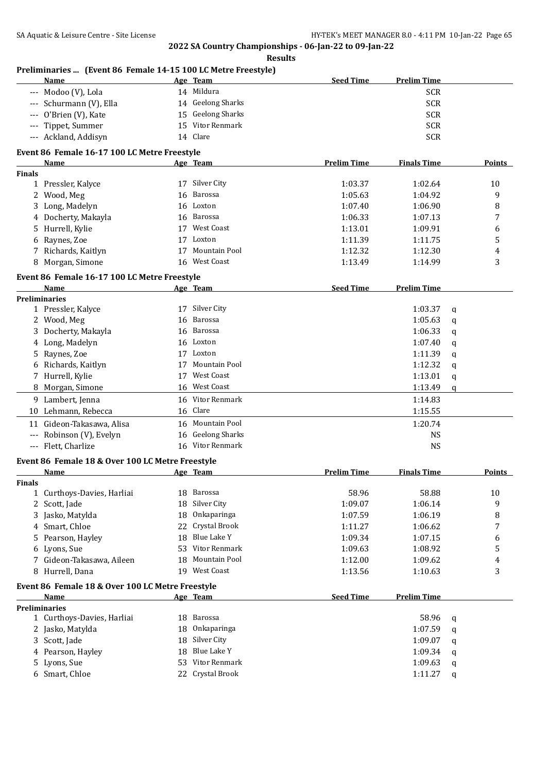#### **Results**

## **Preliminaries ... (Event 86 Female 14-15 100 LC Metre Freestyle)**

| Name                                         | Age Team             | <b>Seed Time</b>   | <b>Prelim Time</b> |               |  |  |
|----------------------------------------------|----------------------|--------------------|--------------------|---------------|--|--|
| --- Modoo (V), Lola                          | Mildura<br>14        |                    | <b>SCR</b>         |               |  |  |
| --- Schurmann (V), Ella                      | 14 Geelong Sharks    |                    | <b>SCR</b>         |               |  |  |
| --- O'Brien (V), Kate                        | 15 Geelong Sharks    |                    | <b>SCR</b>         |               |  |  |
| --- Tippet, Summer                           | Vitor Renmark<br>15. |                    | <b>SCR</b>         |               |  |  |
| --- Ackland, Addisyn                         | 14 Clare             |                    | <b>SCR</b>         |               |  |  |
| Event 86 Female 16-17 100 LC Metre Freestyle |                      |                    |                    |               |  |  |
| Name                                         | Age Team             | <b>Prelim Time</b> | <b>Finals Time</b> | <b>Points</b> |  |  |
| <b>Finals</b>                                |                      |                    |                    |               |  |  |

| <b>inals</b> |                     |    |               |         |         |    |
|--------------|---------------------|----|---------------|---------|---------|----|
|              | Pressler, Kalyce    | 17 | Silver City   | 1:03.37 | 1:02.64 | 10 |
|              | 2 Wood, Meg         |    | 16 Barossa    | 1:05.63 | 1:04.92 | 9  |
|              | 3 Long, Madelyn     |    | 16 Loxton     | 1:07.40 | 1:06.90 | 8  |
|              | 4 Docherty, Makayla |    | 16 Barossa    | 1:06.33 | 1:07.13 |    |
|              | 5 Hurrell, Kylie    | 17 | West Coast    | 1:13.01 | 1:09.91 | 6  |
|              | 6 Raynes, Zoe       | 17 | Loxton        | 1:11.39 | 1:11.75 | 5  |
|              | 7 Richards, Kaitlyn | 17 | Mountain Pool | 1:12.32 | 1:12.30 | 4  |
| 8            | Morgan, Simone      | 16 | West Coast    | 1:13.49 | 1:14.99 |    |

## **Event 86 Female 16-17 100 LC Metre Freestyle**

|       | Name                   |    | Age Team          | <b>Seed Time</b> | <b>Prelim Time</b> |   |
|-------|------------------------|----|-------------------|------------------|--------------------|---|
|       | <b>Preliminaries</b>   |    |                   |                  |                    |   |
|       | 1 Pressler, Kalyce     | 17 | Silver City       |                  | 1:03.37            | q |
|       | 2 Wood, Meg            |    | 16 Barossa        |                  | 1:05.63            | q |
|       | 3 Docherty, Makayla    |    | 16 Barossa        |                  | 1:06.33            | q |
|       | 4 Long, Madelyn        |    | 16 Loxton         |                  | 1:07.40            | q |
|       | 5 Raynes, Zoe          | 17 | Loxton            |                  | 1:11.39            | q |
|       | 6 Richards, Kaitlyn    | 17 | Mountain Pool     |                  | 1:12.32            | q |
|       | 7 Hurrell, Kylie       | 17 | West Coast        |                  | 1:13.01            | q |
|       | 8 Morgan, Simone       |    | 16 West Coast     |                  | 1:13.49            | q |
|       | 9 Lambert, Jenna       |    | 16 Vitor Renmark  |                  | 1:14.83            |   |
|       | 10 Lehmann, Rebecca    |    | 16 Clare          |                  | 1:15.55            |   |
| 11    | Gideon-Takasawa, Alisa |    | 16 Mountain Pool  |                  | 1:20.74            |   |
| $---$ | Robinson (V), Evelyn   |    | 16 Geelong Sharks |                  | <b>NS</b>          |   |
| $---$ | Flett, Charlize        |    | 16 Vitor Renmark  |                  | <b>NS</b>          |   |

## **Event 86 Female 18 & Over 100 LC Metre Freestyle**

|        | Name                                             |     | Age Team         | <b>Prelim Time</b> | <b>Finals Time</b> | <b>Points</b> |
|--------|--------------------------------------------------|-----|------------------|--------------------|--------------------|---------------|
| Finals |                                                  |     |                  |                    |                    |               |
|        | 1 Curthoys-Davies, Harliai                       | 18  | Barossa          | 58.96              | 58.88              | 10            |
|        | 2 Scott, Jade                                    | 18  | Silver City      | 1:09.07            | 1:06.14            | 9             |
|        | 3 Jasko, Matylda                                 | 18  | Onkaparinga      | 1:07.59            | 1:06.19            | 8             |
|        | 4 Smart, Chloe                                   |     | 22 Crystal Brook | 1:11.27            | 1:06.62            | 7             |
|        | 5 Pearson, Hayley                                | 18  | Blue Lake Y      | 1:09.34            | 1:07.15            | 6             |
|        | 6 Lyons, Sue                                     | 53. | Vitor Renmark    | 1:09.63            | 1:08.92            | 5             |
|        | 7 Gideon-Takasawa, Aileen                        | 18  | Mountain Pool    | 1:12.00            | 1:09.62            | 4             |
|        | 8 Hurrell, Dana                                  | 19  | West Coast       | 1:13.56            | 1:10.63            | 3             |
|        | Event 86 Female 18 & Over 100 LC Metre Freestyle |     |                  |                    |                    |               |
|        | <b>Name</b>                                      |     | Age Team         | <b>Seed Time</b>   | <b>Prelim Time</b> |               |
|        | <b>Preliminaries</b>                             |     |                  |                    |                    |               |
|        | 1 Curthoys-Davies, Harliai                       | 18  | Barossa          |                    | 58.96              | a             |
|        | 2 Jasko, Matylda                                 | 18  | Onkaparinga      |                    | 1:07.59            | q             |

| $ \sqrt{2}$       |                  | ——————————  |   |
|-------------------|------------------|-------------|---|
| 3 Scott, Jade     | 18 Silver City   | $1:09.07$ a |   |
| 4 Pearson, Hayley | 18 Blue Lake Y   | $1:09.34$ a |   |
| 5 Lyons, Sue      | 53 Vitor Renmark | $1:09.63$ a |   |
| 6 Smart, Chloe    | 22 Crystal Brook | 1:11.27     | a |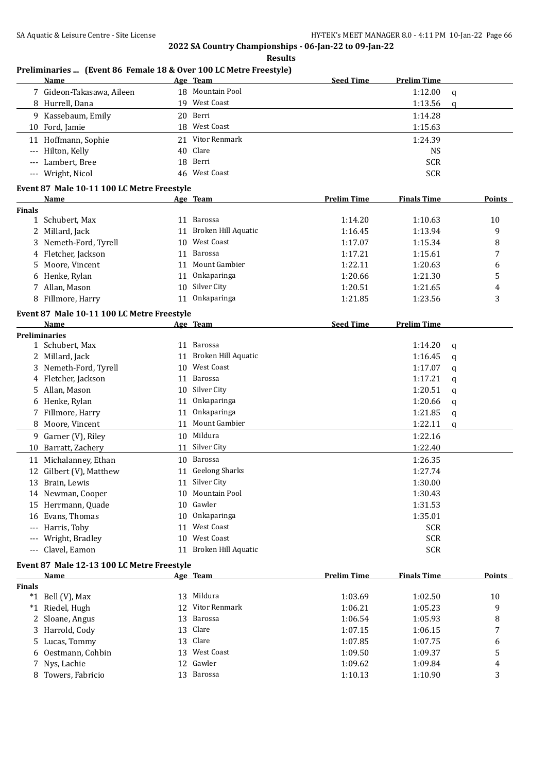|                     | Preliminaries  (Event 86 Female 18 & Over 100 LC Metre Freestyle) |    |                        |                    |                    |             |        |
|---------------------|-------------------------------------------------------------------|----|------------------------|--------------------|--------------------|-------------|--------|
|                     | Name                                                              |    | Age Team               | <b>Seed Time</b>   | <b>Prelim Time</b> |             |        |
|                     | 7 Gideon-Takasawa, Aileen                                         |    | 18 Mountain Pool       |                    | 1:12.00            | q           |        |
|                     | 8 Hurrell, Dana                                                   |    | 19 West Coast          |                    | 1:13.56            | q           |        |
|                     | 9 Kassebaum, Emily                                                |    | 20 Berri               |                    | 1:14.28            |             |        |
|                     | 10 Ford, Jamie                                                    |    | 18 West Coast          |                    | 1:15.63            |             |        |
|                     | 11 Hoffmann, Sophie                                               |    | 21 Vitor Renmark       |                    | 1:24.39            |             |        |
|                     | Hilton, Kelly                                                     |    | 40 Clare               |                    | <b>NS</b>          |             |        |
|                     | Lambert, Bree                                                     |    | 18 Berri               |                    | <b>SCR</b>         |             |        |
|                     | --- Wright, Nicol                                                 |    | 46 West Coast          |                    | <b>SCR</b>         |             |        |
|                     | Event 87 Male 10-11 100 LC Metre Freestyle                        |    |                        |                    |                    |             |        |
|                     | Name                                                              |    | <u>Age Team</u>        | <b>Prelim Time</b> | <b>Finals Time</b> |             | Points |
| <b>Finals</b>       |                                                                   |    |                        |                    |                    |             |        |
|                     | 1 Schubert, Max                                                   |    | 11 Barossa             | 1:14.20            | 1:10.63            |             | 10     |
|                     | 2 Millard, Jack                                                   |    | 11 Broken Hill Aquatic | 1:16.45            | 1:13.94            |             | 9      |
|                     | 3 Nemeth-Ford, Tyrell                                             |    | 10 West Coast          | 1:17.07            | 1:15.34            |             | 8      |
|                     | 4 Fletcher, Jackson                                               | 11 | Barossa                | 1:17.21            | 1:15.61            |             | 7      |
| 5.                  | Moore, Vincent                                                    | 11 | Mount Gambier          | 1:22.11            | 1:20.63            |             | 6      |
|                     | 6 Henke, Rylan                                                    | 11 | Onkaparinga            | 1:20.66            | 1:21.30            |             | 5      |
|                     | 7 Allan, Mason                                                    | 10 | Silver City            | 1:20.51            | 1:21.65            |             | 4      |
|                     | 8 Fillmore, Harry                                                 | 11 | Onkaparinga            | 1:21.85            | 1:23.56            |             | 3      |
|                     | Event 87 Male 10-11 100 LC Metre Freestyle                        |    |                        |                    |                    |             |        |
|                     | Name                                                              |    | Age Team               | <b>Seed Time</b>   | <b>Prelim Time</b> |             |        |
|                     | <b>Preliminaries</b>                                              |    |                        |                    |                    |             |        |
|                     | 1 Schubert, Max                                                   |    | 11 Barossa             |                    | 1:14.20            | q           |        |
|                     | 2 Millard, Jack                                                   | 11 | Broken Hill Aquatic    |                    | 1:16.45            | q           |        |
|                     | 3 Nemeth-Ford, Tyrell                                             |    | 10 West Coast          |                    | 1:17.07            | q           |        |
|                     | 4 Fletcher, Jackson                                               | 11 | Barossa                |                    | 1:17.21            | q           |        |
| 5                   | Allan, Mason                                                      |    | 10 Silver City         |                    | 1:20.51            | q           |        |
|                     | 6 Henke, Rylan                                                    | 11 | Onkaparinga            |                    | 1:20.66            | q           |        |
| 7                   | Fillmore, Harry                                                   | 11 | Onkaparinga            |                    | 1:21.85            | q           |        |
|                     | 8 Moore, Vincent                                                  |    | 11 Mount Gambier       |                    | 1:22.11            | $\mathbf q$ |        |
|                     | 9 Garner (V), Riley                                               |    | 10 Mildura             |                    | 1:22.16            |             |        |
|                     | 10 Barratt, Zachery                                               |    | 11 Silver City         |                    | 1:22.40            |             |        |
|                     | 11 Michalanney, Ethan                                             |    | 10 Barossa             |                    | 1:26.35            |             |        |
|                     | 12 Gilbert (V), Matthew                                           |    | 11 Geelong Sharks      |                    | 1:27.74            |             |        |
|                     | 13 Brain, Lewis                                                   |    | 11 Silver City         |                    | 1:30.00            |             |        |
|                     | 14 Newman, Cooper                                                 |    | 10 Mountain Pool       |                    | 1:30.43            |             |        |
|                     | 15 Herrmann, Quade                                                | 10 | Gawler                 |                    | 1:31.53            |             |        |
|                     | 16 Evans, Thomas                                                  | 10 | Onkaparinga            |                    | 1:35.01            |             |        |
|                     | Harris, Toby                                                      | 11 | <b>West Coast</b>      |                    | <b>SCR</b>         |             |        |
| $---$               | Wright, Bradley                                                   |    | 10 West Coast          |                    | <b>SCR</b>         |             |        |
| $\qquad \qquad - -$ | Clavel, Eamon                                                     |    | 11 Broken Hill Aquatic |                    | <b>SCR</b>         |             |        |
|                     |                                                                   |    |                        |                    |                    |             |        |
|                     | Event 87 Male 12-13 100 LC Metre Freestyle<br>Name                |    | Age Team               | <b>Prelim Time</b> | <b>Finals Time</b> |             | Points |
| <b>Finals</b>       |                                                                   |    |                        |                    |                    |             |        |
|                     | *1 Bell (V), Max                                                  |    | 13 Mildura             | 1:03.69            | 1:02.50            |             | 10     |
|                     | *1 Riedel, Hugh                                                   | 12 | Vitor Renmark          | 1:06.21            | 1:05.23            |             | 9      |
| 2                   | Sloane, Angus                                                     | 13 | Barossa                | 1:06.54            | 1:05.93            |             | 8      |
|                     | 3 Harrold, Cody                                                   |    | 13 Clare               | 1:07.15            | 1:06.15            |             | 7      |
|                     | 5 Lucas, Tommy                                                    |    | 13 Clare               | 1:07.85            | 1:07.75            |             | 6      |
| 6                   | Oestmann, Cohbin                                                  |    | 13 West Coast          | 1:09.50            | 1:09.37            |             | 5      |
| 7                   | Nys, Lachie                                                       | 12 | Gawler                 | 1:09.62            | 1:09.84            |             | 4      |
|                     | 8 Towers, Fabricio                                                |    | 13 Barossa             | 1:10.13            | 1:10.90            |             | 3      |
|                     |                                                                   |    |                        |                    |                    |             |        |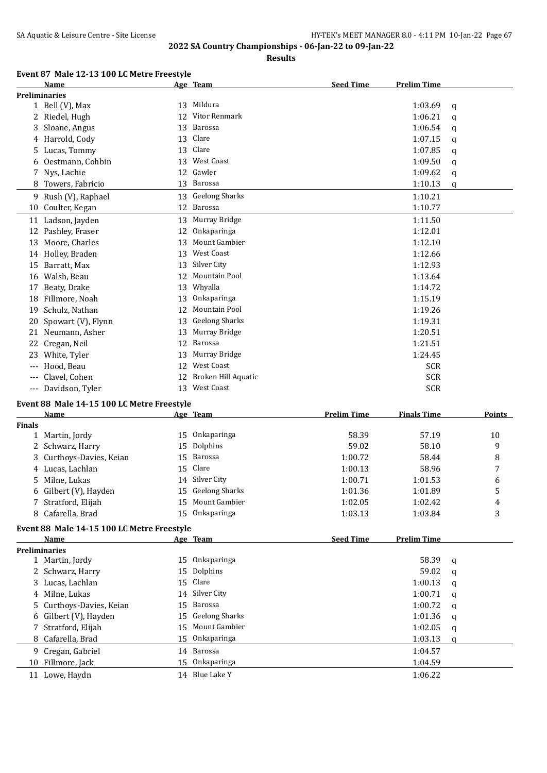**Results**

# **Event 87 Male 12-13 100 LC Metre Freestyle**

|               | Name                                       |    | Age Team                      | <b>Seed Time</b>   | <b>Prelim Time</b> |               |
|---------------|--------------------------------------------|----|-------------------------------|--------------------|--------------------|---------------|
|               | <b>Preliminaries</b>                       |    |                               |                    |                    |               |
|               | 1 Bell (V), Max                            | 13 | Mildura                       |                    | 1:03.69            | q             |
|               | 2 Riedel, Hugh                             | 12 | Vitor Renmark                 |                    | 1:06.21            | q             |
| 3.            | Sloane, Angus                              | 13 | Barossa                       |                    | 1:06.54            | q             |
|               | 4 Harrold, Cody                            | 13 | Clare                         |                    | 1:07.15            |               |
|               |                                            |    | Clare                         |                    |                    | q             |
| 5.            | Lucas, Tommy                               | 13 |                               |                    | 1:07.85            | q             |
| 6             | Oestmann, Cohbin                           |    | 13 West Coast                 |                    | 1:09.50            | q             |
| 7             | Nys, Lachie                                | 12 | Gawler                        |                    | 1:09.62            | q             |
| 8             | Towers, Fabricio                           | 13 | Barossa                       |                    | 1:10.13            | q             |
|               | 9 Rush (V), Raphael                        | 13 | <b>Geelong Sharks</b>         |                    | 1:10.21            |               |
|               | 10 Coulter, Kegan                          |    | 12 Barossa                    |                    | 1:10.77            |               |
|               | 11 Ladson, Jayden                          | 13 | Murray Bridge                 |                    | 1:11.50            |               |
|               | 12 Pashley, Fraser                         | 12 | Onkaparinga                   |                    | 1:12.01            |               |
|               |                                            |    |                               |                    |                    |               |
|               | 13 Moore, Charles                          | 13 | Mount Gambier                 |                    | 1:12.10            |               |
|               | 14 Holley, Braden                          | 13 | West Coast                    |                    | 1:12.66            |               |
| 15            | Barratt, Max                               | 13 | Silver City                   |                    | 1:12.93            |               |
|               | 16 Walsh, Beau                             | 12 | Mountain Pool                 |                    | 1:13.64            |               |
| 17            | Beaty, Drake                               | 13 | Whyalla                       |                    | 1:14.72            |               |
| 18            | Fillmore, Noah                             | 13 | Onkaparinga                   |                    | 1:15.19            |               |
| 19            | Schulz, Nathan                             | 12 | Mountain Pool                 |                    | 1:19.26            |               |
| 20            | Spowart (V), Flynn                         | 13 | <b>Geelong Sharks</b>         |                    | 1:19.31            |               |
|               | 21 Neumann, Asher                          | 13 | Murray Bridge                 |                    | 1:20.51            |               |
|               |                                            | 12 | Barossa                       |                    |                    |               |
|               | 22 Cregan, Neil                            |    |                               |                    | 1:21.51            |               |
|               | 23 White, Tyler                            | 13 | Murray Bridge                 |                    | 1:24.45            |               |
|               | Hood, Beau                                 |    | 12 West Coast                 |                    | <b>SCR</b>         |               |
| $-\, -\, -$   | Clavel, Cohen                              | 12 | Broken Hill Aquatic           |                    | <b>SCR</b>         |               |
|               |                                            |    | 13 West Coast                 |                    |                    |               |
|               | --- Davidson, Tyler                        |    |                               |                    | <b>SCR</b>         |               |
|               |                                            |    |                               |                    |                    |               |
|               | Event 88 Male 14-15 100 LC Metre Freestyle |    |                               |                    |                    |               |
|               | Name                                       |    | Age Team                      | <b>Prelim Time</b> | <b>Finals Time</b> | <b>Points</b> |
| <b>Finals</b> |                                            |    |                               |                    |                    |               |
| $\mathbf{1}$  | Martin, Jordy                              | 15 | Onkaparinga                   | 58.39              | 57.19              | 10            |
| 2             | Schwarz, Harry                             | 15 | Dolphins                      | 59.02              | 58.10              | 9             |
|               | Curthoys-Davies, Keian                     | 15 | Barossa                       | 1:00.72            | 58.44              | 8             |
|               | 4 Lucas, Lachlan                           | 15 | Clare                         | 1:00.13            | 58.96              | 7             |
|               | 5 Milne, Lukas                             |    | 14 Silver City                | 1:00.71            | 1:01.53            | 6             |
|               | 6 Gilbert (V), Hayden                      |    | 15 Geelong Sharks             | 1:01.36            | 1:01.89            | 5             |
|               | 7 Stratford, Elijah                        |    | 15 Mount Gambier              | 1:02.05            | 1:02.42            | 4             |
|               | 8 Cafarella, Brad                          | 15 | Onkaparinga                   | 1:03.13            | 1:03.84            | 3             |
|               |                                            |    |                               |                    |                    |               |
|               | Event 88 Male 14-15 100 LC Metre Freestyle |    |                               |                    |                    |               |
|               | Name                                       |    | Age Team                      | <b>Seed Time</b>   | <b>Prelim Time</b> |               |
|               | <b>Preliminaries</b>                       |    |                               |                    |                    |               |
|               | 1 Martin, Jordy                            | 15 | Onkaparinga                   |                    | 58.39              | q             |
|               | 2 Schwarz, Harry                           | 15 | Dolphins                      |                    | 59.02              | q             |
|               | 3 Lucas, Lachlan                           | 15 | Clare                         |                    | 1:00.13            | q             |
|               | 4 Milne, Lukas                             | 14 | Silver City                   |                    | 1:00.71            | q             |
| 5             | Curthoys-Davies, Keian                     | 15 | Barossa                       |                    | 1:00.72            | q             |
| 6             | Gilbert (V), Hayden                        | 15 | <b>Geelong Sharks</b>         |                    | 1:01.36            | q             |
| 7             |                                            | 15 | Mount Gambier                 |                    |                    |               |
|               | Stratford, Elijah                          |    |                               |                    | 1:02.05            | q             |
| 8             | Cafarella, Brad                            | 15 | Onkaparinga                   |                    | 1:03.13            | q             |
|               | 9 Cregan, Gabriel                          |    | 14 Barossa                    |                    | 1:04.57            |               |
|               | 10 Fillmore, Jack<br>11 Lowe, Haydn        | 15 | Onkaparinga<br>14 Blue Lake Y |                    | 1:04.59<br>1:06.22 |               |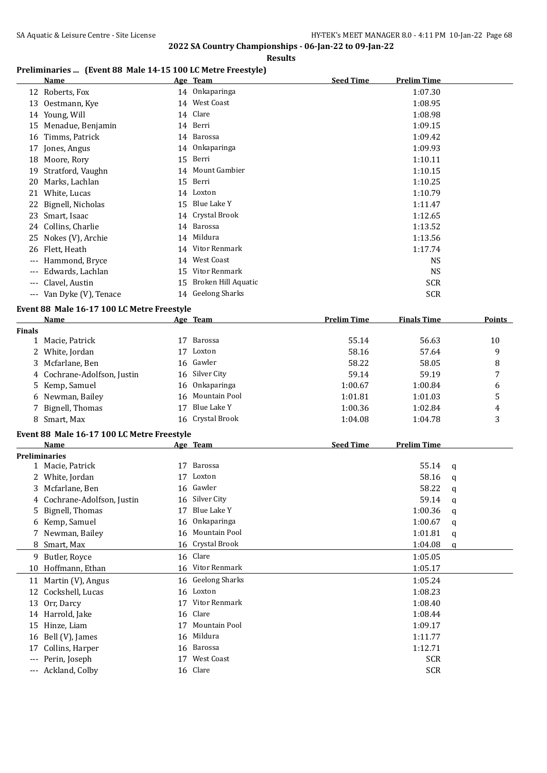#### **Results**

## **Preliminaries ... (Event 88 Male 14-15 100 LC Metre Freestyle)**

|     | <b>Name</b>              |    | <u>Age Team</u>     | <b>Seed Time</b> | <b>Prelim Time</b> |
|-----|--------------------------|----|---------------------|------------------|--------------------|
|     | 12 Roberts, Fox          |    | 14 Onkaparinga      |                  | 1:07.30            |
| 13  | Oestmann, Kye            |    | 14 West Coast       |                  | 1:08.95            |
| 14  | Young, Will              |    | 14 Clare            |                  | 1:08.98            |
| 15  | Menadue, Benjamin        |    | 14 Berri            |                  | 1:09.15            |
| 16  | Timms, Patrick           |    | 14 Barossa          |                  | 1:09.42            |
| 17  | Jones, Angus             |    | 14 Onkaparinga      |                  | 1:09.93            |
| 18  | Moore, Rory              | 15 | Berri               |                  | 1:10.11            |
| 19  | Stratford, Vaughn        |    | 14 Mount Gambier    |                  | 1:10.15            |
| 20  | Marks, Lachlan           | 15 | Berri               |                  | 1:10.25            |
| 21  | White, Lucas             |    | 14 Loxton           |                  | 1:10.79            |
| 22  | Bignell, Nicholas        | 15 | Blue Lake Y         |                  | 1:11.47            |
| 23  | Smart, Isaac             |    | 14 Crystal Brook    |                  | 1:12.65            |
|     | 24 Collins, Charlie      |    | 14 Barossa          |                  | 1:13.52            |
| 25  | Nokes (V), Archie        |    | 14 Mildura          |                  | 1:13.56            |
| 26  | Flett, Heath             |    | 14 Vitor Renmark    |                  | 1:17.74            |
| --- | Hammond, Bryce           |    | 14 West Coast       |                  | NS.                |
| --- | Edwards, Lachlan         | 15 | Vitor Renmark       |                  | <b>NS</b>          |
| --- | Clavel, Austin           | 15 | Broken Hill Aquatic |                  | <b>SCR</b>         |
|     | --- Van Dyke (V), Tenace |    | 14 Geelong Sharks   |                  | <b>SCR</b>         |

## **Event 88 Male 16-17 100 LC Metre Freestyle**

|               | Name                        |    | Age Team         | <b>Prelim Time</b> | <b>Finals Time</b> | <b>Points</b> |
|---------------|-----------------------------|----|------------------|--------------------|--------------------|---------------|
| <b>Finals</b> |                             |    |                  |                    |                    |               |
|               | 1 Macie, Patrick            | 17 | Barossa          | 55.14              | 56.63              | 10            |
|               | 2 White, Jordan             | 17 | Loxton           | 58.16              | 57.64              | 9             |
|               | 3 Mcfarlane, Ben            |    | 16 Gawler        | 58.22              | 58.05              | 8             |
|               | 4 Cochrane-Adolfson, Justin |    | 16 Silver City   | 59.14              | 59.19              | 7             |
|               | 5 Kemp, Samuel              |    | 16 Onkaparinga   | 1:00.67            | 1:00.84            | 6             |
|               | 6 Newman, Bailey            |    | 16 Mountain Pool | 1:01.81            | 1:01.03            |               |
|               | 7 Bignell, Thomas           | 17 | Blue Lake Y      | 1:00.36            | 1:02.84            | 4             |
|               | 8 Smart, Max                |    | 16 Crystal Brook | 1:04.08            | 1:04.78            | 3             |

## **Event 88 Male 16-17 100 LC Metre Freestyle**

|              | Name                        |    | Age Team          | <b>Seed Time</b> | <b>Prelim Time</b> |   |
|--------------|-----------------------------|----|-------------------|------------------|--------------------|---|
|              | <b>Preliminaries</b>        |    |                   |                  |                    |   |
|              | 1 Macie, Patrick            | 17 | Barossa           |                  | 55.14              | q |
| $\mathbf{Z}$ | White, Jordan               | 17 | Loxton            |                  | 58.16              | a |
| 3.           | Mcfarlane, Ben              | 16 | Gawler            |                  | 58.22              | q |
|              | 4 Cochrane-Adolfson, Justin | 16 | Silver City       |                  | 59.14              | a |
|              | 5 Bignell, Thomas           | 17 | Blue Lake Y       |                  | 1:00.36            | q |
|              | 6 Kemp, Samuel              | 16 | Onkaparinga       |                  | 1:00.67            | q |
|              | 7 Newman, Bailey            | 16 | Mountain Pool     |                  | 1:01.81            | q |
|              | 8 Smart, Max                |    | 16 Crystal Brook  |                  | 1:04.08            | q |
| 9.           | Butler, Royce               |    | 16 Clare          |                  | 1:05.05            |   |
| 10           | Hoffmann, Ethan             |    | 16 Vitor Renmark  |                  | 1:05.17            |   |
|              | 11 Martin (V), Angus        |    | 16 Geelong Sharks |                  | 1:05.24            |   |
| 12           | Cockshell, Lucas            | 16 | Loxton            |                  | 1:08.23            |   |
| 13           | Orr, Darcy                  | 17 | Vitor Renmark     |                  | 1:08.40            |   |
|              | 14 Harrold, Jake            |    | 16 Clare          |                  | 1:08.44            |   |
| 15           | Hinze, Liam                 | 17 | Mountain Pool     |                  | 1:09.17            |   |
| 16           | Bell (V), James             | 16 | Mildura           |                  | 1:11.77            |   |
| 17           | Collins, Harper             | 16 | Barossa           |                  | 1:12.71            |   |
| ---          | Perin, Joseph               | 17 | West Coast        |                  | <b>SCR</b>         |   |
| ---          | Ackland, Colby              |    | 16 Clare          |                  | <b>SCR</b>         |   |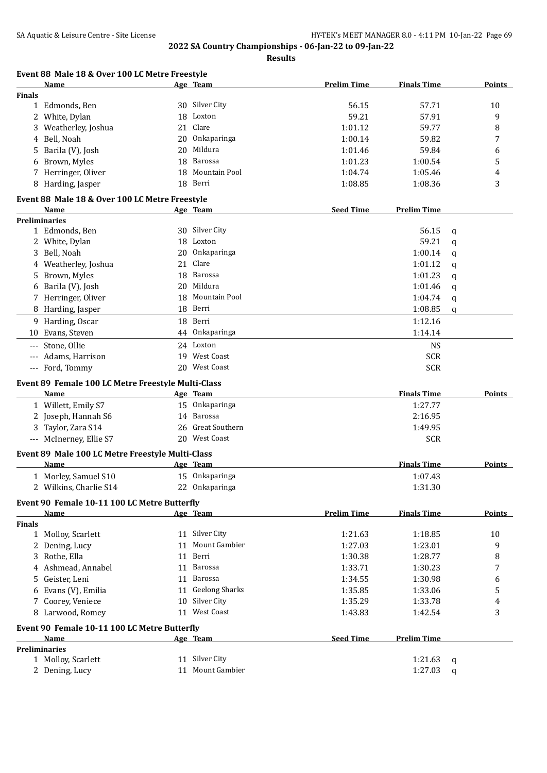| Name<br><b>Finals</b> | Event 88 Male 18 & Over 100 LC Metre Freestyle     |    |                                    |                    |                    |             |        |
|-----------------------|----------------------------------------------------|----|------------------------------------|--------------------|--------------------|-------------|--------|
|                       |                                                    |    | <u>Age Team</u>                    | <b>Prelim Time</b> | <b>Finals Time</b> |             | Points |
|                       |                                                    |    |                                    |                    |                    |             |        |
|                       | 1 Edmonds, Ben                                     |    | 30 Silver City                     | 56.15              | 57.71              |             | 10     |
|                       | 2 White, Dylan                                     | 18 | Loxton                             | 59.21              | 57.91              |             | 9      |
|                       | Weatherley, Joshua                                 | 21 | Clare                              | 1:01.12            | 59.77              |             | 8      |
| 4                     | Bell, Noah                                         | 20 | Onkaparinga                        | 1:00.14            | 59.82              |             | 7      |
| 5.                    | Barila (V), Josh                                   | 20 | Mildura                            | 1:01.46            | 59.84              |             | 6      |
|                       | Brown, Myles                                       | 18 | Barossa                            | 1:01.23            | 1:00.54            |             | 5      |
|                       | 7 Herringer, Oliver                                | 18 | Mountain Pool                      | 1:04.74            | 1:05.46            |             | 4      |
|                       | 8 Harding, Jasper                                  | 18 | Berri                              | 1:08.85            | 1:08.36            |             | 3      |
|                       | Event 88 Male 18 & Over 100 LC Metre Freestyle     |    |                                    |                    |                    |             |        |
| Name                  |                                                    |    | <u>Age Team</u>                    | <b>Seed Time</b>   | <b>Prelim Time</b> |             |        |
| <b>Preliminaries</b>  |                                                    |    |                                    |                    |                    |             |        |
|                       | 1 Edmonds, Ben                                     |    | 30 Silver City                     |                    | 56.15              | q           |        |
|                       | 2 White, Dylan                                     | 18 | Loxton                             |                    | 59.21              | q           |        |
| 3                     | Bell, Noah                                         | 20 | Onkaparinga                        |                    | 1:00.14            | q           |        |
|                       | 4 Weatherley, Joshua                               | 21 | Clare                              |                    | 1:01.12            | q           |        |
| 5.                    | Brown, Myles                                       | 18 | <b>Barossa</b>                     |                    | 1:01.23            | $\mathbf q$ |        |
| 6                     | Barila (V), Josh                                   | 20 | Mildura                            |                    | 1:01.46            | $\mathbf q$ |        |
|                       | 7 Herringer, Oliver                                | 18 | Mountain Pool                      |                    | 1:04.74            | q           |        |
|                       | 8 Harding, Jasper                                  |    | 18 Berri                           |                    | 1:08.85            | q           |        |
|                       | 9 Harding, Oscar                                   |    | 18 Berri                           |                    | 1:12.16            |             |        |
|                       | 10 Evans, Steven                                   | 44 | Onkaparinga                        |                    | 1:14.14            |             |        |
|                       |                                                    |    |                                    |                    |                    |             |        |
| $-\, -\, -$           | Stone, Ollie                                       |    | 24 Loxton                          |                    | <b>NS</b>          |             |        |
| $---$                 | Adams, Harrison                                    |    | 19 West Coast                      |                    | <b>SCR</b>         |             |        |
|                       | --- Ford, Tommy                                    |    | 20 West Coast                      |                    | <b>SCR</b>         |             |        |
|                       | Event 89 Female 100 LC Metre Freestyle Multi-Class |    |                                    |                    |                    |             |        |
| <b>Name</b>           |                                                    |    | Age Team                           |                    | <b>Finals Time</b> |             | Points |
|                       | 1 Willett, Emily S7                                |    | 15 Onkaparinga                     |                    | 1:27.77            |             |        |
|                       | 2 Joseph, Hannah S6                                | 14 | Barossa                            |                    | 2:16.95            |             |        |
|                       | 3 Taylor, Zara S14                                 | 26 | <b>Great Southern</b>              |                    | 1:49.95            |             |        |
|                       | --- McInerney, Ellie S7                            |    | 20 West Coast                      |                    | <b>SCR</b>         |             |        |
|                       | Event 89 Male 100 LC Metre Freestyle Multi-Class   |    |                                    |                    |                    |             |        |
| Name                  |                                                    |    | Age Team                           |                    | <b>Finals Time</b> |             | Points |
|                       | 1 Morley, Samuel S10                               |    | 15 Onkaparinga                     |                    | 1:07.43            |             |        |
|                       | 2 Wilkins, Charlie S14                             |    | 22 Onkaparinga                     |                    | 1:31.30            |             |        |
|                       |                                                    |    |                                    |                    |                    |             |        |
| <b>Name</b>           | Event 90 Female 10-11 100 LC Metre Butterfly       |    | Age Team                           | <b>Prelim Time</b> | <b>Finals Time</b> |             | Points |
| <b>Finals</b>         |                                                    |    |                                    |                    |                    |             |        |
|                       | 1 Molloy, Scarlett                                 |    | 11 Silver City                     | 1:21.63            | 1:18.85            |             | 10     |
|                       | 2 Dening, Lucy                                     | 11 | Mount Gambier                      | 1:27.03            | 1:23.01            |             | 9      |
|                       | 3 Rothe, Ella                                      | 11 | Berri                              | 1:30.38            | 1:28.77            |             | 8      |
|                       | 4 Ashmead, Annabel                                 | 11 | Barossa                            | 1:33.71            | 1:30.23            |             | 7      |
|                       |                                                    |    |                                    |                    |                    |             |        |
|                       | Geister, Leni                                      | 11 | Barossa                            | 1:34.55            | 1:30.98            |             | 6      |
| 5.                    |                                                    |    |                                    | 1:35.85            | 1:33.06            |             |        |
| 6                     | Evans (V), Emilia                                  |    | 11 Geelong Sharks                  |                    |                    |             | 5      |
|                       | 7 Coorey, Veniece                                  | 10 | Silver City                        | 1:35.29            | 1:33.78            |             | 4      |
|                       | 8 Larwood, Romey                                   |    | 11 West Coast                      | 1:43.83            | 1:42.54            |             | 3      |
|                       | Event 90 Female 10-11 100 LC Metre Butterfly       |    |                                    |                    |                    |             |        |
| Name                  |                                                    |    | Age Team                           | <b>Seed Time</b>   | <b>Prelim Time</b> |             |        |
| <b>Preliminaries</b>  |                                                    |    |                                    |                    |                    |             |        |
|                       | 1 Molloy, Scarlett<br>2 Dening, Lucy               |    | 11 Silver City<br>11 Mount Gambier |                    | 1:21.63<br>1:27.03 | q           |        |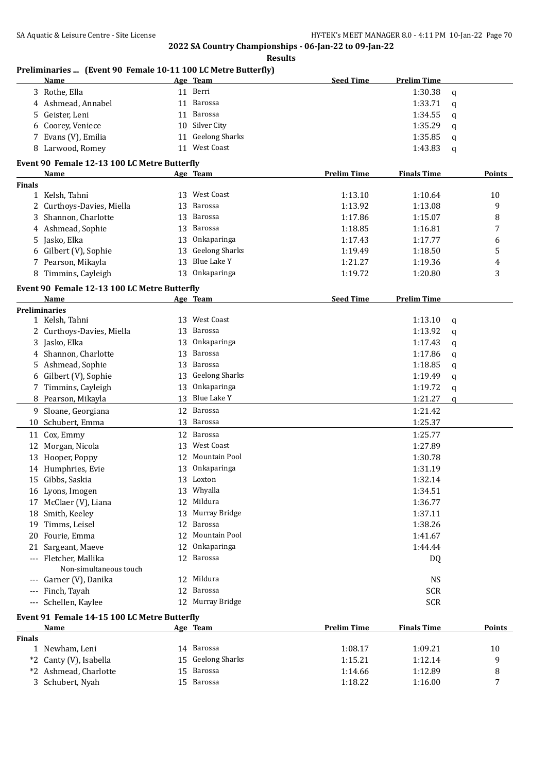**Results**

## **Preliminaries ... (Event 90 Female 10-11 100 LC Metre Butterfly)**

| Name                | Age Team          | <b>Seed Time</b><br><b>Prelim Time</b> |
|---------------------|-------------------|----------------------------------------|
| 3 Rothe, Ella       | 11 Berri          | 1:30.38<br>a                           |
| 4 Ashmead, Annabel  | 11 Barossa        | 1:33.71<br>a                           |
| 5 Geister, Leni     | 11 Barossa        | 1:34.55<br>a                           |
| 6 Coorey, Veniece   | 10 Silver City    | 1:35.29<br>a                           |
| 7 Evans (V), Emilia | 11 Geelong Sharks | 1:35.85<br>a                           |
| 8 Larwood, Romey    | West Coast<br>11  | 1:43.83<br>a                           |

## **Event 90 Female 12-13 100 LC Metre Butterfly**

|               | <b>Name</b>                                  |    | Age Team              | <b>Prelim Time</b> | <b>Finals Time</b> |   | <b>Points</b> |
|---------------|----------------------------------------------|----|-----------------------|--------------------|--------------------|---|---------------|
| <b>Finals</b> |                                              |    |                       |                    |                    |   |               |
|               | 1 Kelsh, Tahni                               |    | 13 West Coast         | 1:13.10            | 1:10.64            |   | 10            |
|               | 2 Curthoys-Davies, Miella                    |    | 13 Barossa            | 1:13.92            | 1:13.08            |   | 9             |
|               | 3 Shannon, Charlotte                         | 13 | Barossa               | 1:17.86            | 1:15.07            |   | 8             |
|               | 4 Ashmead, Sophie                            | 13 | <b>Barossa</b>        | 1:18.85            | 1:16.81            |   | 7             |
|               | 5 Jasko, Elka                                | 13 | Onkaparinga           | 1:17.43            | 1:17.77            |   | 6             |
|               | 6 Gilbert (V), Sophie                        | 13 | <b>Geelong Sharks</b> | 1:19.49            | 1:18.50            |   | 5             |
|               | 7 Pearson, Mikayla                           |    | 13 Blue Lake Y        | 1:21.27            | 1:19.36            |   | 4             |
|               | 8 Timmins, Cayleigh                          |    | 13 Onkaparinga        | 1:19.72            | 1:20.80            |   | 3             |
|               | Event 90 Female 12-13 100 LC Metre Butterfly |    |                       |                    |                    |   |               |
|               | Name                                         |    | <u>Age Team</u>       | <b>Seed Time</b>   | <b>Prelim Time</b> |   |               |
|               | <b>Preliminaries</b>                         |    |                       |                    |                    |   |               |
|               | 1 Kelsh, Tahni                               |    | 13 West Coast         |                    | 1:13.10            | q |               |
|               | 2 Curthoys-Davies, Miella                    | 13 | Barossa               |                    | 1:13.92            | q |               |
|               | 3 Jasko, Elka                                | 13 | Onkaparinga           |                    | 1:17.43            | q |               |
|               | 4 Shannon, Charlotte                         | 13 | Barossa               |                    | 1:17.86            | q |               |
|               | 5 Ashmead, Sophie                            |    | 13 Barossa            |                    | 1:18.85            | q |               |
|               | 6 Gilbert (V), Sophie                        | 13 | <b>Geelong Sharks</b> |                    | 1:19.49            | q |               |
|               | 7 Timmins, Cayleigh                          | 13 | Onkaparinga           |                    | 1:19.72            | q |               |
|               | 8 Pearson, Mikayla                           |    | 13 Blue Lake Y        |                    | 1:21.27            | q |               |
|               | 9 Sloane, Georgiana                          |    | 12 Barossa            |                    | 1:21.42            |   |               |
|               | 10 Schubert, Emma                            |    | 13 Barossa            |                    | 1:25.37            |   |               |
|               | 11 Cox, Emmy                                 |    | 12 Barossa            |                    | 1:25.77            |   |               |
|               | 12 Morgan, Nicola                            |    | 13 West Coast         |                    | 1:27.89            |   |               |
|               | 13 Hooper, Poppy                             | 12 | Mountain Pool         |                    | 1:30.78            |   |               |
|               | 14 Humphries, Evie                           |    | 13 Onkaparinga        |                    | 1:31.19            |   |               |
|               | 15 Gibbs, Saskia                             |    | 13 Loxton             |                    | 1:32.14            |   |               |
|               | 16 Lyons, Imogen                             | 13 | Whyalla               |                    | 1:34.51            |   |               |
|               | 17 McClaer (V), Liana                        | 12 | Mildura               |                    | 1:36.77            |   |               |
|               | 18 Smith, Keeley                             | 13 | Murray Bridge         |                    | 1:37.11            |   |               |
|               | 19 Timms, Leisel                             | 12 | <b>Barossa</b>        |                    | 1:38.26            |   |               |
|               | 20 Fourie, Emma                              | 12 | Mountain Pool         |                    | 1:41.67            |   |               |
|               | 21 Sargeant, Maeve                           | 12 | Onkaparinga           |                    | 1:44.44            |   |               |
|               | --- Fletcher, Mallika                        |    | 12 Barossa            |                    | DQ                 |   |               |
|               | Non-simultaneous touch                       |    |                       |                    |                    |   |               |
|               | --- Garner (V), Danika                       | 12 | Mildura               |                    | <b>NS</b>          |   |               |
|               | --- Finch, Tayah                             |    | 12 Barossa            |                    | <b>SCR</b>         |   |               |
|               | --- Schellen, Kaylee                         |    | 12 Murray Bridge      |                    | <b>SCR</b>         |   |               |
|               | Event 91 Female 14-15 100 LC Metre Butterfly |    |                       |                    |                    |   |               |

| Name                   | Age | Team | <b>Prelim Time</b>                                          | <b>Finals Time</b> | <b>Points</b> |
|------------------------|-----|------|-------------------------------------------------------------|--------------------|---------------|
|                        |     |      |                                                             |                    |               |
| l) Newham, Leni        |     |      | 1:08.17                                                     | 1:09.21            | 10            |
| *2 Canty (V), Isabella |     |      | 1:15.21                                                     | 1:12.14            |               |
| *2 Ashmead, Charlotte  |     |      | 1:14.66                                                     | 1:12.89            |               |
| 3 Schubert, Nyah       | 15. |      | 1:18.22                                                     | 1:16.00            | -             |
|                        |     |      | Barossa<br>14<br>15 Geelong Sharks<br>15 Barossa<br>Barossa |                    |               |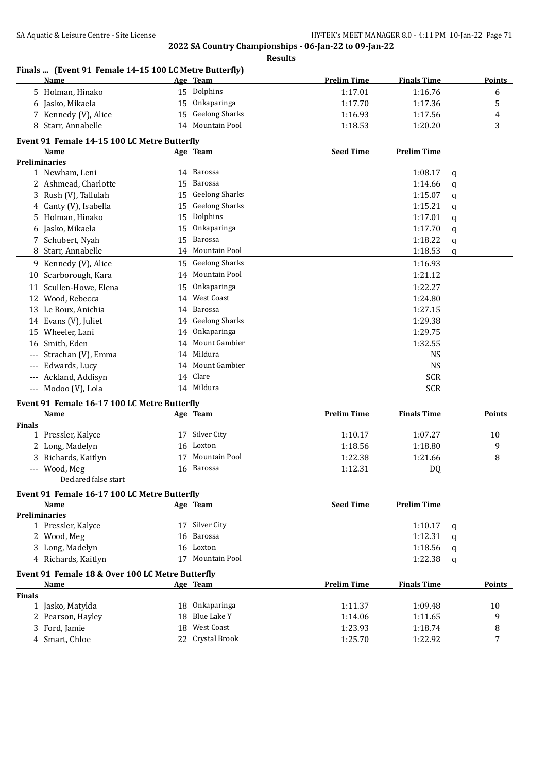|               | Finals  (Event 91 Female 14-15 100 LC Metre Butterfly)<br>Name |    | Age Team              | <b>Prelim Time</b> | <b>Finals Time</b> |   | <b>Points</b> |
|---------------|----------------------------------------------------------------|----|-----------------------|--------------------|--------------------|---|---------------|
|               | 5 Holman, Hinako                                               |    | 15 Dolphins           | 1:17.01            | 1:16.76            |   | 6             |
|               | 6 Jasko, Mikaela                                               |    | 15 Onkaparinga        | 1:17.70            | 1:17.36            |   | 5             |
|               | 7 Kennedy (V), Alice                                           |    | 15 Geelong Sharks     | 1:16.93            | 1:17.56            |   | 4             |
|               | 8 Starr, Annabelle                                             |    | 14 Mountain Pool      | 1:18.53            | 1:20.20            |   | 3             |
|               | Event 91 Female 14-15 100 LC Metre Butterfly                   |    |                       |                    |                    |   |               |
|               | Name                                                           |    | Age Team              | <b>Seed Time</b>   | <b>Prelim Time</b> |   |               |
|               | <b>Preliminaries</b>                                           |    |                       |                    |                    |   |               |
|               | 1 Newham, Leni                                                 |    | 14 Barossa            |                    | 1:08.17            | q |               |
|               | 2 Ashmead, Charlotte                                           | 15 | <b>Barossa</b>        |                    | 1:14.66            | q |               |
|               | 3 Rush (V), Tallulah                                           | 15 | <b>Geelong Sharks</b> |                    | 1:15.07            | q |               |
| 4             | Canty (V), Isabella                                            | 15 | <b>Geelong Sharks</b> |                    | 1:15.21            | q |               |
| 5.            | Holman, Hinako                                                 | 15 | Dolphins              |                    | 1:17.01            | q |               |
| 6             | Jasko, Mikaela                                                 | 15 | Onkaparinga           |                    | 1:17.70            | q |               |
|               | 7 Schubert, Nyah                                               | 15 | <b>Barossa</b>        |                    | 1:18.22            | q |               |
| 8             | Starr, Annabelle                                               | 14 | Mountain Pool         |                    | 1:18.53            | q |               |
|               | 9 Kennedy (V), Alice                                           |    | 15 Geelong Sharks     |                    | 1:16.93            |   |               |
|               | 10 Scarborough, Kara                                           |    | 14 Mountain Pool      |                    | 1:21.12            |   |               |
|               | 11 Scullen-Howe, Elena                                         | 15 | Onkaparinga           |                    | 1:22.27            |   |               |
|               | 12 Wood, Rebecca                                               | 14 | <b>West Coast</b>     |                    | 1:24.80            |   |               |
|               | 13 Le Roux, Anichia                                            | 14 | Barossa               |                    | 1:27.15            |   |               |
|               | 14 Evans (V), Juliet                                           |    | 14 Geelong Sharks     |                    | 1:29.38            |   |               |
|               | 15 Wheeler, Lani                                               | 14 | Onkaparinga           |                    | 1:29.75            |   |               |
|               | 16 Smith, Eden                                                 | 14 | Mount Gambier         |                    | 1:32.55            |   |               |
|               | Strachan (V), Emma                                             |    | 14 Mildura            |                    | <b>NS</b>          |   |               |
|               | --- Edwards, Lucy                                              |    | 14 Mount Gambier      |                    | <b>NS</b>          |   |               |
|               | --- Ackland, Addisyn                                           |    | 14 Clare              |                    | <b>SCR</b>         |   |               |
|               | --- Modoo (V), Lola                                            |    | 14 Mildura            |                    | <b>SCR</b>         |   |               |
|               |                                                                |    |                       |                    |                    |   |               |
|               | Event 91 Female 16-17 100 LC Metre Butterfly<br><b>Name</b>    |    | Age Team              | <b>Prelim Time</b> | <b>Finals Time</b> |   | Points        |
| <b>Finals</b> |                                                                |    |                       |                    |                    |   |               |
|               | 1 Pressler, Kalyce                                             |    | 17 Silver City        | 1:10.17            | 1:07.27            |   | 10            |
|               | 2 Long, Madelyn                                                | 16 | Loxton                | 1:18.56            | 1:18.80            |   | 9             |
|               | 3 Richards, Kaitlyn                                            | 17 | <b>Mountain Pool</b>  | 1:22.38            | 1:21.66            |   | 8             |
|               | --- Wood, Meg                                                  |    | 16 Barossa            | 1:12.31            | DQ                 |   |               |
|               | Declared false start                                           |    |                       |                    |                    |   |               |
|               | Event 91 Female 16-17 100 LC Metre Butterfly                   |    |                       |                    |                    |   |               |
|               | Name                                                           |    | Age Team              | <b>Seed Time</b>   | <b>Prelim Time</b> |   |               |
|               | <b>Preliminaries</b>                                           |    |                       |                    |                    |   |               |
|               | 1 Pressler, Kalyce                                             |    | 17 Silver City        |                    | 1:10.17            | a |               |
|               | 2 Wood, Meg                                                    | 16 | Barossa               |                    | 1:12.31            | a |               |
|               | 3 Long, Madelyn                                                |    | 16 Loxton             |                    | 1:18.56            | q |               |
|               | 4 Richards, Kaitlyn                                            |    | 17 Mountain Pool      |                    | 1:22.38            | q |               |
|               | Event 91 Female 18 & Over 100 LC Metre Butterfly               |    |                       |                    |                    |   |               |
|               | Name                                                           |    | Age Team              | <b>Prelim Time</b> | <b>Finals Time</b> |   | <b>Points</b> |
| <b>Finals</b> |                                                                |    |                       |                    |                    |   |               |
|               | 1 Jasko, Matylda                                               |    | 18 Onkaparinga        | 1:11.37            | 1:09.48            |   | 10            |
|               | 2 Pearson, Hayley                                              | 18 | Blue Lake Y           | 1:14.06            | 1:11.65            |   | 9             |
| 3.            | Ford, Jamie                                                    |    | 18 West Coast         | 1:23.93            | 1:18.74            |   | 8             |
|               | 4 Smart, Chloe                                                 |    | 22 Crystal Brook      | 1:25.70            | 1:22.92            |   | 7             |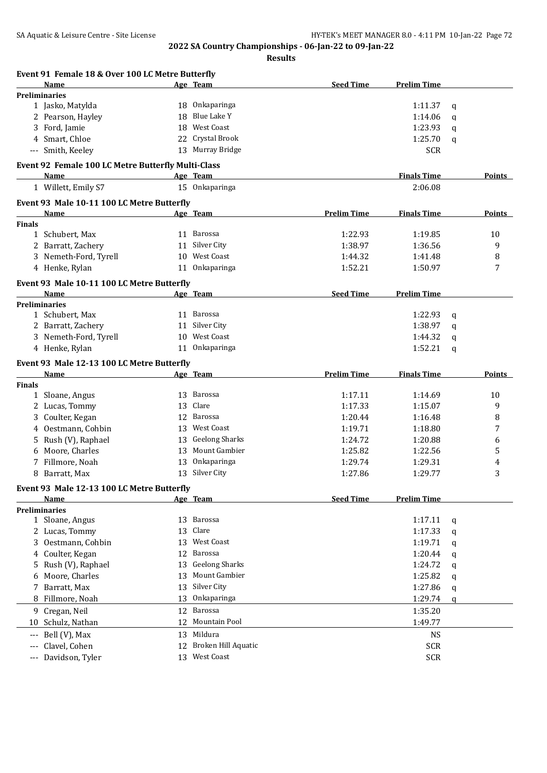|               | Event 91 Female 18 & Over 100 LC Metre Butterfly   |    |                       |                    |                    |   |               |
|---------------|----------------------------------------------------|----|-----------------------|--------------------|--------------------|---|---------------|
|               | Name                                               |    | Age Team              | <b>Seed Time</b>   | <b>Prelim Time</b> |   |               |
|               | <b>Preliminaries</b>                               |    |                       |                    |                    |   |               |
|               | 1 Jasko, Matylda                                   | 18 | Onkaparinga           |                    | 1:11.37            | q |               |
|               | 2 Pearson, Hayley                                  | 18 | <b>Blue Lake Y</b>    |                    | 1:14.06            | q |               |
|               | 3 Ford, Jamie                                      | 18 | <b>West Coast</b>     |                    | 1:23.93            | a |               |
|               | 4 Smart, Chloe                                     | 22 | Crystal Brook         |                    | 1:25.70            | q |               |
|               | --- Smith, Keeley                                  |    | 13 Murray Bridge      |                    | <b>SCR</b>         |   |               |
|               | Event 92 Female 100 LC Metre Butterfly Multi-Class |    |                       |                    |                    |   |               |
|               | Name                                               |    | Age Team              |                    | <b>Finals Time</b> |   | <b>Points</b> |
|               | 1 Willett, Emily S7                                |    | 15 Onkaparinga        |                    | 2:06.08            |   |               |
|               | Event 93 Male 10-11 100 LC Metre Butterfly         |    |                       |                    |                    |   |               |
|               | Name                                               |    | Age Team              | <b>Prelim Time</b> | <b>Finals Time</b> |   | Points        |
| <b>Finals</b> |                                                    |    |                       |                    |                    |   |               |
|               | 1 Schubert, Max                                    |    | 11 Barossa            | 1:22.93            | 1:19.85            |   | 10            |
|               | 2 Barratt, Zachery                                 | 11 | Silver City           | 1:38.97            | 1:36.56            |   | 9             |
|               | 3 Nemeth-Ford, Tyrell                              | 10 | West Coast            | 1:44.32            | 1:41.48            |   | 8             |
|               | 4 Henke, Rylan                                     | 11 | Onkaparinga           | 1:52.21            | 1:50.97            |   | 7             |
|               | Event 93 Male 10-11 100 LC Metre Butterfly         |    |                       |                    |                    |   |               |
|               | Name                                               |    | Age Team              | <b>Seed Time</b>   | <b>Prelim Time</b> |   |               |
|               | <b>Preliminaries</b>                               |    |                       |                    |                    |   |               |
|               | 1 Schubert, Max                                    |    | 11 Barossa            |                    | 1:22.93            | q |               |
|               | 2 Barratt, Zachery                                 | 11 | Silver City           |                    | 1:38.97            | q |               |
|               | 3 Nemeth-Ford, Tyrell                              | 10 | West Coast            |                    | 1:44.32            | a |               |
|               | 4 Henke, Rylan                                     | 11 | Onkaparinga           |                    | 1:52.21            | q |               |
|               | Event 93 Male 12-13 100 LC Metre Butterfly         |    |                       |                    |                    |   |               |
|               | Name                                               |    | Age Team              | <b>Prelim Time</b> | <b>Finals Time</b> |   | Points        |
| <b>Finals</b> |                                                    |    |                       |                    |                    |   |               |
| 1             | Sloane, Angus                                      |    | 13 Barossa            | 1:17.11            | 1:14.69            |   | 10            |
| 2             | Lucas, Tommy                                       | 13 | Clare                 | 1:17.33            | 1:15.07            |   | 9             |
| 3             | Coulter, Kegan                                     | 12 | Barossa               | 1:20.44            | 1:16.48            |   | 8             |
| 4             | Oestmann, Cohbin                                   | 13 | <b>West Coast</b>     | 1:19.71            | 1:18.80            |   | 7             |
| 5             | Rush (V), Raphael                                  | 13 | <b>Geelong Sharks</b> | 1:24.72            | 1:20.88            |   | 6             |
| 6             | Moore, Charles                                     | 13 | Mount Gambier         | 1:25.82            | 1:22.56            |   | 5             |
| 7             | Fillmore, Noah                                     | 13 | Onkaparinga           | 1:29.74            | 1:29.31            |   | 4             |
| 8             | Barratt, Max                                       |    | 13 Silver City        | 1:27.86            | 1:29.77            |   | 3             |
|               | Event 93 Male 12-13 100 LC Metre Butterfly         |    |                       |                    |                    |   |               |
|               | Name                                               |    | Age Team              | <b>Seed Time</b>   | <b>Prelim Time</b> |   |               |
|               | <b>Preliminaries</b>                               |    |                       |                    |                    |   |               |
|               | 1 Sloane, Angus                                    |    | 13 Barossa            |                    | 1:17.11            | q |               |
|               | 2 Lucas, Tommy                                     | 13 | Clare                 |                    | 1:17.33            | q |               |
|               | 3 Oestmann, Cohbin                                 | 13 | <b>West Coast</b>     |                    | 1:19.71            | q |               |
|               | 4 Coulter, Kegan                                   |    | 12 Barossa            |                    | 1:20.44            | q |               |
| 5.            | Rush (V), Raphael                                  | 13 | <b>Geelong Sharks</b> |                    | 1:24.72            | q |               |
| 6             | Moore, Charles                                     | 13 | <b>Mount Gambier</b>  |                    | 1:25.82            | q |               |
| 7             | Barratt, Max                                       | 13 | Silver City           |                    | 1:27.86            | q |               |
| 8             | Fillmore, Noah                                     | 13 | Onkaparinga           |                    | 1:29.74            | q |               |
|               | 9 Cregan, Neil                                     | 12 | Barossa               |                    | 1:35.20            |   |               |
|               | 10 Schulz, Nathan                                  | 12 | Mountain Pool         |                    | 1:49.77            |   |               |
| $---$         | Bell (V), Max                                      |    | 13 Mildura            |                    | <b>NS</b>          |   |               |
|               | Clavel, Cohen                                      | 12 | Broken Hill Aquatic   |                    | <b>SCR</b>         |   |               |
|               |                                                    |    |                       |                    |                    |   |               |
| ---           | Davidson, Tyler                                    | 13 | West Coast            |                    | <b>SCR</b>         |   |               |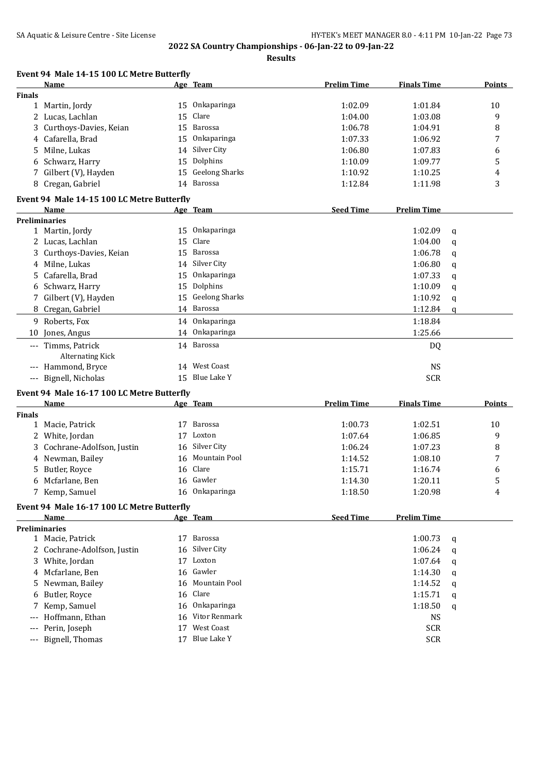**Results**

|  | Event 94 Male 14-15 100 LC Metre Butterfly |
|--|--------------------------------------------|
|  |                                            |

|                     | c 17 19 100 BC MCCLC DUCCITI<br>Name            |    | Age Team              | <b>Prelim Time</b> | <b>Finals Time</b> |   | Points |
|---------------------|-------------------------------------------------|----|-----------------------|--------------------|--------------------|---|--------|
| <b>Finals</b>       |                                                 |    |                       |                    |                    |   |        |
|                     | 1 Martin, Jordy                                 |    | 15 Onkaparinga        | 1:02.09            | 1:01.84            |   | 10     |
|                     | 2 Lucas, Lachlan                                | 15 | Clare                 | 1:04.00            | 1:03.08            |   | 9      |
|                     | 3 Curthoys-Davies, Keian                        | 15 | Barossa               | 1:06.78            | 1:04.91            |   | 8      |
|                     | 4 Cafarella, Brad                               | 15 | Onkaparinga           | 1:07.33            | 1:06.92            |   | 7      |
| 5.                  | Milne, Lukas                                    |    | 14 Silver City        | 1:06.80            | 1:07.83            |   | 6      |
|                     | 6 Schwarz, Harry                                | 15 | Dolphins              | 1:10.09            | 1:09.77            |   | 5      |
| 7                   | Gilbert (V), Hayden                             | 15 | <b>Geelong Sharks</b> | 1:10.92            | 1:10.25            |   | 4      |
|                     | 8 Cregan, Gabriel                               |    | 14 Barossa            | 1:12.84            | 1:11.98            |   | 3      |
|                     |                                                 |    |                       |                    |                    |   |        |
|                     | Event 94 Male 14-15 100 LC Metre Butterfly      |    |                       |                    |                    |   |        |
|                     | Name                                            |    | Age Team              | <b>Seed Time</b>   | <b>Prelim Time</b> |   |        |
|                     | <b>Preliminaries</b>                            |    |                       |                    |                    |   |        |
|                     | 1 Martin, Jordy                                 | 15 | Onkaparinga           |                    | 1:02.09            | q |        |
|                     | 2 Lucas, Lachlan                                | 15 | Clare                 |                    | 1:04.00            | q |        |
|                     | 3 Curthoys-Davies, Keian                        | 15 | Barossa               |                    | 1:06.78            | q |        |
|                     | 4 Milne, Lukas                                  | 14 | Silver City           |                    | 1:06.80            | q |        |
| 5.                  | Cafarella, Brad                                 | 15 | Onkaparinga           |                    | 1:07.33            | q |        |
|                     | 6 Schwarz, Harry                                | 15 | Dolphins              |                    | 1:10.09            | q |        |
|                     | 7 Gilbert (V), Hayden                           | 15 | <b>Geelong Sharks</b> |                    | 1:10.92            | q |        |
|                     | 8 Cregan, Gabriel                               |    | 14 Barossa            |                    | 1:12.84            | q |        |
|                     | 9 Roberts, Fox                                  |    | 14 Onkaparinga        |                    | 1:18.84            |   |        |
| 10                  | Jones, Angus                                    |    | 14 Onkaparinga        |                    | 1:25.66            |   |        |
|                     | --- Timms, Patrick                              |    | 14 Barossa            |                    | DQ                 |   |        |
|                     | <b>Alternating Kick</b>                         |    |                       |                    |                    |   |        |
|                     | --- Hammond, Bryce                              | 14 | West Coast            |                    | <b>NS</b>          |   |        |
|                     | --- Bignell, Nicholas                           |    | 15 Blue Lake Y        |                    | <b>SCR</b>         |   |        |
|                     | Event 94 Male 16-17 100 LC Metre Butterfly      |    |                       |                    |                    |   |        |
|                     | Name                                            |    | Age Team              | <b>Prelim Time</b> | <b>Finals Time</b> |   | Points |
| <b>Finals</b>       |                                                 |    |                       |                    |                    |   |        |
|                     | 1 Macie, Patrick                                |    | 17 Barossa            | 1:00.73            | 1:02.51            |   | 10     |
|                     | 2 White, Jordan                                 | 17 | Loxton                | 1:07.64            | 1:06.85            |   | 9      |
| 3                   | Cochrane-Adolfson, Justin                       | 16 | Silver City           | 1:06.24            | 1:07.23            |   | 8      |
|                     | 4 Newman, Bailey                                | 16 | Mountain Pool         | 1:14.52            | 1:08.10            |   | 7      |
| 5                   | Butler, Royce                                   | 16 | Clare                 | 1:15.71            | 1:16.74            |   | 6      |
|                     | 6 Mcfarlane, Ben                                |    | 16 Gawler             | 1:14.30            | 1:20.11            |   | 5      |
|                     | 7 Kemp, Samuel                                  |    | 16 Onkaparinga        | 1:18.50            | 1:20.98            |   | 4      |
|                     |                                                 |    |                       |                    |                    |   |        |
|                     | Event 94 Male 16-17 100 LC Metre Butterfly      |    |                       |                    |                    |   |        |
|                     | Name                                            |    | Age Team              | <b>Seed Time</b>   | <b>Prelim Time</b> |   |        |
|                     | <b>Preliminaries</b>                            | 17 | Barossa               |                    |                    |   |        |
|                     | 1 Macie, Patrick<br>2 Cochrane-Adolfson, Justin | 16 | Silver City           |                    | 1:00.73            | q |        |
|                     |                                                 |    |                       |                    | 1:06.24            | q |        |
|                     | 3 White, Jordan                                 |    | 17 Loxton<br>Gawler   |                    | 1:07.64            | q |        |
|                     | 4 Mcfarlane, Ben                                | 16 |                       |                    | 1:14.30            | q |        |
| 5.                  | Newman, Bailey                                  | 16 | Mountain Pool         |                    | 1:14.52            | q |        |
| 6                   | Butler, Royce                                   | 16 | Clare                 |                    | 1:15.71            | q |        |
|                     | Kemp, Samuel                                    | 16 | Onkaparinga           |                    | 1:18.50            | q |        |
| $- - -$             | Hoffmann, Ethan                                 | 16 | Vitor Renmark         |                    | <b>NS</b>          |   |        |
|                     | Perin, Joseph                                   | 17 | West Coast            |                    | <b>SCR</b>         |   |        |
| $\qquad \qquad - -$ | Bignell, Thomas                                 |    | 17 Blue Lake Y        |                    | <b>SCR</b>         |   |        |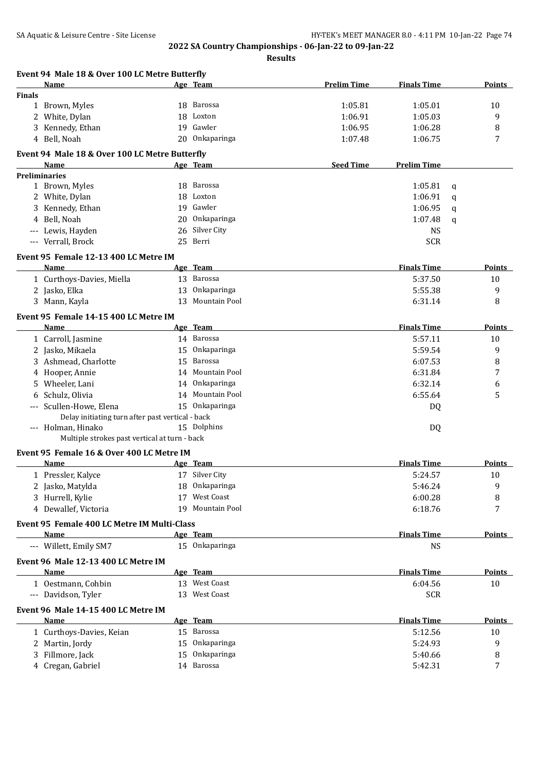**Results**

| Event 94 Male 18 & Over 100 LC Metre Butterfly           |    |                  |                    |                    |               |
|----------------------------------------------------------|----|------------------|--------------------|--------------------|---------------|
| Name                                                     |    | Age Team         | <b>Prelim Time</b> | <b>Finals Time</b> | Points        |
| <b>Finals</b>                                            |    |                  |                    |                    |               |
| 1 Brown, Myles                                           |    | 18 Barossa       | 1:05.81            | 1:05.01            | 10            |
| 2 White, Dylan                                           | 18 | Loxton           | 1:06.91            | 1:05.03            | 9             |
| Kennedy, Ethan<br>3                                      |    | 19 Gawler        | 1:06.95            | 1:06.28            | 8             |
| 4 Bell, Noah                                             |    | 20 Onkaparinga   | 1:07.48            | 1:06.75            | 7             |
| Event 94 Male 18 & Over 100 LC Metre Butterfly           |    |                  |                    |                    |               |
| Name                                                     |    | <u>Age Team</u>  | <b>Seed Time</b>   | <b>Prelim Time</b> |               |
| <b>Preliminaries</b>                                     |    | 18 Barossa       |                    |                    |               |
| 1 Brown, Myles                                           |    |                  |                    | 1:05.81<br>q       |               |
| 2 White, Dylan                                           | 18 | Loxton           |                    | 1:06.91<br>q       |               |
| 3 Kennedy, Ethan                                         | 19 | Gawler           |                    | 1:06.95<br>q       |               |
| 4 Bell, Noah                                             | 20 | Onkaparinga      |                    | 1:07.48<br>q       |               |
| --- Lewis, Hayden                                        | 26 | Silver City      |                    | <b>NS</b>          |               |
| --- Verrall, Brock                                       |    | 25 Berri         |                    | <b>SCR</b>         |               |
| Event 95 Female 12-13 400 LC Metre IM                    |    |                  |                    |                    |               |
| Name                                                     |    | Age Team         |                    | <b>Finals Time</b> | Points        |
| 1 Curthoys-Davies, Miella                                |    | 13 Barossa       |                    | 5:37.50            | 10            |
| 2 Jasko, Elka                                            | 13 | Onkaparinga      |                    | 5:55.38            | 9             |
| 3 Mann, Kayla                                            | 13 | Mountain Pool    |                    | 6:31.14            | 8             |
| Event 95 Female 14-15 400 LC Metre IM                    |    |                  |                    |                    |               |
| Name                                                     |    | Age Team         |                    | <b>Finals Time</b> | Points        |
| 1 Carroll, Jasmine                                       |    | 14 Barossa       |                    | 5:57.11            | 10            |
| 2 Jasko, Mikaela                                         | 15 | Onkaparinga      |                    | 5:59.54            | 9             |
| 3 Ashmead, Charlotte                                     | 15 | Barossa          |                    | 6:07.53            | 8             |
| 4 Hooper, Annie                                          | 14 | Mountain Pool    |                    | 6:31.84            | 7             |
| Wheeler, Lani<br>5.                                      | 14 | Onkaparinga      |                    | 6:32.14            | 6             |
| Schulz, Olivia<br>6                                      |    | 14 Mountain Pool |                    | 6:55.64            | 5             |
| Scullen-Howe, Elena<br>$---$                             |    | 15 Onkaparinga   |                    | DQ                 |               |
| Delay initiating turn after past vertical - back         |    |                  |                    |                    |               |
| --- Holman, Hinako                                       |    | 15 Dolphins      |                    | DQ                 |               |
| Multiple strokes past vertical at turn - back            |    |                  |                    |                    |               |
| Event 95 Female 16 & Over 400 LC Metre IM<br><b>Name</b> |    | Age Team         |                    | <b>Finals Time</b> | <b>Points</b> |
| 1 Pressler, Kalyce                                       |    | 17 Silver City   |                    | 5:24.57            | 10            |
| 2 Jasko, Matylda                                         |    | 18 Onkaparinga   |                    | 5:46.24            | 9             |
| 3 Hurrell, Kylie                                         |    | 17 West Coast    |                    | 6:00.28            | 8             |
| 4 Dewallef, Victoria                                     | 19 | Mountain Pool    |                    | 6:18.76            | 7             |
|                                                          |    |                  |                    |                    |               |
| Event 95 Female 400 LC Metre IM Multi-Class<br>Name      |    | Age Team         |                    | <b>Finals Time</b> | <b>Points</b> |
| --- Willett, Emily SM7                                   |    | 15 Onkaparinga   |                    | <b>NS</b>          |               |
| Event 96 Male 12-13 400 LC Metre IM                      |    |                  |                    |                    |               |
| Name                                                     |    | Age Team         |                    | <b>Finals Time</b> | <b>Points</b> |
| 1 Oestmann, Cohbin                                       |    | 13 West Coast    |                    | 6:04.56            | 10            |
| --- Davidson, Tyler                                      |    | 13 West Coast    |                    | <b>SCR</b>         |               |
| Event 96 Male 14-15 400 LC Metre IM                      |    |                  |                    |                    |               |
| <b>Name</b>                                              |    | Age Team         |                    | <b>Finals Time</b> | <b>Points</b> |
| 1 Curthoys-Davies, Keian                                 |    | 15 Barossa       |                    | 5:12.56            | 10            |
| 2 Martin, Jordy                                          |    | 15 Onkaparinga   |                    | 5:24.93            | 9             |
| 3 Fillmore, Jack                                         |    | 15 Onkaparinga   |                    | 5:40.66            | 8             |
| 4 Cregan, Gabriel                                        |    | 14 Barossa       |                    | 5:42.31            | 7             |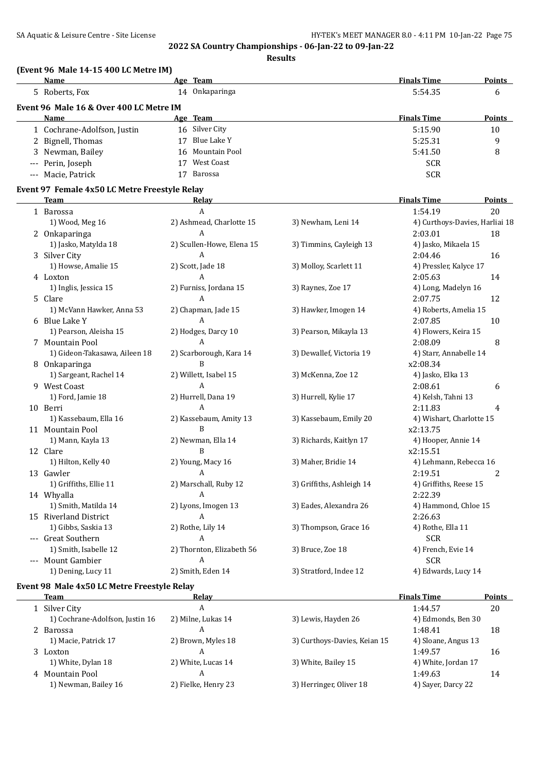**Results**

## **(Event 96 Male 14-15 400 LC Metre IM)**

| Name                                    |    | Age Team         | <b>Finals Time</b> | <b>Points</b> |
|-----------------------------------------|----|------------------|--------------------|---------------|
| 5 Roberts, Fox                          | 14 | Onkaparinga      | 5:54.35            | 6             |
| Event 96 Male 16 & Over 400 LC Metre IM |    |                  |                    |               |
| Name                                    |    | Age Team         | <b>Finals Time</b> | Points        |
| 1 Cochrane-Adolfson, Justin             |    | 16 Silver City   | 5:15.90            | 10            |
| 2 Bignell, Thomas                       |    | Blue Lake Y      | 5:25.31            | 9             |
| 3 Newman, Bailey                        |    | 16 Mountain Pool | 5:41.50            | 8             |
| --- Perin, Joseph                       |    | West Coast       | <b>SCR</b>         |               |
| --- Macie, Patrick                      |    | Barossa          | <b>SCR</b>         |               |

### **Event 97 Female 4x50 LC Metre Freestyle Relay**

| <b>Team</b>                   | Relay                     |                           | <b>Finals Time</b>             | Points         |
|-------------------------------|---------------------------|---------------------------|--------------------------------|----------------|
| 1 Barossa                     | A                         |                           | 1:54.19                        | 20             |
| 1) Wood, Meg 16               | 2) Ashmead, Charlotte 15  | 3) Newham, Leni 14        | 4) Curthoys-Davies, Harliai 18 |                |
| 2 Onkaparinga                 | A                         |                           | 2:03.01                        | 18             |
| 1) Jasko, Matylda 18          | 2) Scullen-Howe, Elena 15 | 3) Timmins, Cayleigh 13   | 4) Jasko, Mikaela 15           |                |
| 3 Silver City                 | $\mathbf{A}$              |                           | 2:04.46                        | 16             |
| 1) Howse, Amalie 15           | 2) Scott, Jade 18         | 3) Molloy, Scarlett 11    | 4) Pressler, Kalyce 17         |                |
| 4 Loxton                      | A                         |                           | 2:05.63                        | 14             |
| 1) Inglis, Jessica 15         | 2) Furniss, Jordana 15    | 3) Raynes, Zoe 17         | 4) Long, Madelyn 16            |                |
| 5 Clare                       | A                         |                           | 2:07.75                        | 12             |
| 1) McVann Hawker, Anna 53     | 2) Chapman, Jade 15       | 3) Hawker, Imogen 14      | 4) Roberts, Amelia 15          |                |
| 6 Blue Lake Y                 | $\overline{A}$            |                           | 2:07.85                        | 10             |
| 1) Pearson, Aleisha 15        | 2) Hodges, Darcy 10       | 3) Pearson, Mikayla 13    | 4) Flowers, Keira 15           |                |
| 7 Mountain Pool               | $\overline{A}$            |                           | 2:08.09                        | 8              |
| 1) Gideon-Takasawa, Aileen 18 | 2) Scarborough, Kara 14   | 3) Dewallef, Victoria 19  | 4) Starr, Annabelle 14         |                |
| 8 Onkaparinga                 | B                         |                           | x2:08.34                       |                |
| 1) Sargeant, Rachel 14        | 2) Willett, Isabel 15     | 3) McKenna, Zoe 12        | 4) Jasko, Elka 13              |                |
| 9 West Coast                  | A                         |                           | 2:08.61                        | 6              |
| 1) Ford, Jamie 18             | 2) Hurrell, Dana 19       | 3) Hurrell, Kylie 17      | 4) Kelsh, Tahni 13             |                |
| 10 Berri                      | $\overline{A}$            |                           | 2:11.83                        | 4              |
| 1) Kassebaum, Ella 16         | 2) Kassebaum, Amity 13    | 3) Kassebaum, Emily 20    | 4) Wishart, Charlotte 15       |                |
| 11 Mountain Pool              | B                         |                           | x2:13.75                       |                |
| 1) Mann, Kayla 13             | 2) Newman, Ella 14        | 3) Richards, Kaitlyn 17   | 4) Hooper, Annie 14            |                |
| 12 Clare                      | B                         |                           | x2:15.51                       |                |
| 1) Hilton, Kelly 40           | 2) Young, Macy 16         | 3) Maher, Bridie 14       | 4) Lehmann, Rebecca 16         |                |
| 13 Gawler                     | A                         |                           | 2:19.51                        | $\overline{2}$ |
| 1) Griffiths, Ellie 11        | 2) Marschall, Ruby 12     | 3) Griffiths, Ashleigh 14 | 4) Griffiths, Reese 15         |                |
| 14 Whyalla                    | A                         |                           | 2:22.39                        |                |
| 1) Smith, Matilda 14          | 2) Lyons, Imogen 13       | 3) Eades, Alexandra 26    | 4) Hammond, Chloe 15           |                |
| 15 Riverland District         | A                         |                           | 2:26.63                        |                |
| 1) Gibbs, Saskia 13           | 2) Rothe, Lily 14         | 3) Thompson, Grace 16     | 4) Rothe, Ella 11              |                |
| --- Great Southern            | A                         |                           | <b>SCR</b>                     |                |
| 1) Smith, Isabelle 12         | 2) Thornton, Elizabeth 56 | 3) Bruce, Zoe 18          | 4) French, Evie 14             |                |
| --- Mount Gambier             | $\overline{A}$            |                           | <b>SCR</b>                     |                |
| 1) Dening, Lucy 11            | 2) Smith, Eden 14         | 3) Stratford, Indee 12    | 4) Edwards, Lucy 14            |                |

### **Event 98 Male 4x50 LC Metre Freestyle Relay**

| Team                            | Relav               |                              | <b>Finals Time</b>  | <b>Points</b> |
|---------------------------------|---------------------|------------------------------|---------------------|---------------|
| 1 Silver City                   | A                   |                              | 1:44.57             | 20            |
| 1) Cochrane-Adolfson, Justin 16 | 2) Milne, Lukas 14  | 3) Lewis, Hayden 26          | 4) Edmonds, Ben 30  |               |
| 2 Barossa                       | А                   |                              | 1:48.41             | 18            |
| 1) Macie, Patrick 17            | 2) Brown, Myles 18  | 3) Curthoys-Davies, Keian 15 | 4) Sloane, Angus 13 |               |
| 3 Loxton                        |                     |                              | 1:49.57             | 16            |
| 1) White, Dylan 18              | 2) White, Lucas 14  | 3) White, Bailey 15          | 4) White, Jordan 17 |               |
| 4 Mountain Pool                 |                     |                              | 1:49.63             | 14            |
| 1) Newman, Bailey 16            | 2) Fielke, Henry 23 | 3) Herringer, Oliver 18      | 4) Sayer, Darcy 22  |               |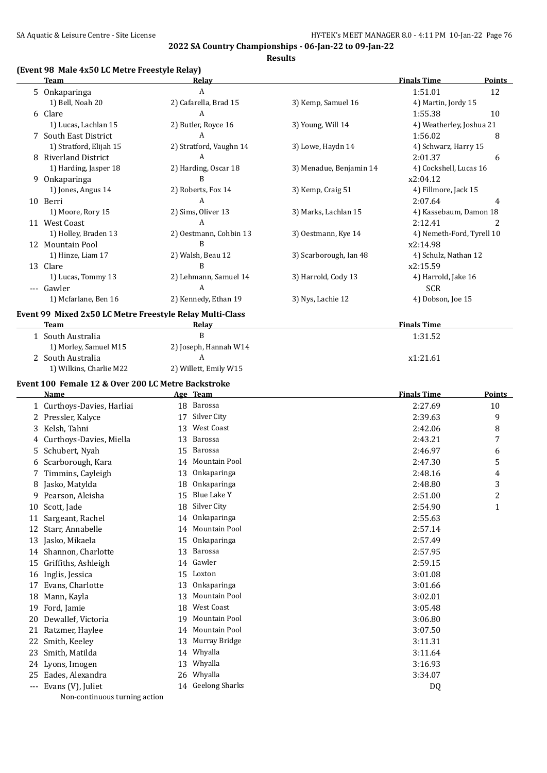**Results**

## **(Event 98 Male 4x50 LC Metre Freestyle Relay)**

|    | LEVEIIL 20 MAIC TAJU LU MELLE FI CESLVIC REIAV J<br><b>Team</b> | <u>Relav</u>            |                         | <b>Finals Time</b>        | <b>Points</b> |
|----|-----------------------------------------------------------------|-------------------------|-------------------------|---------------------------|---------------|
|    | 5 Onkaparinga                                                   | A                       |                         | 1:51.01                   | 12            |
|    | 1) Bell, Noah 20                                                | 2) Cafarella, Brad 15   | 3) Kemp, Samuel 16      | 4) Martin, Jordy 15       |               |
|    | 6 Clare                                                         | А                       |                         | 1:55.38                   | 10            |
|    | 1) Lucas, Lachlan 15                                            | 2) Butler, Royce 16     | 3) Young, Will 14       | 4) Weatherley, Joshua 21  |               |
|    | 7 South East District                                           | A                       |                         | 1:56.02                   | 8             |
|    | 1) Stratford, Elijah 15                                         | 2) Stratford, Vaughn 14 | 3) Lowe, Haydn 14       | 4) Schwarz, Harry 15      |               |
|    | 8 Riverland District                                            | A                       |                         | 2:01.37                   | 6             |
|    | 1) Harding, Jasper 18                                           | 2) Harding, Oscar 18    | 3) Menadue, Benjamin 14 | 4) Cockshell, Lucas 16    |               |
|    | 9 Onkaparinga                                                   | B                       |                         | x2:04.12                  |               |
|    | 1) Jones, Angus 14                                              | 2) Roberts, Fox 14      | 3) Kemp, Craig 51       | 4) Fillmore, Jack 15      |               |
|    | 10 Berri                                                        | A                       |                         | 2:07.64                   | 4             |
|    | 1) Moore, Rory 15                                               | 2) Sims, Oliver 13      | 3) Marks, Lachlan 15    | 4) Kassebaum, Damon 18    |               |
|    | 11 West Coast                                                   | A                       |                         | 2:12.41                   | 2             |
|    | 1) Holley, Braden 13                                            | 2) Oestmann, Cohbin 13  | 3) Oestmann, Kye 14     | 4) Nemeth-Ford, Tyrell 10 |               |
|    | 12 Mountain Pool                                                | B                       |                         | x2:14.98                  |               |
|    | 1) Hinze, Liam 17                                               | 2) Walsh, Beau 12       | 3) Scarborough, Ian 48  | 4) Schulz, Nathan 12      |               |
|    | 13 Clare                                                        | B                       |                         | x2:15.59                  |               |
|    | 1) Lucas, Tommy 13                                              | 2) Lehmann, Samuel 14   | 3) Harrold, Cody 13     | 4) Harrold, Jake 16       |               |
|    | --- Gawler                                                      | A                       |                         | <b>SCR</b>                |               |
|    | 1) Mcfarlane, Ben 16                                            | 2) Kennedy, Ethan 19    | 3) Nys, Lachie 12       | 4) Dobson, Joe 15         |               |
|    | Event 99 Mixed 2x50 LC Metre Freestyle Relay Multi-Class        |                         |                         |                           |               |
|    | Team                                                            | Relay                   |                         | <b>Finals Time</b>        |               |
|    | 1 South Australia                                               | B                       |                         | 1:31.52                   |               |
|    | 1) Morley, Samuel M15                                           | 2) Joseph, Hannah W14   |                         |                           |               |
|    | 2 South Australia                                               | A                       |                         | x1:21.61                  |               |
|    | 1) Wilkins, Charlie M22                                         | 2) Willett, Emily W15   |                         |                           |               |
|    | Event 100 Female 12 & Over 200 LC Metre Backstroke              |                         |                         |                           |               |
|    | Name                                                            | Age Team                |                         | <b>Finals Time</b>        | <b>Points</b> |
|    | 1 Curthoys-Davies, Harliai                                      | 18 Barossa              |                         | 2:27.69                   | 10            |
|    | 2 Pressler, Kalyce                                              | 17 Silver City          |                         | 2:39.63                   | 9             |
|    | 3 Kelsh, Tahni                                                  | West Coast<br>13        |                         | 2:42.06                   | 8             |
| 4  | Curthoys-Davies, Miella                                         | Barossa<br>13           |                         | 2:43.21                   | 7             |
| 5  | Schubert, Nyah                                                  | Barossa<br>15           |                         | 2:46.97                   | 6             |
| 6  | Scarborough, Kara                                               | 14 Mountain Pool        |                         | 2:47.30                   | 5             |
|    | Timmins, Cayleigh                                               | 13 Onkaparinga          |                         | 2:48.16                   | 4             |
|    | 8 Jasko, Matylda                                                | 18 Onkaparinga          |                         | 2:48.80                   | 3             |
| 9. | Pearson, Aleisha                                                | Blue Lake Y<br>15       |                         | 2:51.00                   | 2             |
| 10 | Scott, Jade                                                     | Silver City<br>18       |                         | 2:54.90                   | $\mathbf{1}$  |
| 11 | Sargeant, Rachel                                                | Onkaparinga<br>14       |                         | 2:55.63                   |               |
| 12 | Starr, Annabelle                                                | Mountain Pool<br>14     |                         | 2:57.14                   |               |
| 13 | Jasko, Mikaela                                                  | Onkaparinga<br>15       |                         | 2:57.49                   |               |
| 14 | Shannon, Charlotte                                              | Barossa<br>13           |                         | 2:57.95                   |               |
| 15 | Griffiths, Ashleigh                                             | Gawler<br>14            |                         | 2:59.15                   |               |
| 16 | Inglis, Jessica                                                 | Loxton<br>15            |                         | 3:01.08                   |               |
| 17 | Evans, Charlotte                                                | Onkaparinga<br>13       |                         | 3:01.66                   |               |
| 18 | Mann, Kayla                                                     | Mountain Pool<br>13     |                         | 3:02.01                   |               |
| 19 | Ford, Jamie                                                     | West Coast<br>18        |                         | 3:05.48                   |               |
| 20 | Dewallef, Victoria                                              | Mountain Pool<br>19     |                         | 3:06.80                   |               |
|    | 21 Ratzmer, Haylee                                              | Mountain Pool<br>14     |                         | 3:07.50                   |               |
| 22 | Smith, Keeley                                                   | Murray Bridge<br>13     |                         | 3:11.31                   |               |
| 23 | Smith, Matilda                                                  | Whyalla<br>14           |                         | 3:11.64                   |               |
| 24 | Lyons, Imogen                                                   | Whyalla<br>13           |                         | 3:16.93                   |               |
| 25 | Eades, Alexandra                                                | Whyalla<br>26           |                         | 3:34.07                   |               |
|    | --- Evans (V), Juliet                                           | 14 Geelong Sharks       |                         | DQ                        |               |
|    | Non-continuous turning action                                   |                         |                         |                           |               |
|    |                                                                 |                         |                         |                           |               |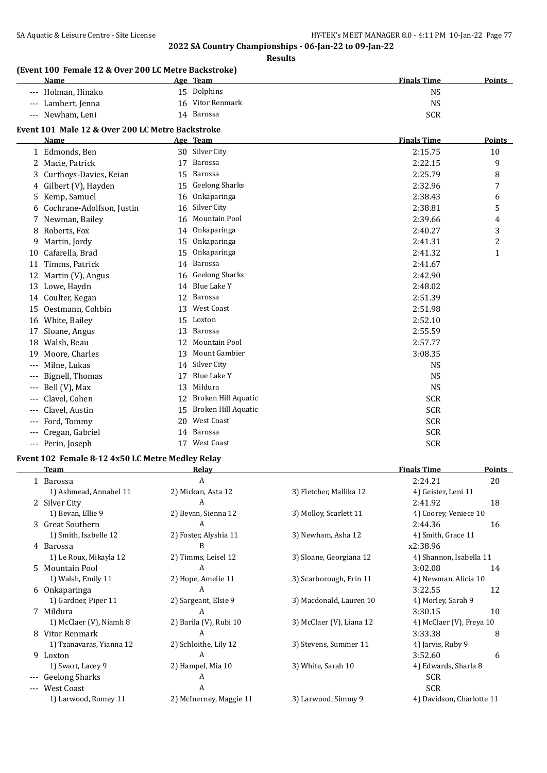#### **Results**

## **(Event 100 Female 12 & Over 200 LC Metre Backstroke)**

| <b>Name</b>        | Age Team         | <b>Finals Time</b><br><b>Points</b> |
|--------------------|------------------|-------------------------------------|
| --- Holman, Hinako | 15 Dolphins      | NS                                  |
| --- Lambert, Jenna | 16 Vitor Renmark | NS                                  |
| --- Newham, Leni   | Barossa<br>14    | <b>SCR</b>                          |

## **Event 101 Male 12 & Over 200 LC Metre Backstroke**

|       | Name                      |    | Age Team              | <b>Finals Time</b> | Points |
|-------|---------------------------|----|-----------------------|--------------------|--------|
| 1     | Edmonds, Ben              | 30 | Silver City           | 2:15.75            | 10     |
| 2     | Macie, Patrick            | 17 | Barossa               | 2:22.15            | 9      |
| 3     | Curthoys-Davies, Keian    | 15 | <b>Barossa</b>        | 2:25.79            | 8      |
| 4     | Gilbert (V), Hayden       | 15 | <b>Geelong Sharks</b> | 2:32.96            | 7      |
| 5     | Kemp, Samuel              | 16 | Onkaparinga           | 2:38.43            | 6      |
| 6     | Cochrane-Adolfson, Justin | 16 | Silver City           | 2:38.81            | 5      |
|       | Newman, Bailey            | 16 | <b>Mountain Pool</b>  | 2:39.66            | 4      |
| 8     | Roberts, Fox              | 14 | Onkaparinga           | 2:40.27            | 3      |
| 9     | Martin, Jordy             | 15 | Onkaparinga           | 2:41.31            | 2      |
| 10    | Cafarella, Brad           | 15 | Onkaparinga           | 2:41.32            | 1      |
| 11    | Timms, Patrick            | 14 | Barossa               | 2:41.67            |        |
| 12    | Martin (V), Angus         | 16 | <b>Geelong Sharks</b> | 2:42.90            |        |
| 13    | Lowe, Haydn               | 14 | <b>Blue Lake Y</b>    | 2:48.02            |        |
| 14    | Coulter, Kegan            | 12 | Barossa               | 2:51.39            |        |
| 15    | Oestmann, Cohbin          | 13 | <b>West Coast</b>     | 2:51.98            |        |
| 16    | White, Bailey             | 15 | Loxton                | 2:52.10            |        |
| 17    | Sloane, Angus             | 13 | Barossa               | 2:55.59            |        |
| 18    | Walsh, Beau               | 12 | Mountain Pool         | 2:57.77            |        |
| 19    | Moore, Charles            | 13 | Mount Gambier         | 3:08.35            |        |
|       | Milne, Lukas              | 14 | Silver City           | <b>NS</b>          |        |
| $---$ | Bignell, Thomas           | 17 | <b>Blue Lake Y</b>    | <b>NS</b>          |        |
|       | Bell (V), Max             | 13 | Mildura               | <b>NS</b>          |        |
|       | Clavel, Cohen             | 12 | Broken Hill Aquatic   | <b>SCR</b>         |        |
| $---$ | Clavel, Austin            | 15 | Broken Hill Aquatic   | <b>SCR</b>         |        |
| $---$ | Ford, Tommy               | 20 | <b>West Coast</b>     | <b>SCR</b>         |        |
|       | Cregan, Gabriel           | 14 | Barossa               | <b>SCR</b>         |        |
| ---   | Perin, Joseph             | 17 | <b>West Coast</b>     | <b>SCR</b>         |        |

### **Event 102 Female 8-12 4x50 LC Metre Medley Relay**

|       | Team                     | Relay                   |                          | <b>Finals Time</b>        | <b>Points</b> |
|-------|--------------------------|-------------------------|--------------------------|---------------------------|---------------|
|       | 1 Barossa                | A                       |                          | 2:24.21                   | 20            |
|       | 1) Ashmead, Annabel 11   | 2) Mickan, Asta 12      | 3) Fletcher, Mallika 12  | 4) Geister, Leni 11       |               |
|       | 2 Silver City            | A                       |                          | 2:41.92                   | 18            |
|       | 1) Bevan, Ellie 9        | 2) Bevan, Sienna 12     | 3) Molloy, Scarlett 11   | 4) Coorey, Veniece 10     |               |
|       | 3 Great Southern         | A                       |                          | 2:44.36                   | 16            |
|       | 1) Smith, Isabelle 12    | 2) Foster, Alyshia 11   | 3) Newham, Asha 12       | 4) Smith, Grace 11        |               |
|       | 4 Barossa                | B                       |                          | x2:38.96                  |               |
|       | 1) Le Roux, Mikayla 12   | 2) Timms, Leisel 12     | 3) Sloane, Georgiana 12  | 4) Shannon, Isabella 11   |               |
|       | 5 Mountain Pool          | A                       |                          | 3:02.08                   | 14            |
|       | 1) Walsh, Emily 11       | 2) Hope, Amelie 11      | 3) Scarborough, Erin 11  | 4) Newman, Alicia 10      |               |
|       | 6 Onkaparinga            | A                       |                          | 3:22.55                   | 12            |
|       | 1) Gardner, Piper 11     | 2) Sargeant, Elsie 9    | 3) Macdonald, Lauren 10  | 4) Morley, Sarah 9        |               |
|       | 7 Mildura                | A                       |                          | 3:30.15                   | 10            |
|       | 1) McClaer (V), Niamh 8  | 2) Barila (V), Rubi 10  | 3) McClaer (V), Liana 12 | 4) McClaer (V), Freya 10  |               |
|       | 8 Vitor Renmark          | A                       |                          | 3:33.38                   | 8             |
|       | 1) Tzanavaras, Yianna 12 | 2) Schloithe, Lily 12   | 3) Stevens, Summer 11    | 4) Jarvis, Ruby 9         |               |
| 9     | Loxton                   | A                       |                          | 3:52.60                   | 6             |
|       | 1) Swart, Lacey 9        | 2) Hampel, Mia 10       | 3) White, Sarah 10       | 4) Edwards, Sharla 8      |               |
|       | Geelong Sharks           | A                       |                          | <b>SCR</b>                |               |
| $---$ | <b>West Coast</b>        | A                       |                          | <b>SCR</b>                |               |
|       | 1) Larwood, Romey 11     | 2) McInerney, Maggie 11 | 3) Larwood, Simmy 9      | 4) Davidson, Charlotte 11 |               |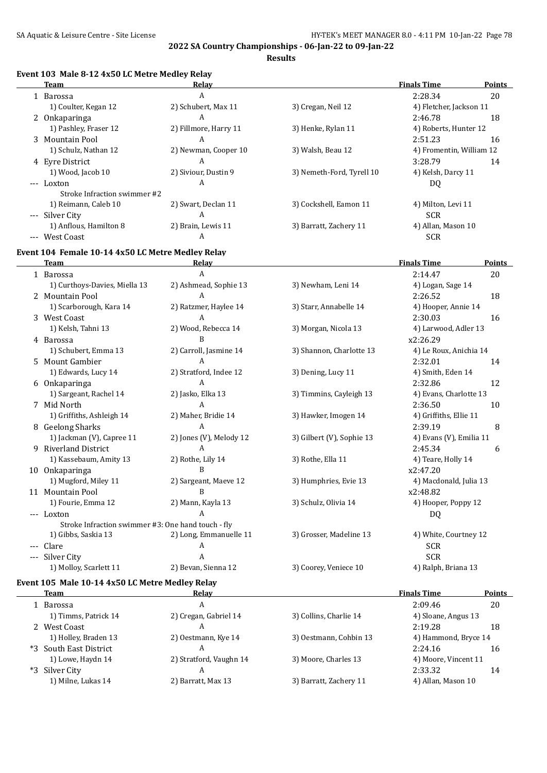**Results**

### **Event 103 Male 8-12 4x50 LC Metre Medley Relay**

|       | <b>Team</b>                  | Relay                 |                           | <b>Finals Time</b>       | <b>Points</b> |
|-------|------------------------------|-----------------------|---------------------------|--------------------------|---------------|
|       | 1 Barossa                    | A                     |                           | 2:28.34                  | 20            |
|       | 1) Coulter, Kegan 12         | 2) Schubert, Max 11   | 3) Cregan, Neil 12        | 4) Fletcher, Jackson 11  |               |
|       | 2 Onkaparinga                | A                     |                           | 2:46.78                  | 18            |
|       | 1) Pashley, Fraser 12        | 2) Fillmore, Harry 11 | 3) Henke, Rylan 11        | 4) Roberts, Hunter 12    |               |
|       | 3 Mountain Pool              | A                     |                           | 2:51.23                  | 16            |
|       | 1) Schulz, Nathan 12         | 2) Newman, Cooper 10  | 3) Walsh, Beau 12         | 4) Fromentin, William 12 |               |
|       | 4 Eyre District              | A                     |                           | 3:28.79                  | 14            |
|       | 1) Wood, Jacob 10            | 2) Siviour, Dustin 9  | 3) Nemeth-Ford, Tyrell 10 | 4) Kelsh, Darcy 11       |               |
|       | --- Loxton                   | A                     |                           | DQ                       |               |
|       | Stroke Infraction swimmer #2 |                       |                           |                          |               |
|       | 1) Reimann, Caleb 10         | 2) Swart, Declan 11   | 3) Cockshell, Eamon 11    | 4) Milton, Levi 11       |               |
|       | --- Silver City              | A                     |                           | <b>SCR</b>               |               |
|       | 1) Anflous, Hamilton 8       | 2) Brain, Lewis 11    | 3) Barratt, Zachery 11    | 4) Allan, Mason 10       |               |
| $---$ | West Coast                   | A                     |                           | <b>SCR</b>               |               |

#### **Event 104 Female 10-14 4x50 LC Metre Medley Relay**

| <b>Team</b>                                        | Relay                   |                           | <b>Finals Time</b>      | Points |
|----------------------------------------------------|-------------------------|---------------------------|-------------------------|--------|
| 1 Barossa                                          | A                       |                           | 2:14.47                 | 20     |
| 1) Curthoys-Davies, Miella 13                      | 2) Ashmead, Sophie 13   | 3) Newham, Leni 14        | 4) Logan, Sage 14       |        |
| 2 Mountain Pool                                    | A                       |                           | 2:26.52                 | 18     |
| 1) Scarborough, Kara 14                            | 2) Ratzmer, Haylee 14   | 3) Starr, Annabelle 14    | 4) Hooper, Annie 14     |        |
| 3 West Coast                                       | A                       |                           | 2:30.03                 | 16     |
| 1) Kelsh, Tahni 13                                 | 2) Wood, Rebecca 14     | 3) Morgan, Nicola 13      | 4) Larwood, Adler 13    |        |
| 4 Barossa                                          | R                       |                           | x2:26.29                |        |
| 1) Schubert, Emma 13                               | 2) Carroll, Jasmine 14  | 3) Shannon, Charlotte 13  | 4) Le Roux, Anichia 14  |        |
| 5 Mount Gambier                                    | A                       |                           | 2:32.01                 | 14     |
| 1) Edwards, Lucy 14                                | 2) Stratford, Indee 12  | 3) Dening, Lucy 11        | 4) Smith, Eden 14       |        |
| 6 Onkaparinga                                      | $\mathbf{A}$            |                           | 2:32.86                 | 12     |
| 1) Sargeant, Rachel 14                             | 2) Jasko, Elka 13       | 3) Timmins, Cayleigh 13   | 4) Evans, Charlotte 13  |        |
| 7 Mid North                                        | A                       |                           | 2:36.50                 | 10     |
| 1) Griffiths, Ashleigh 14                          | 2) Maher, Bridie 14     | 3) Hawker, Imogen 14      | 4) Griffiths, Ellie 11  |        |
| 8 Geelong Sharks                                   | A                       |                           | 2:39.19                 | 8      |
| 1) Jackman (V), Capree 11                          | 2) Jones (V), Melody 12 | 3) Gilbert (V), Sophie 13 | 4) Evans (V), Emilia 11 |        |
| 9 Riverland District                               | A                       |                           | 2:45.34                 | 6      |
| 1) Kassebaum, Amity 13                             | 2) Rothe, Lily 14       | 3) Rothe, Ella 11         | 4) Teare, Holly 14      |        |
| 10 Onkaparinga                                     | B                       |                           | x2:47.20                |        |
| 1) Mugford, Miley 11                               | 2) Sargeant, Maeve 12   | 3) Humphries, Evie 13     | 4) Macdonald, Julia 13  |        |
| 11 Mountain Pool                                   | R                       |                           | x2:48.82                |        |
| 1) Fourie, Emma 12                                 | 2) Mann, Kayla 13       | 3) Schulz, Olivia 14      | 4) Hooper, Poppy 12     |        |
| --- Loxton                                         | A                       |                           | DQ                      |        |
| Stroke Infraction swimmer #3: One hand touch - fly |                         |                           |                         |        |
| 1) Gibbs, Saskia 13                                | 2) Long, Emmanuelle 11  | 3) Grosser, Madeline 13   | 4) White, Courtney 12   |        |
| Clare                                              | A                       |                           | <b>SCR</b>              |        |
| Silver City                                        | A                       |                           | <b>SCR</b>              |        |
| 1) Molloy, Scarlett 11                             | 2) Bevan, Sienna 12     | 3) Coorey, Veniece 10     | 4) Ralph, Briana 13     |        |

## **Event 105 Male 10-14 4x50 LC Metre Medley Relay**

| Team                   | Relav                   |                        | <b>Finals Time</b>   | <b>Points</b> |
|------------------------|-------------------------|------------------------|----------------------|---------------|
| 1 Barossa              | A                       |                        | 2:09.46              | 20            |
| 1) Timms, Patrick 14   | 2) Cregan, Gabriel 14   | 3) Collins, Charlie 14 | 4) Sloane, Angus 13  |               |
| 2 West Coast           |                         |                        | 2:19.28              | 18            |
| 1) Holley, Braden 13   | 2) Oestmann, Kye 14     | 3) Oestmann, Cohbin 13 | 4) Hammond, Bryce 14 |               |
| *3 South East District |                         |                        | 2:24.16              | 16            |
| 1) Lowe, Haydn 14      | 2) Stratford, Vaughn 14 | 3) Moore, Charles 13   | 4) Moore, Vincent 11 |               |
| *3 Silver City         |                         |                        | 2:33.32              | 14            |
| 1) Milne, Lukas 14     | 2) Barratt, Max 13      | 3) Barratt, Zachery 11 | 4) Allan, Mason 10   |               |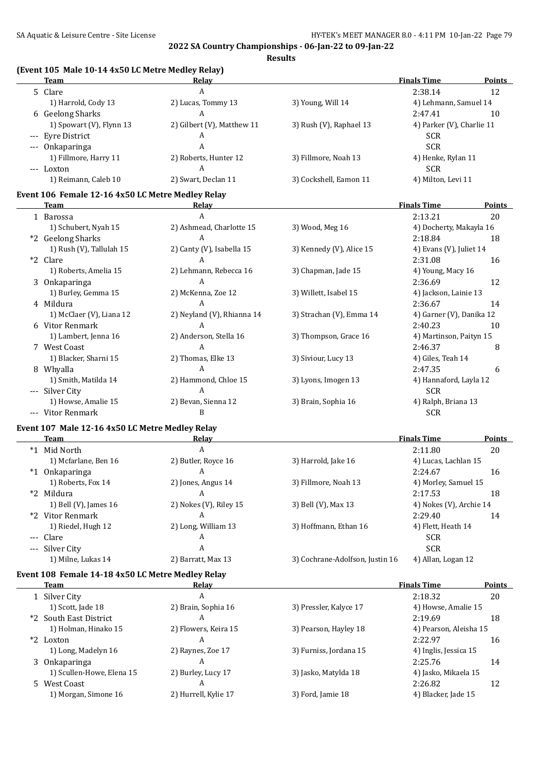| (Event 105 Male 10-14 4x50 LC Metre Medley Relay) |                            |                                 |                                  |               |
|---------------------------------------------------|----------------------------|---------------------------------|----------------------------------|---------------|
| <b>Team</b>                                       | Relay                      |                                 | <b>Finals Time</b>               | <b>Points</b> |
| 5 Clare                                           | A                          |                                 | 2:38.14                          | 12            |
| 1) Harrold, Cody 13                               | 2) Lucas, Tommy 13<br>A    | 3) Young, Will 14               | 4) Lehmann, Samuel 14<br>2:47.41 |               |
| 6 Geelong Sharks                                  |                            |                                 |                                  | 10            |
| 1) Spowart (V), Flynn 13                          | 2) Gilbert (V), Matthew 11 | 3) Rush (V), Raphael 13         | 4) Parker (V), Charlie 11        |               |
| --- Eyre District                                 | A                          |                                 | <b>SCR</b>                       |               |
| --- Onkaparinga                                   | A                          |                                 | <b>SCR</b>                       |               |
| 1) Fillmore, Harry 11                             | 2) Roberts, Hunter 12      | 3) Fillmore, Noah 13            | 4) Henke, Rylan 11               |               |
| --- Loxton                                        | A                          |                                 | <b>SCR</b>                       |               |
| 1) Reimann, Caleb 10                              | 2) Swart, Declan 11        | 3) Cockshell, Eamon 11          | 4) Milton, Levi 11               |               |
| Event 106 Female 12-16 4x50 LC Metre Medley Relay |                            |                                 |                                  |               |
| Team                                              | <u>Relav</u>               |                                 | <b>Finals Time</b>               | <b>Points</b> |
| 1 Barossa                                         | A                          |                                 | 2:13.21                          | 20            |
| 1) Schubert, Nyah 15                              | 2) Ashmead, Charlotte 15   | 3) Wood, Meg 16                 | 4) Docherty, Makayla 16          |               |
| *2 Geelong Sharks                                 | A                          |                                 | 2:18.84                          | 18            |
| 1) Rush (V), Tallulah 15                          | 2) Canty (V), Isabella 15  | 3) Kennedy (V), Alice 15        | 4) Evans (V), Juliet 14          |               |
| *2 Clare                                          | A                          |                                 | 2:31.08                          | 16            |
| 1) Roberts, Amelia 15                             | 2) Lehmann, Rebecca 16     | 3) Chapman, Jade 15             | 4) Young, Macy 16                |               |
| 3 Onkaparinga                                     | A                          |                                 | 2:36.69                          | 12            |
| 1) Burley, Gemma 15                               | 2) McKenna, Zoe 12         | 3) Willett, Isabel 15           | 4) Jackson, Lainie 13            |               |
| 4 Mildura                                         | A                          |                                 | 2:36.67                          | 14            |
| 1) McClaer (V), Liana 12                          | 2) Neyland (V), Rhianna 14 | 3) Strachan (V), Emma 14        | 4) Garner (V), Danika 12         |               |
| 6 Vitor Renmark                                   | A                          |                                 | 2:40.23                          | 10            |
| 1) Lambert, Jenna 16                              | 2) Anderson, Stella 16     | 3) Thompson, Grace 16           | 4) Martinson, Paityn 15          |               |
| 7 West Coast                                      | A                          |                                 | 2:46.37                          | 8             |
| 1) Blacker, Sharni 15                             | 2) Thomas, Elke 13         | 3) Siviour, Lucy 13             | 4) Giles, Teah 14                |               |
| 8 Whyalla                                         | A                          |                                 | 2:47.35                          | 6             |
| 1) Smith, Matilda 14                              | 2) Hammond, Chloe 15       | 3) Lyons, Imogen 13             | 4) Hannaford, Layla 12           |               |
| --- Silver City                                   | $\overline{A}$             |                                 | <b>SCR</b>                       |               |
| 1) Howse, Amalie 15                               | 2) Bevan, Sienna 12        | 3) Brain, Sophia 16             | 4) Ralph, Briana 13              |               |
| --- Vitor Renmark                                 | B                          |                                 | <b>SCR</b>                       |               |
| Event 107 Male 12-16 4x50 LC Metre Medley Relay   |                            |                                 |                                  |               |
| Team                                              | Relay                      |                                 | <b>Finals Time</b>               | Points        |
| *1 Mid North                                      | $\mathbf{A}$               |                                 | 2:11.80                          | 20            |
| 1) Mcfarlane, Ben 16                              | 2) Butler, Royce 16        | 3) Harrold, Jake 16             | 4) Lucas, Lachlan 15             |               |
| *1 Onkaparinga                                    | A                          |                                 | 2:24.67                          | 16            |
| 1) Roberts, Fox 14                                | 2) Jones, Angus 14         | 3) Fillmore, Noah 13            | 4) Morley, Samuel 15             |               |
| *2 Mildura                                        | A                          |                                 | 2:17.53                          | 18            |
| 1) Bell (V), James 16                             | 2) Nokes (V), Riley 15     | 3) Bell (V), Max 13             | 4) Nokes (V), Archie 14          |               |
| *2 Vitor Renmark                                  | A                          |                                 | 2:29.40                          | 14            |
| 1) Riedel, Hugh 12                                | 2) Long, William 13        | 3) Hoffmann, Ethan 16           | 4) Flett, Heath 14               |               |
| --- Clare                                         | A                          |                                 | <b>SCR</b>                       |               |
| --- Silver City                                   | A                          |                                 | <b>SCR</b>                       |               |
| 1) Milne, Lukas 14                                | 2) Barratt, Max 13         | 3) Cochrane-Adolfson, Justin 16 | 4) Allan, Logan 12               |               |
|                                                   |                            |                                 |                                  |               |
| Event 108 Female 14-18 4x50 LC Metre Medley Relay |                            |                                 |                                  |               |
| <b>Team</b>                                       | <u>Relav</u>               |                                 | <b>Finals Time</b>               | <b>Points</b> |
| 1 Silver City                                     | A                          |                                 | 2:18.32                          | 20            |
| 1) Scott, Jade 18                                 | 2) Brain, Sophia 16        | 3) Pressler, Kalyce 17          | 4) Howse, Amalie 15              |               |
| *2 South East District                            | A                          |                                 | 2:19.69                          | 18            |
| 1) Holman, Hinako 15                              | 2) Flowers, Keira 15       | 3) Pearson, Hayley 18           | 4) Pearson, Aleisha 15           |               |
| *2 Loxton                                         | A                          |                                 | 2:22.97                          | 16            |
| 1) Long, Madelyn 16                               | 2) Raynes, Zoe 17          | 3) Furniss, Jordana 15          | 4) Inglis, Jessica 15            |               |
| 3 Onkaparinga                                     | A                          |                                 | 2:25.76                          | 14            |
| 1) Scullen-Howe, Elena 15                         | 2) Burley, Lucy 17         | 3) Jasko, Matylda 18            | 4) Jasko, Mikaela 15             |               |
| 5 West Coast                                      | $\boldsymbol{A}$           |                                 | 2:26.82                          | 12            |
| 1) Morgan, Simone 16                              | 2) Hurrell, Kylie 17       | 3) Ford, Jamie 18               | 4) Blacker, Jade 15              |               |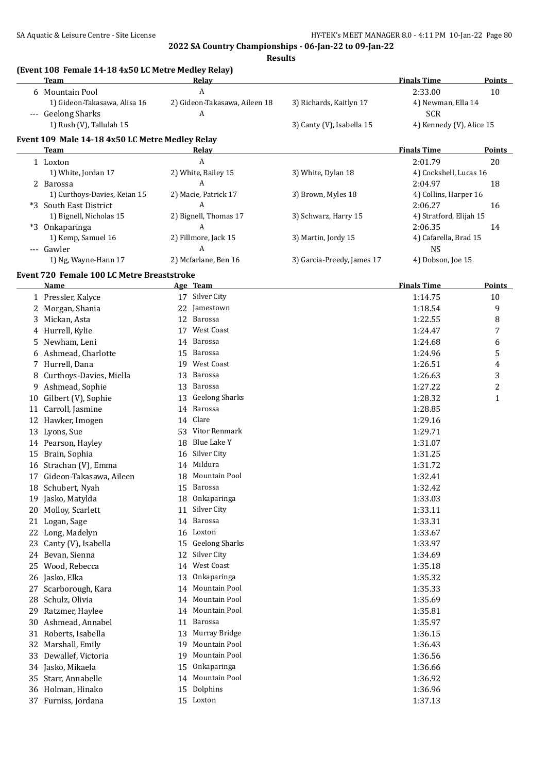**Results**

|    | (Event 108 Female 14-18 4x50 LC Metre Medley Relay)<br><b>Team</b> | Relay                           |                            | <b>Finals Time</b>       | <b>Points</b>    |
|----|--------------------------------------------------------------------|---------------------------------|----------------------------|--------------------------|------------------|
|    | 6 Mountain Pool                                                    | $\overline{A}$                  |                            | 2:33.00                  | 10               |
|    | 1) Gideon-Takasawa, Alisa 16                                       | 2) Gideon-Takasawa, Aileen 18   | 3) Richards, Kaitlyn 17    | 4) Newman, Ella 14       |                  |
|    | --- Geelong Sharks                                                 | Α                               |                            | <b>SCR</b>               |                  |
|    | 1) Rush (V), Tallulah 15                                           |                                 | 3) Canty (V), Isabella 15  | 4) Kennedy (V), Alice 15 |                  |
|    | Event 109 Male 14-18 4x50 LC Metre Medley Relay                    |                                 |                            |                          |                  |
|    | Team                                                               | Relay                           |                            | <b>Finals Time</b>       | Points           |
|    | 1 Loxton                                                           | A                               |                            | 2:01.79                  | 20               |
|    | 1) White, Jordan 17                                                | 2) White, Bailey 15             | 3) White, Dylan 18         | 4) Cockshell, Lucas 16   |                  |
|    | 2 Barossa                                                          | A                               |                            | 2:04.97                  | 18               |
|    | 1) Curthoys-Davies, Keian 15                                       | 2) Macie, Patrick 17            | 3) Brown, Myles 18         | 4) Collins, Harper 16    |                  |
|    | *3 South East District                                             | A                               |                            | 2:06.27                  | 16               |
|    | 1) Bignell, Nicholas 15                                            | 2) Bignell, Thomas 17           | 3) Schwarz, Harry 15       | 4) Stratford, Elijah 15  |                  |
|    | *3 Onkaparinga                                                     | A                               |                            | 2:06.35                  | 14               |
|    | 1) Kemp, Samuel 16                                                 | 2) Fillmore, Jack 15            | 3) Martin, Jordy 15        | 4) Cafarella, Brad 15    |                  |
|    | --- Gawler                                                         | Α                               |                            | <b>NS</b>                |                  |
|    | 1) Ng, Wayne-Hann 17                                               | 2) Mcfarlane, Ben 16            | 3) Garcia-Preedy, James 17 | 4) Dobson, Joe 15        |                  |
|    | Event 720 Female 100 LC Metre Breaststroke                         |                                 |                            |                          |                  |
|    | Name                                                               | Age Team                        |                            | <b>Finals Time</b>       | <b>Points</b>    |
|    | 1 Pressler, Kalyce                                                 | 17 Silver City                  |                            | 1:14.75                  | 10               |
|    | 2 Morgan, Shania                                                   | 22 Jamestown                    |                            | 1:18.54                  | 9                |
|    | 3 Mickan, Asta                                                     | 12 Barossa                      |                            | 1:22.55                  | 8                |
|    | 4 Hurrell, Kylie                                                   | West Coast<br>17                |                            | 1:24.47                  | 7                |
|    | 5 Newham, Leni                                                     | <b>Barossa</b><br>14            |                            | 1:24.68                  | 6                |
|    | 6 Ashmead, Charlotte                                               | 15 Barossa                      |                            | 1:24.96                  | 5                |
|    | 7 Hurrell, Dana                                                    | 19 West Coast                   |                            | 1:26.51                  | 4                |
| 8  | Curthoys-Davies, Miella                                            | <b>Barossa</b><br>13            |                            | 1:26.63                  | 3                |
| 9  | Ashmead, Sophie                                                    | Barossa<br>13                   |                            | 1:27.22                  | $\boldsymbol{2}$ |
| 10 | Gilbert (V), Sophie                                                | <b>Geelong Sharks</b><br>13     |                            | 1:28.32                  | $\mathbf{1}$     |
|    | 11 Carroll, Jasmine                                                | 14 Barossa                      |                            | 1:28.85                  |                  |
|    | 12 Hawker, Imogen                                                  | Clare<br>14                     |                            | 1:29.16                  |                  |
|    | 13 Lyons, Sue                                                      | Vitor Renmark<br>53             |                            | 1:29.71                  |                  |
|    | 14 Pearson, Hayley                                                 | 18 Blue Lake Y                  |                            | 1:31.07                  |                  |
|    | 15 Brain, Sophia                                                   | 16 Silver City<br>14 Mildura    |                            | 1:31.25                  |                  |
|    | 16 Strachan (V), Emma                                              |                                 |                            | 1:31.72                  |                  |
|    | 17 Gideon-Takasawa, Aileen                                         | 18 Mountain Pool                |                            | 1:32.41                  |                  |
|    | 18 Schubert, Nyah                                                  | 15 Barossa                      |                            | 1:32.42                  |                  |
|    | 19 Jasko, Matylda                                                  | 18 Onkaparinga                  |                            | 1:33.03                  |                  |
| 20 | Molloy, Scarlett                                                   | Silver City<br>11<br>14 Barossa |                            | 1:33.11                  |                  |
| 21 | Logan, Sage                                                        | 16 Loxton                       |                            | 1:33.31                  |                  |
|    | 22 Long, Madelyn<br>Canty (V), Isabella                            | <b>Geelong Sharks</b><br>15     |                            | 1:33.67<br>1:33.97       |                  |
| 23 | 24 Bevan, Sienna                                                   | Silver City<br>12               |                            | 1:34.69                  |                  |
| 25 | Wood, Rebecca                                                      | West Coast<br>14                |                            | 1:35.18                  |                  |
|    | 26 Jasko, Elka                                                     | Onkaparinga<br>13               |                            | 1:35.32                  |                  |
| 27 | Scarborough, Kara                                                  | Mountain Pool<br>14             |                            | 1:35.33                  |                  |
| 28 | Schulz, Olivia                                                     | Mountain Pool<br>14             |                            | 1:35.69                  |                  |
| 29 | Ratzmer, Haylee                                                    | Mountain Pool<br>14             |                            | 1:35.81                  |                  |
| 30 | Ashmead, Annabel                                                   | Barossa<br>11                   |                            | 1:35.97                  |                  |
| 31 | Roberts, Isabella                                                  | Murray Bridge<br>13             |                            | 1:36.15                  |                  |
| 32 | Marshall, Emily                                                    | Mountain Pool<br>19             |                            | 1:36.43                  |                  |
| 33 | Dewallef, Victoria                                                 | Mountain Pool<br>19             |                            | 1:36.56                  |                  |
|    | 34 Jasko, Mikaela                                                  | Onkaparinga<br>15               |                            | 1:36.66                  |                  |
|    | 35 Starr, Annabelle                                                | Mountain Pool<br>14             |                            | 1:36.92                  |                  |
|    | 36 Holman, Hinako                                                  | Dolphins<br>15                  |                            | 1:36.96                  |                  |
|    | 37 Furniss, Jordana                                                | 15 Loxton                       |                            | 1:37.13                  |                  |
|    |                                                                    |                                 |                            |                          |                  |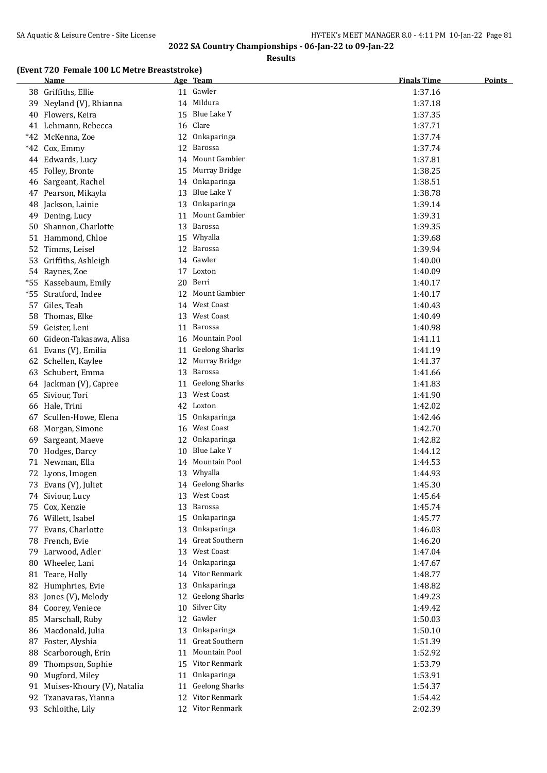**Results**

#### **(Event 720 Female 100 LC Metre Breaststroke)**

|     | emare 100 no metre di caststrone<br><u>Name</u> |    | Age Team              | <b>Finals Time</b> | <b>Points</b> |
|-----|-------------------------------------------------|----|-----------------------|--------------------|---------------|
|     | 38 Griffiths, Ellie                             |    | 11 Gawler             | 1:37.16            |               |
|     | 39 Neyland (V), Rhianna                         |    | 14 Mildura            | 1:37.18            |               |
|     | 40 Flowers, Keira                               |    | 15 Blue Lake Y        | 1:37.35            |               |
|     | 41 Lehmann, Rebecca                             |    | 16 Clare              | 1:37.71            |               |
|     | *42 McKenna, Zoe                                |    | 12 Onkaparinga        | 1:37.74            |               |
|     | *42 Cox, Emmy                                   |    | 12 Barossa            | 1:37.74            |               |
|     | 44 Edwards, Lucy                                |    | 14 Mount Gambier      | 1:37.81            |               |
|     | 45 Folley, Bronte                               |    | 15 Murray Bridge      | 1:38.25            |               |
|     | 46 Sargeant, Rachel                             |    | 14 Onkaparinga        | 1:38.51            |               |
|     | 47 Pearson, Mikayla                             | 13 | Blue Lake Y           | 1:38.78            |               |
|     | 48 Jackson, Lainie                              |    | 13 Onkaparinga        | 1:39.14            |               |
|     | 49 Dening, Lucy                                 |    | 11 Mount Gambier      | 1:39.31            |               |
|     | 50 Shannon, Charlotte                           |    | 13 Barossa            | 1:39.35            |               |
|     | 51 Hammond, Chloe                               |    | 15 Whyalla            | 1:39.68            |               |
|     | 52 Timms, Leisel                                |    | 12 Barossa            | 1:39.94            |               |
|     | 53 Griffiths, Ashleigh                          |    | 14 Gawler             | 1:40.00            |               |
|     | 54 Raynes, Zoe                                  |    | 17 Loxton             | 1:40.09            |               |
|     | *55 Kassebaum, Emily                            |    | 20 Berri              | 1:40.17            |               |
| *55 | Stratford, Indee                                | 12 | Mount Gambier         | 1:40.17            |               |
|     | 57 Giles, Teah                                  |    | 14 West Coast         | 1:40.43            |               |
|     | 58 Thomas, Elke                                 | 13 | <b>West Coast</b>     | 1:40.49            |               |
|     | 59 Geister, Leni                                |    | 11 Barossa            | 1:40.98            |               |
|     | 60 Gideon-Takasawa, Alisa                       |    | 16 Mountain Pool      | 1:41.11            |               |
|     | 61 Evans (V), Emilia                            |    | 11 Geelong Sharks     | 1:41.19            |               |
|     | 62 Schellen, Kaylee                             |    | 12 Murray Bridge      | 1:41.37            |               |
|     | 63 Schubert, Emma                               |    | 13 Barossa            | 1:41.66            |               |
|     | 64 Jackman (V), Capree                          |    | 11 Geelong Sharks     | 1:41.83            |               |
|     | 65 Siviour, Tori                                | 13 | West Coast            | 1:41.90            |               |
|     | 66 Hale, Trini                                  |    | 42 Loxton             | 1:42.02            |               |
|     | 67 Scullen-Howe, Elena                          |    | 15 Onkaparinga        | 1:42.46            |               |
|     | 68 Morgan, Simone                               |    | 16 West Coast         | 1:42.70            |               |
| 69  | Sargeant, Maeve                                 |    | 12 Onkaparinga        | 1:42.82            |               |
|     | 70 Hodges, Darcy                                |    | 10 Blue Lake Y        | 1:44.12            |               |
|     | 71 Newman, Ella                                 |    | 14 Mountain Pool      | 1:44.53            |               |
|     | 72 Lyons, Imogen                                |    | 13 Whyalla            | 1:44.93            |               |
|     | 73 Evans (V), Juliet                            |    | 14 Geelong Sharks     | 1:45.30            |               |
|     | 74 Siviour, Lucy                                |    | 13 West Coast         | 1:45.64            |               |
|     | 75 Cox, Kenzie                                  | 13 | Barossa               | 1:45.74            |               |
|     | 76 Willett, Isabel                              |    | 15 Onkaparinga        | 1:45.77            |               |
|     | 77 Evans, Charlotte                             | 13 | Onkaparinga           | 1:46.03            |               |
|     | 78 French, Evie                                 |    | 14 Great Southern     | 1:46.20            |               |
|     | 79 Larwood, Adler                               | 13 | West Coast            | 1:47.04            |               |
|     | 80 Wheeler, Lani                                |    | 14 Onkaparinga        | 1:47.67            |               |
|     | 81 Teare, Holly                                 | 14 | Vitor Renmark         | 1:48.77            |               |
|     | 82 Humphries, Evie                              | 13 | Onkaparinga           | 1:48.82            |               |
|     | 83 Jones (V), Melody                            | 12 | <b>Geelong Sharks</b> | 1:49.23            |               |
|     | 84 Coorey, Veniece                              | 10 | Silver City           | 1:49.42            |               |
|     | 85 Marschall, Ruby                              | 12 | Gawler                | 1:50.03            |               |
|     | 86 Macdonald, Julia                             | 13 | Onkaparinga           | 1:50.10            |               |
|     | 87 Foster, Alyshia                              | 11 | Great Southern        | 1:51.39            |               |
|     | 88 Scarborough, Erin                            | 11 | Mountain Pool         | 1:52.92            |               |
| 89  | Thompson, Sophie                                | 15 | Vitor Renmark         | 1:53.79            |               |
|     | 90 Mugford, Miley                               | 11 | Onkaparinga           | 1:53.91            |               |
|     | 91 Muises-Khoury (V), Natalia                   | 11 | <b>Geelong Sharks</b> | 1:54.37            |               |
|     | 92 Tzanavaras, Yianna                           |    | 12 Vitor Renmark      | 1:54.42            |               |
|     | 93 Schloithe, Lily                              |    | 12 Vitor Renmark      | 2:02.39            |               |
|     |                                                 |    |                       |                    |               |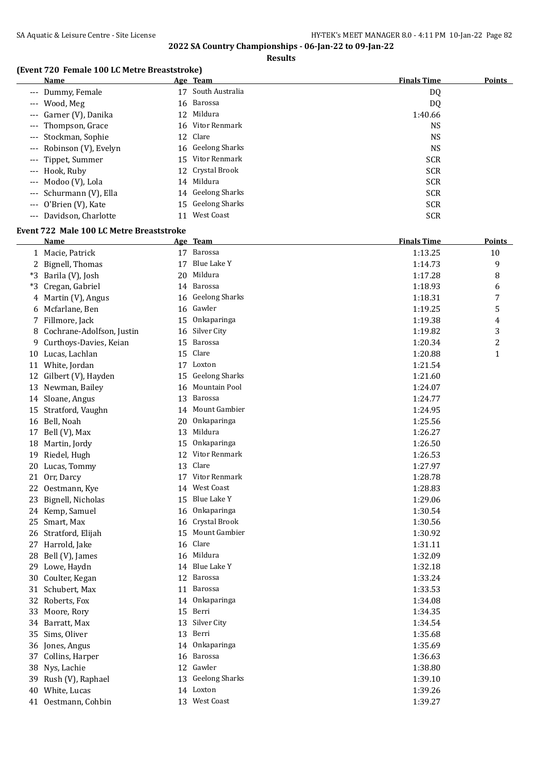**Results**

## **(Event 720 Female 100 LC Metre Breaststroke)**

| Name                     | Age Team              | <b>Finals Time</b><br><b>Points</b> |
|--------------------------|-----------------------|-------------------------------------|
| --- Dummy, Female        | South Australia<br>17 | DQ                                  |
| --- Wood, Meg            | 16 Barossa            | DQ                                  |
| --- Garner (V), Danika   | 12 Mildura            | 1:40.66                             |
| --- Thompson, Grace      | 16 Vitor Renmark      | NS                                  |
| --- Stockman, Sophie     | 12 Clare              | NS.                                 |
| --- Robinson (V), Evelyn | 16 Geelong Sharks     | NS.                                 |
| --- Tippet, Summer       | 15 Vitor Renmark      | <b>SCR</b>                          |
| --- Hook, Ruby           | 12 Crystal Brook      | <b>SCR</b>                          |
| --- Modoo (V), Lola      | 14 Mildura            | <b>SCR</b>                          |
| --- Schurmann (V), Ella  | 14 Geelong Sharks     | <b>SCR</b>                          |
| --- O'Brien (V), Kate    | 15 Geelong Sharks     | <b>SCR</b>                          |
| --- Davidson, Charlotte  | West Coast<br>11      | <b>SCR</b>                          |

### **Event 722 Male 100 LC Metre Breaststroke**

|    | Name                      |    | Age Team              | <b>Finals Time</b> | <b>Points</b>  |
|----|---------------------------|----|-----------------------|--------------------|----------------|
|    | 1 Macie, Patrick          |    | 17 Barossa            | 1:13.25            | 10             |
|    | 2 Bignell, Thomas         |    | 17 Blue Lake Y        | 1:14.73            | 9              |
|    | *3 Barila (V), Josh       |    | 20 Mildura            | 1:17.28            | 8              |
| *3 | Cregan, Gabriel           |    | 14 Barossa            | 1:18.93            | 6              |
|    | 4 Martin (V), Angus       |    | 16 Geelong Sharks     | 1:18.31            | 7              |
|    | 6 Mcfarlane, Ben          |    | 16 Gawler             | 1:19.25            | 5              |
|    | 7 Fillmore, Jack          | 15 | Onkaparinga           | 1:19.38            | 4              |
| 8  | Cochrane-Adolfson, Justin | 16 | Silver City           | 1:19.82            | 3              |
| 9  | Curthoys-Davies, Keian    | 15 | Barossa               | 1:20.34            | $\overline{c}$ |
|    | 10 Lucas, Lachlan         |    | 15 Clare              | 1:20.88            | $\mathbf{1}$   |
|    | 11 White, Jordan          |    | 17 Loxton             | 1:21.54            |                |
|    | 12 Gilbert (V), Hayden    | 15 | <b>Geelong Sharks</b> | 1:21.60            |                |
|    | 13 Newman, Bailey         |    | 16 Mountain Pool      | 1:24.07            |                |
|    | 14 Sloane, Angus          |    | 13 Barossa            | 1:24.77            |                |
|    | 15 Stratford, Vaughn      |    | 14 Mount Gambier      | 1:24.95            |                |
|    | 16 Bell, Noah             |    | 20 Onkaparinga        | 1:25.56            |                |
|    | 17 Bell (V), Max          |    | 13 Mildura            | 1:26.27            |                |
|    | 18 Martin, Jordy          | 15 | Onkaparinga           | 1:26.50            |                |
| 19 | Riedel, Hugh              |    | 12 Vitor Renmark      | 1:26.53            |                |
|    | 20 Lucas, Tommy           |    | 13 Clare              | 1:27.97            |                |
|    | 21 Orr, Darcy             |    | 17 Vitor Renmark      | 1:28.78            |                |
|    | 22 Oestmann, Kye          | 14 | West Coast            | 1:28.83            |                |
|    | 23 Bignell, Nicholas      |    | 15 Blue Lake Y        | 1:29.06            |                |
|    | 24 Kemp, Samuel           | 16 | Onkaparinga           | 1:30.54            |                |
|    | 25 Smart, Max             | 16 | Crystal Brook         | 1:30.56            |                |
|    | 26 Stratford, Elijah      | 15 | Mount Gambier         | 1:30.92            |                |
|    | 27 Harrold, Jake          | 16 | Clare                 | 1:31.11            |                |
|    | 28 Bell (V), James        |    | 16 Mildura            | 1:32.09            |                |
|    | 29 Lowe, Haydn            |    | 14 Blue Lake Y        | 1:32.18            |                |
|    | 30 Coulter, Kegan         |    | 12 Barossa            | 1:33.24            |                |
|    | 31 Schubert, Max          | 11 | Barossa               | 1:33.53            |                |
|    | 32 Roberts, Fox           | 14 | Onkaparinga           | 1:34.08            |                |
|    | 33 Moore, Rory            |    | 15 Berri              | 1:34.35            |                |
|    | 34 Barratt, Max           |    | 13 Silver City        | 1:34.54            |                |
|    | 35 Sims, Oliver           | 13 | Berri                 | 1:35.68            |                |
|    | 36 Jones, Angus           | 14 | Onkaparinga           | 1:35.69            |                |
|    | 37 Collins, Harper        | 16 | Barossa               | 1:36.63            |                |
|    | 38 Nys, Lachie            | 12 | Gawler                | 1:38.80            |                |
|    | 39 Rush (V), Raphael      |    | 13 Geelong Sharks     | 1:39.10            |                |
|    | 40 White, Lucas           |    | 14 Loxton             | 1:39.26            |                |
|    | 41 Oestmann, Cohbin       |    | 13 West Coast         | 1:39.27            |                |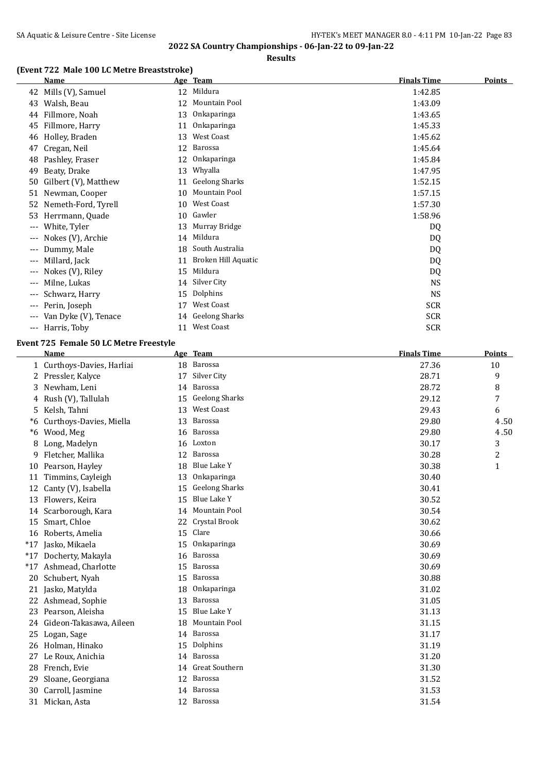**Results**

## **(Event 722 Male 100 LC Metre Breaststroke)**

|          | <b>Name</b>          |    | Age Team              | <b>Finals Time</b> | <b>Points</b> |
|----------|----------------------|----|-----------------------|--------------------|---------------|
| 42       | Mills (V), Samuel    | 12 | Mildura               | 1:42.85            |               |
| 43       | Walsh, Beau          | 12 | Mountain Pool         | 1:43.09            |               |
| 44       | Fillmore, Noah       | 13 | Onkaparinga           | 1:43.65            |               |
| 45       | Fillmore, Harry      | 11 | Onkaparinga           | 1:45.33            |               |
| 46       | Holley, Braden       | 13 | West Coast            | 1:45.62            |               |
| 47       | Cregan, Neil         | 12 | Barossa               | 1:45.64            |               |
| 48       | Pashley, Fraser      | 12 | Onkaparinga           | 1:45.84            |               |
| 49       | Beaty, Drake         | 13 | Whyalla               | 1:47.95            |               |
| 50       | Gilbert (V), Matthew | 11 | <b>Geelong Sharks</b> | 1:52.15            |               |
| 51       | Newman, Cooper       | 10 | Mountain Pool         | 1:57.15            |               |
| 52       | Nemeth-Ford, Tyrell  | 10 | West Coast            | 1:57.30            |               |
| 53       | Herrmann, Quade      | 10 | Gawler                | 1:58.96            |               |
| ---      | White, Tyler         | 13 | Murray Bridge         | DQ                 |               |
| $---$    | Nokes (V), Archie    | 14 | Mildura               | DQ                 |               |
| ---      | Dummy, Male          | 18 | South Australia       | DQ                 |               |
| $---$    | Millard, Jack        | 11 | Broken Hill Aquatic   | DQ                 |               |
| ---      | Nokes (V), Riley     | 15 | Mildura               | DQ                 |               |
| $---$    | Milne, Lukas         | 14 | Silver City           | <b>NS</b>          |               |
| ---      | Schwarz, Harry       | 15 | Dolphins              | <b>NS</b>          |               |
| $---$    | Perin, Joseph        | 17 | West Coast            | <b>SCR</b>         |               |
|          | Van Dyke (V), Tenace | 14 | <b>Geelong Sharks</b> | <b>SCR</b>         |               |
| $\cdots$ | Harris, Toby         | 11 | <b>West Coast</b>     | <b>SCR</b>         |               |

#### **Event 725 Female 50 LC Metre Freestyle**

|       | <b>Name</b>                |    | Age Team              | <b>Finals Time</b> | Points         |
|-------|----------------------------|----|-----------------------|--------------------|----------------|
|       | 1 Curthoys-Davies, Harliai | 18 | Barossa               | 27.36              | 10             |
| 2     | Pressler, Kalyce           | 17 | Silver City           | 28.71              | 9              |
| 3     | Newham, Leni               | 14 | Barossa               | 28.72              | 8              |
| 4     | Rush (V), Tallulah         | 15 | <b>Geelong Sharks</b> | 29.12              | 7              |
| 5     | Kelsh, Tahni               | 13 | West Coast            | 29.43              | 6              |
| *6    | Curthoys-Davies, Miella    | 13 | Barossa               | 29.80              | 4.50           |
| *6    | Wood, Meg                  | 16 | Barossa               | 29.80              | 4.50           |
| 8     | Long, Madelyn              | 16 | Loxton                | 30.17              | 3              |
| 9     | Fletcher, Mallika          | 12 | Barossa               | 30.28              | $\overline{c}$ |
| 10    | Pearson, Hayley            | 18 | Blue Lake Y           | 30.38              | $\mathbf{1}$   |
| 11    | Timmins, Cayleigh          | 13 | Onkaparinga           | 30.40              |                |
| 12    | Canty (V), Isabella        | 15 | <b>Geelong Sharks</b> | 30.41              |                |
| 13    | Flowers, Keira             | 15 | <b>Blue Lake Y</b>    | 30.52              |                |
| 14    | Scarborough, Kara          | 14 | Mountain Pool         | 30.54              |                |
| 15    | Smart, Chloe               | 22 | Crystal Brook         | 30.62              |                |
| 16    | Roberts, Amelia            | 15 | Clare                 | 30.66              |                |
| $*17$ | Jasko, Mikaela             | 15 | Onkaparinga           | 30.69              |                |
| $*17$ | Docherty, Makayla          | 16 | Barossa               | 30.69              |                |
| $*17$ | Ashmead, Charlotte         | 15 | Barossa               | 30.69              |                |
| 20    | Schubert, Nyah             | 15 | Barossa               | 30.88              |                |
| 21    | Jasko, Matylda             | 18 | Onkaparinga           | 31.02              |                |
| 22    | Ashmead, Sophie            | 13 | Barossa               | 31.05              |                |
| 23    | Pearson, Aleisha           | 15 | <b>Blue Lake Y</b>    | 31.13              |                |
| 24    | Gideon-Takasawa, Aileen    | 18 | Mountain Pool         | 31.15              |                |
|       | 25 Logan, Sage             | 14 | Barossa               | 31.17              |                |
| 26    | Holman, Hinako             | 15 | Dolphins              | 31.19              |                |
| 27    | Le Roux, Anichia           | 14 | Barossa               | 31.20              |                |
| 28    | French, Evie               | 14 | <b>Great Southern</b> | 31.30              |                |
| 29    | Sloane, Georgiana          | 12 | Barossa               | 31.52              |                |
| 30    | Carroll, Jasmine           | 14 | Barossa               | 31.53              |                |
|       | 31 Mickan, Asta            |    | 12 Barossa            | 31.54              |                |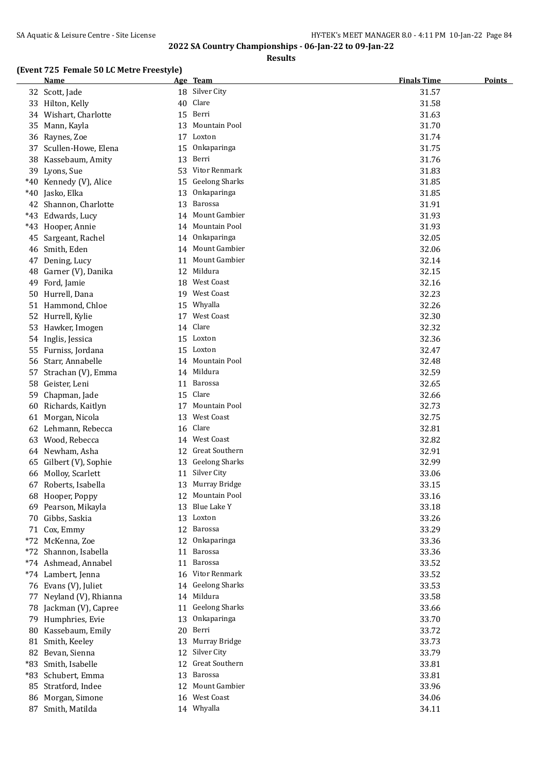**Results**

### **(Event 725 Female 50 LC Metre Freestyle)**

|    | <b>Name</b>             |    | Age Team             | <b>Finals Time</b> | <b>Points</b> |
|----|-------------------------|----|----------------------|--------------------|---------------|
|    | 32 Scott, Jade          |    | 18 Silver City       | 31.57              |               |
|    | 33 Hilton, Kelly        |    | 40 Clare             | 31.58              |               |
|    | 34 Wishart, Charlotte   | 15 | Berri                | 31.63              |               |
|    | 35 Mann, Kayla          | 13 | Mountain Pool        | 31.70              |               |
|    | 36 Raynes, Zoe          |    | 17 Loxton            | 31.74              |               |
|    | 37 Scullen-Howe, Elena  | 15 | Onkaparinga          | 31.75              |               |
|    | 38 Kassebaum, Amity     | 13 | Berri                | 31.76              |               |
|    | 39 Lyons, Sue           |    | 53 Vitor Renmark     | 31.83              |               |
|    | *40 Kennedy (V), Alice  |    | 15 Geelong Sharks    | 31.85              |               |
|    | *40 Jasko, Elka         | 13 | Onkaparinga          | 31.85              |               |
|    | 42 Shannon, Charlotte   | 13 | Barossa              | 31.91              |               |
|    | *43 Edwards, Lucy       |    | 14 Mount Gambier     | 31.93              |               |
|    | *43 Hooper, Annie       |    | 14 Mountain Pool     | 31.93              |               |
|    | 45 Sargeant, Rachel     |    | 14 Onkaparinga       | 32.05              |               |
|    | 46 Smith, Eden          |    | 14 Mount Gambier     | 32.06              |               |
|    | 47 Dening, Lucy         | 11 | <b>Mount Gambier</b> | 32.14              |               |
| 48 | Garner (V), Danika      |    | 12 Mildura           | 32.15              |               |
|    | 49 Ford, Jamie          |    | 18 West Coast        | 32.16              |               |
|    | 50 Hurrell, Dana        |    | 19 West Coast        | 32.23              |               |
|    | 51 Hammond, Chloe       |    | 15 Whyalla           | 32.26              |               |
|    | 52 Hurrell, Kylie       |    | 17 West Coast        | 32.30              |               |
|    | 53 Hawker, Imogen       |    | 14 Clare             | 32.32              |               |
|    |                         |    | 15 Loxton            | 32.36              |               |
|    | 54 Inglis, Jessica      |    | 15 Loxton            |                    |               |
|    | 55 Furniss, Jordana     |    | 14 Mountain Pool     | 32.47              |               |
|    | 56 Starr, Annabelle     |    | 14 Mildura           | 32.48              |               |
|    | 57 Strachan (V), Emma   |    |                      | 32.59              |               |
| 58 | Geister, Leni           | 11 | Barossa<br>15 Clare  | 32.65              |               |
| 59 | Chapman, Jade           |    |                      | 32.66              |               |
| 60 | Richards, Kaitlyn       |    | 17 Mountain Pool     | 32.73              |               |
|    | 61 Morgan, Nicola       | 13 | West Coast           | 32.75              |               |
|    | 62 Lehmann, Rebecca     |    | 16 Clare             | 32.81              |               |
|    | 63 Wood, Rebecca        | 14 | <b>West Coast</b>    | 32.82              |               |
|    | 64 Newham, Asha         | 12 | Great Southern       | 32.91              |               |
|    | 65 Gilbert (V), Sophie  |    | 13 Geelong Sharks    | 32.99              |               |
|    | 66 Molloy, Scarlett     |    | 11 Silver City       | 33.06              |               |
|    | 67 Roberts, Isabella    |    | 13 Murray Bridge     | 33.15              |               |
|    | 68 Hooper, Poppy        |    | 12 Mountain Pool     | 33.16              |               |
|    | 69 Pearson, Mikayla     |    | 13 Blue Lake Y       | 33.18              |               |
|    | 70 Gibbs, Saskia        |    | 13 Loxton            | 33.26              |               |
|    | 71 Cox, Emmy            |    | 12 Barossa           | 33.29              |               |
|    | *72 McKenna, Zoe        |    | 12 Onkaparinga       | 33.36              |               |
|    | *72 Shannon, Isabella   | 11 | Barossa              | 33.36              |               |
|    | *74 Ashmead, Annabel    | 11 | Barossa              | 33.52              |               |
|    | *74 Lambert, Jenna      |    | 16 Vitor Renmark     | 33.52              |               |
|    | 76 Evans (V), Juliet    |    | 14 Geelong Sharks    | 33.53              |               |
|    | 77 Neyland (V), Rhianna |    | 14 Mildura           | 33.58              |               |
|    | 78 Jackman (V), Capree  |    | 11 Geelong Sharks    | 33.66              |               |
|    | 79 Humphries, Evie      |    | 13 Onkaparinga       | 33.70              |               |
|    | 80 Kassebaum, Emily     |    | 20 Berri             | 33.72              |               |
|    | 81 Smith, Keeley        |    | 13 Murray Bridge     | 33.73              |               |
|    | 82 Bevan, Sienna        |    | 12 Silver City       | 33.79              |               |
|    | *83 Smith, Isabelle     |    | 12 Great Southern    | 33.81              |               |
|    | *83 Schubert, Emma      |    | 13 Barossa           | 33.81              |               |
|    | 85 Stratford, Indee     |    | 12 Mount Gambier     | 33.96              |               |
|    | 86 Morgan, Simone       |    | 16 West Coast        | 34.06              |               |
|    | 87 Smith, Matilda       |    | 14 Whyalla           | 34.11              |               |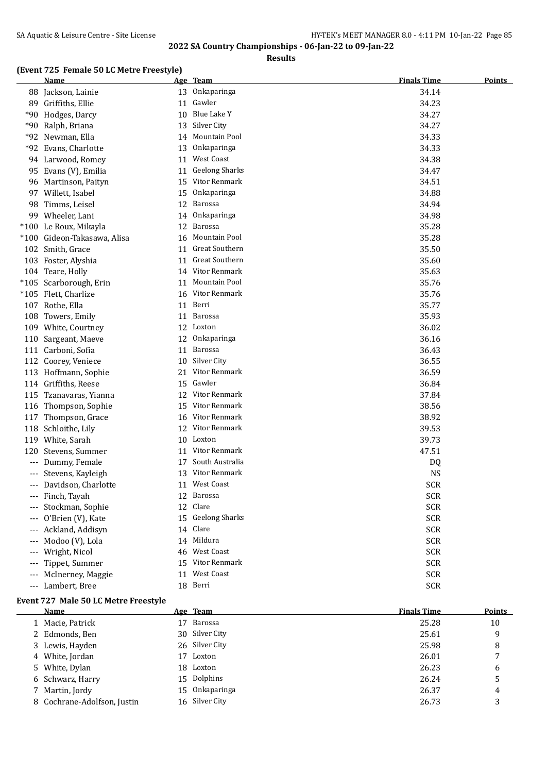**Results**

## **(Event 725 Female 50 LC Metre Freestyle)**

|                     | <b>Name</b>                 |    | Age Team              | <b>Finals Time</b> | <b>Points</b> |
|---------------------|-----------------------------|----|-----------------------|--------------------|---------------|
|                     | 88 Jackson, Lainie          |    | 13 Onkaparinga        | 34.14              |               |
|                     | 89 Griffiths, Ellie         | 11 | Gawler                | 34.23              |               |
|                     | *90 Hodges, Darcy           | 10 | Blue Lake Y           | 34.27              |               |
|                     | *90 Ralph, Briana           | 13 | Silver City           | 34.27              |               |
|                     | *92 Newman, Ella            | 14 | Mountain Pool         | 34.33              |               |
|                     | *92 Evans, Charlotte        | 13 | Onkaparinga           | 34.33              |               |
|                     | 94 Larwood, Romey           | 11 | West Coast            | 34.38              |               |
|                     | 95 Evans (V), Emilia        | 11 | <b>Geelong Sharks</b> | 34.47              |               |
|                     | 96 Martinson, Paityn        | 15 | Vitor Renmark         | 34.51              |               |
|                     | 97 Willett, Isabel          | 15 | Onkaparinga           | 34.88              |               |
| 98                  | Timms, Leisel               | 12 | Barossa               | 34.94              |               |
| 99                  | Wheeler, Lani               | 14 | Onkaparinga           | 34.98              |               |
|                     | *100 Le Roux, Mikayla       | 12 | Barossa               | 35.28              |               |
|                     | *100 Gideon-Takasawa, Alisa | 16 | Mountain Pool         | 35.28              |               |
|                     | 102 Smith, Grace            | 11 | Great Southern        | 35.50              |               |
|                     | 103 Foster, Alyshia         | 11 | <b>Great Southern</b> | 35.60              |               |
|                     | 104 Teare, Holly            | 14 | Vitor Renmark         | 35.63              |               |
|                     | *105 Scarborough, Erin      | 11 | Mountain Pool         | 35.76              |               |
|                     | *105 Flett, Charlize        | 16 | Vitor Renmark         | 35.76              |               |
|                     | 107 Rothe, Ella             | 11 | Berri                 | 35.77              |               |
|                     | 108 Towers, Emily           | 11 | <b>Barossa</b>        | 35.93              |               |
|                     | 109 White, Courtney         |    | 12 Loxton             | 36.02              |               |
|                     | 110 Sargeant, Maeve         | 12 | Onkaparinga           | 36.16              |               |
|                     | 111 Carboni, Sofia          | 11 | <b>Barossa</b>        | 36.43              |               |
|                     | 112 Coorey, Veniece         | 10 | Silver City           | 36.55              |               |
|                     | 113 Hoffmann, Sophie        | 21 | Vitor Renmark         | 36.59              |               |
|                     | 114 Griffiths, Reese        | 15 | Gawler                | 36.84              |               |
|                     | 115 Tzanavaras, Yianna      |    | 12 Vitor Renmark      | 37.84              |               |
|                     | 116 Thompson, Sophie        |    | 15 Vitor Renmark      | 38.56              |               |
|                     | 117 Thompson, Grace         | 16 | Vitor Renmark         | 38.92              |               |
|                     | 118 Schloithe, Lily         |    | 12 Vitor Renmark      | 39.53              |               |
|                     | 119 White, Sarah            |    | 10 Loxton             | 39.73              |               |
| 120                 | Stevens, Summer             |    | 11 Vitor Renmark      | 47.51              |               |
| $---$               | Dummy, Female               | 17 | South Australia       | DQ                 |               |
| $---$               | Stevens, Kayleigh           |    | 13 Vitor Renmark      | <b>NS</b>          |               |
| $\qquad \qquad - -$ | Davidson, Charlotte         |    | 11 West Coast         | <b>SCR</b>         |               |
| $---$               | Finch, Tayah                |    | 12 Barossa            | <b>SCR</b>         |               |
|                     | Stockman, Sophie            | 12 | Clare                 | <b>SCR</b>         |               |
|                     | O'Brien (V), Kate           | 15 | <b>Geelong Sharks</b> | <b>SCR</b>         |               |
|                     | Ackland, Addisyn            | 14 | Clare                 | <b>SCR</b>         |               |
| $---$               | Modoo (V), Lola             | 14 | Mildura               | <b>SCR</b>         |               |
| $---$               | Wright, Nicol               | 46 | West Coast            | <b>SCR</b>         |               |
| ---                 | Tippet, Summer              | 15 | Vitor Renmark         | <b>SCR</b>         |               |
| $---$               | McInerney, Maggie           | 11 | <b>West Coast</b>     | <b>SCR</b>         |               |
| $---$               | Lambert, Bree               |    | 18 Berri              | <b>SCR</b>         |               |

### **Event 727 Male 50 LC Metre Freestyle**

| Name                        |    | Age Team       | <b>Finals Time</b> | <b>Points</b> |
|-----------------------------|----|----------------|--------------------|---------------|
| 1 Macie, Patrick            | 17 | Barossa        | 25.28              | 10            |
| 2 Edmonds, Ben              |    | 30 Silver City | 25.61              | 9             |
| 3 Lewis, Hayden             |    | 26 Silver City | 25.98              | 8             |
| 4 White, Jordan             | 17 | Loxton         | 26.01              |               |
| 5 White, Dylan              |    | 18 Loxton      | 26.23              | 6             |
| 6 Schwarz, Harry            |    | 15 Dolphins    | 26.24              | 5             |
| 7 Martin, Jordy             |    | 15 Onkaparinga | 26.37              | 4             |
| 8 Cochrane-Adolfson, Justin |    | 16 Silver City | 26.73              | 3             |
|                             |    |                |                    |               |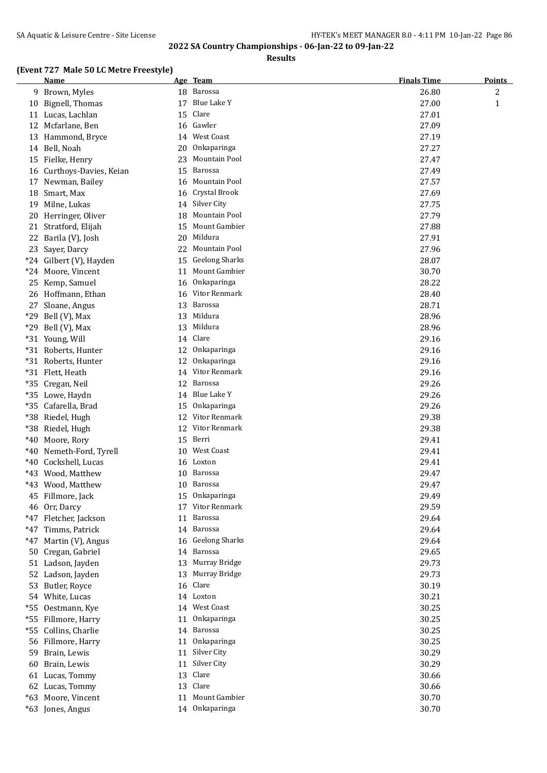**Results**

#### **(Event 727 Male 50 LC Metre Freestyle)**

|       | <b>Name</b>                                 |    | Age Team              | <b>Finals Time</b> | <b>Points</b> |
|-------|---------------------------------------------|----|-----------------------|--------------------|---------------|
|       | 9 Brown, Myles                              |    | 18 Barossa            | 26.80              | 2             |
|       | 10 Bignell, Thomas                          | 17 | Blue Lake Y           | 27.00              | $\mathbf{1}$  |
|       | 11 Lucas, Lachlan                           |    | 15 Clare              | 27.01              |               |
|       | 12 Mcfarlane, Ben                           |    | 16 Gawler             | 27.09              |               |
|       | 13 Hammond, Bryce                           |    | 14 West Coast         | 27.19              |               |
|       | 14 Bell, Noah                               | 20 | Onkaparinga           | 27.27              |               |
|       | 15 Fielke, Henry                            | 23 | Mountain Pool         | 27.47              |               |
|       | 16 Curthoys-Davies, Keian                   |    | 15 Barossa            | 27.49              |               |
|       | 17 Newman, Bailey                           |    | 16 Mountain Pool      | 27.57              |               |
|       | 18 Smart, Max                               | 16 | Crystal Brook         | 27.69              |               |
|       | 19 Milne, Lukas                             | 14 | Silver City           | 27.75              |               |
|       | 20 Herringer, Oliver                        | 18 | Mountain Pool         | 27.79              |               |
|       | 21 Stratford, Elijah                        | 15 | Mount Gambier         | 27.88              |               |
|       | 22 Barila (V), Josh                         |    | 20 Mildura            | 27.91              |               |
|       | 23 Sayer, Darcy                             |    | 22 Mountain Pool      | 27.96              |               |
|       | *24 Gilbert (V), Hayden                     | 15 | <b>Geelong Sharks</b> | 28.07              |               |
|       | *24 Moore, Vincent                          | 11 | Mount Gambier         | 30.70              |               |
|       | 25 Kemp, Samuel                             |    | 16 Onkaparinga        | 28.22              |               |
|       | 26 Hoffmann, Ethan                          | 16 | Vitor Renmark         | 28.40              |               |
|       | 27 Sloane, Angus                            |    | 13 Barossa            | 28.71              |               |
|       | *29 Bell (V), Max                           |    | 13 Mildura            | 28.96              |               |
|       | $*29$ Bell (V), Max                         | 13 | Mildura               | 28.96              |               |
|       | *31 Young, Will                             | 14 | Clare                 | 29.16              |               |
|       | *31 Roberts, Hunter                         | 12 | Onkaparinga           | 29.16              |               |
|       | *31 Roberts, Hunter                         | 12 | Onkaparinga           | 29.16              |               |
|       | *31 Flett, Heath                            | 14 | Vitor Renmark         | 29.16              |               |
| $*35$ | Cregan, Neil                                | 12 | Barossa               | 29.26              |               |
|       | *35 Lowe, Haydn                             |    | 14 Blue Lake Y        | 29.26              |               |
| *35   | Cafarella, Brad                             | 15 | Onkaparinga           | 29.26              |               |
|       | *38 Riedel, Hugh                            | 12 | Vitor Renmark         | 29.38              |               |
|       | *38 Riedel, Hugh                            |    | 12 Vitor Renmark      | 29.38              |               |
|       | *40 Moore, Rory                             |    | 15 Berri              | 29.41              |               |
|       | *40 Nemeth-Ford, Tyrell                     |    | 10 West Coast         | 29.41              |               |
|       | *40 Cockshell, Lucas                        |    | 16 Loxton             | 29.41              |               |
|       | *43 Wood, Matthew                           |    | 10 Barossa            | 29.47              |               |
|       | *43 Wood, Matthew                           |    | 10 Barossa            | 29.47              |               |
|       | 45 Fillmore, Jack                           |    | 15 Onkaparinga        | 29.49              |               |
|       | 46 Orr, Darcy                               |    | 17 Vitor Renmark      | 29.59              |               |
|       | *47 Fletcher, Jackson                       | 11 | Barossa<br>14 Barossa | 29.64              |               |
|       | *47 Timms, Patrick                          |    | 16 Geelong Sharks     | 29.64              |               |
|       | *47 Martin (V), Angus<br>50 Cregan, Gabriel |    | 14 Barossa            | 29.64<br>29.65     |               |
|       | 51 Ladson, Jayden                           |    | 13 Murray Bridge      | 29.73              |               |
|       | 52 Ladson, Jayden                           |    | 13 Murray Bridge      | 29.73              |               |
|       | 53 Butler, Royce                            |    | 16 Clare              | 30.19              |               |
|       | 54 White, Lucas                             |    | 14 Loxton             | 30.21              |               |
|       | *55 Oestmann, Kye                           |    | 14 West Coast         | 30.25              |               |
|       | *55 Fillmore, Harry                         | 11 | Onkaparinga           | 30.25              |               |
|       | *55 Collins, Charlie                        |    | 14 Barossa            | 30.25              |               |
|       | 56 Fillmore, Harry                          | 11 | Onkaparinga           | 30.25              |               |
|       | 59 Brain, Lewis                             | 11 | Silver City           | 30.29              |               |
|       | 60 Brain, Lewis                             | 11 | Silver City           | 30.29              |               |
|       | 61 Lucas, Tommy                             | 13 | Clare                 | 30.66              |               |
|       | 62 Lucas, Tommy                             |    | 13 Clare              | 30.66              |               |
|       | *63 Moore, Vincent                          | 11 | Mount Gambier         | 30.70              |               |
|       | *63 Jones, Angus                            |    | 14 Onkaparinga        | 30.70              |               |
|       |                                             |    |                       |                    |               |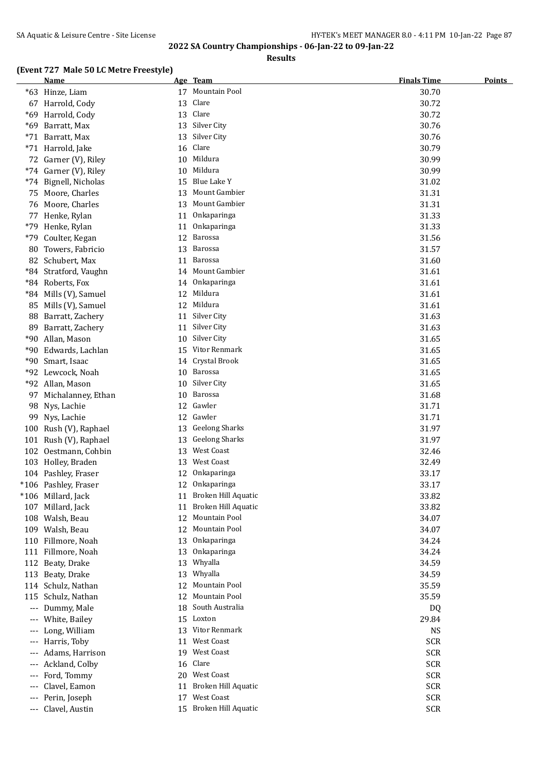**Results**

### **(Event 727 Male 50 LC Metre Freestyle)**

|                     | <b>Name</b>                       |          | Age Team                             | <b>Finals Time</b> | <b>Points</b> |
|---------------------|-----------------------------------|----------|--------------------------------------|--------------------|---------------|
|                     | *63 Hinze, Liam                   |          | 17 Mountain Pool                     | 30.70              |               |
|                     | 67 Harrold, Cody                  | 13       | Clare                                | 30.72              |               |
|                     | *69 Harrold, Cody                 | 13       | Clare                                | 30.72              |               |
|                     | *69 Barratt, Max                  | 13       | Silver City                          | 30.76              |               |
|                     | *71 Barratt, Max                  | 13       | Silver City                          | 30.76              |               |
|                     | *71 Harrold, Jake                 | 16       | Clare                                | 30.79              |               |
|                     | 72 Garner (V), Riley              | 10       | Mildura                              | 30.99              |               |
|                     | *74 Garner (V), Riley             | 10       | Mildura                              | 30.99              |               |
|                     | *74 Bignell, Nicholas             | 15       | Blue Lake Y                          | 31.02              |               |
|                     | 75 Moore, Charles                 | 13       | Mount Gambier                        | 31.31              |               |
|                     | 76 Moore, Charles                 | 13       | Mount Gambier                        | 31.31              |               |
| 77                  | Henke, Rylan                      | 11       | Onkaparinga                          | 31.33              |               |
| *79                 | Henke, Rylan                      | 11       | Onkaparinga                          | 31.33              |               |
| $*79$               | Coulter, Kegan                    | 12       | Barossa                              | 31.56              |               |
| 80                  | Towers, Fabricio                  | 13       | Barossa                              | 31.57              |               |
|                     | 82 Schubert, Max                  | 11       | Barossa                              | 31.60              |               |
|                     | *84 Stratford, Vaughn             | 14       | Mount Gambier                        | 31.61              |               |
|                     | *84 Roberts, Fox                  | 14       | Onkaparinga                          | 31.61              |               |
|                     | *84 Mills (V), Samuel             | 12       | Mildura                              | 31.61              |               |
|                     | 85 Mills (V), Samuel              | 12       | Mildura                              | 31.61              |               |
|                     | 88 Barratt, Zachery               | 11       | Silver City                          | 31.63              |               |
|                     | 89 Barratt, Zachery               | 11       | Silver City                          | 31.63              |               |
|                     | *90 Allan, Mason                  | 10       | Silver City                          | 31.65              |               |
|                     | *90 Edwards, Lachlan              | 15       | Vitor Renmark                        | 31.65              |               |
|                     | *90 Smart, Isaac                  | 14       | Crystal Brook                        | 31.65              |               |
|                     | *92 Lewcock, Noah                 | 10       | Barossa                              | 31.65              |               |
|                     | *92 Allan, Mason                  | 10       | Silver City                          | 31.65              |               |
| 97                  | Michalanney, Ethan                | 10       | Barossa                              | 31.68              |               |
| 98                  | Nys, Lachie                       | 12       | Gawler                               | 31.71              |               |
| 99                  | Nys, Lachie                       | 12       | Gawler                               | 31.71              |               |
|                     | 100 Rush (V), Raphael             | 13       | <b>Geelong Sharks</b>                | 31.97              |               |
|                     | 101 Rush (V), Raphael             | 13       | <b>Geelong Sharks</b>                | 31.97              |               |
|                     | 102 Oestmann, Cohbin              | 13       | West Coast                           | 32.46              |               |
|                     | 103 Holley, Braden                | 13       | <b>West Coast</b>                    | 32.49              |               |
|                     | 104 Pashley, Fraser               | 12       | Onkaparinga                          | 33.17              |               |
|                     | *106 Pashley, Fraser              | 12       | Onkaparinga                          | 33.17              |               |
|                     | *106 Millard, Jack                |          | 11 Broken Hill Aquatic               | 33.82              |               |
|                     | 107 Millard, Jack                 | 11       | Broken Hill Aquatic<br>Mountain Pool | 33.82              |               |
|                     | 108 Walsh, Beau                   | 12       | Mountain Pool                        | 34.07              |               |
|                     | 109 Walsh, Beau<br>Fillmore, Noah | 12<br>13 | Onkaparinga                          | 34.07<br>34.24     |               |
| 110                 | 111 Fillmore, Noah                | 13       | Onkaparinga                          | 34.24              |               |
|                     | 112 Beaty, Drake                  | 13       | Whyalla                              | 34.59              |               |
|                     | 113 Beaty, Drake                  | 13       | Whyalla                              | 34.59              |               |
|                     | 114 Schulz, Nathan                | 12       | Mountain Pool                        | 35.59              |               |
| 115                 | Schulz, Nathan                    | 12       | Mountain Pool                        | 35.59              |               |
| $---$               | Dummy, Male                       | 18       | South Australia                      | DQ                 |               |
| $\cdots$            | White, Bailey                     |          | 15 Loxton                            | 29.84              |               |
| $---$               | Long, William                     | 13       | Vitor Renmark                        | <b>NS</b>          |               |
| $---$               | Harris, Toby                      | 11       | West Coast                           | <b>SCR</b>         |               |
| $---$               | Adams, Harrison                   | 19       | West Coast                           | <b>SCR</b>         |               |
|                     | Ackland, Colby                    | 16       | Clare                                | <b>SCR</b>         |               |
| $---$               | Ford, Tommy                       | 20       | West Coast                           | <b>SCR</b>         |               |
|                     | Clavel, Eamon                     | 11       | Broken Hill Aquatic                  | <b>SCR</b>         |               |
|                     | Perin, Joseph                     | 17       | West Coast                           | <b>SCR</b>         |               |
| $\qquad \qquad - -$ | Clavel, Austin                    |          | 15 Broken Hill Aquatic               | <b>SCR</b>         |               |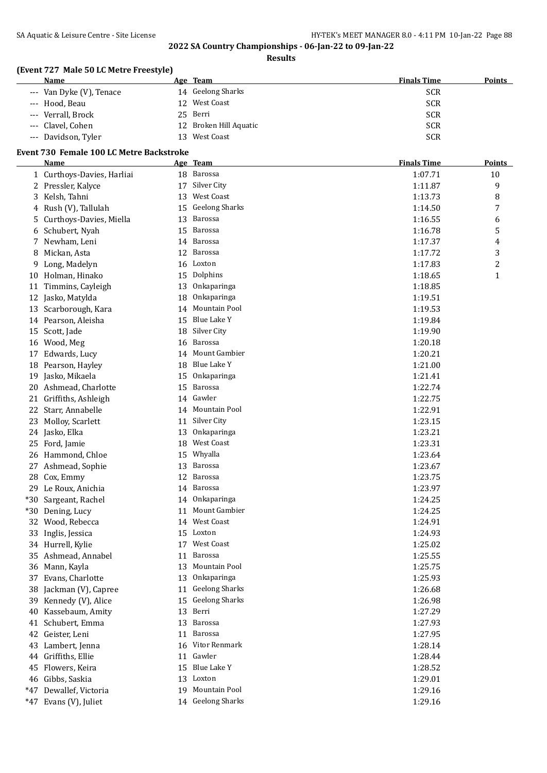**Results**

## **(Event 727 Male 50 LC Metre Freestyle)**

| Name                     | Age Team               | <b>Finals Time</b><br><b>Points</b> |
|--------------------------|------------------------|-------------------------------------|
| --- Van Dyke (V), Tenace | 14 Geelong Sharks      | <b>SCR</b>                          |
| --- Hood, Beau           | 12 West Coast          | <b>SCR</b>                          |
| --- Verrall, Brock       | 25 Berri               | <b>SCR</b>                          |
| --- Clavel, Cohen        | 12 Broken Hill Aquatic | <b>SCR</b>                          |
| --- Davidson, Tyler      | West Coast<br>13.      | <b>SCR</b>                          |

#### **Event 730 Female 100 LC Metre Backstroke**

|       | <b>Name</b>                |    | Age Team          | <b>Finals Time</b> | <b>Points</b> |
|-------|----------------------------|----|-------------------|--------------------|---------------|
|       | 1 Curthoys-Davies, Harliai |    | 18 Barossa        | 1:07.71            | 10            |
|       | 2 Pressler, Kalyce         |    | 17 Silver City    | 1:11.87            | 9             |
| 3     | Kelsh, Tahni               | 13 | West Coast        | 1:13.73            | 8             |
| 4     | Rush (V), Tallulah         |    | 15 Geelong Sharks | 1:14.50            | 7             |
| 5     | Curthoys-Davies, Miella    | 13 | <b>Barossa</b>    | 1:16.55            | 6             |
| 6     | Schubert, Nyah             | 15 | Barossa           | 1:16.78            | 5             |
| 7     | Newham, Leni               |    | 14 Barossa        | 1:17.37            | 4             |
| 8     | Mickan, Asta               |    | 12 Barossa        | 1:17.72            | 3             |
| 9     | Long, Madelyn              |    | 16 Loxton         | 1:17.83            | 2             |
|       | 10 Holman, Hinako          | 15 | Dolphins          | 1:18.65            | $\mathbf{1}$  |
|       | 11 Timmins, Cayleigh       | 13 | Onkaparinga       | 1:18.85            |               |
|       | 12 Jasko, Matylda          | 18 | Onkaparinga       | 1:19.51            |               |
|       | 13 Scarborough, Kara       | 14 | Mountain Pool     | 1:19.53            |               |
|       | 14 Pearson, Aleisha        | 15 | Blue Lake Y       | 1:19.84            |               |
|       | 15 Scott, Jade             |    | 18 Silver City    | 1:19.90            |               |
|       | 16 Wood, Meg               |    | 16 Barossa        | 1:20.18            |               |
| 17    | Edwards, Lucy              |    | 14 Mount Gambier  | 1:20.21            |               |
| 18    | Pearson, Hayley            |    | 18 Blue Lake Y    | 1:21.00            |               |
| 19    | Jasko, Mikaela             | 15 | Onkaparinga       | 1:21.41            |               |
| 20    | Ashmead, Charlotte         | 15 | Barossa           | 1:22.74            |               |
| 21    | Griffiths, Ashleigh        |    | 14 Gawler         | 1:22.75            |               |
| 22    | Starr, Annabelle           |    | 14 Mountain Pool  | 1:22.91            |               |
| 23    | Molloy, Scarlett           | 11 | Silver City       | 1:23.15            |               |
|       | 24 Jasko, Elka             | 13 | Onkaparinga       | 1:23.21            |               |
| 25    | Ford, Jamie                | 18 | West Coast        | 1:23.31            |               |
|       | 26 Hammond, Chloe          | 15 | Whyalla           | 1:23.64            |               |
| 27    | Ashmead, Sophie            | 13 | <b>Barossa</b>    | 1:23.67            |               |
| 28    | Cox, Emmy                  | 12 | Barossa           | 1:23.75            |               |
|       | 29 Le Roux, Anichia        |    | 14 Barossa        | 1:23.97            |               |
| $*30$ | Sargeant, Rachel           |    | 14 Onkaparinga    | 1:24.25            |               |
| $*30$ | Dening, Lucy               | 11 | Mount Gambier     | 1:24.25            |               |
|       | 32 Wood, Rebecca           |    | 14 West Coast     | 1:24.91            |               |
| 33    | Inglis, Jessica            |    | 15 Loxton         | 1:24.93            |               |
|       | 34 Hurrell, Kylie          |    | 17 West Coast     | 1:25.02            |               |
|       | 35 Ashmead, Annabel        |    | 11 Barossa        | 1:25.55            |               |
|       | 36 Mann, Kayla             |    | 13 Mountain Pool  | 1:25.75            |               |
|       | 37 Evans, Charlotte        |    | 13 Onkaparinga    | 1:25.93            |               |
|       | 38 Jackman (V), Capree     |    | 11 Geelong Sharks | 1:26.68            |               |
|       | 39 Kennedy (V), Alice      |    | 15 Geelong Sharks | 1:26.98            |               |
| 40    | Kassebaum, Amity           | 13 | Berri             | 1:27.29            |               |
|       | 41 Schubert, Emma          |    | 13 Barossa        | 1:27.93            |               |
|       | 42 Geister, Leni           |    | 11 Barossa        | 1:27.95            |               |
|       | 43 Lambert, Jenna          |    | 16 Vitor Renmark  | 1:28.14            |               |
|       | 44 Griffiths, Ellie        |    | 11 Gawler         | 1:28.44            |               |
|       | 45 Flowers, Keira          |    | 15 Blue Lake Y    | 1:28.52            |               |
|       | 46 Gibbs, Saskia           |    | 13 Loxton         | 1:29.01            |               |
|       | *47 Dewallef, Victoria     |    | 19 Mountain Pool  | 1:29.16            |               |
|       | *47 Evans (V), Juliet      |    | 14 Geelong Sharks | 1:29.16            |               |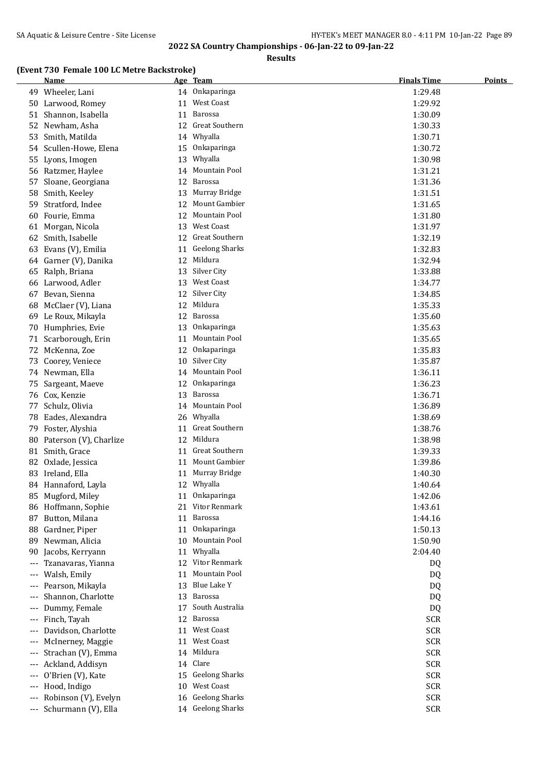**Results**

### **(Event 730 Female 100 LC Metre Backstroke)**

|                     | <u>Name</u>            |    | Age Team              | <b>Finals Time</b> | <u>Points</u> |
|---------------------|------------------------|----|-----------------------|--------------------|---------------|
|                     | 49 Wheeler, Lani       |    | 14 Onkaparinga        | 1:29.48            |               |
|                     | 50 Larwood, Romey      |    | 11 West Coast         | 1:29.92            |               |
|                     | 51 Shannon, Isabella   |    | 11 Barossa            | 1:30.09            |               |
|                     | 52 Newham, Asha        |    | 12 Great Southern     | 1:30.33            |               |
| 53                  | Smith, Matilda         |    | 14 Whyalla            | 1:30.71            |               |
|                     | 54 Scullen-Howe, Elena |    | 15 Onkaparinga        | 1:30.72            |               |
| 55                  | Lyons, Imogen          | 13 | Whyalla               | 1:30.98            |               |
|                     | 56 Ratzmer, Haylee     | 14 | Mountain Pool         | 1:31.21            |               |
| 57                  | Sloane, Georgiana      | 12 | Barossa               | 1:31.36            |               |
| 58                  | Smith, Keeley          | 13 | Murray Bridge         | 1:31.51            |               |
| 59                  | Stratford, Indee       | 12 | Mount Gambier         | 1:31.65            |               |
| 60                  | Fourie, Emma           | 12 | Mountain Pool         | 1:31.80            |               |
|                     | 61 Morgan, Nicola      | 13 | West Coast            | 1:31.97            |               |
|                     | 62 Smith, Isabelle     |    | 12 Great Southern     | 1:32.19            |               |
| 63                  | Evans (V), Emilia      |    | 11 Geelong Sharks     | 1:32.83            |               |
|                     | 64 Garner (V), Danika  |    | 12 Mildura            | 1:32.94            |               |
| 65                  | Ralph, Briana          |    | 13 Silver City        | 1:33.88            |               |
| 66                  | Larwood, Adler         |    | 13 West Coast         | 1:34.77            |               |
| 67                  | Bevan, Sienna          |    | 12 Silver City        | 1:34.85            |               |
| 68                  | McClaer (V), Liana     | 12 | Mildura               | 1:35.33            |               |
| 69                  | Le Roux, Mikayla       | 12 | Barossa               | 1:35.60            |               |
| 70                  | Humphries, Evie        | 13 | Onkaparinga           | 1:35.63            |               |
|                     | 71 Scarborough, Erin   | 11 | Mountain Pool         | 1:35.65            |               |
| 72                  | McKenna, Zoe           | 12 | Onkaparinga           | 1:35.83            |               |
| 73                  | Coorey, Veniece        | 10 | Silver City           | 1:35.87            |               |
|                     | 74 Newman, Ella        | 14 | Mountain Pool         | 1:36.11            |               |
| 75                  | Sargeant, Maeve        | 12 | Onkaparinga           | 1:36.23            |               |
|                     | 76 Cox, Kenzie         | 13 | Barossa               | 1:36.71            |               |
| 77                  | Schulz, Olivia         | 14 | Mountain Pool         | 1:36.89            |               |
|                     | 78 Eades, Alexandra    | 26 | Whyalla               | 1:38.69            |               |
| 79                  | Foster, Alyshia        |    | 11 Great Southern     | 1:38.76            |               |
| 80                  | Paterson (V), Charlize |    | 12 Mildura            | 1:38.98            |               |
|                     | 81 Smith, Grace        |    | 11 Great Southern     | 1:39.33            |               |
|                     | 82 Oxlade, Jessica     |    | 11 Mount Gambier      | 1:39.86            |               |
|                     | 83 Ireland, Ella       |    | 11 Murray Bridge      | 1:40.30            |               |
|                     | 84 Hannaford, Layla    |    | 12 Whyalla            | 1:40.64            |               |
|                     | 85 Mugford, Miley      |    | 11 Onkaparinga        | 1:42.06            |               |
|                     | 86 Hoffmann, Sophie    |    | 21 Vitor Renmark      | 1:43.61            |               |
| 87                  | Button, Milana         | 11 | Barossa               | 1:44.16            |               |
| 88                  | Gardner, Piper         |    | 11 Onkaparinga        | 1:50.13            |               |
| 89                  | Newman, Alicia         | 10 | Mountain Pool         | 1:50.90            |               |
| 90                  | Jacobs, Kerryann       | 11 | Whyalla               | 2:04.40            |               |
| $---$               | Tzanavaras, Yianna     |    | 12 Vitor Renmark      | DQ                 |               |
| $---$               | Walsh, Emily           | 11 | Mountain Pool         | DQ                 |               |
| $\qquad \qquad - -$ | Pearson, Mikayla       | 13 | Blue Lake Y           | DQ                 |               |
| $---$               | Shannon, Charlotte     | 13 | Barossa               | DQ                 |               |
|                     | Dummy, Female          | 17 | South Australia       | DQ                 |               |
|                     | Finch, Tayah           |    | 12 Barossa            | <b>SCR</b>         |               |
|                     | Davidson, Charlotte    | 11 | West Coast            | <b>SCR</b>         |               |
| $\qquad \qquad - -$ | McInerney, Maggie      | 11 | West Coast            | <b>SCR</b>         |               |
| $\qquad \qquad - -$ | Strachan (V), Emma     |    | 14 Mildura            | <b>SCR</b>         |               |
| $---$               | Ackland, Addisyn       |    | 14 Clare              | <b>SCR</b>         |               |
|                     | O'Brien (V), Kate      | 15 | <b>Geelong Sharks</b> | <b>SCR</b>         |               |
| $---$               | Hood, Indigo           | 10 | West Coast            | <b>SCR</b>         |               |
|                     | Robinson (V), Evelyn   | 16 | <b>Geelong Sharks</b> | <b>SCR</b>         |               |
|                     | Schurmann (V), Ella    |    | 14 Geelong Sharks     | <b>SCR</b>         |               |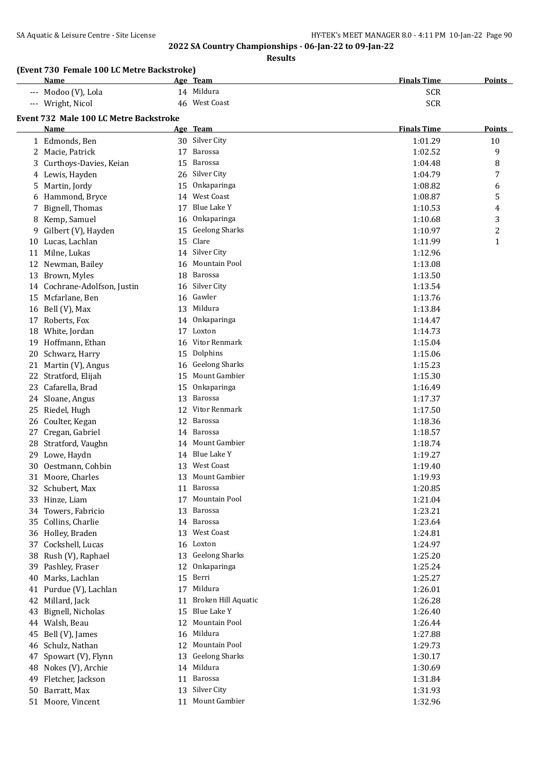**Results**

## **(Event 730 Female 100 LC Metre Backstroke)**

| <b>Name</b>         | Age Team      | <b>Finals Time</b><br><b>Points</b> |
|---------------------|---------------|-------------------------------------|
| --- Modoo (V), Lola | 14 Mildura    | <b>SCR</b>                          |
| --- Wright, Nicol   | 46 West Coast | <b>SCR</b>                          |

# **Event 732 Male 100 LC Metre Backstroke**

|    | are 100 LC Mette Dackstroke  |    |                       |                    |               |
|----|------------------------------|----|-----------------------|--------------------|---------------|
|    | <u>Name</u>                  |    | Age Team              | <b>Finals Time</b> | <b>Points</b> |
|    | 1 Edmonds, Ben               |    | 30 Silver City        | 1:01.29            | 10            |
| 2  | Macie, Patrick               | 17 | Barossa               | 1:02.52            | 9             |
| 3  | Curthoys-Davies, Keian       | 15 | Barossa               | 1:04.48            | 8             |
| 4  | Lewis, Hayden                |    | 26 Silver City        | 1:04.79            | 7             |
| 5  | Martin, Jordy                | 15 | Onkaparinga           | 1:08.82            | 6             |
| 6  | Hammond, Bryce               | 14 | <b>West Coast</b>     | 1:08.87            | 5             |
| 7  | Bignell, Thomas              | 17 | Blue Lake Y           | 1:10.53            | 4             |
| 8  | Kemp, Samuel                 | 16 | Onkaparinga           | 1:10.68            | 3             |
| 9  | Gilbert (V), Hayden          | 15 | <b>Geelong Sharks</b> | 1:10.97            | 2             |
|    | 10 Lucas, Lachlan            | 15 | Clare                 | 1:11.99            | 1             |
| 11 | Milne, Lukas                 | 14 | Silver City           | 1:12.96            |               |
|    | 12 Newman, Bailey            | 16 | Mountain Pool         | 1:13.08            |               |
|    | 13 Brown, Myles              | 18 | Barossa               | 1:13.50            |               |
|    | 14 Cochrane-Adolfson, Justin | 16 | Silver City           | 1:13.54            |               |
|    | 15 Mcfarlane, Ben            | 16 | Gawler                | 1:13.76            |               |
|    | 16 Bell (V), Max             | 13 | Mildura               | 1:13.84            |               |
| 17 | Roberts, Fox                 | 14 | Onkaparinga           | 1:14.47            |               |
|    | 18 White, Jordan             | 17 | Loxton                | 1:14.73            |               |
| 19 | Hoffmann, Ethan              | 16 | Vitor Renmark         | 1:15.04            |               |
| 20 | Schwarz, Harry               | 15 | Dolphins              | 1:15.06            |               |
|    | 21 Martin (V), Angus         | 16 | <b>Geelong Sharks</b> | 1:15.23            |               |
|    | 22 Stratford, Elijah         | 15 | Mount Gambier         | 1:15.30            |               |
| 23 | Cafarella, Brad              | 15 | Onkaparinga           | 1:16.49            |               |
| 24 | Sloane, Angus                | 13 | <b>Barossa</b>        | 1:17.37            |               |
|    | 25 Riedel, Hugh              | 12 | Vitor Renmark         | 1:17.50            |               |
| 26 | Coulter, Kegan               | 12 | <b>Barossa</b>        | 1:18.36            |               |
| 27 | Cregan, Gabriel              | 14 | Barossa               | 1:18.57            |               |
| 28 | Stratford, Vaughn            | 14 | Mount Gambier         | 1:18.74            |               |
|    | 29 Lowe, Haydn               | 14 | Blue Lake Y           | 1:19.27            |               |
| 30 | Oestmann, Cohbin             | 13 | <b>West Coast</b>     | 1:19.40            |               |
| 31 | Moore, Charles               | 13 | Mount Gambier         | 1:19.93            |               |
|    | 32 Schubert, Max             | 11 | Barossa               | 1:20.85            |               |
|    | 33 Hinze, Liam               | 17 | Mountain Pool         | 1:21.04            |               |
|    | 34 Towers, Fabricio          | 13 | <b>Barossa</b>        | 1:23.21            |               |
|    | 35 Collins, Charlie          |    | 14 Barossa            | 1:23.64            |               |
|    | 36 Holley, Braden            |    | 13 West Coast         | 1:24.81            |               |
|    | 37 Cockshell, Lucas          |    | 16 Loxton             | 1:24.97            |               |
|    | 38 Rush (V), Raphael         |    | 13 Geelong Sharks     | 1:25.20            |               |
|    | 39 Pashley, Fraser           | 12 | Onkaparinga           | 1:25.24            |               |
| 40 | Marks, Lachlan               | 15 | Berri                 | 1:25.27            |               |
|    | 41 Purdue (V), Lachlan       | 17 | Mildura               | 1:26.01            |               |
| 42 | Millard, Jack                | 11 | Broken Hill Aquatic   | 1:26.28            |               |
| 43 | Bignell, Nicholas            | 15 | Blue Lake Y           | 1:26.40            |               |
|    | 44 Walsh, Beau               | 12 | Mountain Pool         | 1:26.44            |               |
| 45 | Bell (V), James              | 16 | Mildura               | 1:27.88            |               |
| 46 | Schulz, Nathan               | 12 | Mountain Pool         | 1:29.73            |               |
| 47 | Spowart (V), Flynn           | 13 | <b>Geelong Sharks</b> | 1:30.17            |               |
| 48 | Nokes (V), Archie            | 14 | Mildura               | 1:30.69            |               |
| 49 | Fletcher, Jackson            | 11 | Barossa               | 1:31.84            |               |
| 50 | Barratt, Max                 | 13 | Silver City           | 1:31.93            |               |
|    | 51 Moore, Vincent            |    | 11 Mount Gambier      | 1:32.96            |               |
|    |                              |    |                       |                    |               |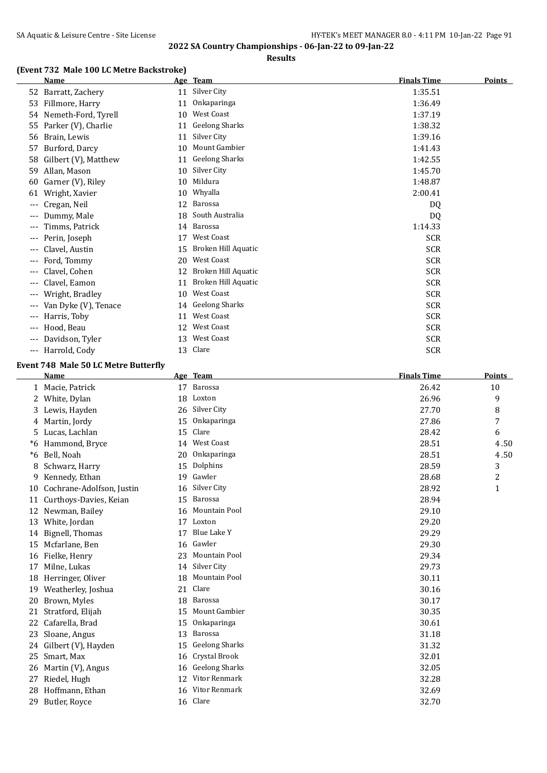**Results**

## **(Event 732 Male 100 LC Metre Backstroke)**

|       | <b>Name</b>          |    | Age Team              | <b>Finals Time</b> | <b>Points</b> |
|-------|----------------------|----|-----------------------|--------------------|---------------|
|       | 52 Barratt, Zachery  | 11 | Silver City           | 1:35.51            |               |
| 53    | Fillmore, Harry      | 11 | Onkaparinga           | 1:36.49            |               |
| 54    | Nemeth-Ford, Tyrell  | 10 | <b>West Coast</b>     | 1:37.19            |               |
| 55    | Parker (V), Charlie  | 11 | <b>Geelong Sharks</b> | 1:38.32            |               |
| 56    | Brain, Lewis         | 11 | Silver City           | 1:39.16            |               |
| 57    | Burford, Darcy       | 10 | Mount Gambier         | 1:41.43            |               |
| 58    | Gilbert (V), Matthew | 11 | <b>Geelong Sharks</b> | 1:42.55            |               |
| 59    | Allan, Mason         | 10 | Silver City           | 1:45.70            |               |
| 60    | Garner (V), Riley    | 10 | Mildura               | 1:48.87            |               |
| 61    | Wright, Xavier       | 10 | Whyalla               | 2:00.41            |               |
| ---   | Cregan, Neil         | 12 | Barossa               | DQ                 |               |
| ---   | Dummy, Male          | 18 | South Australia       | DQ                 |               |
| ---   | Timms, Patrick       |    | 14 Barossa            | 1:14.33            |               |
| ---   | Perin, Joseph        | 17 | <b>West Coast</b>     | <b>SCR</b>         |               |
| ---   | Clavel, Austin       | 15 | Broken Hill Aquatic   | <b>SCR</b>         |               |
| ---   | Ford, Tommy          | 20 | <b>West Coast</b>     | SCR                |               |
| ---   | Clavel, Cohen        | 12 | Broken Hill Aquatic   | <b>SCR</b>         |               |
| ---   | Clavel, Eamon        | 11 | Broken Hill Aquatic   | <b>SCR</b>         |               |
| ---   | Wright, Bradley      | 10 | <b>West Coast</b>     | <b>SCR</b>         |               |
| ---   | Van Dyke (V), Tenace | 14 | <b>Geelong Sharks</b> | <b>SCR</b>         |               |
| ---   | Harris, Toby         | 11 | <b>West Coast</b>     | <b>SCR</b>         |               |
| ---   | Hood, Beau           | 12 | West Coast            | <b>SCR</b>         |               |
| ---   | Davidson, Tyler      | 13 | <b>West Coast</b>     | <b>SCR</b>         |               |
| $---$ | Harrold, Cody        |    | 13 Clare              | <b>SCR</b>         |               |

### **Event 748 Male 50 LC Metre Butterfly**

|    | <b>Name</b>               |    | Age Team              | <b>Finals Time</b> | <b>Points</b>           |
|----|---------------------------|----|-----------------------|--------------------|-------------------------|
| 1  | Macie, Patrick            | 17 | Barossa               | 26.42              | 10                      |
| 2  | White, Dylan              | 18 | Loxton                | 26.96              | 9                       |
| 3  | Lewis, Hayden             | 26 | Silver City           | 27.70              | 8                       |
| 4  | Martin, Jordy             | 15 | Onkaparinga           | 27.86              | 7                       |
| 5  | Lucas, Lachlan            | 15 | Clare                 | 28.42              | 6                       |
| *6 | Hammond, Bryce            | 14 | <b>West Coast</b>     | 28.51              | 4.50                    |
| *6 | Bell, Noah                | 20 | Onkaparinga           | 28.51              | 4.50                    |
| 8  | Schwarz, Harry            | 15 | Dolphins              | 28.59              | 3                       |
| 9  | Kennedy, Ethan            | 19 | Gawler                | 28.68              | $\overline{\mathbf{c}}$ |
| 10 | Cochrane-Adolfson, Justin | 16 | Silver City           | 28.92              | $\mathbf{1}$            |
| 11 | Curthoys-Davies, Keian    | 15 | Barossa               | 28.94              |                         |
| 12 | Newman, Bailey            | 16 | Mountain Pool         | 29.10              |                         |
| 13 | White, Jordan             | 17 | Loxton                | 29.20              |                         |
| 14 | Bignell, Thomas           | 17 | Blue Lake Y           | 29.29              |                         |
| 15 | Mcfarlane, Ben            | 16 | Gawler                | 29.30              |                         |
| 16 | Fielke, Henry             | 23 | <b>Mountain Pool</b>  | 29.34              |                         |
| 17 | Milne, Lukas              | 14 | Silver City           | 29.73              |                         |
| 18 | Herringer, Oliver         | 18 | Mountain Pool         | 30.11              |                         |
| 19 | Weatherley, Joshua        | 21 | Clare                 | 30.16              |                         |
| 20 | Brown, Myles              | 18 | Barossa               | 30.17              |                         |
| 21 | Stratford, Elijah         | 15 | Mount Gambier         | 30.35              |                         |
| 22 | Cafarella, Brad           | 15 | Onkaparinga           | 30.61              |                         |
| 23 | Sloane, Angus             | 13 | Barossa               | 31.18              |                         |
| 24 | Gilbert (V), Hayden       | 15 | <b>Geelong Sharks</b> | 31.32              |                         |
| 25 | Smart, Max                | 16 | Crystal Brook         | 32.01              |                         |
| 26 | Martin (V), Angus         | 16 | <b>Geelong Sharks</b> | 32.05              |                         |
| 27 | Riedel, Hugh              | 12 | <b>Vitor Renmark</b>  | 32.28              |                         |
| 28 | Hoffmann, Ethan           | 16 | Vitor Renmark         | 32.69              |                         |
| 29 | Butler, Royce             |    | 16 Clare              | 32.70              |                         |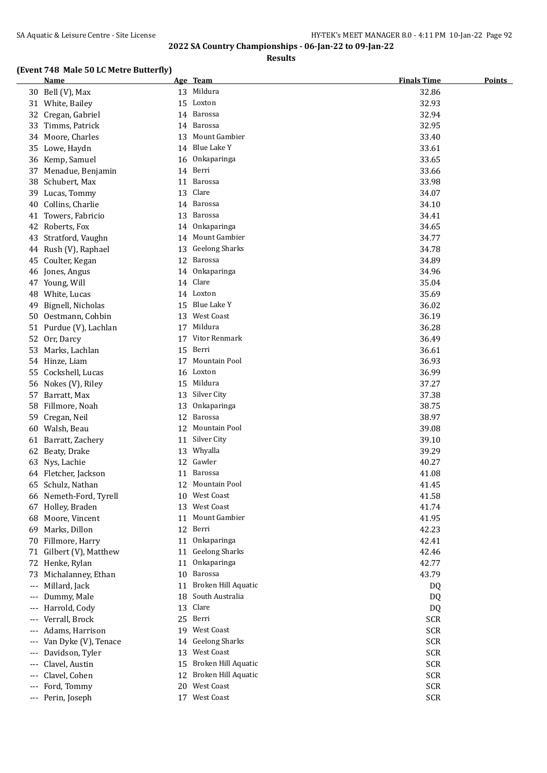**Results**

### **(Event 748 Male 50 LC Metre Butterfly)**

|       | <u>Name</u>             |    | Age Team               | <b>Finals Time</b> | <b>Points</b> |
|-------|-------------------------|----|------------------------|--------------------|---------------|
|       | 30 Bell (V), Max        |    | 13 Mildura             | 32.86              |               |
|       | 31 White, Bailey        | 15 | Loxton                 | 32.93              |               |
| 32    | Cregan, Gabriel         |    | 14 Barossa             | 32.94              |               |
| 33    | Timms, Patrick          |    | 14 Barossa             | 32.95              |               |
|       | 34 Moore, Charles       |    | 13 Mount Gambier       | 33.40              |               |
| 35    | Lowe, Haydn             |    | 14 Blue Lake Y         | 33.61              |               |
| 36    | Kemp, Samuel            | 16 | Onkaparinga            | 33.65              |               |
| 37    | Menadue, Benjamin       |    | 14 Berri               | 33.66              |               |
| 38    | Schubert, Max           | 11 | Barossa                | 33.98              |               |
| 39    | Lucas, Tommy            | 13 | Clare                  | 34.07              |               |
| 40    | Collins, Charlie        |    | 14 Barossa             | 34.10              |               |
| 41    | Towers, Fabricio        | 13 | Barossa                | 34.41              |               |
| 42    | Roberts, Fox            |    | 14 Onkaparinga         | 34.65              |               |
| 43    | Stratford, Vaughn       |    | 14 Mount Gambier       | 34.77              |               |
| 44    | Rush (V), Raphael       | 13 | <b>Geelong Sharks</b>  | 34.78              |               |
| 45    | Coulter, Kegan          |    | 12 Barossa             | 34.89              |               |
| 46    | Jones, Angus            | 14 | Onkaparinga            | 34.96              |               |
|       | 47 Young, Will          | 14 | Clare                  | 35.04              |               |
| 48    | White, Lucas            |    | 14 Loxton              | 35.69              |               |
| 49    | Bignell, Nicholas       | 15 | Blue Lake Y            | 36.02              |               |
|       | 50 Oestmann, Cohbin     |    | 13 West Coast          | 36.19              |               |
|       | 51 Purdue (V), Lachlan  |    | 17 Mildura             | 36.28              |               |
| 52    | Orr, Darcy              | 17 | Vitor Renmark          | 36.49              |               |
| 53    | Marks, Lachlan          | 15 | Berri                  | 36.61              |               |
| 54    | Hinze, Liam             | 17 | Mountain Pool          | 36.93              |               |
| 55    | Cockshell, Lucas        | 16 | Loxton                 | 36.99              |               |
| 56    | Nokes (V), Riley        |    | 15 Mildura             | 37.27              |               |
| 57    | Barratt, Max            | 13 | Silver City            | 37.38              |               |
| 58    | Fillmore, Noah          | 13 | Onkaparinga            | 38.75              |               |
| 59    | Cregan, Neil            | 12 | <b>Barossa</b>         | 38.97              |               |
| 60    | Walsh, Beau             |    | 12 Mountain Pool       | 39.08              |               |
|       | 61 Barratt, Zachery     |    | 11 Silver City         | 39.10              |               |
|       | 62 Beaty, Drake         |    | 13 Whyalla             | 39.29              |               |
| 63    | Nys, Lachie             |    | 12 Gawler              | 40.27              |               |
|       | 64 Fletcher, Jackson    |    | 11 Barossa             | 41.08              |               |
|       | 65 Schulz, Nathan       |    | 12 Mountain Pool       | 41.45              |               |
|       | 66 Nemeth-Ford, Tyrell  |    | 10 West Coast          | 41.58              |               |
|       | 67 Holley, Braden       |    | 13 West Coast          | 41.74              |               |
|       | Moore, Vincent          | 11 | Mount Gambier          | 41.95              |               |
| 68    | 69 Marks, Dillon        | 12 | Berri                  | 42.23              |               |
|       |                         | 11 | Onkaparinga            | 42.41              |               |
| 70    | Fillmore, Harry         |    | <b>Geelong Sharks</b>  | 42.46              |               |
|       | 71 Gilbert (V), Matthew | 11 | Onkaparinga            |                    |               |
|       | 72 Henke, Rylan         | 11 | Barossa                | 42.77              |               |
| 73    | Michalanney, Ethan      | 10 |                        | 43.79              |               |
| $---$ | Millard, Jack           | 11 | Broken Hill Aquatic    | DQ                 |               |
| $---$ | Dummy, Male             | 18 | South Australia        | DQ                 |               |
| $---$ | Harrold, Cody           |    | 13 Clare               | DQ                 |               |
| $---$ | Verrall, Brock          |    | 25 Berri               | <b>SCR</b>         |               |
| $---$ | Adams, Harrison         |    | 19 West Coast          | <b>SCR</b>         |               |
| $---$ | Van Dyke (V), Tenace    |    | 14 Geelong Sharks      | <b>SCR</b>         |               |
| $---$ | Davidson, Tyler         | 13 | <b>West Coast</b>      | <b>SCR</b>         |               |
| ---   | Clavel, Austin          | 15 | Broken Hill Aquatic    | <b>SCR</b>         |               |
| ---   | Clavel, Cohen           |    | 12 Broken Hill Aquatic | <b>SCR</b>         |               |
| ---   | Ford, Tommy             |    | 20 West Coast          | <b>SCR</b>         |               |
|       | --- Perin, Joseph       |    | 17 West Coast          | <b>SCR</b>         |               |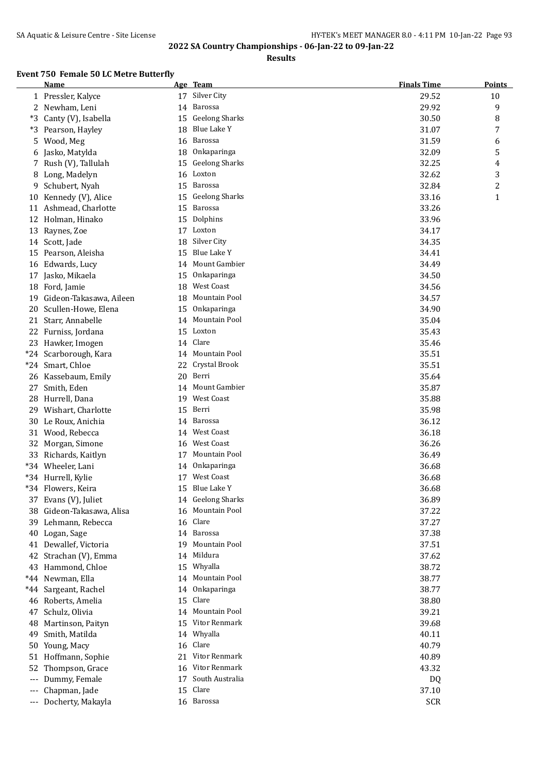**Results**

## **Event 750 Female 50 LC Metre Butterfly**

|                     | <b>Name</b>             |     | Age Team              | <b>Finals Time</b> | <b>Points</b> |
|---------------------|-------------------------|-----|-----------------------|--------------------|---------------|
|                     | 1 Pressler, Kalyce      | 17  | Silver City           | 29.52              | 10            |
| 2                   | Newham, Leni            |     | 14 Barossa            | 29.92              | 9             |
| *3                  | Canty (V), Isabella     | 15  | <b>Geelong Sharks</b> | 30.50              | 8             |
| *3                  | Pearson, Hayley         | 18  | Blue Lake Y           | 31.07              | 7             |
| 5                   | Wood, Meg               | 16  | Barossa               | 31.59              | 6             |
| 6                   | Jasko, Matylda          |     | 18 Onkaparinga        | 32.09              | 5             |
| 7                   | Rush (V), Tallulah      | 15  | <b>Geelong Sharks</b> | 32.25              | 4             |
| 8                   | Long, Madelyn           |     | 16 Loxton             | 32.62              | 3             |
| 9                   | Schubert, Nyah          |     | 15 Barossa            | 32.84              | 2             |
| 10                  | Kennedy (V), Alice      |     | 15 Geelong Sharks     | 33.16              | 1             |
|                     | 11 Ashmead, Charlotte   |     | 15 Barossa            | 33.26              |               |
| 12                  | Holman, Hinako          |     | 15 Dolphins           | 33.96              |               |
| 13                  | Raynes, Zoe             |     | 17 Loxton             | 34.17              |               |
|                     | 14 Scott, Jade          | 18  | Silver City           | 34.35              |               |
|                     | 15 Pearson, Aleisha     | 15  | Blue Lake Y           | 34.41              |               |
|                     | 16 Edwards, Lucy        |     | 14 Mount Gambier      | 34.49              |               |
|                     | 17 Jasko, Mikaela       | 15  | Onkaparinga           | 34.50              |               |
|                     | 18 Ford, Jamie          | 18  | <b>West Coast</b>     | 34.56              |               |
| 19                  | Gideon-Takasawa, Aileen | 18  | Mountain Pool         | 34.57              |               |
|                     | 20 Scullen-Howe, Elena  |     | 15 Onkaparinga        | 34.90              |               |
|                     | 21 Starr, Annabelle     |     | 14 Mountain Pool      | 35.04              |               |
|                     | 22 Furniss, Jordana     | 15  | Loxton                | 35.43              |               |
|                     | 23 Hawker, Imogen       |     | 14 Clare              | 35.46              |               |
|                     | *24 Scarborough, Kara   |     | 14 Mountain Pool      | 35.51              |               |
|                     | *24 Smart, Chloe        |     | 22 Crystal Brook      | 35.51              |               |
| 26                  | Kassebaum, Emily        | 20  | Berri                 | 35.64              |               |
| 27                  | Smith, Eden             |     | 14 Mount Gambier      | 35.87              |               |
| 28                  | Hurrell, Dana           | 19  | West Coast            | 35.88              |               |
| 29                  | Wishart, Charlotte      | 15  | Berri                 | 35.98              |               |
| 30                  | Le Roux, Anichia        |     | 14 Barossa            | 36.12              |               |
|                     | 31 Wood, Rebecca        |     | 14 West Coast         | 36.18              |               |
| 32                  | Morgan, Simone          |     | 16 West Coast         | 36.26              |               |
|                     | 33 Richards, Kaitlyn    | 17  | Mountain Pool         | 36.49              |               |
|                     | *34 Wheeler, Lani       | 14  | Onkaparinga           | 36.68              |               |
|                     | *34 Hurrell, Kylie      |     | 17 West Coast         | 36.68              |               |
|                     | *34 Flowers, Keira      |     | 15 Blue Lake Y        | 36.68              |               |
|                     | 37 Evans (V), Juliet    |     | 14 Geelong Sharks     | 36.89              |               |
| 38                  | Gideon-Takasawa, Alisa  |     | 16 Mountain Pool      | 37.22              |               |
| 39                  | Lehmann, Rebecca        |     | 16 Clare              | 37.27              |               |
| 40                  | Logan, Sage             |     | 14 Barossa            | 37.38              |               |
|                     | 41 Dewallef, Victoria   | 19. | Mountain Pool         | 37.51              |               |
|                     | 42 Strachan (V), Emma   | 14  | Mildura               | 37.62              |               |
|                     | 43 Hammond, Chloe       | 15  | Whyalla               | 38.72              |               |
|                     | *44 Newman, Ella        |     | 14 Mountain Pool      | 38.77              |               |
|                     | *44 Sargeant, Rachel    |     | 14 Onkaparinga        | 38.77              |               |
|                     | 46 Roberts, Amelia      | 15  | Clare                 | 38.80              |               |
| 47                  | Schulz, Olivia          |     | 14 Mountain Pool      | 39.21              |               |
| 48                  | Martinson, Paityn       | 15  | Vitor Renmark         | 39.68              |               |
| 49                  | Smith, Matilda          | 14  | Whyalla               | 40.11              |               |
| 50                  | Young, Macy             |     | 16 Clare              | 40.79              |               |
|                     | 51 Hoffmann, Sophie     |     | 21 Vitor Renmark      | 40.89              |               |
| 52                  | Thompson, Grace         |     | 16 Vitor Renmark      | 43.32              |               |
| $---$               | Dummy, Female           | 17  | South Australia       | DQ                 |               |
| $\qquad \qquad - -$ | Chapman, Jade           |     | 15 Clare              | 37.10              |               |
|                     | --- Docherty, Makayla   |     | 16 Barossa            | <b>SCR</b>         |               |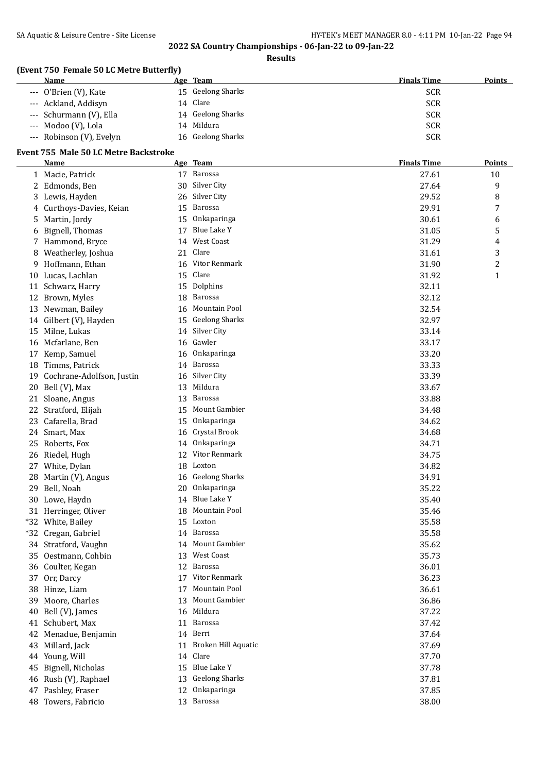**Results**

## **(Event 750 Female 50 LC Metre Butterfly)**

| Name |                           | Age Team          | <b>Finals Time</b> | <b>Points</b> |
|------|---------------------------|-------------------|--------------------|---------------|
|      | --- O'Brien (V), Kate     | 15 Geelong Sharks | <b>SCR</b>         |               |
|      | --- Ackland, Addisyn      | 14 Clare          | <b>SCR</b>         |               |
|      | --- Schurmann (V), Ella   | 14 Geelong Sharks | <b>SCR</b>         |               |
|      | --- Modoo (V), Lola<br>14 | Mildura           | <b>SCR</b>         |               |
|      | --- Robinson (V), Evelyn  | 16 Geelong Sharks | SCR                |               |

#### **Event 755 Male 50 LC Metre Backstroke**

|       | <b>Name</b>               |    | Age Team              | <b>Finals Time</b> | <b>Points</b> |
|-------|---------------------------|----|-----------------------|--------------------|---------------|
|       | 1 Macie, Patrick          |    | 17 Barossa            | 27.61              | 10            |
| 2     | Edmonds, Ben              | 30 | Silver City           | 27.64              | 9             |
| 3     | Lewis, Hayden             | 26 | Silver City           | 29.52              | 8             |
| 4     | Curthoys-Davies, Keian    | 15 | Barossa               | 29.91              | 7             |
| 5     | Martin, Jordy             | 15 | Onkaparinga           | 30.61              | 6             |
| 6     | Bignell, Thomas           | 17 | Blue Lake Y           | 31.05              | 5             |
|       | Hammond, Bryce            | 14 | West Coast            | 31.29              | 4             |
| 8     | Weatherley, Joshua        | 21 | Clare                 | 31.61              | 3             |
| 9     | Hoffmann, Ethan           |    | 16 Vitor Renmark      | 31.90              | 2             |
|       | 10 Lucas, Lachlan         | 15 | Clare                 | 31.92              | $\mathbf{1}$  |
|       | 11 Schwarz, Harry         | 15 | Dolphins              | 32.11              |               |
|       | 12 Brown, Myles           | 18 | Barossa               | 32.12              |               |
| 13    | Newman, Bailey            | 16 | Mountain Pool         | 32.54              |               |
|       | 14 Gilbert (V), Hayden    | 15 | <b>Geelong Sharks</b> | 32.97              |               |
| 15    | Milne, Lukas              |    | 14 Silver City        | 33.14              |               |
| 16    | Mcfarlane, Ben            |    | 16 Gawler             | 33.17              |               |
| 17    | Kemp, Samuel              |    | 16 Onkaparinga        | 33.20              |               |
| 18    | Timms, Patrick            |    | 14 Barossa            | 33.33              |               |
| 19    | Cochrane-Adolfson, Justin |    | 16 Silver City        | 33.39              |               |
| 20    | Bell (V), Max             | 13 | Mildura               | 33.67              |               |
|       | 21 Sloane, Angus          | 13 | Barossa               | 33.88              |               |
| 22    | Stratford, Elijah         | 15 | Mount Gambier         | 34.48              |               |
| 23    | Cafarella, Brad           | 15 | Onkaparinga           | 34.62              |               |
|       | 24 Smart, Max             | 16 | Crystal Brook         | 34.68              |               |
| 25    | Roberts, Fox              | 14 | Onkaparinga           | 34.71              |               |
|       | 26 Riedel, Hugh           | 12 | Vitor Renmark         | 34.75              |               |
|       | 27 White, Dylan           |    | 18 Loxton             | 34.82              |               |
| 28    | Martin (V), Angus         |    | 16 Geelong Sharks     | 34.91              |               |
| 29    | Bell, Noah                |    | 20 Onkaparinga        | 35.22              |               |
| 30    | Lowe, Haydn               |    | 14 Blue Lake Y        | 35.40              |               |
|       | 31 Herringer, Oliver      | 18 | Mountain Pool         | 35.46              |               |
|       | *32 White, Bailey         |    | 15 Loxton             | 35.58              |               |
| $*32$ | Cregan, Gabriel           |    | 14 Barossa            | 35.58              |               |
|       | 34 Stratford, Vaughn      |    | 14 Mount Gambier      | 35.62              |               |
|       | 35 Oestmann, Cohbin       |    | 13 West Coast         | 35.73              |               |
|       | 36 Coulter, Kegan         |    | 12 Barossa            | 36.01              |               |
|       | 37 Orr, Darcy             | 17 | Vitor Renmark         | 36.23              |               |
| 38    | Hinze, Liam               | 17 | Mountain Pool         | 36.61              |               |
| 39    | Moore, Charles            | 13 | Mount Gambier         | 36.86              |               |
| 40    | Bell (V), James           | 16 | Mildura               | 37.22              |               |
|       | 41 Schubert, Max          |    | 11 Barossa            | 37.42              |               |
|       | 42 Menadue, Benjamin      | 14 | Berri                 | 37.64              |               |
| 43    | Millard, Jack             | 11 | Broken Hill Aquatic   | 37.69              |               |
|       | 44 Young, Will            |    | 14 Clare              | 37.70              |               |
| 45    | Bignell, Nicholas         |    | 15 Blue Lake Y        | 37.78              |               |
|       | 46 Rush (V), Raphael      | 13 | <b>Geelong Sharks</b> | 37.81              |               |
| 47    | Pashley, Fraser           | 12 | Onkaparinga           | 37.85              |               |
|       | 48 Towers, Fabricio       |    | 13 Barossa            | 38.00              |               |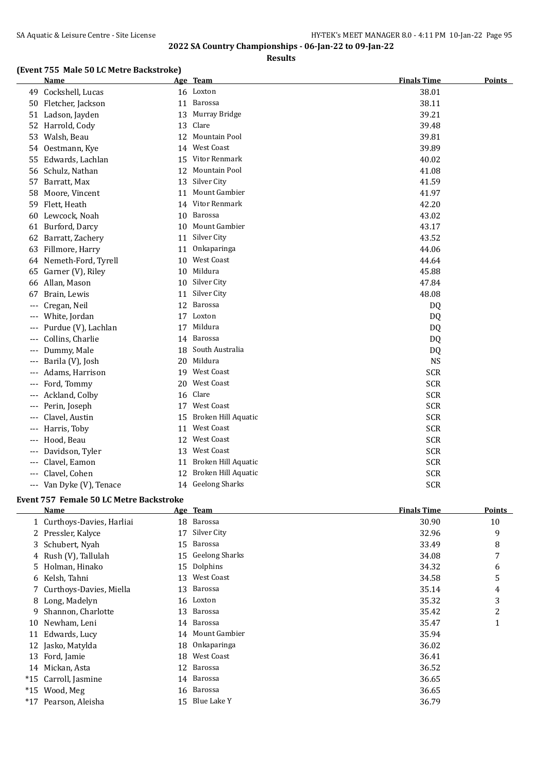**Results**

## **(Event 755 Male 50 LC Metre Backstroke)**

|       | <b>Name</b>            |    | Age Team            | <b>Finals Time</b> | <b>Points</b> |
|-------|------------------------|----|---------------------|--------------------|---------------|
|       | 49 Cockshell, Lucas    |    | 16 Loxton           | 38.01              |               |
|       | 50 Fletcher, Jackson   | 11 | Barossa             | 38.11              |               |
|       | 51 Ladson, Jayden      | 13 | Murray Bridge       | 39.21              |               |
|       | 52 Harrold, Cody       | 13 | Clare               | 39.48              |               |
| 53    | Walsh, Beau            | 12 | Mountain Pool       | 39.81              |               |
|       | 54 Oestmann, Kye       | 14 | <b>West Coast</b>   | 39.89              |               |
|       | 55 Edwards, Lachlan    | 15 | Vitor Renmark       | 40.02              |               |
|       | 56 Schulz, Nathan      | 12 | Mountain Pool       | 41.08              |               |
|       | 57 Barratt, Max        | 13 | Silver City         | 41.59              |               |
| 58    | Moore, Vincent         | 11 | Mount Gambier       | 41.97              |               |
|       | 59 Flett, Heath        | 14 | Vitor Renmark       | 42.20              |               |
|       | 60 Lewcock, Noah       | 10 | Barossa             | 43.02              |               |
| 61    | Burford, Darcy         | 10 | Mount Gambier       | 43.17              |               |
| 62    | Barratt, Zachery       | 11 | Silver City         | 43.52              |               |
| 63    | Fillmore, Harry        | 11 | Onkaparinga         | 44.06              |               |
|       | 64 Nemeth-Ford, Tyrell | 10 | <b>West Coast</b>   | 44.64              |               |
| 65    | Garner (V), Riley      | 10 | Mildura             | 45.88              |               |
|       | 66 Allan, Mason        | 10 | Silver City         | 47.84              |               |
| 67    | Brain, Lewis           | 11 | Silver City         | 48.08              |               |
| $---$ | Cregan, Neil           | 12 | Barossa             | DQ                 |               |
| ---   | White, Jordan          | 17 | Loxton              | DQ                 |               |
| ---   | Purdue (V), Lachlan    | 17 | Mildura             | DQ                 |               |
|       | Collins, Charlie       |    | 14 Barossa          | DQ                 |               |
| ---   | Dummy, Male            | 18 | South Australia     | DQ                 |               |
| ---   | Barila (V), Josh       | 20 | Mildura             | <b>NS</b>          |               |
|       | Adams, Harrison        |    | 19 West Coast       | <b>SCR</b>         |               |
| ---   | Ford, Tommy            | 20 | <b>West Coast</b>   | <b>SCR</b>         |               |
|       | Ackland, Colby         | 16 | Clare               | <b>SCR</b>         |               |
| ---   | Perin, Joseph          |    | 17 West Coast       | <b>SCR</b>         |               |
| $---$ | Clavel, Austin         | 15 | Broken Hill Aquatic | <b>SCR</b>         |               |
| $---$ | Harris, Toby           | 11 | <b>West Coast</b>   | <b>SCR</b>         |               |
| $---$ | Hood, Beau             | 12 | <b>West Coast</b>   | <b>SCR</b>         |               |
| $---$ | Davidson, Tyler        | 13 | West Coast          | <b>SCR</b>         |               |
| ---   | Clavel, Eamon          | 11 | Broken Hill Aquatic | <b>SCR</b>         |               |
| ---   | Clavel, Cohen          | 12 | Broken Hill Aquatic | <b>SCR</b>         |               |
|       | Van Dyke (V), Tenace   |    | 14 Geelong Sharks   | <b>SCR</b>         |               |

#### **Event 757 Female 50 LC Metre Backstroke**

|       | Name                       |    | Age Team          | <b>Finals Time</b> | Points |
|-------|----------------------------|----|-------------------|--------------------|--------|
|       | 1 Curthoys-Davies, Harliai |    | 18 Barossa        | 30.90              | 10     |
|       | 2 Pressler, Kalyce         | 17 | Silver City       | 32.96              | 9      |
|       | 3 Schubert, Nyah           | 15 | Barossa           | 33.49              | 8      |
|       | 4 Rush (V), Tallulah       |    | 15 Geelong Sharks | 34.08              | 7      |
|       | 5 Holman, Hinako           |    | 15 Dolphins       | 34.32              | 6      |
|       | 6 Kelsh, Tahni             |    | 13 West Coast     | 34.58              | 5      |
|       | 7 Curthoys-Davies, Miella  |    | 13 Barossa        | 35.14              | 4      |
|       | 8 Long, Madelyn            |    | 16 Loxton         | 35.32              | 3      |
| 9.    | Shannon, Charlotte         |    | 13 Barossa        | 35.42              | 2      |
| 10    | Newham, Leni               |    | 14 Barossa        | 35.47              | 1      |
| 11    | Edwards, Lucy              |    | 14 Mount Gambier  | 35.94              |        |
| 12    | Jasko, Matylda             | 18 | Onkaparinga       | 36.02              |        |
| 13    | Ford, Jamie                | 18 | West Coast        | 36.41              |        |
| 14    | Mickan, Asta               |    | 12 Barossa        | 36.52              |        |
|       | *15 Carroll, Jasmine       |    | 14 Barossa        | 36.65              |        |
| $*15$ | Wood, Meg                  |    | 16 Barossa        | 36.65              |        |
| $*17$ | Pearson, Aleisha           |    | 15 Blue Lake Y    | 36.79              |        |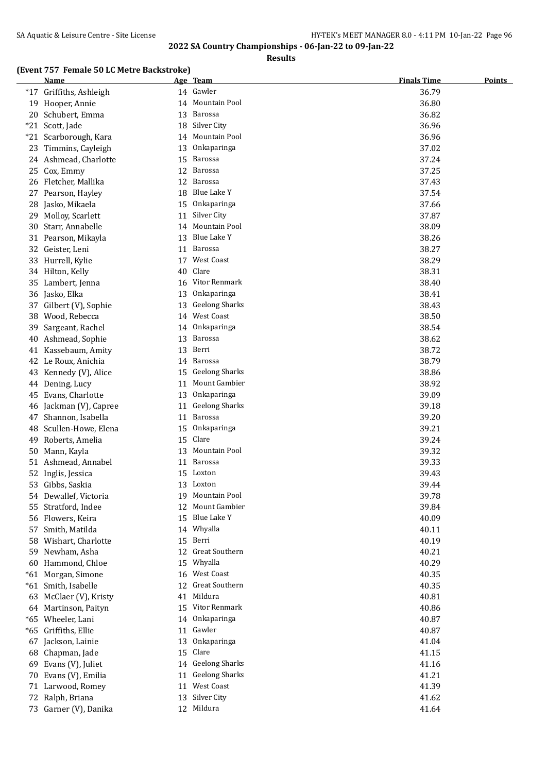**Results**

### **(Event 757 Female 50 LC Metre Backstroke)**

|       | <b>Name</b>             |    | Age Team              | <b>Finals Time</b> | <b>Points</b> |
|-------|-------------------------|----|-----------------------|--------------------|---------------|
|       | *17 Griffiths, Ashleigh |    | 14 Gawler             | 36.79              |               |
|       | 19 Hooper, Annie        | 14 | Mountain Pool         | 36.80              |               |
|       | 20 Schubert, Emma       | 13 | Barossa               | 36.82              |               |
| $*21$ | Scott, Jade             | 18 | Silver City           | 36.96              |               |
| $*21$ | Scarborough, Kara       | 14 | Mountain Pool         | 36.96              |               |
|       | 23 Timmins, Cayleigh    | 13 | Onkaparinga           | 37.02              |               |
|       | 24 Ashmead, Charlotte   | 15 | <b>Barossa</b>        | 37.24              |               |
|       | 25 Cox, Emmy            | 12 | <b>Barossa</b>        | 37.25              |               |
|       | 26 Fletcher, Mallika    |    | 12 Barossa            | 37.43              |               |
|       | 27 Pearson, Hayley      |    | 18 Blue Lake Y        | 37.54              |               |
|       | 28 Jasko, Mikaela       | 15 | Onkaparinga           | 37.66              |               |
|       | 29 Molloy, Scarlett     | 11 | Silver City           | 37.87              |               |
|       | 30 Starr, Annabelle     |    | 14 Mountain Pool      | 38.09              |               |
|       | 31 Pearson, Mikayla     |    | 13 Blue Lake Y        | 38.26              |               |
|       | 32 Geister, Leni        | 11 | <b>Barossa</b>        | 38.27              |               |
|       | 33 Hurrell, Kylie       | 17 | West Coast            | 38.29              |               |
|       | 34 Hilton, Kelly        | 40 | Clare                 | 38.31              |               |
|       | 35 Lambert, Jenna       |    | 16 Vitor Renmark      | 38.40              |               |
|       | 36 Jasko, Elka          | 13 | Onkaparinga           | 38.41              |               |
|       | 37 Gilbert (V), Sophie  | 13 | <b>Geelong Sharks</b> | 38.43              |               |
|       | 38 Wood, Rebecca        | 14 | <b>West Coast</b>     | 38.50              |               |
| 39    | Sargeant, Rachel        | 14 | Onkaparinga           | 38.54              |               |
|       | 40 Ashmead, Sophie      | 13 | <b>Barossa</b>        | 38.62              |               |
|       | 41 Kassebaum, Amity     | 13 | Berri                 | 38.72              |               |
|       | 42 Le Roux, Anichia     |    | 14 Barossa            | 38.79              |               |
| 43    | Kennedy (V), Alice      | 15 | <b>Geelong Sharks</b> | 38.86              |               |
|       | 44 Dening, Lucy         | 11 | Mount Gambier         | 38.92              |               |
|       | 45 Evans, Charlotte     | 13 | Onkaparinga           | 39.09              |               |
|       | 46 Jackman (V), Capree  | 11 | <b>Geelong Sharks</b> | 39.18              |               |
| 47    | Shannon, Isabella       | 11 | <b>Barossa</b>        | 39.20              |               |
| 48    | Scullen-Howe, Elena     | 15 | Onkaparinga           | 39.21              |               |
| 49    | Roberts, Amelia         | 15 | Clare                 | 39.24              |               |
|       | 50 Mann, Kayla          | 13 | Mountain Pool         | 39.32              |               |
|       | 51 Ashmead, Annabel     | 11 | <b>Barossa</b>        | 39.33              |               |
|       | 52 Inglis, Jessica      |    | 15 Loxton             | 39.43              |               |
|       | 53 Gibbs, Saskia        |    | 13 Loxton             | 39.44              |               |
|       | 54 Dewallef, Victoria   |    | 19 Mountain Pool      | 39.78              |               |
|       | 55 Stratford, Indee     |    | 12 Mount Gambier      | 39.84              |               |
|       | 56 Flowers, Keira       |    | 15 Blue Lake Y        | 40.09              |               |
|       | 57 Smith, Matilda       |    | 14 Whyalla            | 40.11              |               |
|       | 58 Wishart, Charlotte   |    | 15 Berri              | 40.19              |               |
|       | 59 Newham, Asha         |    | 12 Great Southern     | 40.21              |               |
|       | 60 Hammond, Chloe       |    | 15 Whyalla            | 40.29              |               |
|       | *61 Morgan, Simone      |    | 16 West Coast         | 40.35              |               |
|       | *61 Smith, Isabelle     |    | 12 Great Southern     | 40.35              |               |
|       | 63 McClaer (V), Kristy  | 41 | Mildura               | 40.81              |               |
|       | 64 Martinson, Paityn    |    | 15 Vitor Renmark      | 40.86              |               |
|       | *65 Wheeler, Lani       |    | 14 Onkaparinga        | 40.87              |               |
|       | *65 Griffiths, Ellie    |    | 11 Gawler             | 40.87              |               |
|       | 67 Jackson, Lainie      |    | 13 Onkaparinga        | 41.04              |               |
|       | 68 Chapman, Jade        |    | 15 Clare              | 41.15              |               |
|       | 69 Evans (V), Juliet    |    | 14 Geelong Sharks     | 41.16              |               |
|       | 70 Evans (V), Emilia    |    | 11 Geelong Sharks     | 41.21              |               |
|       | 71 Larwood, Romey       |    | 11 West Coast         | 41.39              |               |
|       | 72 Ralph, Briana        |    | 13 Silver City        | 41.62              |               |
|       | 73 Garner (V), Danika   |    | 12 Mildura            | 41.64              |               |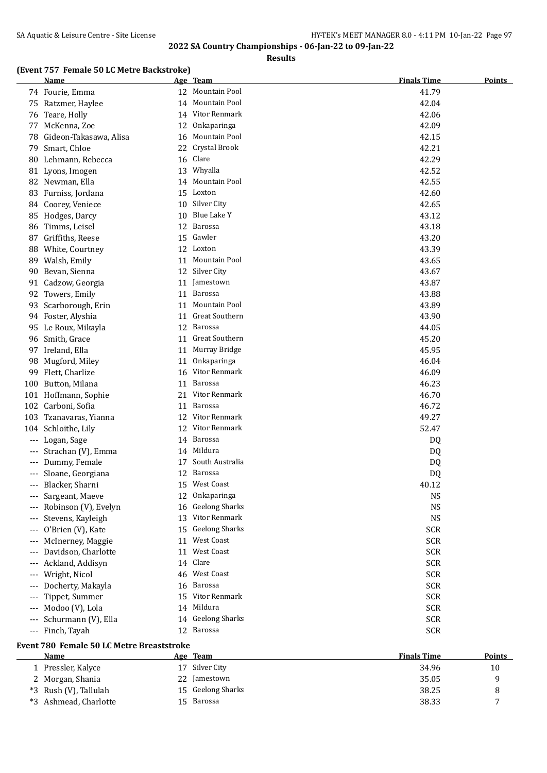**Results**

#### **(Event 757 Female 50 LC Metre Backstroke)**

|       | <b>Name</b>                                       |    | Age Team              | <b>Finals Time</b> | <b>Points</b> |
|-------|---------------------------------------------------|----|-----------------------|--------------------|---------------|
|       | 74 Fourie, Emma                                   |    | 12 Mountain Pool      | 41.79              |               |
|       | 75 Ratzmer, Haylee                                | 14 | Mountain Pool         | 42.04              |               |
| 76    | Teare, Holly                                      | 14 | Vitor Renmark         | 42.06              |               |
| 77    | McKenna, Zoe                                      | 12 | Onkaparinga           | 42.09              |               |
| 78    | Gideon-Takasawa, Alisa                            | 16 | Mountain Pool         | 42.15              |               |
| 79    | Smart, Chloe                                      | 22 | Crystal Brook         | 42.21              |               |
| 80    | Lehmann, Rebecca                                  | 16 | Clare                 | 42.29              |               |
|       | 81 Lyons, Imogen                                  | 13 | Whyalla               | 42.52              |               |
|       | 82 Newman, Ella                                   |    | 14 Mountain Pool      | 42.55              |               |
|       | 83 Furniss, Jordana                               |    | 15 Loxton             | 42.60              |               |
|       | 84 Coorey, Veniece                                |    | 10 Silver City        | 42.65              |               |
|       | 85 Hodges, Darcy                                  |    | 10 Blue Lake Y        | 43.12              |               |
| 86    | Timms, Leisel                                     |    | 12 Barossa            | 43.18              |               |
|       | 87 Griffiths, Reese                               |    | 15 Gawler             | 43.20              |               |
|       | 88 White, Courtney                                |    | 12 Loxton             | 43.39              |               |
|       | 89 Walsh, Emily                                   | 11 | Mountain Pool         | 43.65              |               |
|       | 90 Bevan, Sienna                                  |    | 12 Silver City        | 43.67              |               |
|       | 91 Cadzow, Georgia                                | 11 | Jamestown             | 43.87              |               |
|       | 92 Towers, Emily                                  | 11 | Barossa               | 43.88              |               |
|       | 93 Scarborough, Erin                              |    | 11 Mountain Pool      | 43.89              |               |
|       | 94 Foster, Alyshia                                | 11 | <b>Great Southern</b> | 43.90              |               |
|       | 95 Le Roux, Mikayla                               |    | 12 Barossa            | 44.05              |               |
|       | 96 Smith, Grace                                   | 11 | <b>Great Southern</b> | 45.20              |               |
|       | 97 Ireland, Ella                                  |    | 11 Murray Bridge      | 45.95              |               |
|       | 98 Mugford, Miley                                 | 11 | Onkaparinga           | 46.04              |               |
| 99    | Flett, Charlize                                   | 16 | Vitor Renmark         | 46.09              |               |
|       | 100 Button, Milana                                | 11 | Barossa               | 46.23              |               |
|       | 101 Hoffmann, Sophie                              | 21 | Vitor Renmark         | 46.70              |               |
|       | 102 Carboni, Sofia                                | 11 | Barossa               | 46.72              |               |
|       | 103 Tzanavaras, Yianna                            | 12 | Vitor Renmark         | 49.27              |               |
|       | 104 Schloithe, Lily                               | 12 | Vitor Renmark         | 52.47              |               |
| $---$ | Logan, Sage                                       |    | 14 Barossa            | DQ                 |               |
|       | Strachan (V), Emma                                |    | 14 Mildura            | DQ                 |               |
|       | Dummy, Female                                     | 17 | South Australia       | DQ                 |               |
|       | Sloane, Georgiana                                 |    | 12 Barossa            | DQ                 |               |
| ---   | Blacker, Sharni                                   |    | 15 West Coast         | 40.12              |               |
| $---$ | Sargeant, Maeve                                   | 12 | Onkaparinga           | <b>NS</b>          |               |
|       | Robinson (V), Evelyn                              | 16 | <b>Geelong Sharks</b> | <b>NS</b>          |               |
|       | Stevens, Kayleigh                                 | 13 | Vitor Renmark         | <b>NS</b>          |               |
|       | O'Brien (V), Kate                                 | 15 | <b>Geelong Sharks</b> | <b>SCR</b>         |               |
|       | McInerney, Maggie                                 | 11 | <b>West Coast</b>     | <b>SCR</b>         |               |
|       | Davidson, Charlotte                               | 11 | West Coast            | <b>SCR</b>         |               |
|       | Ackland, Addisyn                                  | 14 | Clare                 | <b>SCR</b>         |               |
| ---   | Wright, Nicol                                     | 46 | <b>West Coast</b>     | <b>SCR</b>         |               |
|       | Docherty, Makayla                                 | 16 | Barossa               | <b>SCR</b>         |               |
|       | Tippet, Summer                                    |    | 15 Vitor Renmark      | <b>SCR</b>         |               |
|       | Modoo (V), Lola                                   |    | 14 Mildura            | <b>SCR</b>         |               |
|       | Schurmann (V), Ella                               |    | 14 Geelong Sharks     | <b>SCR</b>         |               |
| $---$ | Finch, Tayah                                      |    | 12 Barossa            | <b>SCR</b>         |               |
|       |                                                   |    |                       |                    |               |
|       | Event 780 Female 50 LC Metre Breaststroke<br>Name |    | Age Team              | <b>Finals Time</b> | <b>Points</b> |
|       | 1 Pressler, Kalyce                                |    | 17 Silver City        | 34.96              | 10            |
|       |                                                   |    |                       |                    |               |

2 Morgan, Shania 22 Jamestown 35.05 9

\*3 Ashmead, Charlotte 15 Barossa 38.33 7

\*3 Rush (V), Tallulah 15 Geelong Sharks 38.25 8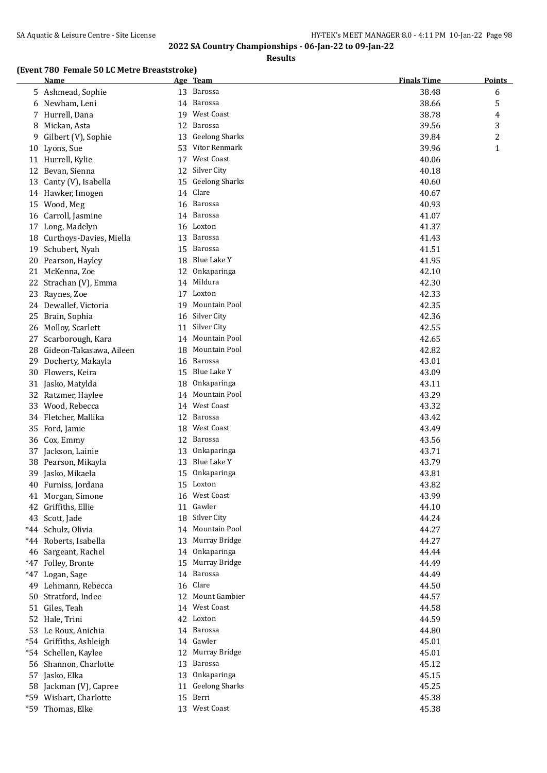**Results**

#### **(Event 780 Female 50 LC Metre Breaststroke)**

|       | <u>Name</u>                |     | Age Team                       | <b>Finals Time</b> | <b>Points</b> |
|-------|----------------------------|-----|--------------------------------|--------------------|---------------|
|       | 5 Ashmead, Sophie          |     | 13 Barossa                     | 38.48              | 6             |
|       | 6 Newham, Leni             |     | 14 Barossa                     | 38.66              | 5             |
| 7     | Hurrell, Dana              |     | 19 West Coast                  | 38.78              | 4             |
| 8     | Mickan, Asta               | 12  | Barossa                        | 39.56              | 3             |
| 9     | Gilbert (V), Sophie        | 13  | <b>Geelong Sharks</b>          | 39.84              | 2             |
|       | 10 Lyons, Sue              | 53. | Vitor Renmark                  | 39.96              | $\mathbf{1}$  |
|       | 11 Hurrell, Kylie          | 17  | West Coast                     | 40.06              |               |
|       | 12 Bevan, Sienna           | 12  | Silver City                    | 40.18              |               |
|       | 13 Canty (V), Isabella     | 15  | <b>Geelong Sharks</b>          | 40.60              |               |
|       | 14 Hawker, Imogen          | 14  | Clare                          | 40.67              |               |
| 15    | Wood, Meg                  | 16  | Barossa                        | 40.93              |               |
|       | 16 Carroll, Jasmine        | 14  | Barossa                        | 41.07              |               |
|       | 17 Long, Madelyn           | 16  | Loxton                         | 41.37              |               |
|       | 18 Curthoys-Davies, Miella | 13  | <b>Barossa</b>                 | 41.43              |               |
|       | 19 Schubert, Nyah          | 15  | Barossa                        | 41.51              |               |
|       | 20 Pearson, Hayley         | 18  | Blue Lake Y                    | 41.95              |               |
|       | 21 McKenna, Zoe            | 12  | Onkaparinga                    | 42.10              |               |
|       | 22 Strachan (V), Emma      | 14  | Mildura                        | 42.30              |               |
| 23    | Raynes, Zoe                | 17  | Loxton                         | 42.33              |               |
|       | 24 Dewallef, Victoria      | 19  | Mountain Pool                  | 42.35              |               |
| 25    | Brain, Sophia              | 16  | Silver City                    | 42.36              |               |
|       | 26 Molloy, Scarlett        | 11  | Silver City                    | 42.55              |               |
| 27    | Scarborough, Kara          | 14  | Mountain Pool                  | 42.65              |               |
| 28    | Gideon-Takasawa, Aileen    | 18  | Mountain Pool                  | 42.82              |               |
| 29    | Docherty, Makayla          | 16  | Barossa                        | 43.01              |               |
| 30    | Flowers, Keira             | 15  | Blue Lake Y                    | 43.09              |               |
|       | 31 Jasko, Matylda          | 18  | Onkaparinga                    | 43.11              |               |
|       | 32 Ratzmer, Haylee         | 14  | Mountain Pool                  | 43.29              |               |
| 33    | Wood, Rebecca              |     | 14 West Coast                  | 43.32              |               |
| 34    | Fletcher, Mallika          | 12  | Barossa                        | 43.42              |               |
| 35    | Ford, Jamie                | 18  | West Coast                     | 43.49              |               |
|       | 36 Cox, Emmy               | 12  | Barossa                        | 43.56              |               |
|       | 37 Jackson, Lainie         | 13  | Onkaparinga                    | 43.71              |               |
|       | 38 Pearson, Mikayla        | 13  | Blue Lake Y                    | 43.79              |               |
|       | 39 Jasko, Mikaela          |     | 15 Onkaparinga                 | 43.81              |               |
|       | 40 Furniss, Jordana        |     | 15 Loxton                      | 43.82              |               |
|       | 41 Morgan, Simone          |     | 16 West Coast                  | 43.99              |               |
|       | 42 Griffiths, Ellie        |     | 11 Gawler                      | 44.10              |               |
|       | 43 Scott, Jade             |     | 18 Silver City                 | 44.24              |               |
|       | *44 Schulz, Olivia         |     | 14 Mountain Pool               | 44.27              |               |
|       | *44 Roberts, Isabella      | 13  | Murray Bridge                  | 44.27              |               |
|       | 46 Sargeant, Rachel        | 14  | Onkaparinga                    | 44.44              |               |
|       | *47 Folley, Bronte         | 15  | Murray Bridge                  | 44.49              |               |
| $*47$ | Logan, Sage                | 14  | Barossa                        | 44.49              |               |
| 49    | Lehmann, Rebecca           | 16  | Clare                          | 44.50              |               |
|       | 50 Stratford, Indee        | 12  | Mount Gambier                  | 44.57              |               |
| 51    | Giles, Teah                | 14  | West Coast                     | 44.58              |               |
|       | 52 Hale, Trini             | 42  | Loxton                         | 44.59              |               |
|       | 53 Le Roux, Anichia        | 14  | Barossa                        | 44.80              |               |
|       | *54 Griffiths, Ashleigh    | 14  | Gawler                         | 45.01              |               |
|       | *54 Schellen, Kaylee       | 12  | Murray Bridge                  | 45.01              |               |
|       | 56 Shannon, Charlotte      | 13  | Barossa                        | 45.12              |               |
|       | 57 Jasko, Elka             | 13  | Onkaparinga                    | 45.15              |               |
|       | 58 Jackman (V), Capree     | 11  | <b>Geelong Sharks</b><br>Berri | 45.25              |               |
| *59   | Wishart, Charlotte         | 15  | 13 West Coast                  | 45.38              |               |
|       | *59 Thomas, Elke           |     |                                | 45.38              |               |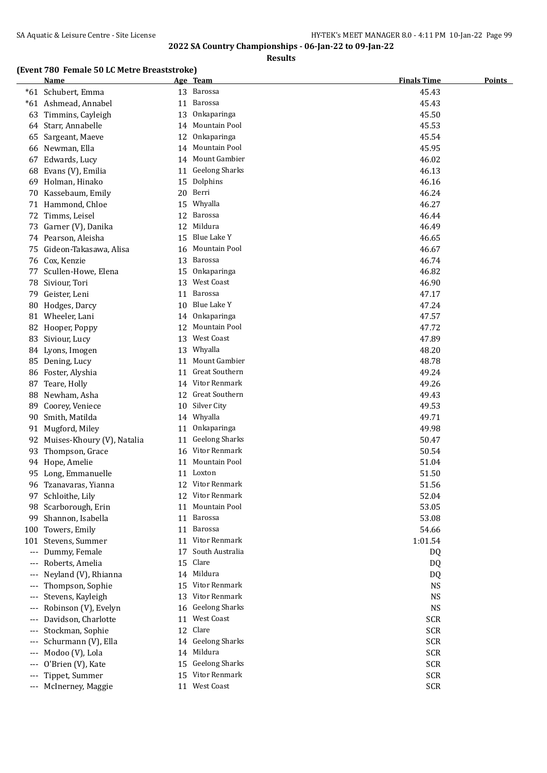**Results**

### **(Event 780 Female 50 LC Metre Breaststroke)**

|          | chiule bo no metre breuststrone<br><u>Name</u> |          | Age Team                               | <b>Finals Time</b>       | <b>Points</b> |
|----------|------------------------------------------------|----------|----------------------------------------|--------------------------|---------------|
|          | *61 Schubert, Emma                             |          | 13 Barossa                             | 45.43                    |               |
|          | *61 Ashmead, Annabel                           | 11       | Barossa                                | 45.43                    |               |
| 63       | Timmins, Cayleigh                              | 13       | Onkaparinga                            | 45.50                    |               |
| 64       | Starr, Annabelle                               | 14       | Mountain Pool                          | 45.53                    |               |
|          | 65 Sargeant, Maeve                             | 12       | Onkaparinga                            | 45.54                    |               |
|          | 66 Newman, Ella                                | 14       | Mountain Pool                          | 45.95                    |               |
| 67       | Edwards, Lucy                                  | 14       | Mount Gambier                          | 46.02                    |               |
| 68       | Evans (V), Emilia                              |          | 11 Geelong Sharks                      | 46.13                    |               |
|          | 69 Holman, Hinako                              | 15       | Dolphins                               | 46.16                    |               |
|          | 70 Kassebaum, Emily                            | 20       | Berri                                  | 46.24                    |               |
|          | 71 Hammond, Chloe                              | 15       | Whyalla                                | 46.27                    |               |
|          | 72 Timms, Leisel                               | 12       | Barossa                                | 46.44                    |               |
| 73       | Garner (V), Danika                             | 12       | Mildura                                | 46.49                    |               |
|          | 74 Pearson, Aleisha                            | 15       | Blue Lake Y                            | 46.65                    |               |
| 75       | Gideon-Takasawa, Alisa                         | 16       | Mountain Pool                          | 46.67                    |               |
|          | 76 Cox, Kenzie                                 | 13       | Barossa                                | 46.74                    |               |
| 77       | Scullen-Howe, Elena                            | 15       | Onkaparinga                            | 46.82                    |               |
| 78       | Siviour, Tori                                  | 13       | West Coast                             | 46.90                    |               |
| 79       | Geister, Leni                                  | 11       | Barossa                                | 47.17                    |               |
| 80       | Hodges, Darcy                                  | 10       | <b>Blue Lake Y</b>                     | 47.24                    |               |
|          | 81 Wheeler, Lani                               | 14       | Onkaparinga                            | 47.57                    |               |
| 82       | Hooper, Poppy                                  | 12       | Mountain Pool                          | 47.72                    |               |
|          | 83 Siviour, Lucy                               | 13       | <b>West Coast</b>                      | 47.89                    |               |
|          | 84 Lyons, Imogen                               | 13       | Whyalla                                | 48.20                    |               |
|          | 85 Dening, Lucy                                | 11       | Mount Gambier                          | 48.78                    |               |
| 86       | Foster, Alyshia                                | 11       | Great Southern                         | 49.24                    |               |
| 87       | Teare, Holly                                   |          | 14 Vitor Renmark                       | 49.26                    |               |
| 88       | Newham, Asha                                   | 12       | Great Southern                         | 49.43                    |               |
| 89       | Coorey, Veniece                                | 10       | Silver City                            | 49.53                    |               |
| 90       | Smith, Matilda                                 | 14       | Whyalla                                | 49.71                    |               |
| 91       | Mugford, Miley                                 | 11       | Onkaparinga                            | 49.98                    |               |
| 92       | Muises-Khoury (V), Natalia                     | 11       | <b>Geelong Sharks</b>                  | 50.47                    |               |
| 93       | Thompson, Grace                                |          | 16 Vitor Renmark                       | 50.54                    |               |
|          | 94 Hope, Amelie                                |          | 11 Mountain Pool                       | 51.04                    |               |
|          | 95 Long, Emmanuelle                            |          | 11 Loxton                              | 51.50                    |               |
|          | 96 Tzanavaras, Yianna                          |          | 12 Vitor Renmark                       | 51.56                    |               |
|          | 97 Schloithe, Lily                             |          | 12 Vitor Renmark                       | 52.04                    |               |
|          | 98 Scarborough, Erin                           |          | 11 Mountain Pool                       | 53.05                    |               |
|          | 99 Shannon, Isabella                           | 11       | Barossa                                | 53.08                    |               |
|          | 100 Towers, Emily                              |          | 11 Barossa                             | 54.66                    |               |
|          | 101 Stevens, Summer                            |          | 11 Vitor Renmark                       | 1:01.54                  |               |
| $\cdots$ | Dummy, Female                                  | 17       | South Australia                        | DQ                       |               |
| $---$    | Roberts, Amelia                                | 15       | Clare                                  | DQ                       |               |
| $---$    | Neyland (V), Rhianna                           |          | 14 Mildura                             | DQ                       |               |
| $---$    | Thompson, Sophie                               | 15       | Vitor Renmark                          | <b>NS</b>                |               |
| $---$    | Stevens, Kayleigh                              | 13       | <b>Vitor Renmark</b>                   | <b>NS</b>                |               |
| ---      | Robinson (V), Evelyn                           | 16       | <b>Geelong Sharks</b>                  | <b>NS</b>                |               |
| $---$    | Davidson, Charlotte                            | 11       | West Coast                             | <b>SCR</b>               |               |
| $---$    | Stockman, Sophie                               | 12       | Clare                                  | <b>SCR</b>               |               |
| ---      | Schurmann (V), Ella                            | 14       | <b>Geelong Sharks</b>                  | <b>SCR</b>               |               |
| ---      | Modoo (V), Lola                                | 14       | Mildura                                | <b>SCR</b>               |               |
| $---$    | O'Brien (V), Kate                              | 15       | <b>Geelong Sharks</b><br>Vitor Renmark | <b>SCR</b>               |               |
| $---$    | Tippet, Summer                                 | 15<br>11 | West Coast                             | <b>SCR</b><br><b>SCR</b> |               |
|          | McInerney, Maggie                              |          |                                        |                          |               |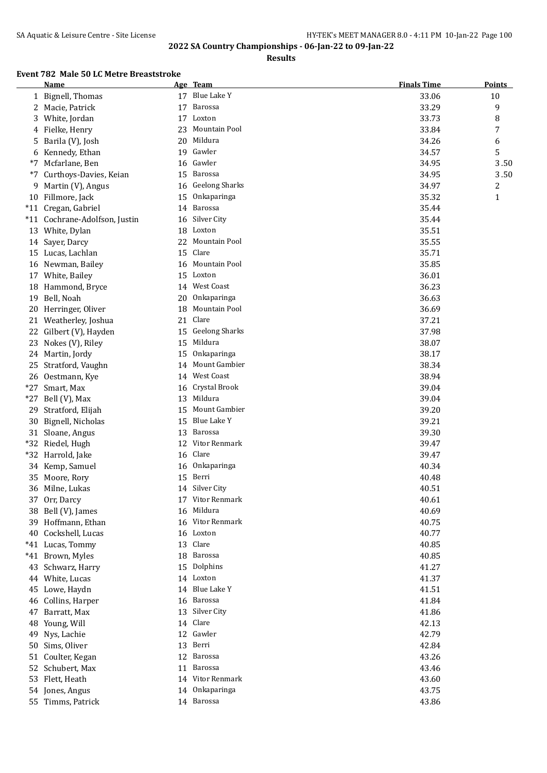**Results**

## **Event 782 Male 50 LC Metre Breaststroke**

|       | <b>Name</b>                   |    | Age Team              | <b>Finals Time</b> | <b>Points</b> |
|-------|-------------------------------|----|-----------------------|--------------------|---------------|
|       | 1 Bignell, Thomas             | 17 | Blue Lake Y           | 33.06              | 10            |
| 2     | Macie, Patrick                | 17 | Barossa               | 33.29              | 9             |
| 3     | White, Jordan                 | 17 | Loxton                | 33.73              | 8             |
| 4     | Fielke, Henry                 | 23 | Mountain Pool         | 33.84              | 7             |
| 5     | Barila (V), Josh              | 20 | Mildura               | 34.26              | 6             |
| 6     | Kennedy, Ethan                | 19 | Gawler                | 34.57              | 5             |
| *7    | Mcfarlane, Ben                | 16 | Gawler                | 34.95              | 3.50          |
| $*7$  | Curthoys-Davies, Keian        | 15 | Barossa               | 34.95              | 3.50          |
| 9     | Martin (V), Angus             | 16 | <b>Geelong Sharks</b> | 34.97              | 2             |
|       | 10 Fillmore, Jack             | 15 | Onkaparinga           | 35.32              | $\mathbf{1}$  |
|       | *11 Cregan, Gabriel           | 14 | Barossa               | 35.44              |               |
|       | *11 Cochrane-Adolfson, Justin | 16 | Silver City           | 35.44              |               |
|       | 13 White, Dylan               | 18 | Loxton                | 35.51              |               |
|       | 14 Sayer, Darcy               |    | 22 Mountain Pool      | 35.55              |               |
|       | 15 Lucas, Lachlan             | 15 | Clare                 | 35.71              |               |
|       | 16 Newman, Bailey             | 16 | Mountain Pool         | 35.85              |               |
|       | 17 White, Bailey              |    | 15 Loxton             | 36.01              |               |
|       | 18 Hammond, Bryce             |    | 14 West Coast         | 36.23              |               |
|       | 19 Bell, Noah                 | 20 | Onkaparinga           | 36.63              |               |
| 20    | Herringer, Oliver             | 18 | Mountain Pool         | 36.69              |               |
|       | 21 Weatherley, Joshua         | 21 | Clare                 | 37.21              |               |
| 22    | Gilbert (V), Hayden           | 15 | <b>Geelong Sharks</b> | 37.98              |               |
| 23    | Nokes (V), Riley              | 15 | Mildura               | 38.07              |               |
|       | 24 Martin, Jordy              | 15 | Onkaparinga           | 38.17              |               |
| 25    | Stratford, Vaughn             | 14 | Mount Gambier         | 38.34              |               |
|       | 26 Oestmann, Kye              |    | 14 West Coast         | 38.94              |               |
|       | *27 Smart, Max                | 16 | Crystal Brook         | 39.04              |               |
| $*27$ | Bell (V), Max                 | 13 | Mildura               | 39.04              |               |
| 29    | Stratford, Elijah             | 15 | Mount Gambier         | 39.20              |               |
| 30    | Bignell, Nicholas             | 15 | Blue Lake Y           | 39.21              |               |
|       | 31 Sloane, Angus              | 13 | Barossa               | 39.30              |               |
|       | *32 Riedel, Hugh              | 12 | Vitor Renmark         | 39.47              |               |
|       | *32 Harrold, Jake             | 16 | Clare                 | 39.47              |               |
|       | 34 Kemp, Samuel               | 16 | Onkaparinga           | 40.34              |               |
| 35    | Moore, Rory                   | 15 | Berri                 | 40.48              |               |
|       | 36 Milne, Lukas               |    | 14 Silver City        | 40.51              |               |
|       | 37 Orr, Darcy                 | 17 | Vitor Renmark         | 40.61              |               |
| 38    | Bell (V), James               | 16 | Mildura               | 40.69              |               |
| 39    | Hoffmann, Ethan               | 16 | Vitor Renmark         | 40.75              |               |
| 40    | Cockshell, Lucas              | 16 | Loxton                | 40.77              |               |
|       | *41 Lucas, Tommy              | 13 | Clare                 | 40.85              |               |
|       | *41 Brown, Myles              | 18 | Barossa               | 40.85              |               |
| 43    | Schwarz, Harry                | 15 | Dolphins              | 41.27              |               |
|       | 44 White, Lucas               |    | 14 Loxton             | 41.37              |               |
|       | 45 Lowe, Haydn                |    | 14 Blue Lake Y        | 41.51              |               |
|       | 46 Collins, Harper            | 16 | Barossa               | 41.84              |               |
| 47    | Barratt, Max                  | 13 | Silver City           | 41.86              |               |
| 48    | Young, Will                   |    | 14 Clare              | 42.13              |               |
| 49    | Nys, Lachie                   |    | 12 Gawler             | 42.79              |               |
| 50    | Sims, Oliver                  | 13 | Berri                 | 42.84              |               |
| 51    | Coulter, Kegan                | 12 | Barossa               | 43.26              |               |
| 52    | Schubert, Max                 | 11 | Barossa               | 43.46              |               |
|       | 53 Flett, Heath               |    | 14 Vitor Renmark      | 43.60              |               |
|       | 54 Jones, Angus               | 14 | Onkaparinga           | 43.75              |               |
|       | 55 Timms, Patrick             |    | 14 Barossa            | 43.86              |               |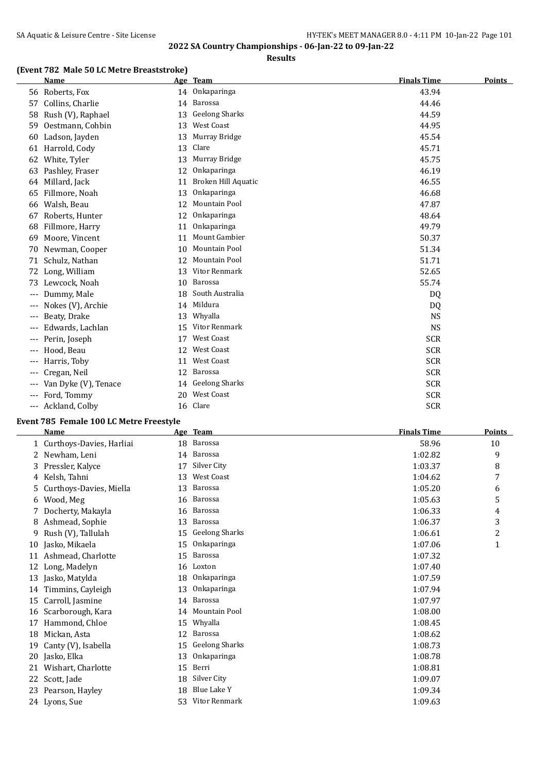**Results**

## **(Event 782 Male 50 LC Metre Breaststroke)**

|       | <b>Name</b>          |    | Age Team              | <b>Finals Time</b> | <b>Points</b> |
|-------|----------------------|----|-----------------------|--------------------|---------------|
|       | 56 Roberts, Fox      |    | 14 Onkaparinga        | 43.94              |               |
| 57    | Collins, Charlie     | 14 | Barossa               | 44.46              |               |
| 58    | Rush (V), Raphael    | 13 | <b>Geelong Sharks</b> | 44.59              |               |
| 59    | Oestmann, Cohbin     | 13 | West Coast            | 44.95              |               |
| 60    | Ladson, Jayden       | 13 | Murray Bridge         | 45.54              |               |
| 61    | Harrold, Cody        | 13 | Clare                 | 45.71              |               |
| 62    | White, Tyler         | 13 | Murray Bridge         | 45.75              |               |
| 63    | Pashley, Fraser      | 12 | Onkaparinga           | 46.19              |               |
| 64    | Millard, Jack        | 11 | Broken Hill Aquatic   | 46.55              |               |
| 65    | Fillmore, Noah       | 13 | Onkaparinga           | 46.68              |               |
| 66    | Walsh, Beau          | 12 | Mountain Pool         | 47.87              |               |
| 67    | Roberts, Hunter      | 12 | Onkaparinga           | 48.64              |               |
| 68    | Fillmore, Harry      | 11 | Onkaparinga           | 49.79              |               |
| 69    | Moore, Vincent       | 11 | <b>Mount Gambier</b>  | 50.37              |               |
| 70    | Newman, Cooper       | 10 | Mountain Pool         | 51.34              |               |
| 71    | Schulz, Nathan       | 12 | Mountain Pool         | 51.71              |               |
| 72    | Long, William        | 13 | Vitor Renmark         | 52.65              |               |
| 73    | Lewcock, Noah        | 10 | Barossa               | 55.74              |               |
| $---$ | Dummy, Male          | 18 | South Australia       | DQ                 |               |
|       | Nokes (V), Archie    | 14 | Mildura               | DQ                 |               |
| ---   | Beaty, Drake         | 13 | Whyalla               | <b>NS</b>          |               |
|       | Edwards, Lachlan     | 15 | Vitor Renmark         | <b>NS</b>          |               |
| $---$ | Perin, Joseph        | 17 | <b>West Coast</b>     | <b>SCR</b>         |               |
| ---   | Hood, Beau           | 12 | <b>West Coast</b>     | <b>SCR</b>         |               |
| $---$ | Harris, Toby         | 11 | <b>West Coast</b>     | <b>SCR</b>         |               |
| ---   | Cregan, Neil         | 12 | Barossa               | <b>SCR</b>         |               |
| $---$ | Van Dyke (V), Tenace | 14 | <b>Geelong Sharks</b> | <b>SCR</b>         |               |
| ---   | Ford, Tommy          | 20 | <b>West Coast</b>     | <b>SCR</b>         |               |
| ---   | Ackland, Colby       |    | 16 Clare              | <b>SCR</b>         |               |

## **Event 785 Female 100 LC Metre Freestyle**

|    | <b>Name</b>                |    | Age Team              | <b>Finals Time</b> | <b>Points</b>  |
|----|----------------------------|----|-----------------------|--------------------|----------------|
|    | 1 Curthoys-Davies, Harliai | 18 | Barossa               | 58.96              | 10             |
|    | 2 Newham, Leni             | 14 | Barossa               | 1:02.82            | 9              |
| 3  | Pressler, Kalyce           | 17 | Silver City           | 1:03.37            | 8              |
| 4  | Kelsh, Tahni               | 13 | <b>West Coast</b>     | 1:04.62            | 7              |
| 5. | Curthoys-Davies, Miella    | 13 | <b>Barossa</b>        | 1:05.20            | 6              |
| 6  | Wood, Meg                  | 16 | Barossa               | 1:05.63            | 5              |
|    | Docherty, Makayla          | 16 | Barossa               | 1:06.33            | 4              |
| 8  | Ashmead, Sophie            | 13 | Barossa               | 1:06.37            | 3              |
| 9  | Rush (V), Tallulah         | 15 | <b>Geelong Sharks</b> | 1:06.61            | $\overline{c}$ |
| 10 | Jasko, Mikaela             | 15 | Onkaparinga           | 1:07.06            | 1              |
| 11 | Ashmead, Charlotte         | 15 | Barossa               | 1:07.32            |                |
| 12 | Long, Madelyn              | 16 | Loxton                | 1:07.40            |                |
| 13 | Jasko, Matylda             | 18 | Onkaparinga           | 1:07.59            |                |
| 14 | Timmins, Cayleigh          | 13 | Onkaparinga           | 1:07.94            |                |
| 15 | Carroll, Jasmine           | 14 | Barossa               | 1:07.97            |                |
| 16 | Scarborough, Kara          | 14 | Mountain Pool         | 1:08.00            |                |
| 17 | Hammond, Chloe             | 15 | Whyalla               | 1:08.45            |                |
| 18 | Mickan, Asta               | 12 | <b>Barossa</b>        | 1:08.62            |                |
| 19 | Canty (V), Isabella        | 15 | <b>Geelong Sharks</b> | 1:08.73            |                |
| 20 | Jasko, Elka                | 13 | Onkaparinga           | 1:08.78            |                |
| 21 | Wishart, Charlotte         | 15 | Berri                 | 1:08.81            |                |
| 22 | Scott, Jade                | 18 | Silver City           | 1:09.07            |                |
| 23 | Pearson, Hayley            | 18 | Blue Lake Y           | 1:09.34            |                |
|    | 24 Lyons, Sue              | 53 | Vitor Renmark         | 1:09.63            |                |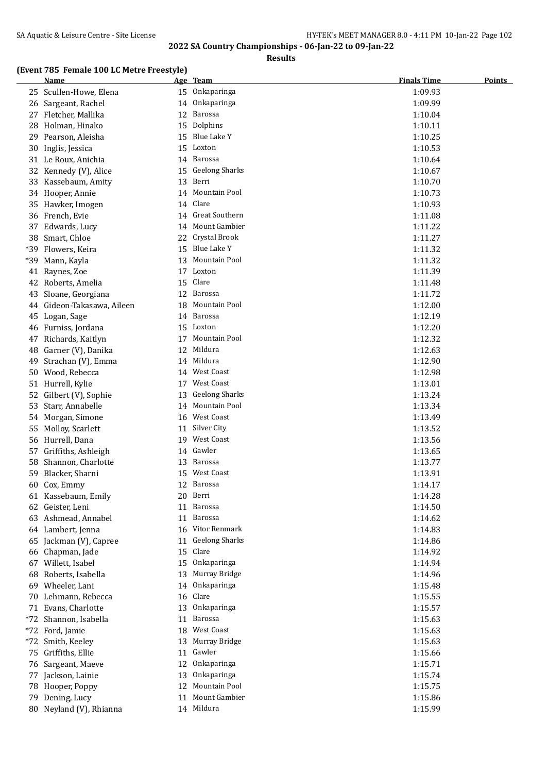**Results**

#### **(Event 785 Female 100 LC Metre Freestyle)**

|           | <u>Name</u>                           |          | Age Team               | <b>Finals Time</b> | <u>Points</u> |
|-----------|---------------------------------------|----------|------------------------|--------------------|---------------|
|           | 25 Scullen-Howe, Elena                |          | 15 Onkaparinga         | 1:09.93            |               |
|           | 26 Sargeant, Rachel                   |          | 14 Onkaparinga         | 1:09.99            |               |
|           | 27 Fletcher, Mallika                  | 12       | Barossa                | 1:10.04            |               |
| 28        | Holman, Hinako                        |          | 15 Dolphins            | 1:10.11            |               |
| 29        | Pearson, Aleisha                      |          | 15 Blue Lake Y         | 1:10.25            |               |
|           | 30 Inglis, Jessica                    |          | 15 Loxton              | 1:10.53            |               |
|           | 31 Le Roux, Anichia                   |          | 14 Barossa             | 1:10.64            |               |
| 32        | Kennedy (V), Alice                    | 15       | <b>Geelong Sharks</b>  | 1:10.67            |               |
| 33        | Kassebaum, Amity                      | 13       | Berri                  | 1:10.70            |               |
|           | 34 Hooper, Annie                      |          | 14 Mountain Pool       | 1:10.73            |               |
|           | 35 Hawker, Imogen                     |          | 14 Clare               | 1:10.93            |               |
|           | 36 French, Evie                       |          | 14 Great Southern      | 1:11.08            |               |
| 37        | Edwards, Lucy                         |          | 14 Mount Gambier       | 1:11.22            |               |
| 38        | Smart, Chloe                          |          | 22 Crystal Brook       | 1:11.27            |               |
| *39       | Flowers, Keira                        | 15       | Blue Lake Y            | 1:11.32            |               |
| *39       | Mann, Kayla                           | 13       | Mountain Pool          | 1:11.32            |               |
| 41        | Raynes, Zoe                           |          | 17 Loxton              | 1:11.39            |               |
| 42        | Roberts, Amelia                       | 15       | Clare                  | 1:11.48            |               |
| 43        | Sloane, Georgiana                     | 12       | Barossa                | 1:11.72            |               |
| 44        | Gideon-Takasawa, Aileen               | 18       | Mountain Pool          | 1:12.00            |               |
| 45        | Logan, Sage                           |          | 14 Barossa             | 1:12.19            |               |
| 46        | Furniss, Jordana                      |          | 15 Loxton              | 1:12.20            |               |
| 47        | Richards, Kaitlyn                     | 17       | Mountain Pool          | 1:12.32            |               |
| 48        | Garner (V), Danika                    | 12       | Mildura                | 1:12.63            |               |
| 49        | Strachan (V), Emma                    |          | 14 Mildura             | 1:12.90            |               |
| 50        | Wood, Rebecca                         |          | 14 West Coast          | 1:12.98            |               |
|           | 51 Hurrell, Kylie                     | 17       | <b>West Coast</b>      | 1:13.01            |               |
| 52        | Gilbert (V), Sophie                   | 13       | <b>Geelong Sharks</b>  | 1:13.24            |               |
| 53        | Starr, Annabelle                      |          | 14 Mountain Pool       | 1:13.34            |               |
| 54        | Morgan, Simone                        |          | 16 West Coast          | 1:13.49            |               |
| 55        | Molloy, Scarlett                      | 11       | Silver City            | 1:13.52            |               |
| 56        | Hurrell, Dana                         |          | 19 West Coast          | 1:13.56            |               |
| 57        | Griffiths, Ashleigh                   |          | 14 Gawler              | 1:13.65            |               |
| 58        | Shannon, Charlotte                    | 13       | Barossa                | 1:13.77            |               |
| 59        | Blacker, Sharni                       |          | 15 West Coast          | 1:13.91            |               |
|           | 60 Cox, Emmy                          |          | 12 Barossa             | 1:14.17            |               |
|           | 61 Kassebaum, Emily                   |          | 20 Berri               | 1:14.28            |               |
|           | 62 Geister, Leni                      |          | 11 Barossa             | 1:14.50            |               |
|           | 63 Ashmead, Annabel                   |          | 11 Barossa             | 1:14.62            |               |
|           | 64 Lambert, Jenna                     |          | 16 Vitor Renmark       | 1:14.83            |               |
|           | 65 Jackman (V), Capree                | 11       | <b>Geelong Sharks</b>  | 1:14.86            |               |
|           | 66 Chapman, Jade                      | 15       | Clare                  | 1:14.92            |               |
|           | 67 Willett, Isabel                    | 15       | Onkaparinga            | 1:14.94            |               |
| 68        | Roberts, Isabella                     | 13       | Murray Bridge          | 1:14.96            |               |
| 69        | Wheeler, Lani                         | 14       | Onkaparinga            | 1:15.48            |               |
| 70        | Lehmann, Rebecca                      | 16       | Clare                  | 1:15.55            |               |
| 71<br>*72 | Evans, Charlotte<br>Shannon, Isabella | 13<br>11 | Onkaparinga<br>Barossa | 1:15.57            |               |
| $*72$     | Ford, Jamie                           | 18       | West Coast             | 1:15.63            |               |
| $*72$     | Smith, Keeley                         | 13       | Murray Bridge          | 1:15.63<br>1:15.63 |               |
| 75        | Griffiths, Ellie                      | 11       | Gawler                 | 1:15.66            |               |
| 76        | Sargeant, Maeve                       | 12       | Onkaparinga            | 1:15.71            |               |
| 77        | Jackson, Lainie                       | 13       | Onkaparinga            | 1:15.74            |               |
|           | 78 Hooper, Poppy                      | 12       | Mountain Pool          | 1:15.75            |               |
| 79        | Dening, Lucy                          | 11       | Mount Gambier          | 1:15.86            |               |
|           | 80 Neyland (V), Rhianna               |          | 14 Mildura             | 1:15.99            |               |
|           |                                       |          |                        |                    |               |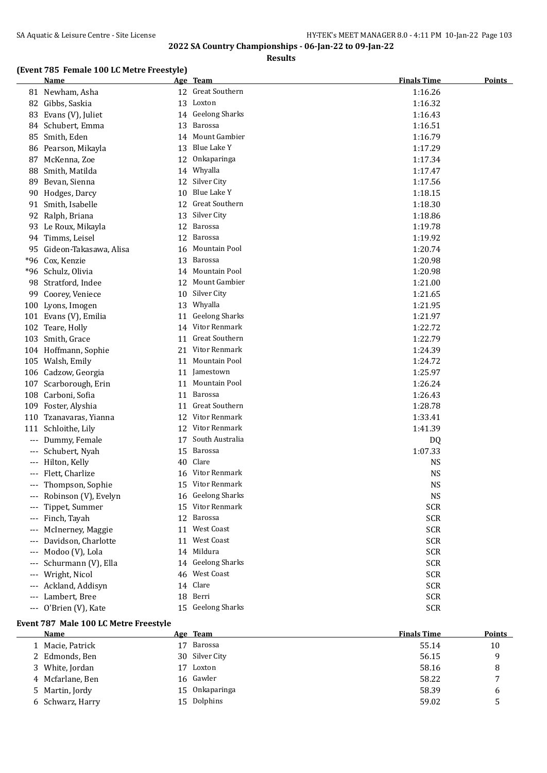**Results**

## **(Event 785 Female 100 LC Metre Freestyle)**

|                                          | <b>Name</b>            |    | Age Team              | <b>Finals Time</b> | <b>Points</b> |
|------------------------------------------|------------------------|----|-----------------------|--------------------|---------------|
|                                          | 81 Newham, Asha        |    | 12 Great Southern     | 1:16.26            |               |
|                                          | 82 Gibbs, Saskia       |    | 13 Loxton             | 1:16.32            |               |
|                                          | 83 Evans (V), Juliet   |    | 14 Geelong Sharks     | 1:16.43            |               |
|                                          | 84 Schubert, Emma      | 13 | Barossa               | 1:16.51            |               |
|                                          | 85 Smith, Eden         |    | 14 Mount Gambier      | 1:16.79            |               |
|                                          | 86 Pearson, Mikayla    | 13 | Blue Lake Y           | 1:17.29            |               |
| 87                                       | McKenna, Zoe           | 12 | Onkaparinga           | 1:17.34            |               |
| 88                                       | Smith, Matilda         | 14 | Whyalla               | 1:17.47            |               |
| 89                                       | Bevan, Sienna          | 12 | Silver City           | 1:17.56            |               |
| 90                                       | Hodges, Darcy          | 10 | Blue Lake Y           | 1:18.15            |               |
|                                          | 91 Smith, Isabelle     | 12 | Great Southern        | 1:18.30            |               |
| 92                                       | Ralph, Briana          | 13 | Silver City           | 1:18.86            |               |
|                                          | 93 Le Roux, Mikayla    | 12 | Barossa               | 1:19.78            |               |
| 94                                       | Timms, Leisel          | 12 | Barossa               | 1:19.92            |               |
| 95                                       | Gideon-Takasawa, Alisa | 16 | Mountain Pool         | 1:20.74            |               |
| *96                                      | Cox, Kenzie            | 13 | Barossa               | 1:20.98            |               |
|                                          | *96 Schulz, Olivia     | 14 | Mountain Pool         | 1:20.98            |               |
|                                          | 98 Stratford, Indee    | 12 | Mount Gambier         | 1:21.00            |               |
|                                          | 99 Coorey, Veniece     | 10 | Silver City           | 1:21.65            |               |
|                                          | 100 Lyons, Imogen      |    | 13 Whyalla            | 1:21.95            |               |
|                                          | 101 Evans (V), Emilia  | 11 | <b>Geelong Sharks</b> | 1:21.97            |               |
|                                          | 102 Teare, Holly       |    | 14 Vitor Renmark      | 1:22.72            |               |
|                                          | 103 Smith, Grace       | 11 | Great Southern        | 1:22.79            |               |
|                                          | 104 Hoffmann, Sophie   |    | 21 Vitor Renmark      | 1:24.39            |               |
|                                          | 105 Walsh, Emily       |    | 11 Mountain Pool      | 1:24.72            |               |
|                                          | 106 Cadzow, Georgia    | 11 | Jamestown             | 1:25.97            |               |
|                                          | 107 Scarborough, Erin  | 11 | Mountain Pool         | 1:26.24            |               |
|                                          | 108 Carboni, Sofia     | 11 | Barossa               | 1:26.43            |               |
|                                          | 109 Foster, Alyshia    | 11 | <b>Great Southern</b> | 1:28.78            |               |
|                                          | 110 Tzanavaras, Yianna |    | 12 Vitor Renmark      | 1:33.41            |               |
|                                          | 111 Schloithe, Lily    |    | 12 Vitor Renmark      | 1:41.39            |               |
| $\hspace{0.05cm} \ldots \hspace{0.05cm}$ | Dummy, Female          |    | 17 South Australia    | DQ                 |               |
| $---$                                    | Schubert, Nyah         |    | 15 Barossa            | 1:07.33            |               |
| $\qquad \qquad - -$                      | Hilton, Kelly          | 40 | Clare                 | <b>NS</b>          |               |
| $---$                                    | Flett, Charlize        |    | 16 Vitor Renmark      | <b>NS</b>          |               |
| $---$                                    | Thompson, Sophie       |    | 15 Vitor Renmark      | <b>NS</b>          |               |
| ---                                      | Robinson (V), Evelyn   |    | 16 Geelong Sharks     | <b>NS</b>          |               |
|                                          | Tippet, Summer         |    | 15 Vitor Renmark      | <b>SCR</b>         |               |
|                                          | Finch, Tayah           | 12 | Barossa               | <b>SCR</b>         |               |
|                                          | McInerney, Maggie      | 11 | West Coast            | <b>SCR</b>         |               |
| $---$                                    | Davidson, Charlotte    | 11 | <b>West Coast</b>     | <b>SCR</b>         |               |
| $---$                                    | Modoo (V), Lola        | 14 | Mildura               | <b>SCR</b>         |               |
| ---                                      | Schurmann (V), Ella    | 14 | <b>Geelong Sharks</b> | <b>SCR</b>         |               |
| $---$                                    | Wright, Nicol          | 46 | West Coast            | <b>SCR</b>         |               |
| ---                                      | Ackland, Addisyn       | 14 | Clare                 | <b>SCR</b>         |               |
| ---                                      | Lambert, Bree          | 18 | Berri                 | <b>SCR</b>         |               |
| $\qquad \qquad - -$                      | O'Brien (V), Kate      |    | 15 Geelong Sharks     | <b>SCR</b>         |               |

### **Event 787 Male 100 LC Metre Freestyle**

| Name             |     |         | <b>Finals Time</b>                                                          | <b>Points</b> |
|------------------|-----|---------|-----------------------------------------------------------------------------|---------------|
| 1 Macie, Patrick | ' 7 | Barossa | 55.14                                                                       | 10            |
| 2 Edmonds, Ben   |     |         | 56.15                                                                       | q             |
| 3 White, Jordan  | 17  | Loxton  | 58.16                                                                       | 8             |
| 4 Mcfarlane, Ben |     |         | 58.22                                                                       |               |
| 5 Martin, Jordy  |     |         | 58.39                                                                       | 6             |
| 6 Schwarz, Harry |     |         | 59.02                                                                       |               |
|                  |     |         | Age Team<br>30 Silver City<br>16 Gawler<br>Onkaparinga<br>15<br>15 Dolphins |               |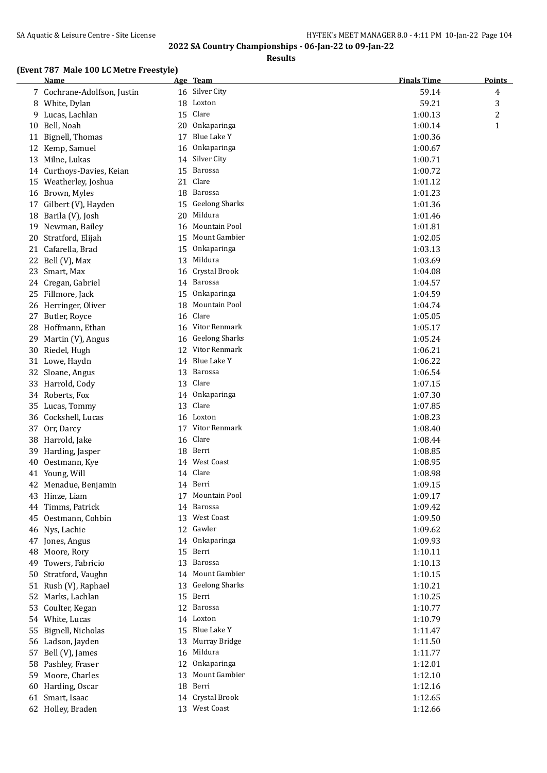**Results**

## **(Event 787 Male 100 LC Metre Freestyle)**

|    | <b>Name</b>                 |    | Age Team              | <b>Finals Time</b> | <b>Points</b> |
|----|-----------------------------|----|-----------------------|--------------------|---------------|
|    | 7 Cochrane-Adolfson, Justin |    | 16 Silver City        | 59.14              | 4             |
|    | 8 White, Dylan              | 18 | Loxton                | 59.21              | 3             |
| 9  | Lucas, Lachlan              | 15 | Clare                 | 1:00.13            | 2             |
| 10 | Bell, Noah                  | 20 | Onkaparinga           | 1:00.14            | $\mathbf{1}$  |
| 11 | Bignell, Thomas             | 17 | Blue Lake Y           | 1:00.36            |               |
|    | 12 Kemp, Samuel             | 16 | Onkaparinga           | 1:00.67            |               |
| 13 | Milne, Lukas                | 14 | Silver City           | 1:00.71            |               |
|    | 14 Curthoys-Davies, Keian   | 15 | <b>Barossa</b>        | 1:00.72            |               |
| 15 | Weatherley, Joshua          | 21 | Clare                 | 1:01.12            |               |
|    | 16 Brown, Myles             | 18 | Barossa               | 1:01.23            |               |
|    | 17 Gilbert (V), Hayden      | 15 | <b>Geelong Sharks</b> | 1:01.36            |               |
| 18 | Barila (V), Josh            | 20 | Mildura               | 1:01.46            |               |
| 19 | Newman, Bailey              | 16 | Mountain Pool         | 1:01.81            |               |
| 20 | Stratford, Elijah           |    | 15 Mount Gambier      | 1:02.05            |               |
| 21 | Cafarella, Brad             | 15 | Onkaparinga           | 1:03.13            |               |
| 22 | Bell (V), Max               | 13 | Mildura               | 1:03.69            |               |
| 23 | Smart, Max                  | 16 | Crystal Brook         | 1:04.08            |               |
|    | 24 Cregan, Gabriel          |    | 14 Barossa            | 1:04.57            |               |
| 25 | Fillmore, Jack              | 15 | Onkaparinga           | 1:04.59            |               |
|    | 26 Herringer, Oliver        | 18 | Mountain Pool         | 1:04.74            |               |
|    | 27 Butler, Royce            |    | 16 Clare              | 1:05.05            |               |
|    | 28 Hoffmann, Ethan          |    | 16 Vitor Renmark      | 1:05.17            |               |
| 29 | Martin (V), Angus           |    | 16 Geelong Sharks     | 1:05.24            |               |
| 30 | Riedel, Hugh                |    | 12 Vitor Renmark      | 1:06.21            |               |
|    | 31 Lowe, Haydn              |    | 14 Blue Lake Y        | 1:06.22            |               |
|    | 32 Sloane, Angus            | 13 | Barossa               | 1:06.54            |               |
| 33 | Harrold, Cody               |    | 13 Clare              | 1:07.15            |               |
|    | 34 Roberts, Fox             | 14 | Onkaparinga           | 1:07.30            |               |
| 35 | Lucas, Tommy                |    | 13 Clare              | 1:07.85            |               |
|    | 36 Cockshell, Lucas         |    | 16 Loxton             | 1:08.23            |               |
| 37 | Orr, Darcy                  | 17 | Vitor Renmark         | 1:08.40            |               |
| 38 | Harrold, Jake               |    | 16 Clare              | 1:08.44            |               |
| 39 | Harding, Jasper             |    | 18 Berri              | 1:08.85            |               |
| 40 | Oestmann, Kye               |    | 14 West Coast         | 1:08.95            |               |
|    | 41 Young, Will              |    | 14 Clare              | 1:08.98            |               |
|    | 42 Menadue, Benjamin        |    | 14 Berri              | 1:09.15            |               |
|    | 43 Hinze, Liam              | 17 | Mountain Pool         | 1:09.17            |               |
| 44 | Timms, Patrick              | 14 | Barossa               | 1:09.42            |               |
|    | 45 Oestmann, Cohbin         | 13 | <b>West Coast</b>     | 1:09.50            |               |
|    | 46 Nys, Lachie              |    | 12 Gawler             | 1:09.62            |               |
| 47 | Jones, Angus                | 14 | Onkaparinga           | 1:09.93            |               |
| 48 | Moore, Rory                 | 15 | Berri                 | 1:10.11            |               |
| 49 | Towers, Fabricio            | 13 | <b>Barossa</b>        | 1:10.13            |               |
| 50 | Stratford, Vaughn           |    | 14 Mount Gambier      | 1:10.15            |               |
|    | 51 Rush (V), Raphael        | 13 | <b>Geelong Sharks</b> | 1:10.21            |               |
| 52 | Marks, Lachlan              |    | 15 Berri              | 1:10.25            |               |
| 53 | Coulter, Kegan              |    | 12 Barossa            | 1:10.77            |               |
|    | 54 White, Lucas             |    | 14 Loxton             | 1:10.79            |               |
| 55 | Bignell, Nicholas           | 15 | Blue Lake Y           | 1:11.47            |               |
|    | 56 Ladson, Jayden           | 13 | Murray Bridge         | 1:11.50            |               |
| 57 | Bell (V), James             | 16 | Mildura               | 1:11.77            |               |
|    | 58 Pashley, Fraser          | 12 | Onkaparinga           | 1:12.01            |               |
| 59 | Moore, Charles              | 13 | Mount Gambier         | 1:12.10            |               |
|    | 60 Harding, Oscar           | 18 | Berri                 | 1:12.16            |               |
|    | 61 Smart, Isaac             |    | 14 Crystal Brook      | 1:12.65            |               |
|    | 62 Holley, Braden           |    | 13 West Coast         | 1:12.66            |               |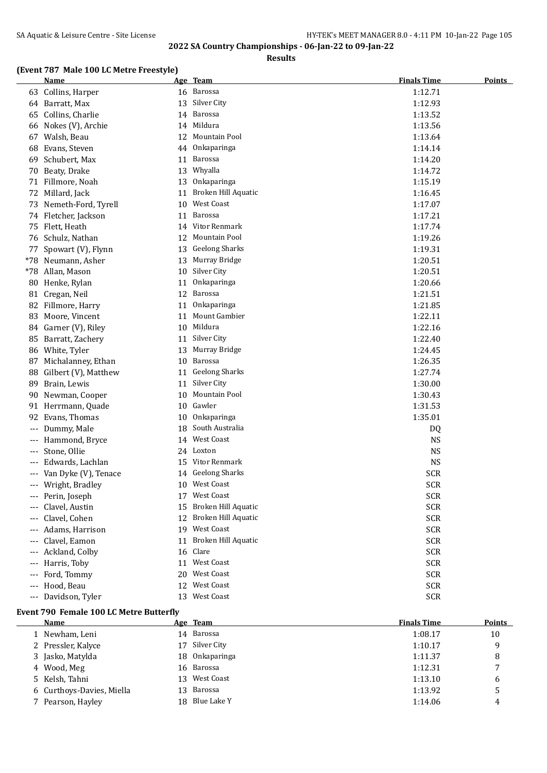**Results**

## **(Event 787 Male 100 LC Metre Freestyle)**

|       | <b>Name</b>           |    | Age Team              | <b>Finals Time</b> | <b>Points</b> |
|-------|-----------------------|----|-----------------------|--------------------|---------------|
|       | 63 Collins, Harper    |    | 16 Barossa            | 1:12.71            |               |
|       | 64 Barratt, Max       | 13 | Silver City           | 1:12.93            |               |
| 65    | Collins, Charlie      |    | 14 Barossa            | 1:13.52            |               |
|       | 66 Nokes (V), Archie  | 14 | Mildura               | 1:13.56            |               |
|       | 67 Walsh, Beau        | 12 | Mountain Pool         | 1:13.64            |               |
| 68    | Evans, Steven         | 44 | Onkaparinga           | 1:14.14            |               |
| 69    | Schubert, Max         | 11 | Barossa               | 1:14.20            |               |
|       | 70 Beaty, Drake       | 13 | Whyalla               | 1:14.72            |               |
|       | 71 Fillmore, Noah     | 13 | Onkaparinga           | 1:15.19            |               |
|       | 72 Millard, Jack      | 11 | Broken Hill Aquatic   | 1:16.45            |               |
| 73    | Nemeth-Ford, Tyrell   | 10 | West Coast            | 1:17.07            |               |
|       | 74 Fletcher, Jackson  | 11 | <b>Barossa</b>        | 1:17.21            |               |
| 75    | Flett, Heath          | 14 | Vitor Renmark         | 1:17.74            |               |
|       | 76 Schulz, Nathan     | 12 | Mountain Pool         | 1:19.26            |               |
| 77    | Spowart (V), Flynn    | 13 | <b>Geelong Sharks</b> | 1:19.31            |               |
| *78   | Neumann, Asher        | 13 | Murray Bridge         | 1:20.51            |               |
| *78   | Allan, Mason          | 10 | Silver City           | 1:20.51            |               |
| 80    | Henke, Rylan          | 11 | Onkaparinga           | 1:20.66            |               |
| 81    | Cregan, Neil          | 12 | Barossa               | 1:21.51            |               |
|       | 82 Fillmore, Harry    | 11 | Onkaparinga           | 1:21.85            |               |
| 83    | Moore, Vincent        | 11 | Mount Gambier         | 1:22.11            |               |
|       | 84 Garner (V), Riley  | 10 | Mildura               | 1:22.16            |               |
| 85    | Barratt, Zachery      | 11 | Silver City           | 1:22.40            |               |
|       | 86 White, Tyler       | 13 | Murray Bridge         | 1:24.45            |               |
|       | 87 Michalanney, Ethan |    | 10 Barossa            | 1:26.35            |               |
| 88    | Gilbert (V), Matthew  | 11 | <b>Geelong Sharks</b> | 1:27.74            |               |
| 89    | Brain, Lewis          | 11 | Silver City           | 1:30.00            |               |
| 90    | Newman, Cooper        | 10 | Mountain Pool         | 1:30.43            |               |
| 91    | Herrmann, Quade       |    | 10 Gawler             | 1:31.53            |               |
| 92    | Evans, Thomas         | 10 | Onkaparinga           | 1:35.01            |               |
| $---$ | Dummy, Male           | 18 | South Australia       | DQ                 |               |
|       | Hammond, Bryce        |    | 14 West Coast         | <b>NS</b>          |               |
|       | Stone, Ollie          |    | 24 Loxton             | <b>NS</b>          |               |
|       | Edwards, Lachlan      |    | 15 Vitor Renmark      | <b>NS</b>          |               |
| $---$ | Van Dyke (V), Tenace  |    | 14 Geelong Sharks     | <b>SCR</b>         |               |
|       | --- Wright, Bradley   |    | 10 West Coast         | <b>SCR</b>         |               |
|       | --- Perin, Joseph     |    | 17 West Coast         | <b>SCR</b>         |               |
|       | Clavel, Austin        | 15 | Broken Hill Aquatic   | <b>SCR</b>         |               |
|       | Clavel, Cohen         | 12 | Broken Hill Aquatic   | <b>SCR</b>         |               |
|       | Adams, Harrison       | 19 | West Coast            | <b>SCR</b>         |               |
|       | Clavel, Eamon         | 11 | Broken Hill Aquatic   | <b>SCR</b>         |               |
|       | Ackland, Colby        | 16 | Clare                 | <b>SCR</b>         |               |
|       | --- Harris, Toby      | 11 | West Coast            | <b>SCR</b>         |               |
|       | --- Ford, Tommy       | 20 | West Coast            | <b>SCR</b>         |               |
|       | --- Hood, Beau        | 12 | West Coast            | <b>SCR</b>         |               |
|       | --- Davidson, Tyler   |    | 13 West Coast         | <b>SCR</b>         |               |

### **Event 790 Female 100 LC Metre Butterfly**

L.

| <b>Name</b>               |    | Age Team       | <b>Finals Time</b> | <b>Points</b> |
|---------------------------|----|----------------|--------------------|---------------|
| 1 Newham, Leni            |    | 14 Barossa     | 1:08.17            | 10            |
| 2 Pressler, Kalyce        | 17 | Silver City    | 1:10.17            | 9             |
| 3 Jasko, Matylda          |    | 18 Onkaparinga | 1:11.37            | 8             |
| 4 Wood, Meg               |    | 16 Barossa     | 1:12.31            | 7             |
| 5 Kelsh, Tahni            |    | 13 West Coast  | 1:13.10            | 6             |
| 6 Curthoys-Davies, Miella | 13 | Barossa        | 1:13.92            | 5             |
| 7 Pearson, Hayley         |    | 18 Blue Lake Y | 1:14.06            | 4             |
|                           |    |                |                    |               |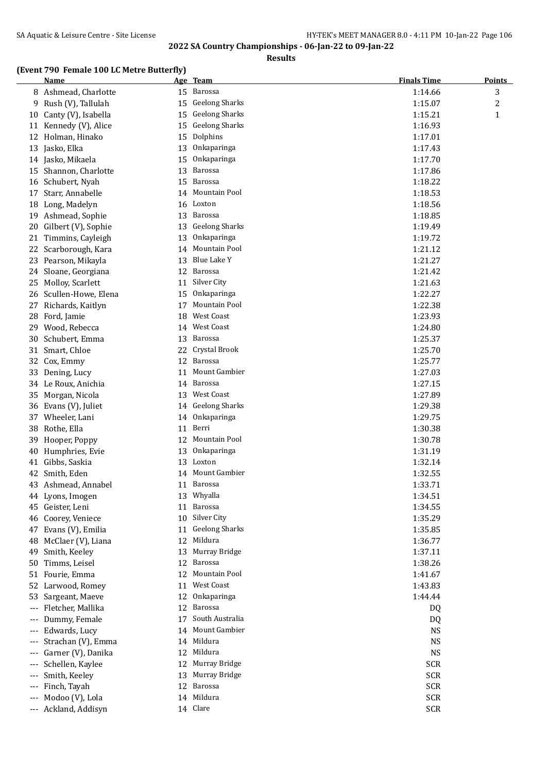**Results**

#### **(Event 790 Female 100 LC Metre Butterfly)**

|       | <b>Name</b>           |    | Age Team              | <b>Finals Time</b> | <b>Points</b>  |
|-------|-----------------------|----|-----------------------|--------------------|----------------|
|       | 8 Ashmead, Charlotte  |    | 15 Barossa            | 1:14.66            | 3              |
| 9     | Rush (V), Tallulah    | 15 | <b>Geelong Sharks</b> | 1:15.07            | $\overline{c}$ |
| 10    | Canty (V), Isabella   | 15 | <b>Geelong Sharks</b> | 1:15.21            | $\mathbf{1}$   |
|       | 11 Kennedy (V), Alice | 15 | <b>Geelong Sharks</b> | 1:16.93            |                |
|       | 12 Holman, Hinako     | 15 | Dolphins              | 1:17.01            |                |
| 13    | Jasko, Elka           | 13 | Onkaparinga           | 1:17.43            |                |
|       | 14 Jasko, Mikaela     | 15 | Onkaparinga           | 1:17.70            |                |
| 15    | Shannon, Charlotte    | 13 | <b>Barossa</b>        | 1:17.86            |                |
|       | 16 Schubert, Nyah     | 15 | <b>Barossa</b>        | 1:18.22            |                |
| 17    | Starr, Annabelle      | 14 | Mountain Pool         | 1:18.53            |                |
|       | 18 Long, Madelyn      | 16 | Loxton                | 1:18.56            |                |
| 19    | Ashmead, Sophie       | 13 | <b>Barossa</b>        | 1:18.85            |                |
| 20    | Gilbert (V), Sophie   | 13 | <b>Geelong Sharks</b> | 1:19.49            |                |
|       | 21 Timmins, Cayleigh  | 13 | Onkaparinga           | 1:19.72            |                |
| 22    | Scarborough, Kara     | 14 | Mountain Pool         | 1:21.12            |                |
|       | 23 Pearson, Mikayla   | 13 | Blue Lake Y           | 1:21.27            |                |
| 24    | Sloane, Georgiana     |    | 12 Barossa            | 1:21.42            |                |
| 25    | Molloy, Scarlett      |    | 11 Silver City        | 1:21.63            |                |
| 26    | Scullen-Howe, Elena   | 15 | Onkaparinga           | 1:22.27            |                |
| 27    | Richards, Kaitlyn     | 17 | Mountain Pool         | 1:22.38            |                |
| 28    | Ford, Jamie           | 18 | West Coast            | 1:23.93            |                |
|       | 29 Wood, Rebecca      | 14 | West Coast            | 1:24.80            |                |
| 30    | Schubert, Emma        | 13 | Barossa               | 1:25.37            |                |
| 31    | Smart, Chloe          | 22 | Crystal Brook         | 1:25.70            |                |
| 32    | Cox, Emmy             | 12 | Barossa               | 1:25.77            |                |
| 33    | Dening, Lucy          | 11 | Mount Gambier         | 1:27.03            |                |
|       | 34 Le Roux, Anichia   | 14 | <b>Barossa</b>        | 1:27.15            |                |
| 35    | Morgan, Nicola        | 13 | <b>West Coast</b>     | 1:27.89            |                |
| 36    | Evans (V), Juliet     |    | 14 Geelong Sharks     | 1:29.38            |                |
| 37    | Wheeler, Lani         | 14 | Onkaparinga           | 1:29.75            |                |
|       | 38 Rothe, Ella        |    | 11 Berri              | 1:30.38            |                |
| 39    | Hooper, Poppy         | 12 | Mountain Pool         | 1:30.78            |                |
| 40    | Humphries, Evie       | 13 | Onkaparinga           | 1:31.19            |                |
| 41    | Gibbs, Saskia         |    | 13 Loxton             | 1:32.14            |                |
|       | 42 Smith, Eden        |    | 14 Mount Gambier      | 1:32.55            |                |
|       | 43 Ashmead, Annabel   |    | 11 Barossa            | 1:33.71            |                |
|       | 44 Lyons, Imogen      |    | 13 Whyalla            | 1:34.51            |                |
|       | 45 Geister, Leni      |    | 11 Barossa            | 1:34.55            |                |
|       | 46 Coorey, Veniece    | 10 | Silver City           | 1:35.29            |                |
|       | 47 Evans (V), Emilia  |    | 11 Geelong Sharks     | 1:35.85            |                |
| 48    | McClaer (V), Liana    | 12 | Mildura               | 1:36.77            |                |
| 49    | Smith, Keeley         | 13 | Murray Bridge         | 1:37.11            |                |
| 50    | Timms, Leisel         | 12 | Barossa               | 1:38.26            |                |
|       | 51 Fourie, Emma       | 12 | Mountain Pool         | 1:41.67            |                |
|       | 52 Larwood, Romey     | 11 | West Coast            | 1:43.83            |                |
| 53    | Sargeant, Maeve       |    | 12 Onkaparinga        | 1:44.44            |                |
| $---$ | Fletcher, Mallika     |    | 12 Barossa            | DQ                 |                |
| ---   | Dummy, Female         | 17 | South Australia       | DQ                 |                |
| ---   | Edwards, Lucy         | 14 | Mount Gambier         | <b>NS</b>          |                |
| ---   | Strachan (V), Emma    |    | 14 Mildura            | <b>NS</b>          |                |
| ---   | Garner (V), Danika    | 12 | Mildura               | <b>NS</b>          |                |
| ---   | Schellen, Kaylee      | 12 | Murray Bridge         | <b>SCR</b>         |                |
| ---   | Smith, Keeley         | 13 | Murray Bridge         | <b>SCR</b>         |                |
| ---   | Finch, Tayah          | 12 | Barossa               | <b>SCR</b>         |                |
|       | Modoo (V), Lola       |    | 14 Mildura            | <b>SCR</b>         |                |
| ---   | Ackland, Addisyn      |    | 14 Clare              | <b>SCR</b>         |                |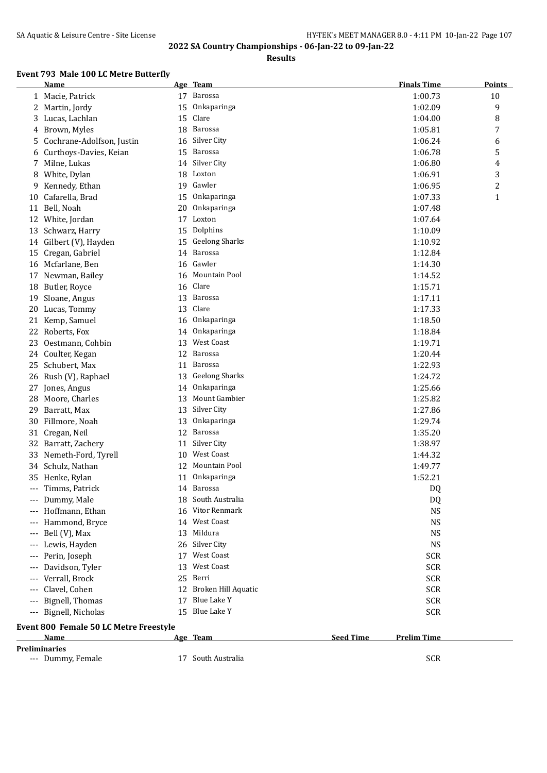**Results**

### **Event 793 Male 100 LC Metre Butterfly**

|       | Name                                   |    | Age Team              |                  | <b>Finals Time</b> | <b>Points</b>  |
|-------|----------------------------------------|----|-----------------------|------------------|--------------------|----------------|
|       | 1 Macie, Patrick                       | 17 | Barossa               |                  | 1:00.73            | 10             |
|       | 2 Martin, Jordy                        | 15 | Onkaparinga           |                  | 1:02.09            | 9              |
| 3     | Lucas, Lachlan                         | 15 | Clare                 |                  | 1:04.00            | 8              |
| 4     | Brown, Myles                           | 18 | Barossa               |                  | 1:05.81            | 7              |
| 5     | Cochrane-Adolfson, Justin              | 16 | Silver City           |                  | 1:06.24            | 6              |
| 6     | Curthoys-Davies, Keian                 | 15 | Barossa               |                  | 1:06.78            | 5              |
| 7     | Milne, Lukas                           | 14 | Silver City           |                  | 1:06.80            | 4              |
| 8     | White, Dylan                           | 18 | Loxton                |                  | 1:06.91            | 3              |
| 9     | Kennedy, Ethan                         | 19 | Gawler                |                  | 1:06.95            | $\overline{c}$ |
| 10    | Cafarella, Brad                        | 15 | Onkaparinga           |                  | 1:07.33            | $\mathbf{1}$   |
|       | 11 Bell, Noah                          | 20 | Onkaparinga           |                  | 1:07.48            |                |
| 12    | White, Jordan                          | 17 | Loxton                |                  | 1:07.64            |                |
|       | 13 Schwarz, Harry                      | 15 | Dolphins              |                  | 1:10.09            |                |
|       | 14 Gilbert (V), Hayden                 | 15 | <b>Geelong Sharks</b> |                  | 1:10.92            |                |
| 15    | Cregan, Gabriel                        | 14 | Barossa               |                  | 1:12.84            |                |
| 16    | Mcfarlane, Ben                         | 16 | Gawler                |                  | 1:14.30            |                |
| 17    | Newman, Bailey                         | 16 | Mountain Pool         |                  | 1:14.52            |                |
| 18    | Butler, Royce                          | 16 | Clare                 |                  | 1:15.71            |                |
| 19    | Sloane, Angus                          | 13 | <b>Barossa</b>        |                  | 1:17.11            |                |
| 20    | Lucas, Tommy                           | 13 | Clare                 |                  | 1:17.33            |                |
| 21    | Kemp, Samuel                           | 16 | Onkaparinga           |                  | 1:18.50            |                |
| 22    | Roberts, Fox                           | 14 | Onkaparinga           |                  | 1:18.84            |                |
| 23    | Oestmann, Cohbin                       | 13 | <b>West Coast</b>     |                  | 1:19.71            |                |
| 24    | Coulter, Kegan                         | 12 | Barossa               |                  | 1:20.44            |                |
| 25    | Schubert, Max                          | 11 | Barossa               |                  | 1:22.93            |                |
| 26    | Rush (V), Raphael                      | 13 | <b>Geelong Sharks</b> |                  | 1:24.72            |                |
| 27    | Jones, Angus                           | 14 | Onkaparinga           |                  | 1:25.66            |                |
| 28    | Moore, Charles                         | 13 | Mount Gambier         |                  | 1:25.82            |                |
| 29    | Barratt, Max                           | 13 | Silver City           |                  | 1:27.86            |                |
| 30    | Fillmore, Noah                         | 13 | Onkaparinga           |                  | 1:29.74            |                |
|       | 31 Cregan, Neil                        | 12 | <b>Barossa</b>        |                  | 1:35.20            |                |
|       | 32 Barratt, Zachery                    | 11 | Silver City           |                  | 1:38.97            |                |
| 33    | Nemeth-Ford, Tyrell                    | 10 | <b>West Coast</b>     |                  | 1:44.32            |                |
| 34    | Schulz, Nathan                         |    | 12 Mountain Pool      |                  | 1:49.77            |                |
| 35    | Henke, Rylan                           | 11 | Onkaparinga           |                  | 1:52.21            |                |
|       | --- Timms, Patrick                     |    | 14 Barossa            |                  | DQ                 |                |
|       | --- Dummy, Male                        |    | 18 South Australia    |                  | DQ                 |                |
|       | --- Hoffmann, Ethan                    | 16 | Vitor Renmark         |                  | <b>NS</b>          |                |
|       | --- Hammond, Bryce                     | 14 | West Coast            |                  | <b>NS</b>          |                |
|       | Bell (V), Max                          | 13 | Mildura               |                  | <b>NS</b>          |                |
|       | Lewis, Hayden                          |    | 26 Silver City        |                  | <b>NS</b>          |                |
| ---   | Perin, Joseph                          | 17 | <b>West Coast</b>     |                  | <b>SCR</b>         |                |
|       | Davidson, Tyler                        | 13 | <b>West Coast</b>     |                  | <b>SCR</b>         |                |
| $---$ | Verrall, Brock                         | 25 | Berri                 |                  | <b>SCR</b>         |                |
| $---$ | Clavel, Cohen                          | 12 | Broken Hill Aquatic   |                  | <b>SCR</b>         |                |
| $---$ | Bignell, Thomas                        | 17 | Blue Lake Y           |                  | <b>SCR</b>         |                |
|       | --- Bignell, Nicholas                  | 15 | <b>Blue Lake Y</b>    |                  | <b>SCR</b>         |                |
|       | Event 800 Female 50 LC Metre Freestyle |    |                       |                  |                    |                |
|       | Name                                   |    | Age Team              | <b>Seed Time</b> | <b>Prelim Time</b> |                |
|       | <b>Preliminaries</b>                   |    |                       |                  |                    |                |
|       | --- Dummy, Female                      |    | 17 South Australia    |                  | <b>SCR</b>         |                |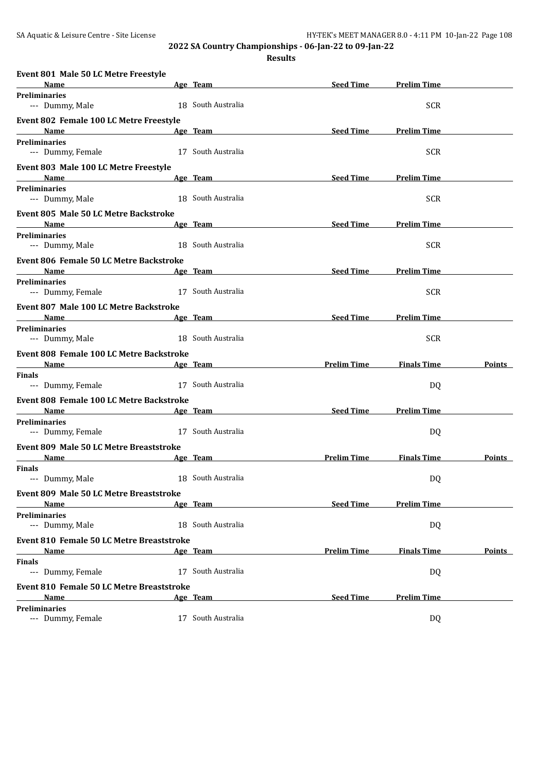**Results**

| Event 801 Male 50 LC Metre Freestyle                  |                                                                                                                                                                                                                                |                    |                    |               |
|-------------------------------------------------------|--------------------------------------------------------------------------------------------------------------------------------------------------------------------------------------------------------------------------------|--------------------|--------------------|---------------|
| <b>Name</b>                                           | <u>Age Team</u>                                                                                                                                                                                                                | Seed Time          | <b>Prelim Time</b> |               |
| <b>Preliminaries</b><br>--- Dummy, Male               | 18 South Australia                                                                                                                                                                                                             |                    | <b>SCR</b>         |               |
| Event 802 Female 100 LC Metre Freestyle               |                                                                                                                                                                                                                                |                    |                    |               |
| Name                                                  | Age Team                                                                                                                                                                                                                       | <b>Seed Time</b>   | <b>Prelim Time</b> |               |
| <b>Preliminaries</b><br>--- Dummy, Female             | 17 South Australia                                                                                                                                                                                                             |                    | <b>SCR</b>         |               |
| Event 803 Male 100 LC Metre Freestyle                 |                                                                                                                                                                                                                                |                    |                    |               |
| <b>Name</b><br><b>Preliminaries</b>                   | <u>Age Team</u>                                                                                                                                                                                                                | Seed Time          | <b>Prelim Time</b> |               |
| --- Dummy, Male                                       | 18 South Australia                                                                                                                                                                                                             |                    | <b>SCR</b>         |               |
| Event 805 Male 50 LC Metre Backstroke                 |                                                                                                                                                                                                                                |                    |                    |               |
| <b>Name</b>                                           | Age Team and the contract of the state of the state of the state of the state of the state of the state of the                                                                                                                 | <b>Seed Time</b>   | <b>Prelim Time</b> |               |
| <b>Preliminaries</b><br>--- Dummy, Male               | 18 South Australia                                                                                                                                                                                                             |                    | <b>SCR</b>         |               |
| Event 806 Female 50 LC Metre Backstroke               |                                                                                                                                                                                                                                |                    |                    |               |
| Name                                                  | Age Team and the contract of the contract of the contract of the contract of the contract of the contract of the contract of the contract of the contract of the contract of the contract of the contract of the contract of t | Seed Time          | <b>Prelim Time</b> |               |
| <b>Preliminaries</b><br>--- Dummy, Female             | 17 South Australia                                                                                                                                                                                                             |                    | <b>SCR</b>         |               |
| Event 807 Male 100 LC Metre Backstroke<br><b>Name</b> | Age Team and the contract of the contract of the contract of the contract of the contract of the contract of the contract of the contract of the contract of the contract of the contract of the contract of the contract of t | Seed Time          | <b>Prelim Time</b> |               |
| <b>Preliminaries</b>                                  |                                                                                                                                                                                                                                |                    |                    |               |
| --- Dummy, Male                                       | 18 South Australia                                                                                                                                                                                                             |                    | <b>SCR</b>         |               |
| Event 808 Female 100 LC Metre Backstroke              |                                                                                                                                                                                                                                |                    |                    |               |
| Name                                                  | Age Team                                                                                                                                                                                                                       | <b>Prelim Time</b> | <b>Finals Time</b> | Points        |
| <b>Finals</b><br>--- Dummy, Female                    | 17 South Australia                                                                                                                                                                                                             |                    | DQ                 |               |
| Event 808 Female 100 LC Metre Backstroke              |                                                                                                                                                                                                                                |                    |                    |               |
| <b>Name</b>                                           | Age Team and the contract of the contract of the contract of the contract of the contract of the contract of the contract of the contract of the contract of the contract of the contract of the contract of the contract of t | <b>Seed Time</b>   | <b>Prelim Time</b> |               |
| <b>Preliminaries</b><br>--- Dummy, Female             | 17 South Australia                                                                                                                                                                                                             |                    | DQ                 |               |
| Event 809 Male 50 LC Metre Breaststroke               |                                                                                                                                                                                                                                |                    |                    |               |
| <b>Name</b>                                           | Age Team                                                                                                                                                                                                                       | <b>Prelim Time</b> | <b>Finals Time</b> | Points        |
| <b>Finals</b>                                         |                                                                                                                                                                                                                                |                    |                    |               |
| --- Dummy, Male                                       | 18 South Australia                                                                                                                                                                                                             |                    | DQ                 |               |
| Event 809 Male 50 LC Metre Breaststroke               |                                                                                                                                                                                                                                |                    |                    |               |
| Name                                                  | Age Team                                                                                                                                                                                                                       | <b>Seed Time</b>   | <b>Prelim Time</b> |               |
| <b>Preliminaries</b><br>--- Dummy, Male               | 18 South Australia                                                                                                                                                                                                             |                    | DQ                 |               |
| <b>Event 810 Female 50 LC Metre Breaststroke</b>      |                                                                                                                                                                                                                                |                    |                    |               |
| <b>Name</b>                                           | Age Team                                                                                                                                                                                                                       | <b>Prelim Time</b> | <b>Finals Time</b> | <b>Points</b> |
| <b>Finals</b>                                         |                                                                                                                                                                                                                                |                    |                    |               |
| --- Dummy, Female                                     | 17 South Australia                                                                                                                                                                                                             |                    | DQ                 |               |
| <b>Event 810 Female 50 LC Metre Breaststroke</b>      |                                                                                                                                                                                                                                |                    |                    |               |
| Name                                                  | <u>Age Team</u>                                                                                                                                                                                                                | <b>Seed Time</b>   | <b>Prelim Time</b> |               |
| <b>Preliminaries</b><br>--- Dummy, Female             | 17 South Australia                                                                                                                                                                                                             |                    | DQ                 |               |